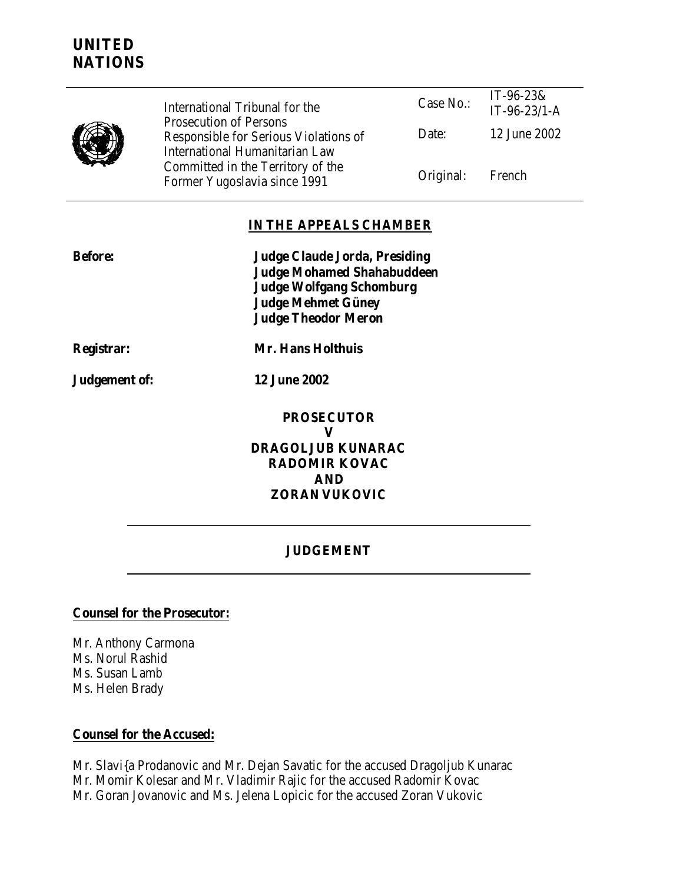|--|

Case No.: IT-96-23& IT-96-23/1-A Date: 12 June 2002 International Tribunal for the Prosecution of Persons Responsible for Serious Violations of International Humanitarian Law Committed in the Territory of the Former Yugoslavia since 1991 Committed in the Territory of the Committee Committee of the Committee Committee

### **IN THE APPEALS CHAMBER**

| Before:    | Judge Claude Jorda, Presiding<br><b>Judge Mohamed Shahabuddeen</b><br><b>Judge Wolfgang Schomburg</b><br>Judge Mehmet Güney<br><b>Judge Theodor Meron</b> |
|------------|-----------------------------------------------------------------------------------------------------------------------------------------------------------|
| Registrar: | <b>Mr. Hans Holthuis</b>                                                                                                                                  |

**Judgement of:**

**12 June 2002**

**PROSECUTOR V DRAGOLJUB KUNARAC RADOMIR KOVAC AND ZORAN VUKOVIC**

#### **JUDGEMENT**

#### **Counsel for the Prosecutor:**

Mr. Anthony Carmona Ms. Norul Rashid Ms. Susan Lamb Ms. Helen Brady

#### **Counsel for the Accused:**

Mr. Slavi{a Prodanovic and Mr. Dejan Savatic for the accused Dragoljub Kunarac Mr. Momir Kolesar and Mr. Vladimir Rajic for the accused Radomir Kovac Mr. Goran Jovanovic and Ms. Jelena Lopicic for the accused Zoran Vukovic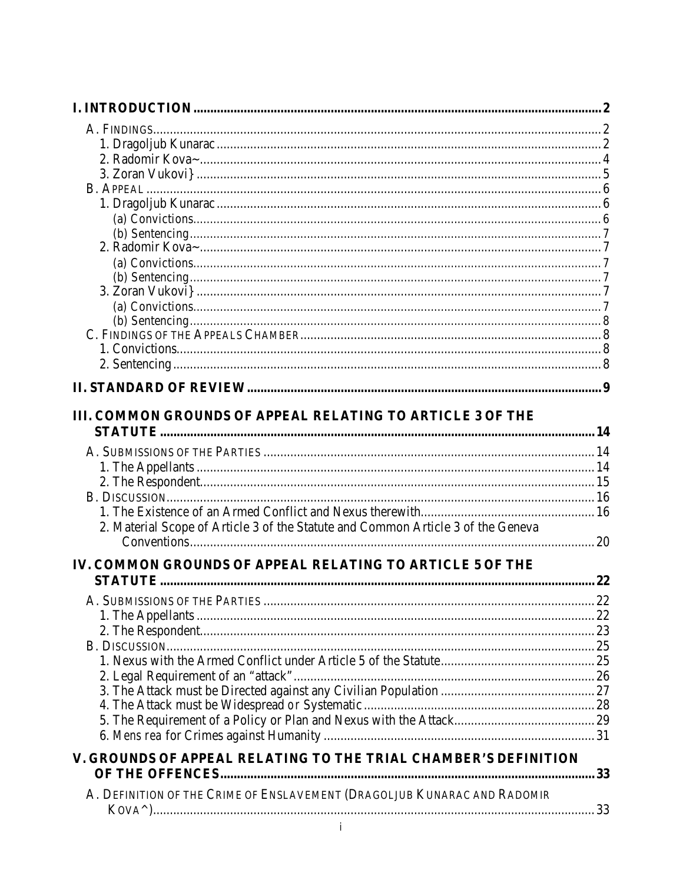| III. COMMON GROUNDS OF APPEAL RELATING TO ARTICLE 3 OF THE                       |    |
|----------------------------------------------------------------------------------|----|
|                                                                                  |    |
|                                                                                  |    |
|                                                                                  |    |
|                                                                                  |    |
|                                                                                  |    |
|                                                                                  |    |
| 2. Material Scope of Article 3 of the Statute and Common Article 3 of the Geneva |    |
|                                                                                  |    |
| IV. COMMON GROUNDS OF APPEAL RELATING TO ARTICLE 5 OF THE                        |    |
|                                                                                  | 22 |
|                                                                                  |    |
|                                                                                  |    |
|                                                                                  |    |
|                                                                                  |    |
|                                                                                  |    |
|                                                                                  |    |
|                                                                                  |    |
|                                                                                  |    |
|                                                                                  |    |
|                                                                                  |    |
| V. GROUNDS OF APPEAL RELATING TO THE TRIAL CHAMBER'S DEFINITION                  |    |
|                                                                                  | 33 |
|                                                                                  |    |
| A. DEFINITION OF THE CRIME OF ENSLAVEMENT (DRAGOLJUB KUNARAC AND RADOMIR         |    |
|                                                                                  |    |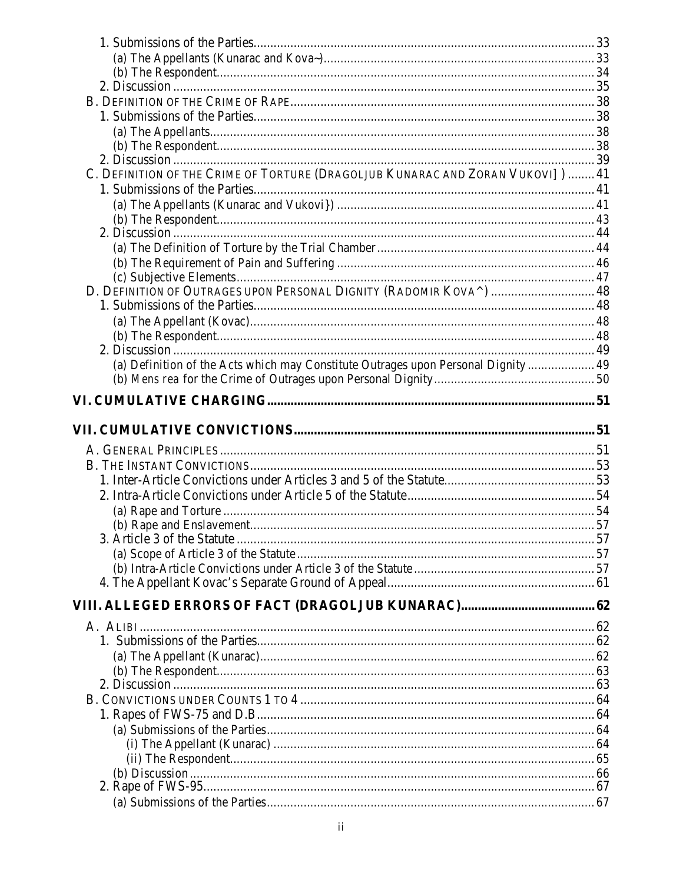| C. DEFINITION OF THE CRIME OF TORTURE (DRAGOLJUB KUNARAC AND ZORAN VUKOVI])  41    |  |
|------------------------------------------------------------------------------------|--|
|                                                                                    |  |
|                                                                                    |  |
|                                                                                    |  |
|                                                                                    |  |
|                                                                                    |  |
|                                                                                    |  |
|                                                                                    |  |
| D. DEFINITION OF OUTRAGES UPON PERSONAL DIGNITY (RADOMIR KOVA^)  48                |  |
|                                                                                    |  |
|                                                                                    |  |
|                                                                                    |  |
|                                                                                    |  |
| (a) Definition of the Acts which may Constitute Outrages upon Personal Dignity  49 |  |
|                                                                                    |  |
|                                                                                    |  |
|                                                                                    |  |
|                                                                                    |  |
|                                                                                    |  |
|                                                                                    |  |
|                                                                                    |  |
|                                                                                    |  |
|                                                                                    |  |
|                                                                                    |  |
|                                                                                    |  |
|                                                                                    |  |
|                                                                                    |  |
|                                                                                    |  |
|                                                                                    |  |
|                                                                                    |  |
|                                                                                    |  |
|                                                                                    |  |
|                                                                                    |  |
|                                                                                    |  |
|                                                                                    |  |
|                                                                                    |  |
|                                                                                    |  |
|                                                                                    |  |
|                                                                                    |  |
|                                                                                    |  |
|                                                                                    |  |
|                                                                                    |  |
|                                                                                    |  |
|                                                                                    |  |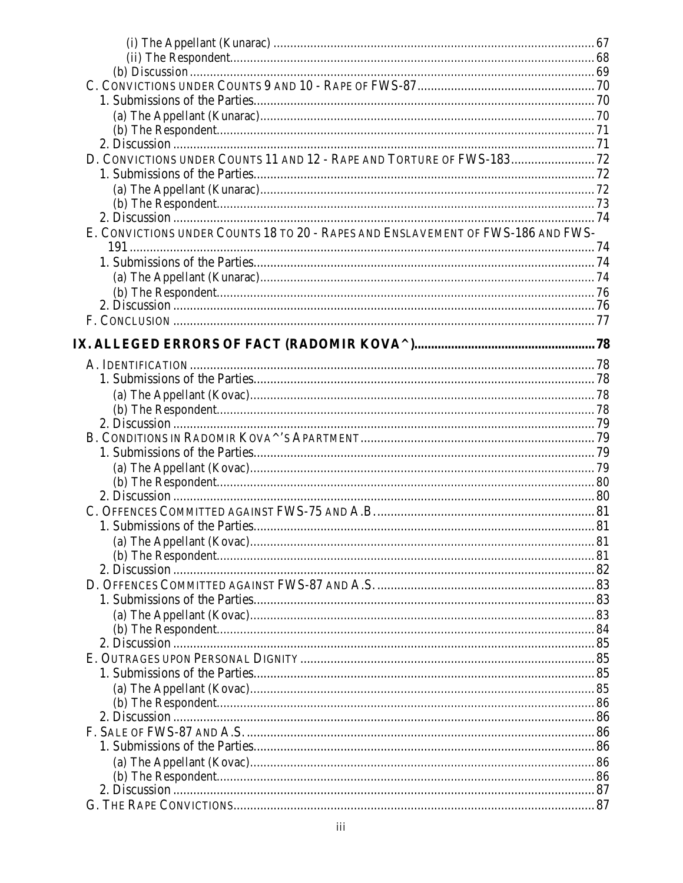| E. CONVICTIONS UNDER COUNTS 18 TO 20 - RAPES AND ENSLAVEMENT OF FWS-186 AND FWS- |  |
|----------------------------------------------------------------------------------|--|
|                                                                                  |  |
|                                                                                  |  |
|                                                                                  |  |
|                                                                                  |  |
|                                                                                  |  |
|                                                                                  |  |
|                                                                                  |  |
|                                                                                  |  |
|                                                                                  |  |
|                                                                                  |  |
|                                                                                  |  |
|                                                                                  |  |
|                                                                                  |  |
|                                                                                  |  |
|                                                                                  |  |
|                                                                                  |  |
|                                                                                  |  |
|                                                                                  |  |
|                                                                                  |  |
|                                                                                  |  |
|                                                                                  |  |
|                                                                                  |  |
|                                                                                  |  |
|                                                                                  |  |
|                                                                                  |  |
|                                                                                  |  |
|                                                                                  |  |
|                                                                                  |  |
|                                                                                  |  |
|                                                                                  |  |
|                                                                                  |  |
|                                                                                  |  |
|                                                                                  |  |
|                                                                                  |  |
|                                                                                  |  |
|                                                                                  |  |
|                                                                                  |  |
|                                                                                  |  |
|                                                                                  |  |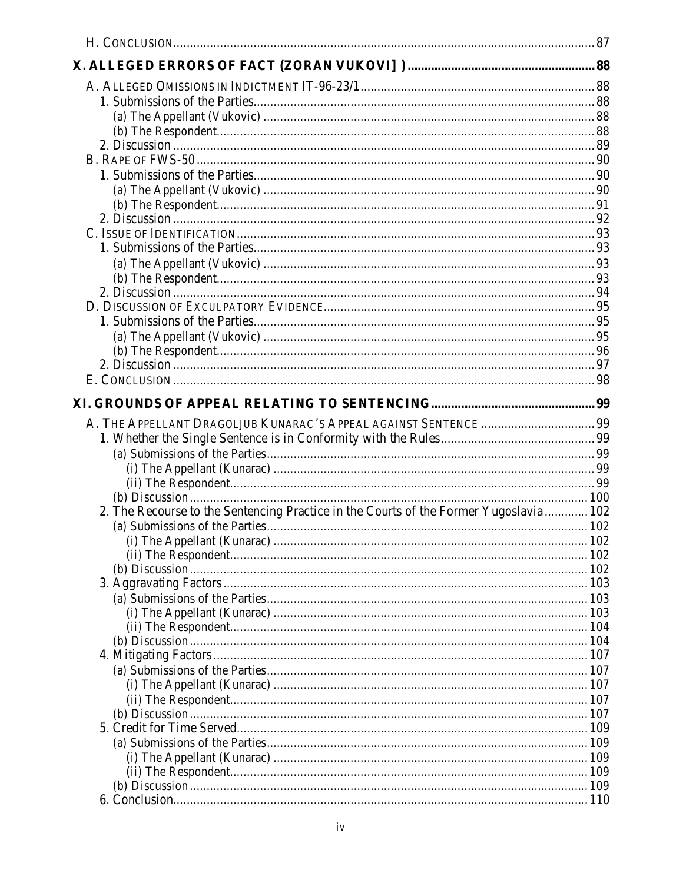| A. THE APPELLANT DRAGOLJUB KUNARAC'S APPEAL AGAINST SENTENCE  99                       |             |
|----------------------------------------------------------------------------------------|-------------|
|                                                                                        |             |
|                                                                                        |             |
|                                                                                        |             |
|                                                                                        |             |
|                                                                                        |             |
| 2. The Recourse to the Sentencing Practice in the Courts of the Former Yugoslavia  102 |             |
|                                                                                        |             |
|                                                                                        | $\dots$ 102 |
|                                                                                        | 102         |
|                                                                                        |             |
|                                                                                        |             |
|                                                                                        |             |
|                                                                                        |             |
|                                                                                        | 104         |
|                                                                                        |             |
|                                                                                        |             |
|                                                                                        |             |
|                                                                                        |             |
|                                                                                        |             |
|                                                                                        |             |
|                                                                                        |             |
|                                                                                        |             |
|                                                                                        |             |
|                                                                                        |             |
|                                                                                        |             |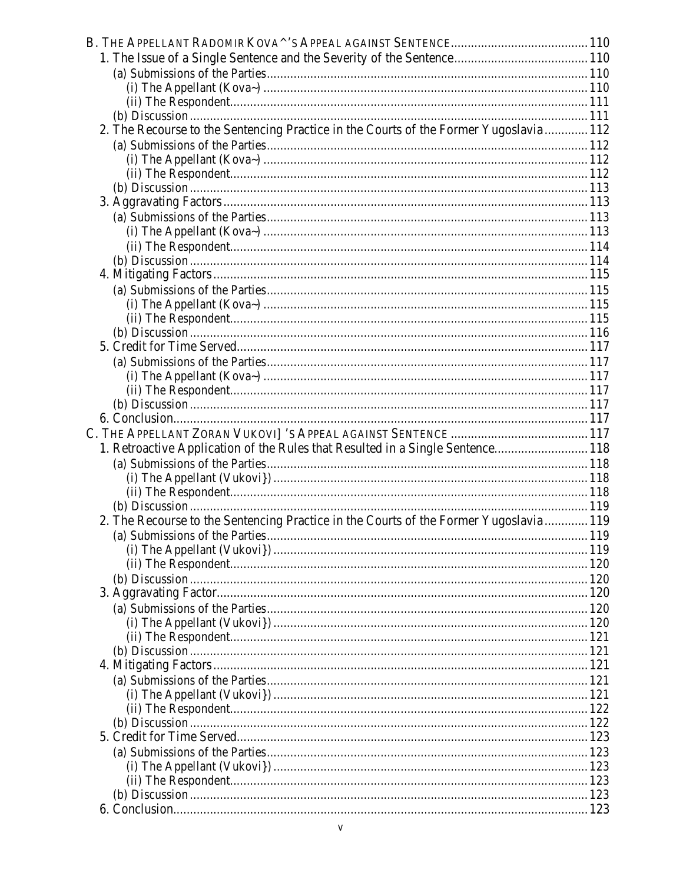| 2. The Recourse to the Sentencing Practice in the Courts of the Former Yugoslavia 112 |  |
|---------------------------------------------------------------------------------------|--|
|                                                                                       |  |
|                                                                                       |  |
|                                                                                       |  |
|                                                                                       |  |
|                                                                                       |  |
|                                                                                       |  |
|                                                                                       |  |
|                                                                                       |  |
|                                                                                       |  |
|                                                                                       |  |
|                                                                                       |  |
|                                                                                       |  |
|                                                                                       |  |
|                                                                                       |  |
|                                                                                       |  |
|                                                                                       |  |
|                                                                                       |  |
|                                                                                       |  |
|                                                                                       |  |
|                                                                                       |  |
|                                                                                       |  |
|                                                                                       |  |
|                                                                                       |  |
|                                                                                       |  |
| 1. Retroactive Application of the Rules that Resulted in a Single Sentence 118        |  |
|                                                                                       |  |
|                                                                                       |  |
|                                                                                       |  |
|                                                                                       |  |
| 2. The Recourse to the Sentencing Practice in the Courts of the Former Yugoslavia 119 |  |
|                                                                                       |  |
|                                                                                       |  |
|                                                                                       |  |
|                                                                                       |  |
|                                                                                       |  |
|                                                                                       |  |
|                                                                                       |  |
|                                                                                       |  |
|                                                                                       |  |
|                                                                                       |  |
|                                                                                       |  |
|                                                                                       |  |
|                                                                                       |  |
|                                                                                       |  |
|                                                                                       |  |
|                                                                                       |  |
|                                                                                       |  |
|                                                                                       |  |
|                                                                                       |  |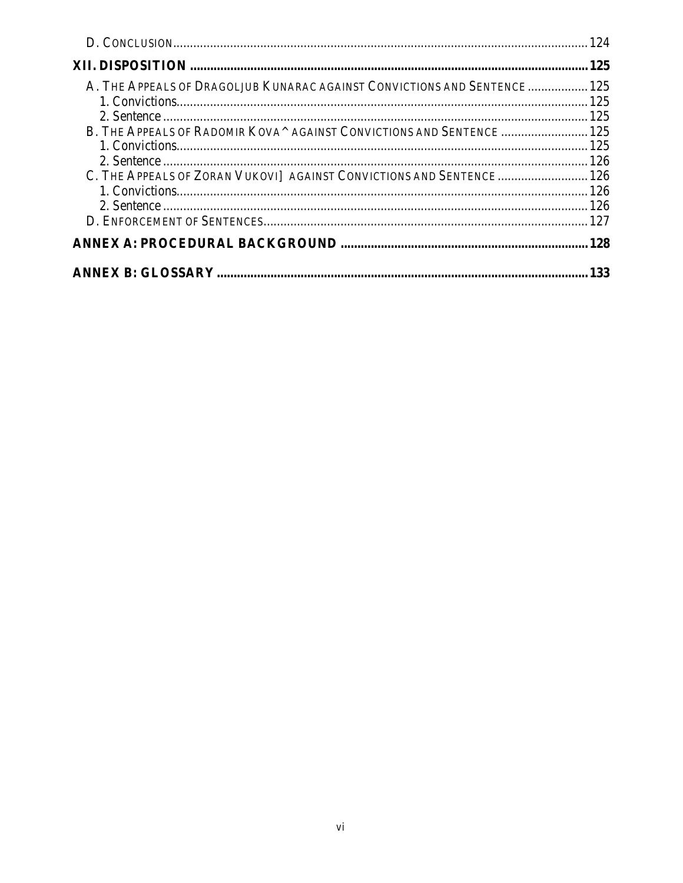|                                                                           | 124 |
|---------------------------------------------------------------------------|-----|
|                                                                           |     |
| A. THE APPEALS OF DRAGOLJUB KUNARAC AGAINST CONVICTIONS AND SENTENCE  125 |     |
| B. THE APPEALS OF RADOMIR KOVA^ AGAINST CONVICTIONS AND SENTENCE  125     |     |
| C. THE APPEALS OF ZORAN VUKOVI] AGAINST CONVICTIONS AND SENTENCE  126     |     |
|                                                                           |     |
|                                                                           |     |
|                                                                           |     |
|                                                                           | 133 |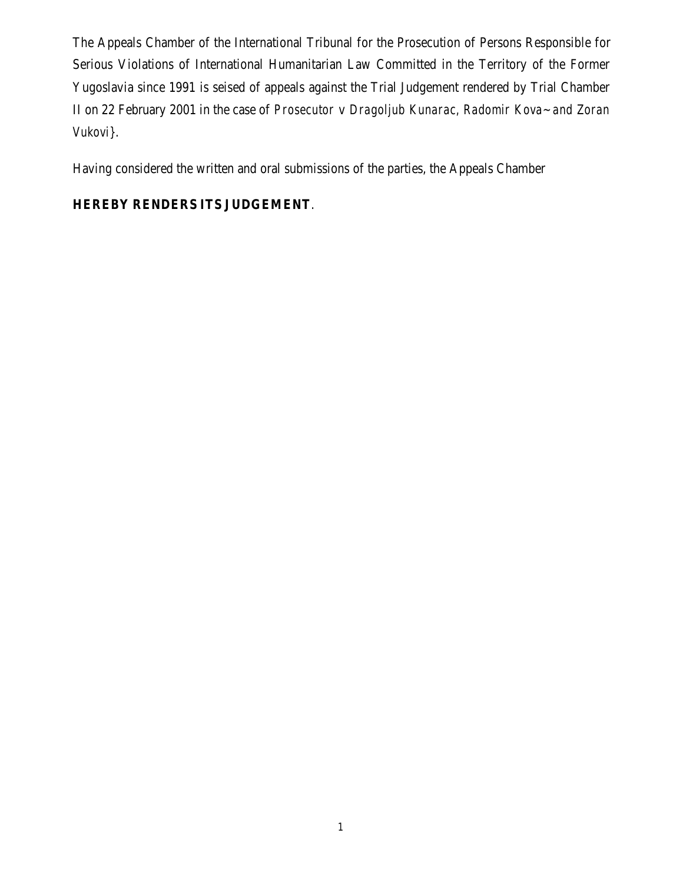The Appeals Chamber of the International Tribunal for the Prosecution of Persons Responsible for Serious Violations of International Humanitarian Law Committed in the Territory of the Former Yugoslavia since 1991 is seised of appeals against the Trial Judgement rendered by Trial Chamber II on 22 February 2001 in the case of *Prosecutor* v *Dragoljub Kunarac, Radomir Kova~ and Zoran Vukovi}*.

Having considered the written and oral submissions of the parties, the Appeals Chamber

# **HEREBY RENDERS ITS JUDGEMENT**.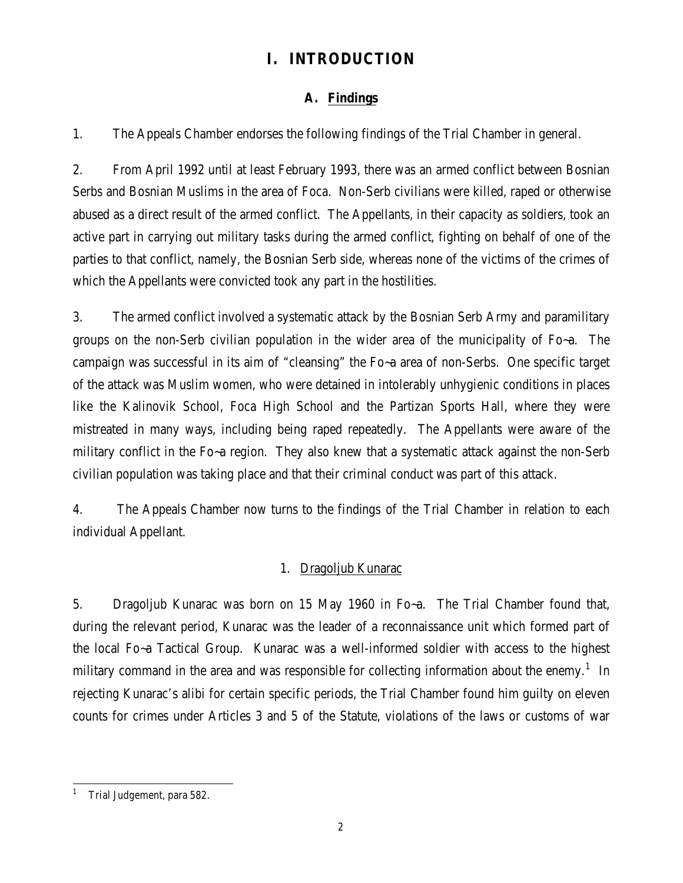# **I. INTRODUCTION**

# **A. Findings**

1. The Appeals Chamber endorses the following findings of the Trial Chamber in general.

2. From April 1992 until at least February 1993, there was an armed conflict between Bosnian Serbs and Bosnian Muslims in the area of Foca. Non-Serb civilians were killed, raped or otherwise abused as a direct result of the armed conflict. The Appellants, in their capacity as soldiers, took an active part in carrying out military tasks during the armed conflict, fighting on behalf of one of the parties to that conflict, namely, the Bosnian Serb side, whereas none of the victims of the crimes of which the Appellants were convicted took any part in the hostilities.

3. The armed conflict involved a systematic attack by the Bosnian Serb Army and paramilitary groups on the non-Serb civilian population in the wider area of the municipality of Fo~a. The campaign was successful in its aim of "cleansing" the Fo~a area of non-Serbs. One specific target of the attack was Muslim women, who were detained in intolerably unhygienic conditions in places like the Kalinovik School, Foca High School and the Partizan Sports Hall, where they were mistreated in many ways, including being raped repeatedly. The Appellants were aware of the military conflict in the Fo~a region. They also knew that a systematic attack against the non-Serb civilian population was taking place and that their criminal conduct was part of this attack.

4. The Appeals Chamber now turns to the findings of the Trial Chamber in relation to each individual Appellant.

# 1. Dragoljub Kunarac

5. Dragoljub Kunarac was born on 15 May 1960 in Fo~a. The Trial Chamber found that, during the relevant period, Kunarac was the leader of a reconnaissance unit which formed part of the local Fo~a Tactical Group. Kunarac was a well-informed soldier with access to the highest military command in the area and was responsible for collecting information about the enemy.<sup>1</sup> In rejecting Kunarac's alibi for certain specific periods, the Trial Chamber found him guilty on eleven counts for crimes under Articles 3 and 5 of the Statute, violations of the laws or customs of war

 $\overline{1}$ 1 Trial Judgement, para 582.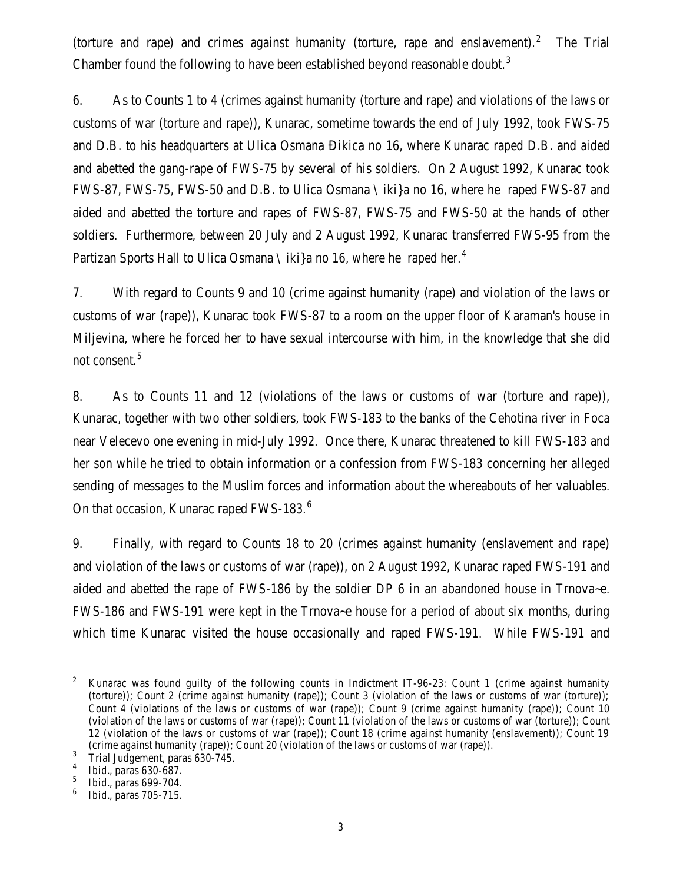(torture and rape) and crimes against humanity (torture, rape and enslavement). $2$  The Trial Chamber found the following to have been established beyond reasonable doubt.<sup>3</sup>

6. As to Counts 1 to 4 (crimes against humanity (torture and rape) and violations of the laws or customs of war (torture and rape)), Kunarac, sometime towards the end of July 1992, took FWS-75 and D.B. to his headquarters at Ulica Osmana Ðikica no 16, where Kunarac raped D.B. and aided and abetted the gang-rape of FWS-75 by several of his soldiers. On 2 August 1992, Kunarac took FWS-87, FWS-75, FWS-50 and D.B. to Ulica Osmana \iki}a no 16, where he raped FWS-87 and aided and abetted the torture and rapes of FWS-87, FWS-75 and FWS-50 at the hands of other soldiers. Furthermore, between 20 July and 2 August 1992, Kunarac transferred FWS-95 from the Partizan Sports Hall to Ulica Osmana \iki}a no 16, where he raped her.<sup>4</sup>

7. With regard to Counts 9 and 10 (crime against humanity (rape) and violation of the laws or customs of war (rape)), Kunarac took FWS-87 to a room on the upper floor of Karaman's house in Miljevina, where he forced her to have sexual intercourse with him, in the knowledge that she did not consent.<sup>5</sup>

8. As to Counts 11 and 12 (violations of the laws or customs of war (torture and rape)), Kunarac, together with two other soldiers, took FWS-183 to the banks of the Cehotina river in Foca near Velecevo one evening in mid-July 1992. Once there, Kunarac threatened to kill FWS-183 and her son while he tried to obtain information or a confession from FWS-183 concerning her alleged sending of messages to the Muslim forces and information about the whereabouts of her valuables. On that occasion, Kunarac raped FWS-183.<sup>6</sup>

9. Finally, with regard to Counts 18 to 20 (crimes against humanity (enslavement and rape) and violation of the laws or customs of war (rape)), on 2 August 1992, Kunarac raped FWS-191 and aided and abetted the rape of FWS-186 by the soldier DP 6 in an abandoned house in Trnova~e. FWS-186 and FWS-191 were kept in the Trnova~e house for a period of about six months, during which time Kunarac visited the house occasionally and raped FWS-191. While FWS-191 and

 $\overline{a}$ <sup>2</sup> Kunarac was found guilty of the following counts in Indictment IT-96-23: Count 1 (crime against humanity (torture)); Count 2 (crime against humanity (rape)); Count 3 (violation of the laws or customs of war (torture)); Count 4 (violations of the laws or customs of war (rape)); Count 9 (crime against humanity (rape)); Count 10 (violation of the laws or customs of war (rape)); Count 11 (violation of the laws or customs of war (torture)); Count 12 (violation of the laws or customs of war (rape)); Count 18 (crime against humanity (enslavement)); Count 19 (crime against humanity (rape)); Count 20 (violation of the laws or customs of war (rape)).

<sup>3</sup> Trial Judgement, paras 630-745.

<sup>4</sup> *Ibid.*, paras 630-687.

<sup>5</sup> *Ibid.*, paras 699-704.

<sup>6</sup> *Ibid.*, paras 705-715.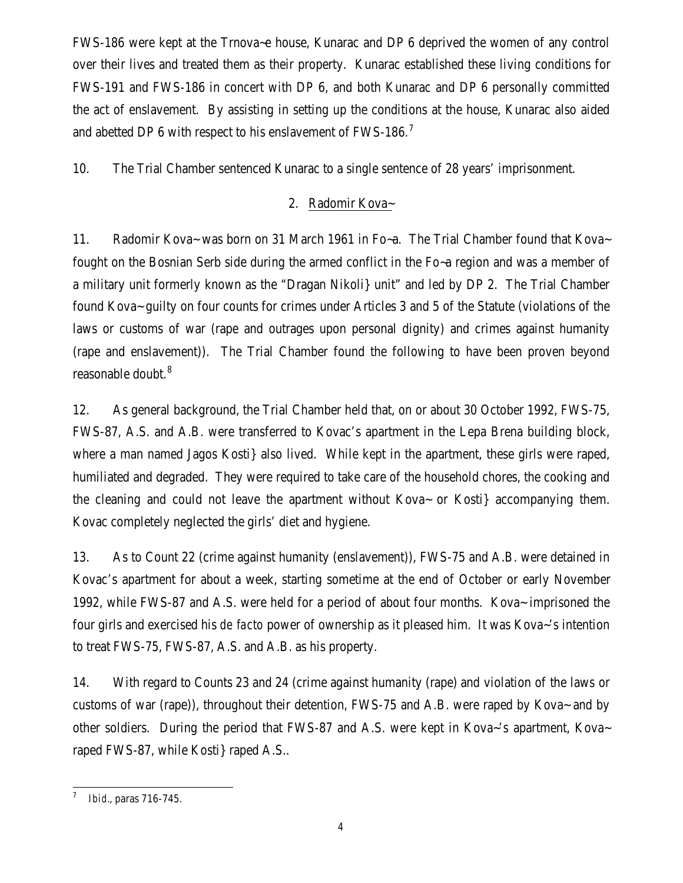FWS-186 were kept at the Trnova~e house, Kunarac and DP 6 deprived the women of any control over their lives and treated them as their property. Kunarac established these living conditions for FWS-191 and FWS-186 in concert with DP 6, and both Kunarac and DP 6 personally committed the act of enslavement. By assisting in setting up the conditions at the house, Kunarac also aided and abetted DP 6 with respect to his enslavement of FWS-186.

10. The Trial Chamber sentenced Kunarac to a single sentence of 28 years' imprisonment.

# 2. Radomir Kova~

11. Radomir Kova~ was born on 31 March 1961 in Fo~a. The Trial Chamber found that Kova~ fought on the Bosnian Serb side during the armed conflict in the Fo~a region and was a member of a military unit formerly known as the "Dragan Nikoli} unit" and led by DP 2. The Trial Chamber found Kova~ guilty on four counts for crimes under Articles 3 and 5 of the Statute (violations of the laws or customs of war (rape and outrages upon personal dignity) and crimes against humanity (rape and enslavement)). The Trial Chamber found the following to have been proven beyond reasonable doubt.<sup>8</sup>

12. As general background, the Trial Chamber held that, on or about 30 October 1992, FWS-75, FWS-87, A.S. and A.B. were transferred to Kovac's apartment in the Lepa Brena building block, where a man named Jagos Kosti} also lived. While kept in the apartment, these girls were raped, humiliated and degraded. They were required to take care of the household chores, the cooking and the cleaning and could not leave the apartment without Kova~ or Kosti} accompanying them. Kovac completely neglected the girls' diet and hygiene.

13. As to Count 22 (crime against humanity (enslavement)), FWS-75 and A.B. were detained in Kovac's apartment for about a week, starting sometime at the end of October or early November 1992, while FWS-87 and A.S. were held for a period of about four months. Kova~ imprisoned the four girls and exercised his *de facto* power of ownership as it pleased him. It was Kova~'s intention to treat FWS-75, FWS-87, A.S. and A.B. as his property.

14. With regard to Counts 23 and 24 (crime against humanity (rape) and violation of the laws or customs of war (rape)), throughout their detention, FWS-75 and A.B. were raped by Kova~ and by other soldiers. During the period that FWS-87 and A.S. were kept in Kova~'s apartment, Kova~ raped FWS-87, while Kosti} raped A.S..

 $\overline{a}$ 7 *Ibid.*, paras 716-745.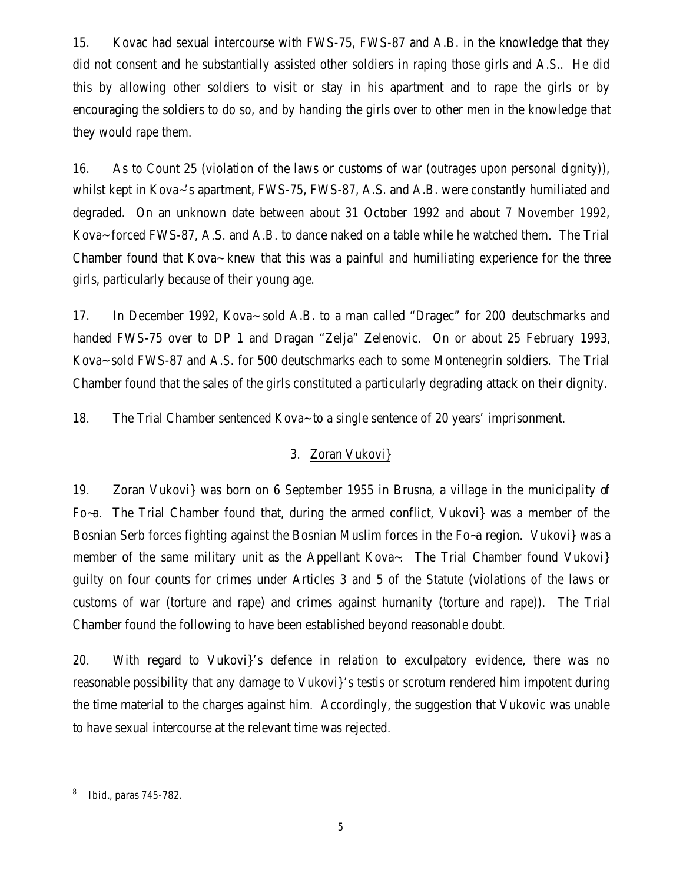15. Kovac had sexual intercourse with FWS-75, FWS-87 and A.B. in the knowledge that they did not consent and he substantially assisted other soldiers in raping those girls and A.S.. He did this by allowing other soldiers to visit or stay in his apartment and to rape the girls or by encouraging the soldiers to do so, and by handing the girls over to other men in the knowledge that they would rape them.

16. As to Count 25 (violation of the laws or customs of war (outrages upon personal dignity)), whilst kept in Kova~'s apartment, FWS-75, FWS-87, A.S. and A.B. were constantly humiliated and degraded. On an unknown date between about 31 October 1992 and about 7 November 1992, Kova~ forced FWS-87, A.S. and A.B. to dance naked on a table while he watched them. The Trial Chamber found that Kova~ knew that this was a painful and humiliating experience for the three girls, particularly because of their young age.

17. In December 1992, Kova~ sold A.B. to a man called "Dragec" for 200 deutschmarks and handed FWS-75 over to DP 1 and Dragan "Zelja" Zelenovic. On or about 25 February 1993, Kova~ sold FWS-87 and A.S. for 500 deutschmarks each to some Montenegrin soldiers. The Trial Chamber found that the sales of the girls constituted a particularly degrading attack on their dignity.

18. The Trial Chamber sentenced Kova~ to a single sentence of 20 years' imprisonment.

# 3. Zoran Vukovi}

19. Zoran Vukovi} was born on 6 September 1955 in Brusna, a village in the municipality of Fo~a. The Trial Chamber found that, during the armed conflict, Vukovi} was a member of the Bosnian Serb forces fighting against the Bosnian Muslim forces in the Fo~a region. Vukovi} was a member of the same military unit as the Appellant Kova -. The Trial Chamber found Vukovi} guilty on four counts for crimes under Articles 3 and 5 of the Statute (violations of the laws or customs of war (torture and rape) and crimes against humanity (torture and rape)). The Trial Chamber found the following to have been established beyond reasonable doubt.

20. With regard to Vukovi}'s defence in relation to exculpatory evidence, there was no reasonable possibility that any damage to Vukovi}'s testis or scrotum rendered him impotent during the time material to the charges against him. Accordingly, the suggestion that Vukovic was unable to have sexual intercourse at the relevant time was rejected.

 8 *Ibid.*, paras 745-782.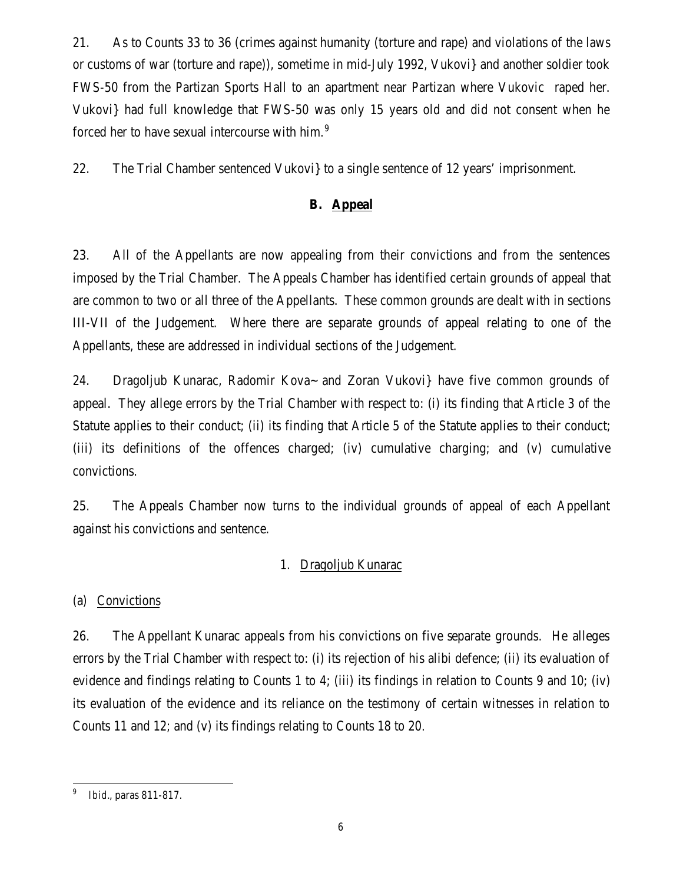21. As to Counts 33 to 36 (crimes against humanity (torture and rape) and violations of the laws or customs of war (torture and rape)), sometime in mid-July 1992, Vukovi} and another soldier took FWS-50 from the Partizan Sports Hall to an apartment near Partizan where Vukovic raped her. Vukovi} had full knowledge that FWS-50 was only 15 years old and did not consent when he forced her to have sexual intercourse with him.<sup>9</sup>

22. The Trial Chamber sentenced Vukovi} to a single sentence of 12 years' imprisonment.

# **B. Appeal**

23. All of the Appellants are now appealing from their convictions and from the sentences imposed by the Trial Chamber. The Appeals Chamber has identified certain grounds of appeal that are common to two or all three of the Appellants. These common grounds are dealt with in sections III-VII of the Judgement. Where there are separate grounds of appeal relating to one of the Appellants, these are addressed in individual sections of the Judgement.

24. Dragoljub Kunarac, Radomir Kova~ and Zoran Vukovi} have five common grounds of appeal. They allege errors by the Trial Chamber with respect to: (i) its finding that Article 3 of the Statute applies to their conduct; (ii) its finding that Article 5 of the Statute applies to their conduct; (iii) its definitions of the offences charged; (iv) cumulative charging; and (v) cumulative convictions.

25. The Appeals Chamber now turns to the individual grounds of appeal of each Appellant against his convictions and sentence.

# 1. Dragoljub Kunarac

# (a) Convictions

26. The Appellant Kunarac appeals from his convictions on five separate grounds. He alleges errors by the Trial Chamber with respect to: (i) its rejection of his alibi defence; (ii) its evaluation of evidence and findings relating to Counts 1 to 4; (iii) its findings in relation to Counts 9 and 10; (iv) its evaluation of the evidence and its reliance on the testimony of certain witnesses in relation to Counts 11 and 12; and (v) its findings relating to Counts 18 to 20.

 $\overline{a}$ 9 *Ibid.*, paras 811-817.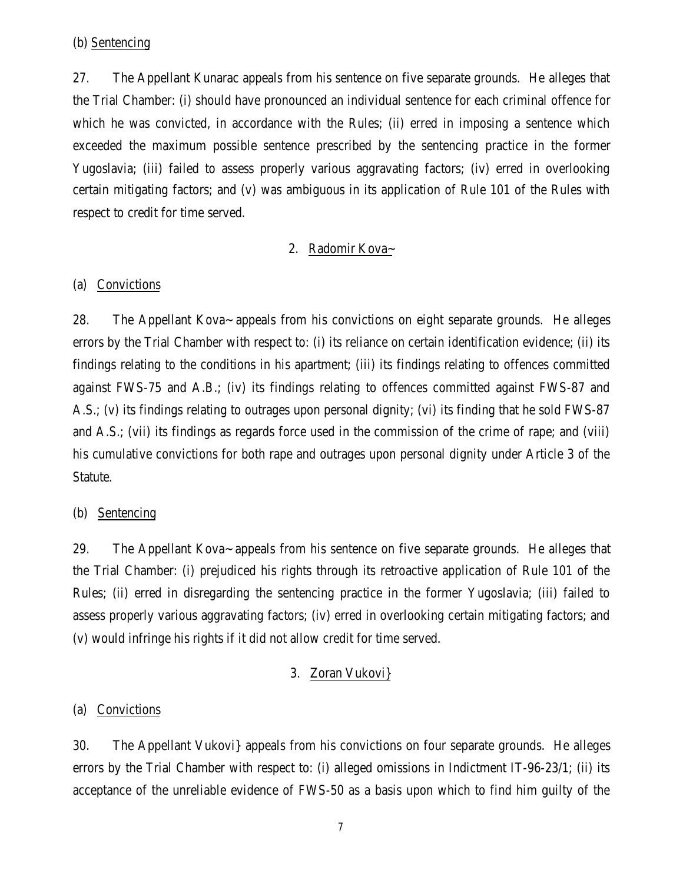### (b) Sentencing

27. The Appellant Kunarac appeals from his sentence on five separate grounds. He alleges that the Trial Chamber: (i) should have pronounced an individual sentence for each criminal offence for which he was convicted, in accordance with the Rules; (ii) erred in imposing a sentence which exceeded the maximum possible sentence prescribed by the sentencing practice in the former Yugoslavia; (iii) failed to assess properly various aggravating factors; (iv) erred in overlooking certain mitigating factors; and (v) was ambiguous in its application of Rule 101 of the Rules with respect to credit for time served.

### 2. Radomir Kova~

### (a) Convictions

28. The Appellant Kova~ appeals from his convictions on eight separate grounds. He alleges errors by the Trial Chamber with respect to: (i) its reliance on certain identification evidence; (ii) its findings relating to the conditions in his apartment; (iii) its findings relating to offences committed against FWS-75 and A.B.; (iv) its findings relating to offences committed against FWS-87 and A.S.; (v) its findings relating to outrages upon personal dignity; (vi) its finding that he sold FWS-87 and A.S.; (vii) its findings as regards force used in the commission of the crime of rape; and (viii) his cumulative convictions for both rape and outrages upon personal dignity under Article 3 of the Statute.

### (b) Sentencing

29. The Appellant Kova~ appeals from his sentence on five separate grounds. He alleges that the Trial Chamber: (i) prejudiced his rights through its retroactive application of Rule 101 of the Rules; (ii) erred in disregarding the sentencing practice in the former Yugoslavia; (iii) failed to assess properly various aggravating factors; (iv) erred in overlooking certain mitigating factors; and (v) would infringe his rights if it did not allow credit for time served.

# 3. Zoran Vukovi}

# (a) Convictions

30. The Appellant Vukovi} appeals from his convictions on four separate grounds. He alleges errors by the Trial Chamber with respect to: (i) alleged omissions in Indictment IT-96-23/1; (ii) its acceptance of the unreliable evidence of FWS-50 as a basis upon which to find him guilty of the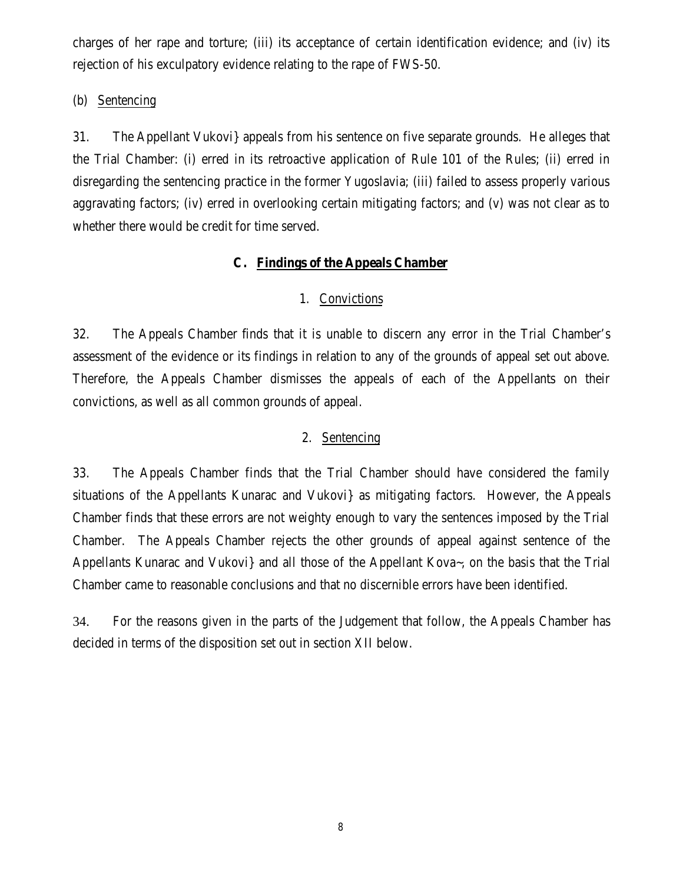charges of her rape and torture; (iii) its acceptance of certain identification evidence; and (iv) its rejection of his exculpatory evidence relating to the rape of FWS-50.

# (b) Sentencing

31. The Appellant Vukovi} appeals from his sentence on five separate grounds. He alleges that the Trial Chamber: (i) erred in its retroactive application of Rule 101 of the Rules; (ii) erred in disregarding the sentencing practice in the former Yugoslavia; (iii) failed to assess properly various aggravating factors; (iv) erred in overlooking certain mitigating factors; and (v) was not clear as to whether there would be credit for time served.

# **C. Findings of the Appeals Chamber**

# 1. Convictions

32. The Appeals Chamber finds that it is unable to discern any error in the Trial Chamber's assessment of the evidence or its findings in relation to any of the grounds of appeal set out above. Therefore, the Appeals Chamber dismisses the appeals of each of the Appellants on their convictions, as well as all common grounds of appeal.

# 2. Sentencing

33. The Appeals Chamber finds that the Trial Chamber should have considered the family situations of the Appellants Kunarac and Vukovi} as mitigating factors. However, the Appeals Chamber finds that these errors are not weighty enough to vary the sentences imposed by the Trial Chamber. The Appeals Chamber rejects the other grounds of appeal against sentence of the Appellants Kunarac and Vukovi} and all those of the Appellant Kova~, on the basis that the Trial Chamber came to reasonable conclusions and that no discernible errors have been identified.

34. For the reasons given in the parts of the Judgement that follow, the Appeals Chamber has decided in terms of the disposition set out in section XII below.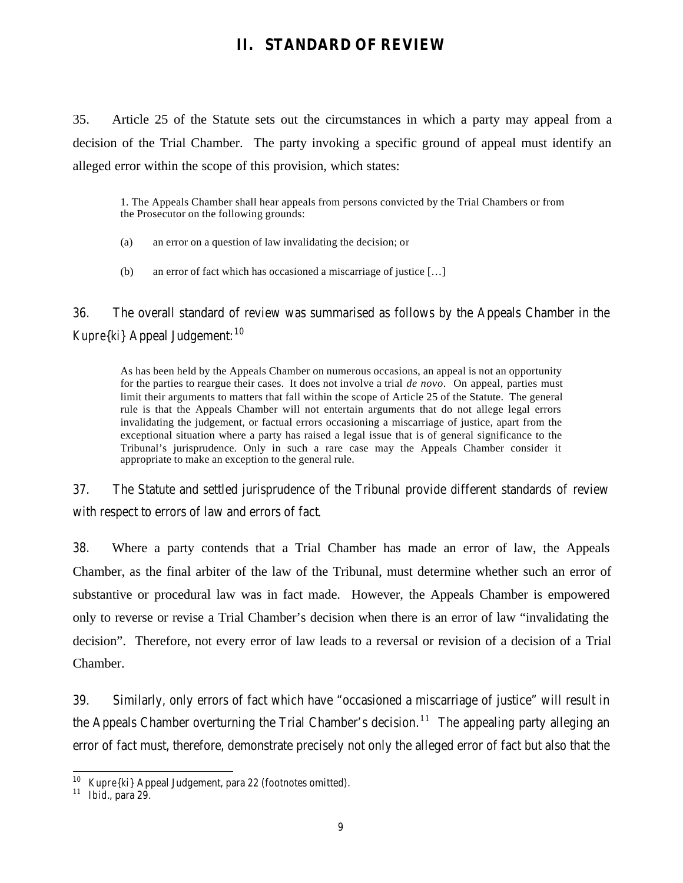# **II. STANDARD OF REVIEW**

35. Article 25 of the Statute sets out the circumstances in which a party may appeal from a decision of the Trial Chamber. The party invoking a specific ground of appeal must identify an alleged error within the scope of this provision, which states:

1. The Appeals Chamber shall hear appeals from persons convicted by the Trial Chambers or from the Prosecutor on the following grounds:

- (a) an error on a question of law invalidating the decision; or
- (b) an error of fact which has occasioned a miscarriage of justice […]

36. The overall standard of review was summarised as follows by the Appeals Chamber in the *Kupre{ki}* Appeal Judgement:<sup>10</sup>

As has been held by the Appeals Chamber on numerous occasions, an appeal is not an opportunity for the parties to reargue their cases. It does not involve a trial *de novo*. On appeal, parties must limit their arguments to matters that fall within the scope of Article 25 of the Statute. The general rule is that the Appeals Chamber will not entertain arguments that do not allege legal errors invalidating the judgement, or factual errors occasioning a miscarriage of justice, apart from the exceptional situation where a party has raised a legal issue that is of general significance to the Tribunal's jurisprudence. Only in such a rare case may the Appeals Chamber consider it appropriate to make an exception to the general rule.

37. The Statute and settled jurisprudence of the Tribunal provide different standards of review with respect to errors of law and errors of fact.

38. Where a party contends that a Trial Chamber has made an error of law, the Appeals Chamber, as the final arbiter of the law of the Tribunal, must determine whether such an error of substantive or procedural law was in fact made. However, the Appeals Chamber is empowered only to reverse or revise a Trial Chamber's decision when there is an error of law "invalidating the decision". Therefore, not every error of law leads to a reversal or revision of a decision of a Trial Chamber.

39. Similarly, only errors of fact which have "occasioned a miscarriage of justice" will result in the Appeals Chamber overturning the Trial Chamber's decision.<sup>11</sup> The appealing party alleging an error of fact must, therefore, demonstrate precisely not only the alleged error of fact but also that the

 $\overline{1}$ <sup>10</sup> *Kupre{ki*} Appeal Judgement, para 22 (footnotes omitted).

<sup>11</sup> *Ibid.*, para 29.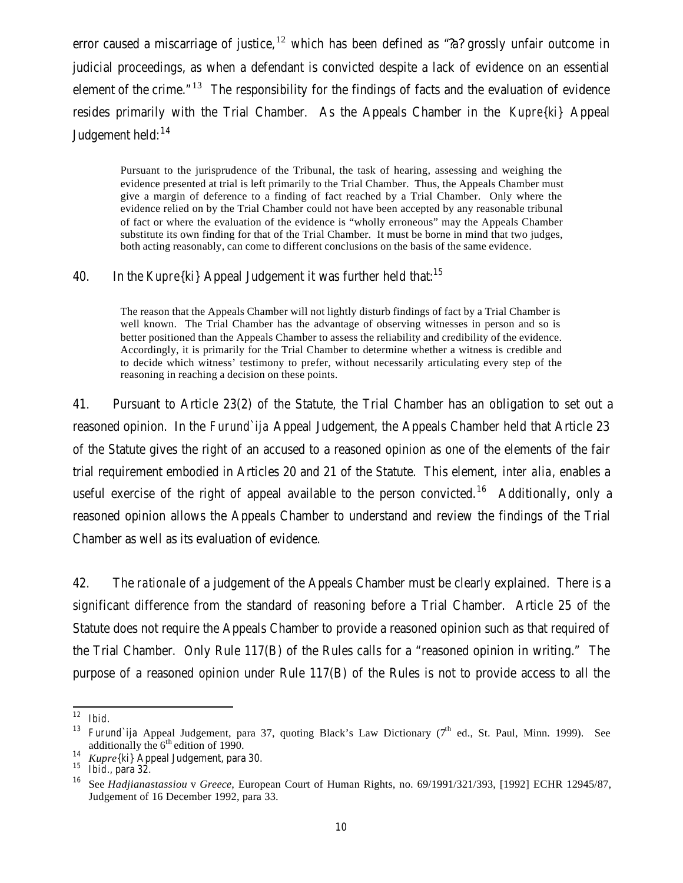error caused a miscarriage of justice,  $12$  which has been defined as " $2a$ ? grossly unfair outcome in judicial proceedings, as when a defendant is convicted despite a lack of evidence on an essential element of the crime." $13$  The responsibility for the findings of facts and the evaluation of evidence resides primarily with the Trial Chamber. As the Appeals Chamber in the *Kupre{ki}* Appeal Judgement held: <sup>14</sup>

Pursuant to the jurisprudence of the Tribunal, the task of hearing, assessing and weighing the evidence presented at trial is left primarily to the Trial Chamber. Thus, the Appeals Chamber must give a margin of deference to a finding of fact reached by a Trial Chamber. Only where the evidence relied on by the Trial Chamber could not have been accepted by any reasonable tribunal of fact or where the evaluation of the evidence is "wholly erroneous" may the Appeals Chamber substitute its own finding for that of the Trial Chamber. It must be borne in mind that two judges, both acting reasonably, can come to different conclusions on the basis of the same evidence.

#### 40. In the *Kupre{ki}* Appeal Judgement it was further held that:<sup>15</sup>

The reason that the Appeals Chamber will not lightly disturb findings of fact by a Trial Chamber is well known. The Trial Chamber has the advantage of observing witnesses in person and so is better positioned than the Appeals Chamber to assess the reliability and credibility of the evidence. Accordingly, it is primarily for the Trial Chamber to determine whether a witness is credible and to decide which witness' testimony to prefer, without necessarily articulating every step of the reasoning in reaching a decision on these points.

41. Pursuant to Article 23(2) of the Statute, the Trial Chamber has an obligation to set out a reasoned opinion. In the *Furund`ija* Appeal Judgement, the Appeals Chamber held that Article 23 of the Statute gives the right of an accused to a reasoned opinion as one of the elements of the fair trial requirement embodied in Articles 20 and 21 of the Statute. This element, *inter alia*, enables a useful exercise of the right of appeal available to the person convicted.<sup>16</sup> Additionally, only a reasoned opinion allows the Appeals Chamber to understand and review the findings of the Trial Chamber as well as its evaluation of evidence.

42. The *rationale* of a judgement of the Appeals Chamber must be clearly explained. There is a significant difference from the standard of reasoning before a Trial Chamber. Article 25 of the Statute does not require the Appeals Chamber to provide a reasoned opinion such as that required of the Trial Chamber. Only Rule 117(B) of the Rules calls for a "reasoned opinion in writing." The purpose of a reasoned opinion under Rule 117(B) of the Rules is not to provide access to all the

 $12$ <sup>12</sup> *Ibid*.

*Furund`ija* Appeal Judgement, para 37, quoting Black's Law Dictionary (7<sup>th</sup> ed., St. Paul, Minn. 1999). See additionally the  $6<sup>th</sup>$  edition of 1990.

<sup>14</sup> *Kupre{ki}* Appeal Judgement, para 30.

<sup>15</sup> *Ibid*., para 32.

<sup>16</sup> See *Hadjianastassiou* v *Greece*, European Court of Human Rights, no. 69/1991/321/393, [1992] ECHR 12945/87, Judgement of 16 December 1992, para 33.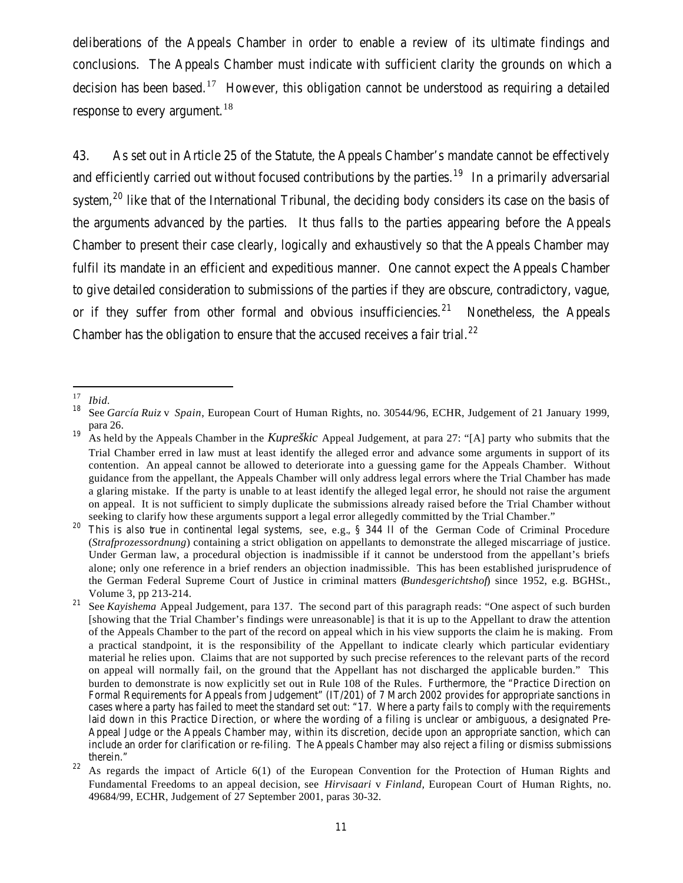deliberations of the Appeals Chamber in order to enable a review of its ultimate findings and conclusions. The Appeals Chamber must indicate with sufficient clarity the grounds on which a decision has been based.<sup>17</sup> However, this obligation cannot be understood as requiring a detailed response to every argument.<sup>18</sup>

43. As set out in Article 25 of the Statute, the Appeals Chamber's mandate cannot be effectively and efficiently carried out without focused contributions by the parties.<sup>19</sup> In a primarily adversarial system.<sup>20</sup> like that of the International Tribunal, the deciding body considers its case on the basis of the arguments advanced by the parties. It thus falls to the parties appearing before the Appeals Chamber to present their case clearly, logically and exhaustively so that the Appeals Chamber may fulfil its mandate in an efficient and expeditious manner. One cannot expect the Appeals Chamber to give detailed consideration to submissions of the parties if they are obscure, contradictory, vague, or if they suffer from other formal and obvious insufficiencies.<sup>21</sup> Nonetheless, the Appeals Chamber has the obligation to ensure that the accused receives a fair trial.<sup>22</sup>

 $\overline{a}$ 

 $\frac{17}{18}$  *Ibid.* 

<sup>18</sup> See *García Ruiz* v *Spain*, European Court of Human Rights, no. 30544/96, ECHR, Judgement of 21 January 1999, para 26.

<sup>19</sup> As held by the Appeals Chamber in the *Kupreškic* Appeal Judgement, at para 27: "[A] party who submits that the Trial Chamber erred in law must at least identify the alleged error and advance some arguments in support of its contention. An appeal cannot be allowed to deteriorate into a guessing game for the Appeals Chamber. Without guidance from the appellant, the Appeals Chamber will only address legal errors where the Trial Chamber has made a glaring mistake. If the party is unable to at least identify the alleged legal error, he should not raise the argument on appeal. It is not sufficient to simply duplicate the submissions already raised before the Trial Chamber without seeking to clarify how these arguments support a legal error allegedly committed by the Trial Chamber."

<sup>&</sup>lt;sup>20</sup> This is also true in continental legal systems, see, e.g., § 344 II of the German Code of Criminal Procedure (*Strafprozessordnung*) containing a strict obligation on appellants to demonstrate the alleged miscarriage of justice. Under German law, a procedural objection is inadmissible if it cannot be understood from the appellant's briefs alone; only one reference in a brief renders an objection inadmissible. This has been established jurisprudence of the German Federal Supreme Court of Justice in criminal matters (*Bundesgerichtshof*) since 1952, e.g. BGHSt., Volume 3, pp 213-214.

<sup>21</sup> See *Kayishema* Appeal Judgement, para 137. The second part of this paragraph reads: "One aspect of such burden [showing that the Trial Chamber's findings were unreasonable] is that it is up to the Appellant to draw the attention of the Appeals Chamber to the part of the record on appeal which in his view supports the claim he is making. From a practical standpoint, it is the responsibility of the Appellant to indicate clearly which particular evidentiary material he relies upon. Claims that are not supported by such precise references to the relevant parts of the record on appeal will normally fail, on the ground that the Appellant has not discharged the applicable burden." This burden to demonstrate is now explicitly set out in Rule 108 of the Rules. Furthermore, the "Practice Direction on Formal Requirements for Appeals from Judgement" (IT/201) of 7 March 2002 provides for appropriate sanctions in cases where a party has failed to meet the standard set out: "17. Where a party fails to comply with the requirements laid down in this Practice Direction, or where the wording of a filing is unclear or ambiguous, a designated Pre-Appeal Judge or the Appeals Chamber may, within its discretion, decide upon an appropriate sanction, which can include an order for clarification or re-filing. The Appeals Chamber may also reject a filing or dismiss submissions therein."

<sup>&</sup>lt;sup>22</sup> As regards the impact of Article  $6(1)$  of the European Convention for the Protection of Human Rights and Fundamental Freedoms to an appeal decision, see *Hirvisaari* v *Finland,* European Court of Human Rights, no. 49684/99, ECHR, Judgement of 27 September 2001, paras 30-32.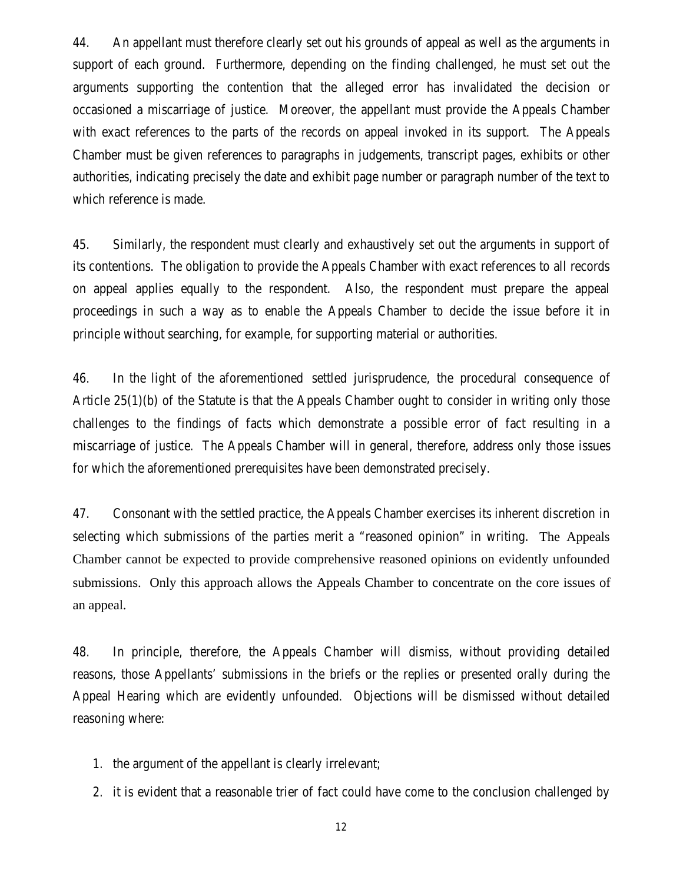44. An appellant must therefore clearly set out his grounds of appeal as well as the arguments in support of each ground. Furthermore, depending on the finding challenged, he must set out the arguments supporting the contention that the alleged error has invalidated the decision or occasioned a miscarriage of justice. Moreover, the appellant must provide the Appeals Chamber with exact references to the parts of the records on appeal invoked in its support. The Appeals Chamber must be given references to paragraphs in judgements, transcript pages, exhibits or other authorities, indicating precisely the date and exhibit page number or paragraph number of the text to which reference is made.

45. Similarly, the respondent must clearly and exhaustively set out the arguments in support of its contentions. The obligation to provide the Appeals Chamber with exact references to all records on appeal applies equally to the respondent. Also, the respondent must prepare the appeal proceedings in such a way as to enable the Appeals Chamber to decide the issue before it in principle without searching, for example, for supporting material or authorities.

46. In the light of the aforementioned settled jurisprudence, the procedural consequence of Article 25(1)(b) of the Statute is that the Appeals Chamber ought to consider in writing only those challenges to the findings of facts which demonstrate a possible error of fact resulting in a miscarriage of justice. The Appeals Chamber will in general, therefore, address only those issues for which the aforementioned prerequisites have been demonstrated precisely.

47. Consonant with the settled practice, the Appeals Chamber exercises its inherent discretion in selecting which submissions of the parties merit a "reasoned opinion" in writing. The Appeals Chamber cannot be expected to provide comprehensive reasoned opinions on evidently unfounded submissions. Only this approach allows the Appeals Chamber to concentrate on the core issues of an appeal.

48. In principle, therefore, the Appeals Chamber will dismiss, without providing detailed reasons, those Appellants' submissions in the briefs or the replies or presented orally during the Appeal Hearing which are evidently unfounded. Objections will be dismissed without detailed reasoning where:

- 1. the argument of the appellant is clearly irrelevant;
- 2. it is evident that a reasonable trier of fact could have come to the conclusion challenged by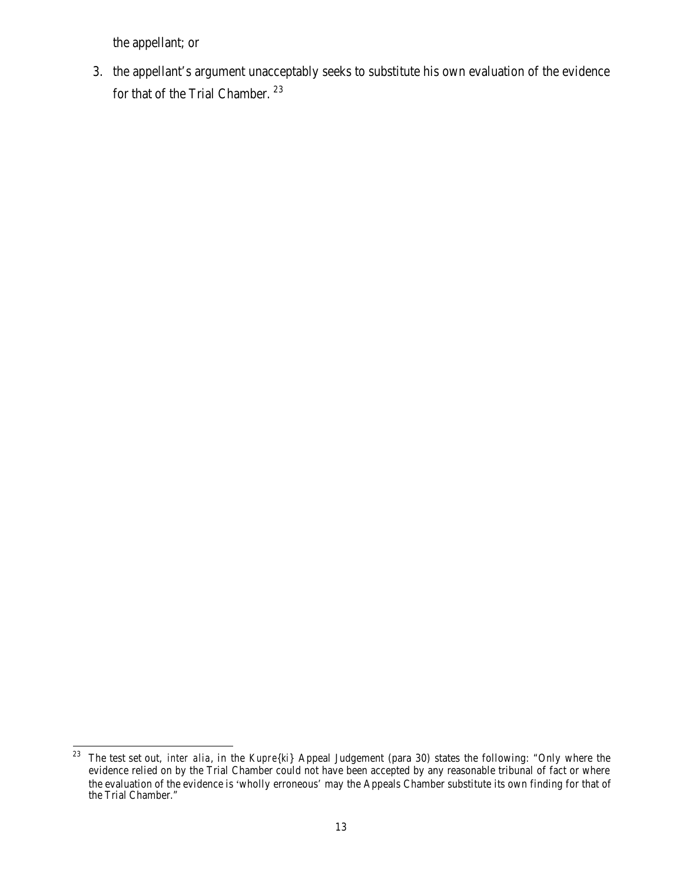the appellant; or

3. the appellant's argument unacceptably seeks to substitute his own evaluation of the evidence for that of the Trial Chamber.<sup>23</sup>

<sup>23</sup> <sup>23</sup> The test set out, *inter alia*, in the *Kupre{ki*} Appeal Judgement (para 30) states the following: "Only where the evidence relied on by the Trial Chamber could not have been accepted by any reasonable tribunal of fact or where the evaluation of the evidence is 'wholly erroneous' may the Appeals Chamber substitute its own finding for that of the Trial Chamber."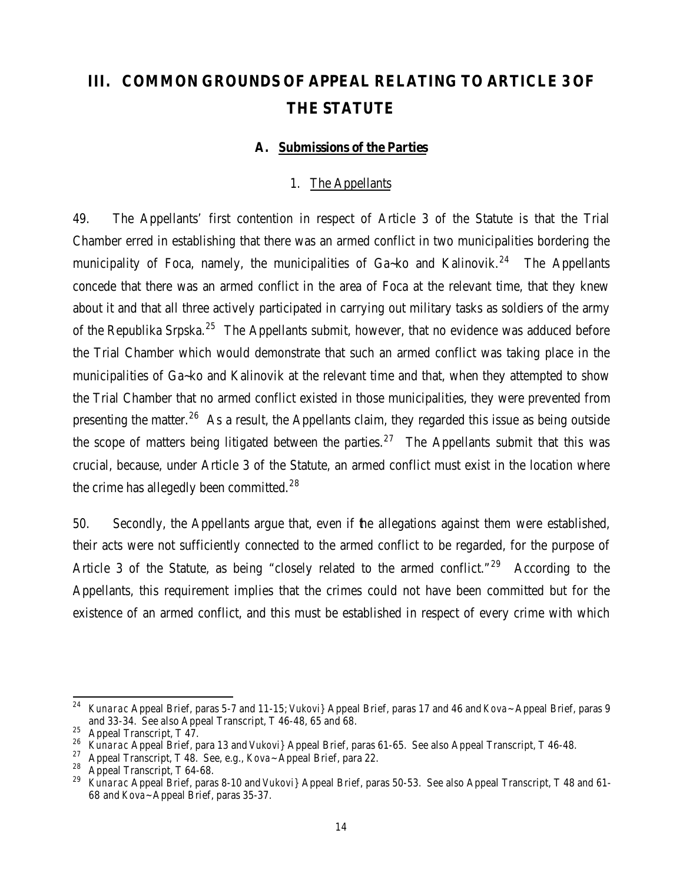# **III. COMMON GROUNDS OF APPEAL RELATING TO ARTICLE 3 OF THE STATUTE**

### **A. Submissions of the Parties**

### 1. The Appellants

49. The Appellants' first contention in respect of Article 3 of the Statute is that the Trial Chamber erred in establishing that there was an armed conflict in two municipalities bordering the municipality of Foca, namely, the municipalities of Ga-ko and Kalinovik.<sup>24</sup> The Appellants concede that there was an armed conflict in the area of Foca at the relevant time, that they knew about it and that all three actively participated in carrying out military tasks as soldiers of the army of the Republika Srpska. $25$  The Appellants submit, however, that no evidence was adduced before the Trial Chamber which would demonstrate that such an armed conflict was taking place in the municipalities of Ga~ko and Kalinovik at the relevant time and that, when they attempted to show the Trial Chamber that no armed conflict existed in those municipalities, they were prevented from presenting the matter.<sup>26</sup> As a result, the Appellants claim, they regarded this issue as being outside the scope of matters being litigated between the parties.<sup>27</sup> The Appellants submit that this was crucial, because, under Article 3 of the Statute, an armed conflict must exist in the location where the crime has allegedly been committed.<sup>28</sup>

50. Secondly, the Appellants argue that, even if the allegations against them were established, their acts were not sufficiently connected to the armed conflict to be regarded, for the purpose of Article 3 of the Statute, as being "closely related to the armed conflict."<sup>29</sup> According to the Appellants, this requirement implies that the crimes could not have been committed but for the existence of an armed conflict, and this must be established in respect of every crime with which

<sup>24</sup> <sup>24</sup> *Kunarac* Appeal Brief, paras 5-7 and 11-15; *Vukovi}* Appeal Brief, paras 17 and 46 and *Kova~* Appeal Brief, paras 9 and 33-34. See also Appeal Transcript, T 46-48, 65 and 68.

<sup>25</sup> Appeal Transcript, T 47.

<sup>26</sup> *Kunarac* Appeal Brief, para 13 and *Vukovi}* Appeal Brief, paras 61-65. See also Appeal Transcript, T 46-48.

<sup>27</sup> Appeal Transcript, T 48. See, e.g., *Kova~* Appeal Brief, para 22.

<sup>28</sup> Appeal Transcript, T 64-68.

<sup>29</sup> *Kunarac* Appeal Brief, paras 8-10 and *Vukovi}* Appeal Brief, paras 50-53. See also Appeal Transcript, T 48 and 61- 68 and *Kova~* Appeal Brief, paras 35-37.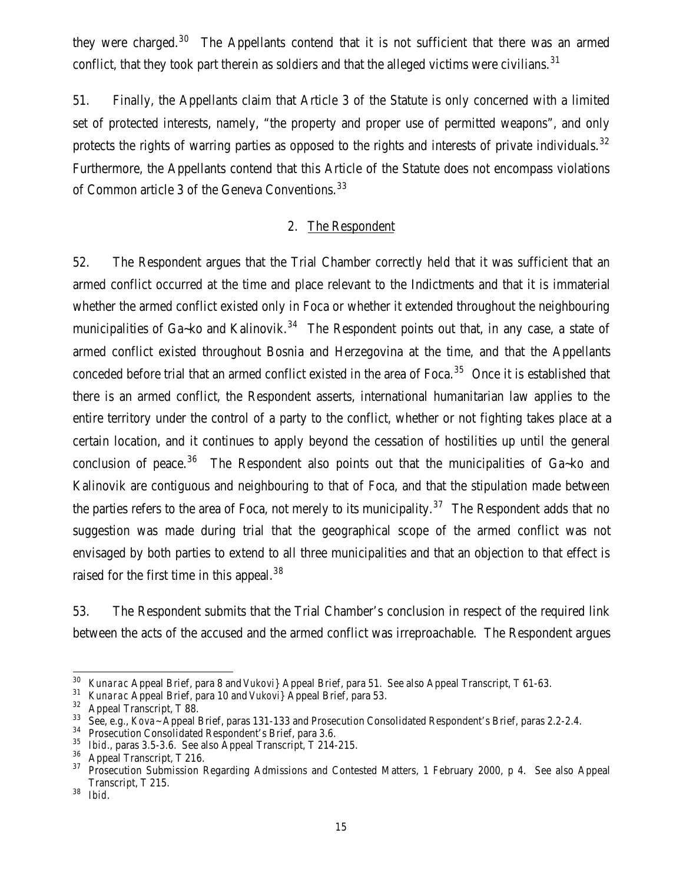they were charged.<sup>30</sup> The Appellants contend that it is not sufficient that there was an armed conflict, that they took part therein as soldiers and that the alleged victims were civilians.<sup>31</sup>

51. Finally, the Appellants claim that Article 3 of the Statute is only concerned with a limited set of protected interests, namely, "the property and proper use of permitted weapons", and only protects the rights of warring parties as opposed to the rights and interests of private individuals.<sup>32</sup> Furthermore, the Appellants contend that this Article of the Statute does not encompass violations of Common article 3 of the Geneva Conventions.<sup>33</sup>

### 2. The Respondent

52. The Respondent argues that the Trial Chamber correctly held that it was sufficient that an armed conflict occurred at the time and place relevant to the Indictments and that it is immaterial whether the armed conflict existed only in Foca or whether it extended throughout the neighbouring municipalities of Ga~ko and Kalinovik.<sup>34</sup> The Respondent points out that, in any case, a state of armed conflict existed throughout Bosnia and Herzegovina at the time, and that the Appellants conceded before trial that an armed conflict existed in the area of Foca.<sup>35</sup> Once it is established that there is an armed conflict, the Respondent asserts, international humanitarian law applies to the entire territory under the control of a party to the conflict, whether or not fighting takes place at a certain location, and it continues to apply beyond the cessation of hostilities up until the general conclusion of peace.<sup>36</sup> The Respondent also points out that the municipalities of Ga-ko and Kalinovik are contiguous and neighbouring to that of Foca, and that the stipulation made between the parties refers to the area of Foca, not merely to its municipality.<sup>37</sup> The Respondent adds that no suggestion was made during trial that the geographical scope of the armed conflict was not envisaged by both parties to extend to all three municipalities and that an objection to that effect is raised for the first time in this appeal.  $38$ 

53. The Respondent submits that the Trial Chamber's conclusion in respect of the required link between the acts of the accused and the armed conflict was irreproachable. The Respondent argues

<sup>30</sup> <sup>30</sup> *Kunarac* Appeal Brief, para 8 and *Vukovi}* Appeal Brief, para 51. See also Appeal Transcript, T 61-63.

<sup>31</sup> *Kunarac* Appeal Brief, para 10 and *Vukovi}* Appeal Brief, para 53.

 $\frac{32}{33}$  Appeal Transcript, T 88.

<sup>33</sup> See, e.g., *Kova~* Appeal Brief, paras 131-133 and Prosecution Consolidated Respondent's Brief, paras 2.2-2.4.

Prosecution Consolidated Respondent's Brief, para 3.6.

<sup>35</sup> *Ibid*., paras 3.5-3.6. See also Appeal Transcript, T 214-215.

<sup>36</sup> Appeal Transcript, T 216.

<sup>&</sup>lt;sup>37</sup> Prosecution Submission Regarding Admissions and Contested Matters, 1 February 2000, p 4. See also Appeal Transcript, T 215.

<sup>38</sup> *Ibid*.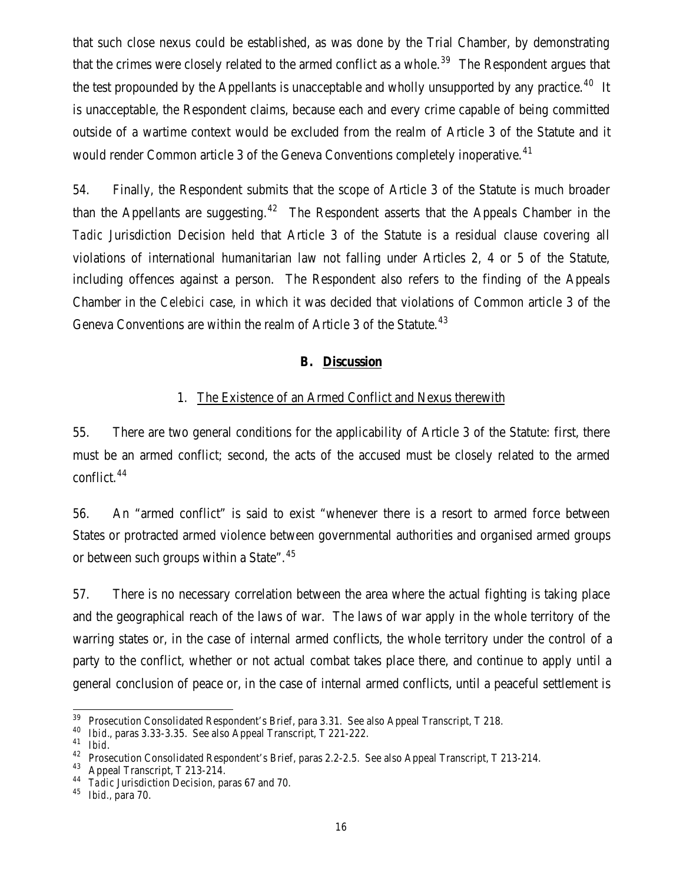that such close nexus could be established, as was done by the Trial Chamber, by demonstrating that the crimes were closely related to the armed conflict as a whole.<sup>39</sup> The Respondent arques that the test propounded by the Appellants is unacceptable and wholly unsupported by any practice.<sup>40</sup> It is unacceptable, the Respondent claims, because each and every crime capable of being committed outside of a wartime context would be excluded from the realm of Article 3 of the Statute and it would render Common article 3 of the Geneva Conventions completely inoperative.<sup>41</sup>

54. Finally, the Respondent submits that the scope of Article 3 of the Statute is much broader than the Appellants are suggesting.<sup>42</sup> The Respondent asserts that the Appeals Chamber in the *Tadic* Jurisdiction Decision held that Article 3 of the Statute is a residual clause covering all violations of international humanitarian law not falling under Articles 2, 4 or 5 of the Statute, including offences against a person. The Respondent also refers to the finding of the Appeals Chamber in the *Celebici* case, in which it was decided that violations of Common article 3 of the Geneva Conventions are within the realm of Article 3 of the Statute.<sup>43</sup>

# **B. Discussion**

# 1. The Existence of an Armed Conflict and Nexus therewith

55. There are two general conditions for the applicability of Article 3 of the Statute: first, there must be an armed conflict; second, the acts of the accused must be closely related to the armed conflict.<sup>44</sup>

56. An "armed conflict" is said to exist "whenever there is a resort to armed force between States or protracted armed violence between governmental authorities and organised armed groups or between such groups within a State".<sup>45</sup>

57. There is no necessary correlation between the area where the actual fighting is taking place and the geographical reach of the laws of war. The laws of war apply in the whole territory of the warring states or, in the case of internal armed conflicts, the whole territory under the control of a party to the conflict, whether or not actual combat takes place there, and continue to apply until a general conclusion of peace or, in the case of internal armed conflicts, until a peaceful settlement is

<sup>39</sup> <sup>39</sup> Prosecution Consolidated Respondent's Brief, para 3.31. See also Appeal Transcript, T 218.<br><sup>40</sup> *Ibid. paras* 3.33.3.35. See also Appeal Transcript, T 221.222.

<sup>40</sup> *Ibid.*, paras 3.33-3.35. See also Appeal Transcript, T 221-222.

<sup>41</sup> *Ibid*.

<sup>42</sup> Prosecution Consolidated Respondent's Brief, paras 2.2-2.5. See also Appeal Transcript, T 213-214.

<sup>43</sup> Appeal Transcript, T 213-214. <sup>44</sup> *Tadic* Jurisdiction Decision, paras 67 and 70.<br><sup>45</sup> *Ibid* para 70

<sup>45</sup> *Ibid.,* para 70.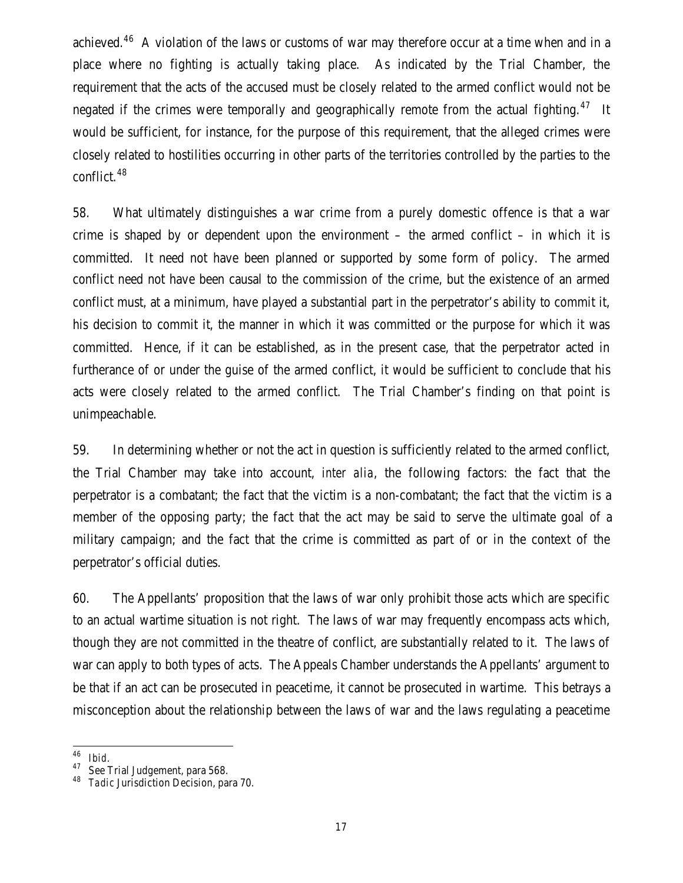achieved.<sup>46</sup> A violation of the laws or customs of war may therefore occur at a time when and in a place where no fighting is actually taking place. As indicated by the Trial Chamber, the requirement that the acts of the accused must be closely related to the armed conflict would not be negated if the crimes were temporally and geographically remote from the actual fighting.<sup>47</sup> It would be sufficient, for instance, for the purpose of this requirement, that the alleged crimes were closely related to hostilities occurring in other parts of the territories controlled by the parties to the conflict.<sup>48</sup>

58. What ultimately distinguishes a war crime from a purely domestic offence is that a war crime is shaped by or dependent upon the environment  $-$  the armed conflict  $-$  in which it is committed. It need not have been planned or supported by some form of policy. The armed conflict need not have been causal to the commission of the crime, but the existence of an armed conflict must, at a minimum, have played a substantial part in the perpetrator's ability to commit it, his decision to commit it, the manner in which it was committed or the purpose for which it was committed. Hence, if it can be established, as in the present case, that the perpetrator acted in furtherance of or under the guise of the armed conflict, it would be sufficient to conclude that his acts were closely related to the armed conflict. The Trial Chamber's finding on that point is unimpeachable.

59. In determining whether or not the act in question is sufficiently related to the armed conflict, the Trial Chamber may take into account, *inter alia*, the following factors: the fact that the perpetrator is a combatant; the fact that the victim is a non-combatant; the fact that the victim is a member of the opposing party; the fact that the act may be said to serve the ultimate goal of a military campaign; and the fact that the crime is committed as part of or in the context of the perpetrator's official duties.

60. The Appellants' proposition that the laws of war only prohibit those acts which are specific to an actual wartime situation is not right. The laws of war may frequently encompass acts which, though they are not committed in the theatre of conflict, are substantially related to it. The laws of war can apply to both types of acts. The Appeals Chamber understands the Appellants' argument to be that if an act can be prosecuted in peacetime, it cannot be prosecuted in wartime. This betrays a misconception about the relationship between the laws of war and the laws regulating a peacetime

<sup>46</sup> <sup>46</sup> *Ibid*.

<sup>47</sup> See Trial Judgement, para 568.

<sup>48</sup> *Tadic* Jurisdiction Decision, para 70.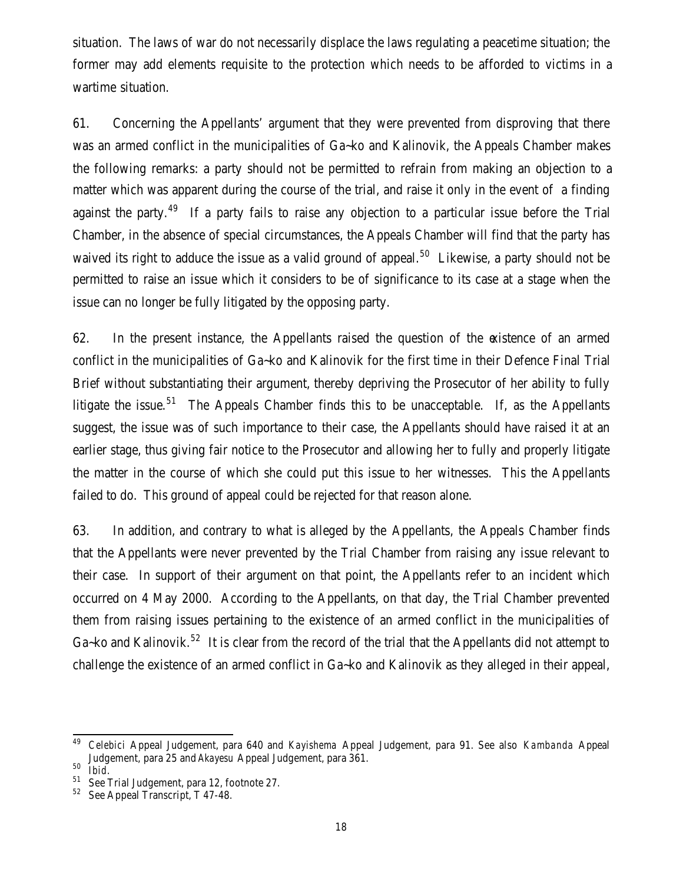situation. The laws of war do not necessarily displace the laws regulating a peacetime situation; the former may add elements requisite to the protection which needs to be afforded to victims in a wartime situation.

61. Concerning the Appellants' argument that they were prevented from disproving that there was an armed conflict in the municipalities of Ga~ko and Kalinovik, the Appeals Chamber makes the following remarks: a party should not be permitted to refrain from making an objection to a matter which was apparent during the course of the trial, and raise it only in the event of a finding against the party.<sup>49</sup> If a party fails to raise any objection to a particular issue before the Trial Chamber, in the absence of special circumstances, the Appeals Chamber will find that the party has waived its right to adduce the issue as a valid ground of appeal.<sup>50</sup> Likewise, a party should not be permitted to raise an issue which it considers to be of significance to its case at a stage when the issue can no longer be fully litigated by the opposing party.

62. In the present instance, the Appellants raised the question of the existence of an armed conflict in the municipalities of Ga~ko and Kalinovik for the first time in their Defence Final Trial Brief without substantiating their argument, thereby depriving the Prosecutor of her ability to fully litigate the issue.<sup>51</sup> The Appeals Chamber finds this to be unacceptable. If, as the Appellants suggest, the issue was of such importance to their case, the Appellants should have raised it at an earlier stage, thus giving fair notice to the Prosecutor and allowing her to fully and properly litigate the matter in the course of which she could put this issue to her witnesses. This the Appellants failed to do. This ground of appeal could be rejected for that reason alone.

63. In addition, and contrary to what is alleged by the Appellants, the Appeals Chamber finds that the Appellants were never prevented by the Trial Chamber from raising any issue relevant to their case. In support of their argument on that point, the Appellants refer to an incident which occurred on 4 May 2000. According to the Appellants, on that day, the Trial Chamber prevented them from raising issues pertaining to the existence of an armed conflict in the municipalities of Ga~ko and Kalinovik.<sup>52</sup> It is clear from the record of the trial that the Appellants did not attempt to challenge the existence of an armed conflict in Ga~ko and Kalinovik as they alleged in their appeal,

<sup>49</sup> <sup>49</sup> *Celebici* Appeal Judgement, para 640 and *Kayishema* Appeal Judgement, para 91. See also *Kambanda* Appeal Judgement, para 25 and *Akayesu* Appeal Judgement, para 361.

<sup>50</sup> *Ibid*.

<sup>&</sup>lt;sup>51</sup> See Trial Judgement, para 12, footnote 27.<br><sup>52</sup> See Anneal Transcript T 47-48

See Appeal Transcript, T 47-48.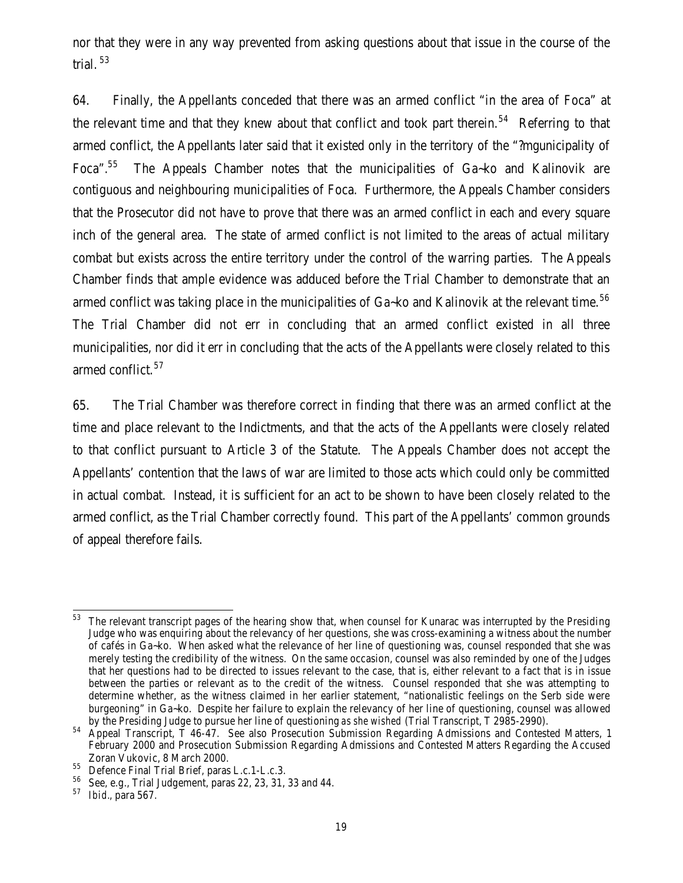nor that they were in any way prevented from asking questions about that issue in the course of the trial.  $53$ 

64. Finally, the Appellants conceded that there was an armed conflict "in the area of Foca" at the relevant time and that they knew about that conflict and took part therein.<sup>54</sup> Referring to that armed conflict, the Appellants later said that it existed only in the territory of the "?mgunicipality of Foca".<sup>55</sup> The Appeals Chamber notes that the municipalities of Ga-ko and Kalinovik are contiguous and neighbouring municipalities of Foca. Furthermore, the Appeals Chamber considers that the Prosecutor did not have to prove that there was an armed conflict in each and every square inch of the general area. The state of armed conflict is not limited to the areas of actual military combat but exists across the entire territory under the control of the warring parties. The Appeals Chamber finds that ample evidence was adduced before the Trial Chamber to demonstrate that an armed conflict was taking place in the municipalities of Ga~ko and Kalinovik at the relevant time.<sup>56</sup> The Trial Chamber did not err in concluding that an armed conflict existed in all three municipalities, nor did it err in concluding that the acts of the Appellants were closely related to this armed conflict.<sup>57</sup>

65. The Trial Chamber was therefore correct in finding that there was an armed conflict at the time and place relevant to the Indictments, and that the acts of the Appellants were closely related to that conflict pursuant to Article 3 of the Statute. The Appeals Chamber does not accept the Appellants' contention that the laws of war are limited to those acts which could only be committed in actual combat. Instead, it is sufficient for an act to be shown to have been closely related to the armed conflict, as the Trial Chamber correctly found. This part of the Appellants' common grounds of appeal therefore fails.

 $\overline{a}$ The relevant transcript pages of the hearing show that, when counsel for Kunarac was interrupted by the Presiding Judge who was enquiring about the relevancy of her questions, she was cross-examining a witness about the number of cafés in Ga~ko. When asked what the relevance of her line of questioning was, counsel responded that she was merely testing the credibility of the witness. On the same occasion, counsel was also reminded by one of the Judges that her questions had to be directed to issues relevant to the case, that is, either relevant to a fact that is in issue between the parties or relevant as to the credit of the witness. Counsel responded that she was attempting to determine whether, as the witness claimed in her earlier statement, "nationalistic feelings on the Serb side were burgeoning" in Ga~ko. Despite her failure to explain the relevancy of her line of questioning, counsel was allowed by the Presiding Judge to pursue her line of questioning *as she wished* (Trial Transcript, T 2985-2990).

<sup>54</sup> Appeal Transcript, T 46-47. See also Prosecution Submission Regarding Admissions and Contested Matters, 1 February 2000 and Prosecution Submission Regarding Admissions and Contested Matters Regarding the Accused Zoran Vukovic, 8 March 2000.

<sup>55</sup> Defence Final Trial Brief, paras L.c.1-L.c.3.

<sup>&</sup>lt;sup>56</sup> See, e.g., Trial Judgement, paras 22, 23, 31, 33 and 44.<br><sup>57</sup> *Ibid* para 567

*Ibid.*, para 567.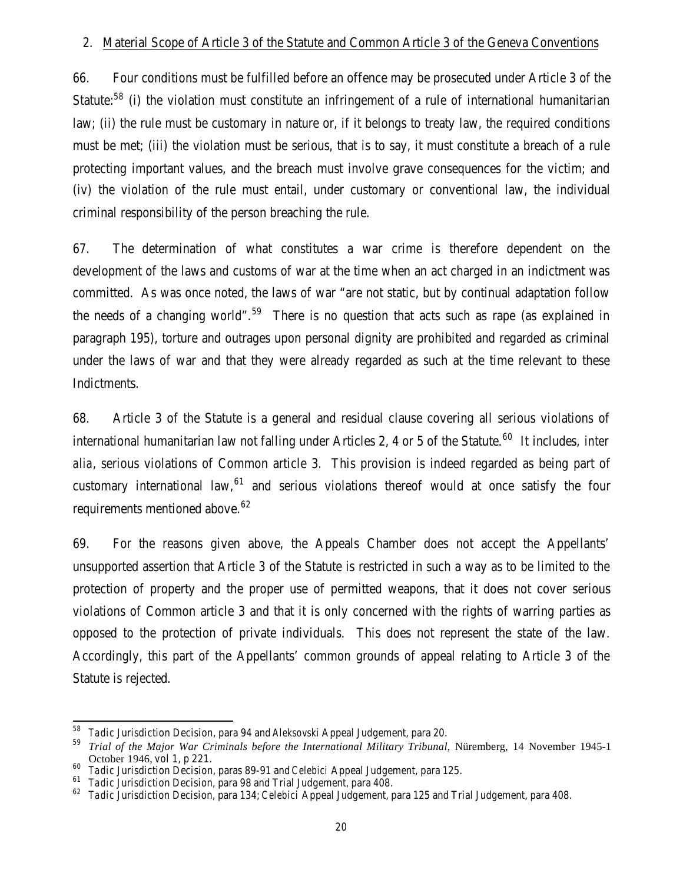#### 2. Material Scope of Article 3 of the Statute and Common Article 3 of the Geneva Conventions

66. Four conditions must be fulfilled before an offence may be prosecuted under Article 3 of the Statute:<sup>58</sup> (i) the violation must constitute an infringement of a rule of international humanitarian law; (ii) the rule must be customary in nature or, if it belongs to treaty law, the required conditions must be met; (iii) the violation must be serious, that is to say, it must constitute a breach of a rule protecting important values, and the breach must involve grave consequences for the victim; and (iv) the violation of the rule must entail, under customary or conventional law, the individual criminal responsibility of the person breaching the rule.

67. The determination of what constitutes a war crime is therefore dependent on the development of the laws and customs of war at the time when an act charged in an indictment was committed. As was once noted, the laws of war "are not static, but by continual adaptation follow the needs of a changing world".<sup>59</sup> There is no question that acts such as rape (as explained in paragraph 195), torture and outrages upon personal dignity are prohibited and regarded as criminal under the laws of war and that they were already regarded as such at the time relevant to these Indictments.

68. Article 3 of the Statute is a general and residual clause covering all serious violations of international humanitarian law not falling under Articles 2, 4 or 5 of the Statute.<sup>60</sup> It includes, *inter alia*, serious violations of Common article 3. This provision is indeed regarded as being part of customary international law,  $61$  and serious violations thereof would at once satisfy the four requirements mentioned above.<sup>62</sup>

69. For the reasons given above, the Appeals Chamber does not accept the Appellants' unsupported assertion that Article 3 of the Statute is restricted in such a way as to be limited to the protection of property and the proper use of permitted weapons, that it does not cover serious violations of Common article 3 and that it is only concerned with the rights of warring parties as opposed to the protection of private individuals. This does not represent the state of the law. Accordingly, this part of the Appellants' common grounds of appeal relating to Article 3 of the Statute is rejected.

 $\overline{a}$ <sup>58</sup> *Tadic* Jurisdiction Decision, para 94 and *Aleksovski* Appeal Judgement, para 20.

<sup>59</sup> *Trial of the Major War Criminals before the International Military Tribunal*, Nüremberg, 14 November 1945-1 October 1946, vol 1, p 221.

<sup>60</sup> *Tadic* Jurisdiction Decision, paras 89-91 and *Celebici* Appeal Judgement, para 125.

<sup>&</sup>lt;sup>61</sup> *Tadic* Jurisdiction Decision, para 98 and Trial Judgement, para 408.<br><sup>62</sup> *Tadic* Jurisdiction Decision, para 134: *Celebici* Appeal Judgement, r

<sup>62</sup> *Tadic* Jurisdiction Decision, para 134; *Celebici* Appeal Judgement, para 125 and Trial Judgement, para 408.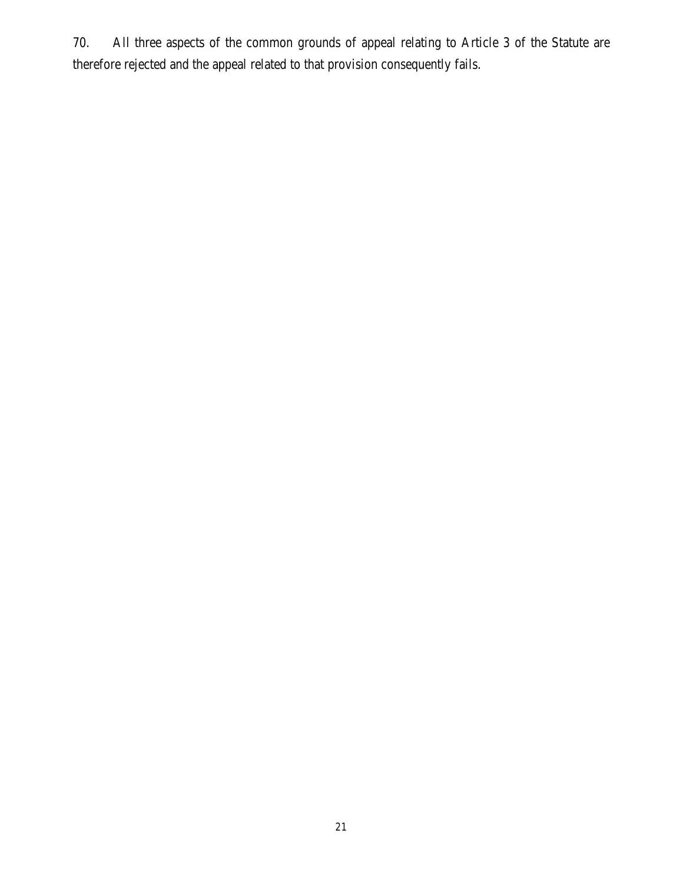70. All three aspects of the common grounds of appeal relating to Article 3 of the Statute are therefore rejected and the appeal related to that provision consequently fails.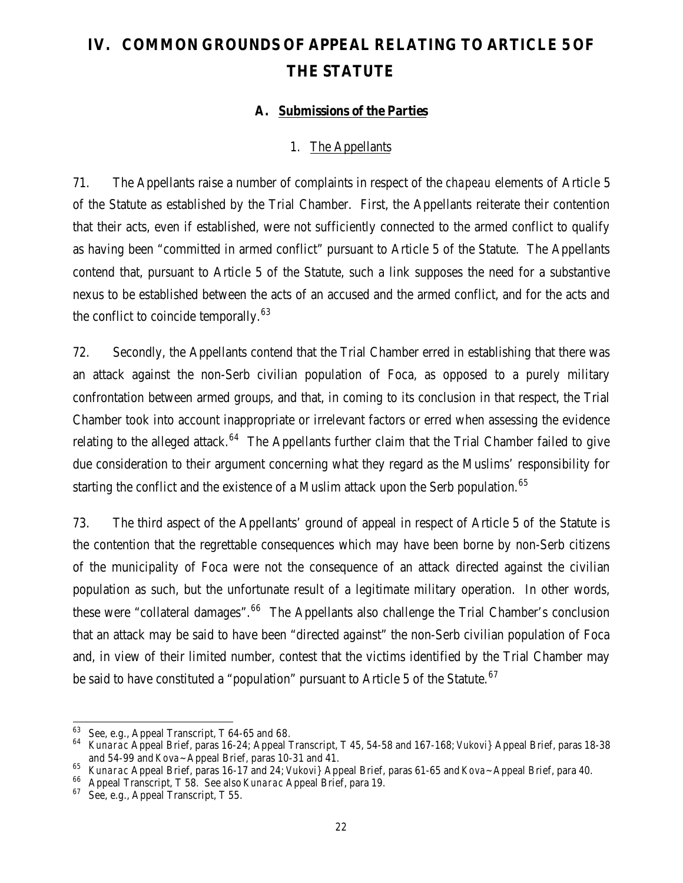# **IV. COMMON GROUNDS OF APPEAL RELATING TO ARTICLE 5 OF THE STATUTE**

### **A. Submissions of the Parties**

### 1. The Appellants

71. The Appellants raise a number of complaints in respect of the *chapeau* elements of Article 5 of the Statute as established by the Trial Chamber. First, the Appellants reiterate their contention that their acts, even if established, were not sufficiently connected to the armed conflict to qualify as having been "committed in armed conflict" pursuant to Article 5 of the Statute. The Appellants contend that, pursuant to Article 5 of the Statute, such a link supposes the need for a substantive nexus to be established between the acts of an accused and the armed conflict, and for the acts and the conflict to coincide temporally. $63$ 

72. Secondly, the Appellants contend that the Trial Chamber erred in establishing that there was an attack against the non-Serb civilian population of Foca, as opposed to a purely military confrontation between armed groups, and that, in coming to its conclusion in that respect, the Trial Chamber took into account inappropriate or irrelevant factors or erred when assessing the evidence relating to the alleged attack.<sup>64</sup> The Appellants further claim that the Trial Chamber failed to give due consideration to their argument concerning what they regard as the Muslims' responsibility for starting the conflict and the existence of a Muslim attack upon the Serb population.<sup>65</sup>

73. The third aspect of the Appellants' ground of appeal in respect of Article 5 of the Statute is the contention that the regrettable consequences which may have been borne by non-Serb citizens of the municipality of Foca were not the consequence of an attack directed against the civilian population as such, but the unfortunate result of a legitimate military operation. In other words, these were "collateral damages".<sup>66</sup> The Appellants also challenge the Trial Chamber's conclusion that an attack may be said to have been "directed against" the non-Serb civilian population of Foca and, in view of their limited number, contest that the victims identified by the Trial Chamber may be said to have constituted a "population" pursuant to Article 5 of the Statute.<sup>67</sup>

 $\overline{1}$  $^{63}$  See, e.g., Appeal Transcript, T 64-65 and 68.

<sup>64</sup> *Kunarac* Appeal Brief, paras 16-24; Appeal Transcript, T 45, 54-58 and 167-168; *Vukovi}* Appeal Brief, paras 18-38 and 54-99 and *Kova~* Appeal Brief, paras 10-31 and 41.

<sup>65</sup> *Kunarac* Appeal Brief, paras 16-17 and 24; *Vukovi}* Appeal Brief, paras 61-65 and *Kova~* Appeal Brief, para 40.

<sup>66</sup> Appeal Transcript, T 58. See also *Kunarac* Appeal Brief, para 19.

<sup>67</sup> See, e.g., Appeal Transcript, T 55.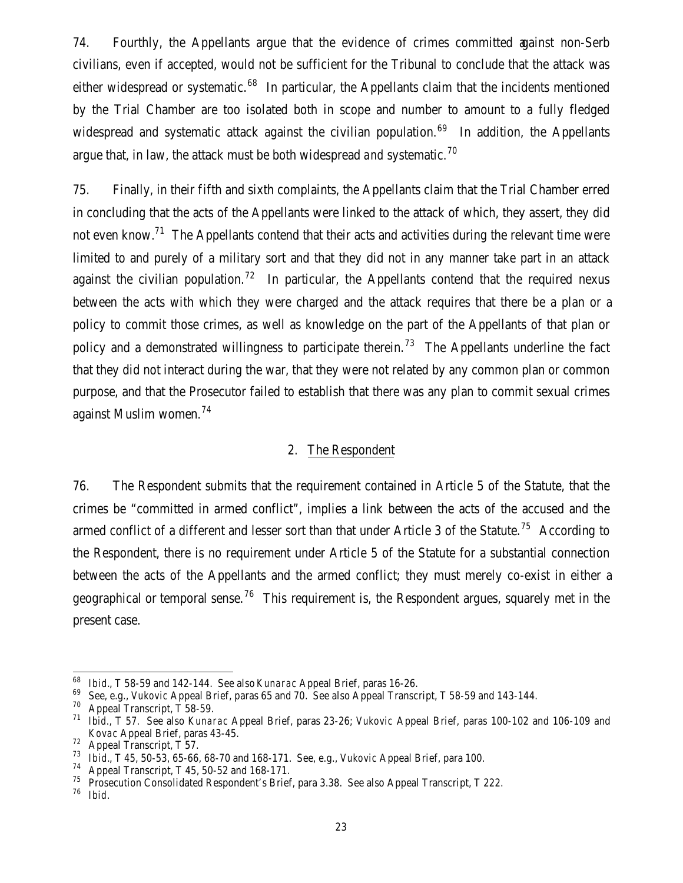74. Fourthly, the Appellants argue that the evidence of crimes committed against non-Serb civilians, even if accepted, would not be sufficient for the Tribunal to conclude that the attack was either widespread or systematic.<sup>68</sup> In particular, the Appellants claim that the incidents mentioned by the Trial Chamber are too isolated both in scope and number to amount to a fully fledged widespread and systematic attack against the civilian population.<sup>69</sup> In addition, the Appellants argue that, in law, the attack must be both widespread *and* systematic.<sup>70</sup>

75. Finally, in their fifth and sixth complaints, the Appellants claim that the Trial Chamber erred in concluding that the acts of the Appellants were linked to the attack of which, they assert, they did not even know. $^{71}$  The Appellants contend that their acts and activities during the relevant time were limited to and purely of a military sort and that they did not in any manner take part in an attack against the civilian population.<sup>72</sup> In particular, the Appellants contend that the required nexus between the acts with which they were charged and the attack requires that there be a plan or a policy to commit those crimes, as well as knowledge on the part of the Appellants of that plan or policy and a demonstrated willingness to participate therein.<sup>73</sup> The Appellants underline the fact that they did not interact during the war, that they were not related by any common plan or common purpose, and that the Prosecutor failed to establish that there was any plan to commit sexual crimes against Muslim women.<sup>74</sup>

### 2. The Respondent

76. The Respondent submits that the requirement contained in Article 5 of the Statute, that the crimes be "committed in armed conflict", implies a link between the acts of the accused and the armed conflict of a different and lesser sort than that under Article 3 of the Statute.<sup>75</sup> According to the Respondent, there is no requirement under Article 5 of the Statute for a substantial connection between the acts of the Appellants and the armed conflict; they must merely co-exist in either a geographical or temporal sense.<sup>76</sup> This requirement is, the Respondent argues, squarely met in the present case.

<sup>68</sup> <sup>68</sup> *Ibid.*, T 58-59 and 142-144. See also *Kunarac* Appeal Brief, paras 16-26.

<sup>69</sup> See, e.g., *Vukovic* Appeal Brief, paras 65 and 70. See also Appeal Transcript, T 58-59 and 143-144.

 $\frac{70}{71}$  Appeal Transcript, T 58-59.<br> $\frac{71}{71}$  thid T 57. See also Kunai

<sup>71</sup> *Ibid.,* T 57. See also *Kunarac* Appeal Brief, paras 23-26; *Vukovic* Appeal Brief, paras 100-102 and 106-109 and *Kovac* Appeal Brief, paras 43-45.

<sup>72</sup> Appeal Transcript, T 57.

<sup>73</sup> *Ibid.*, T 45, 50-53, 65-66, 68-70 and 168-171. See, e.g., *Vukovic* Appeal Brief, para 100.

 $74$  Appeal Transcript, T 45, 50-52 and 168-171.

<sup>75</sup> Prosecution Consolidated Respondent's Brief, para 3.38. See also Appeal Transcript, T 222.

<sup>76</sup> *Ibid*.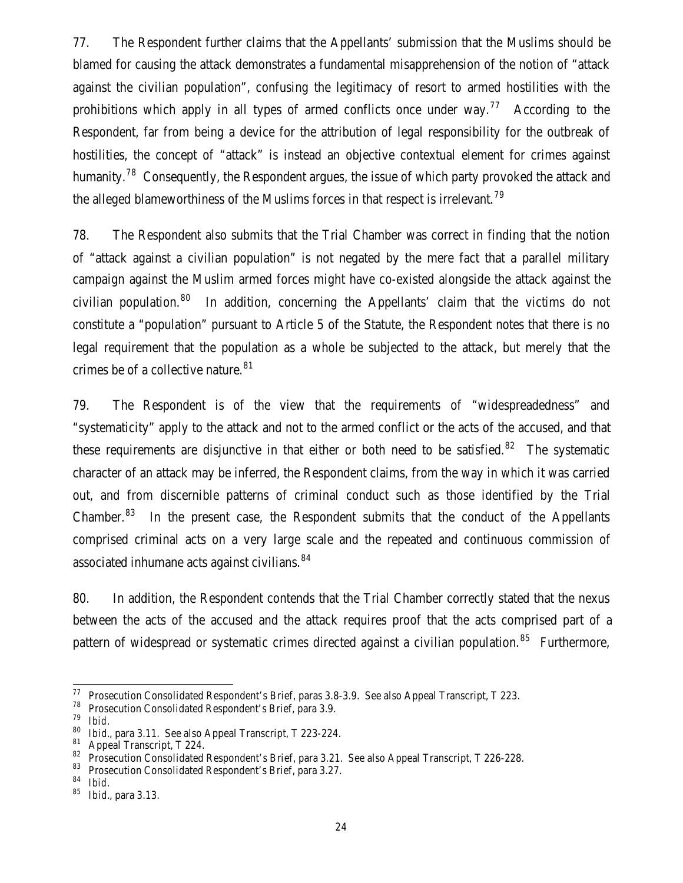77. The Respondent further claims that the Appellants' submission that the Muslims should be blamed for causing the attack demonstrates a fundamental misapprehension of the notion of "attack against the civilian population", confusing the legitimacy of resort to armed hostilities with the prohibitions which apply in all types of armed conflicts once under way.<sup>77</sup> According to the Respondent, far from being a device for the attribution of legal responsibility for the outbreak of hostilities, the concept of "attack" is instead an objective contextual element for crimes against humanity.<sup>78</sup> Consequently, the Respondent argues, the issue of which party provoked the attack and the alleged blameworthiness of the Muslims forces in that respect is irrelevant.<sup>79</sup>

78. The Respondent also submits that the Trial Chamber was correct in finding that the notion of "attack against a civilian population" is not negated by the mere fact that a parallel military campaign against the Muslim armed forces might have co-existed alongside the attack against the civilian population.<sup>80</sup> In addition, concerning the Appellants' claim that the victims do not constitute a "population" pursuant to Article 5 of the Statute, the Respondent notes that there is no legal requirement that the population as a whole be subjected to the attack, but merely that the crimes be of a collective nature.<sup>81</sup>

79. The Respondent is of the view that the requirements of "widespreadedness" and "systematicity" apply to the attack and not to the armed conflict or the acts of the accused, and that these requirements are disjunctive in that either or both need to be satisfied. $82$  The systematic character of an attack may be inferred, the Respondent claims, from the way in which it was carried out, and from discernible patterns of criminal conduct such as those identified by the Trial Chamber.<sup>83</sup> In the present case, the Respondent submits that the conduct of the Appellants comprised criminal acts on a very large scale and the repeated and continuous commission of associated inhumane acts against civilians.<sup>84</sup>

80. In addition, the Respondent contends that the Trial Chamber correctly stated that the nexus between the acts of the accused and the attack requires proof that the acts comprised part of a pattern of widespread or systematic crimes directed against a civilian population.<sup>85</sup> Furthermore,

<sup>77</sup> <sup>77</sup> Prosecution Consolidated Respondent's Brief, paras 3.8-3.9. See also Appeal Transcript, T 223.<br><sup>78</sup> Prosecution Consolidated Respondent's Brief, para 3.9.

 $^{78}$  Prosecution Consolidated Respondent's Brief, para 3.9.<br> $^{79}$  Thid

<sup>79</sup> *Ibid*.

<sup>&</sup>lt;sup>80</sup> *Ibid.*, para 3.11. See also Appeal Transcript, T 223-224.<br><sup>81</sup> Appeal Transcript, T 224

Appeal Transcript, T 224.

<sup>82</sup> Prosecution Consolidated Respondent's Brief, para 3.21. See also Appeal Transcript, T 226-228.

<sup>83</sup> Prosecution Consolidated Respondent's Brief, para 3.27.

<sup>84</sup> *Ibid*.

<sup>85</sup> *Ibid.*, para 3.13.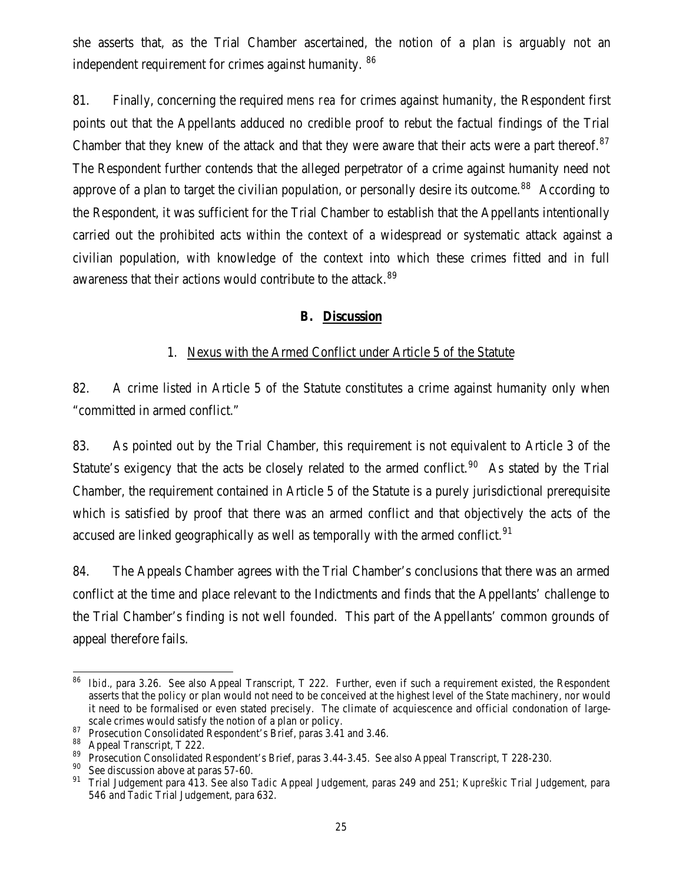she asserts that, as the Trial Chamber ascertained, the notion of a plan is arguably not an independent requirement for crimes against humanity. <sup>86</sup>

81. Finally, concerning the required *mens rea* for crimes against humanity, the Respondent first points out that the Appellants adduced no credible proof to rebut the factual findings of the Trial Chamber that they knew of the attack and that they were aware that their acts were a part thereof.<sup>87</sup> The Respondent further contends that the alleged perpetrator of a crime against humanity need not approve of a plan to target the civilian population, or personally desire its outcome.<sup>88</sup> According to the Respondent, it was sufficient for the Trial Chamber to establish that the Appellants intentionally carried out the prohibited acts within the context of a widespread or systematic attack against a civilian population, with knowledge of the context into which these crimes fitted and in full awareness that their actions would contribute to the attack.<sup>89</sup>

### **B. Discussion**

### 1. Nexus with the Armed Conflict under Article 5 of the Statute

82. A crime listed in Article 5 of the Statute constitutes a crime against humanity only when "committed in armed conflict."

83. As pointed out by the Trial Chamber, this requirement is not equivalent to Article 3 of the Statute's exigency that the acts be closely related to the armed conflict.<sup>90</sup> As stated by the Trial Chamber, the requirement contained in Article 5 of the Statute is a purely jurisdictional prerequisite which is satisfied by proof that there was an armed conflict and that objectively the acts of the accused are linked geographically as well as temporally with the armed conflict.<sup>91</sup>

84. The Appeals Chamber agrees with the Trial Chamber's conclusions that there was an armed conflict at the time and place relevant to the Indictments and finds that the Appellants' challenge to the Trial Chamber's finding is not well founded. This part of the Appellants' common grounds of appeal therefore fails.

<sup>86</sup> <sup>86</sup> *Ibid.*, para 3.26. See also Appeal Transcript, T 222. Further, even if such a requirement existed, the Respondent asserts that the policy or plan would not need to be conceived at the highest level of the State machinery, nor would it need to be formalised or even stated precisely. The climate of acquiescence and official condonation of largescale crimes would satisfy the notion of a plan or policy.

<sup>87</sup> Prosecution Consolidated Respondent's Brief, paras 3.41 and 3.46.<br> $\frac{88}{\text{A} \text{D} \text{D} \text{A} \text{D} \text{A}}$  Transcript T 222

Appeal Transcript, T 222.

<sup>89</sup> Prosecution Consolidated Respondent's Brief, paras 3.44-3.45. See also Appeal Transcript, T 228-230.

 $\frac{90}{91}$  See discussion above at paras 57-60.<br> $\frac{91}{91}$  Trial Judgement para 413. See also

<sup>91</sup> Trial Judgement para 413. See also *Tadic* Appeal Judgement, paras 249 and 251; *Kupreškic* Trial Judgement, para 546 and *Tadic* Trial Judgement, para 632.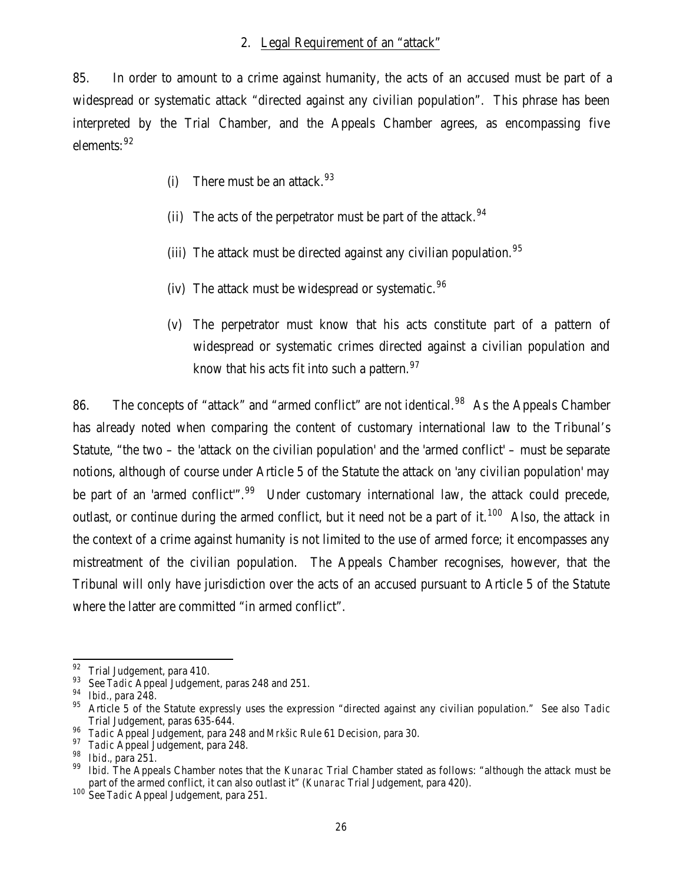### 2. Legal Requirement of an "attack"

85. In order to amount to a crime against humanity, the acts of an accused must be part of a widespread or systematic attack "directed against any civilian population". This phrase has been interpreted by the Trial Chamber, and the Appeals Chamber agrees, as encompassing five elements: 92

- (i) There must be an attack.  $93$
- (ii) The acts of the perpetrator must be part of the attack.  $94$
- (iii) The attack must be directed against any civilian population.<sup>95</sup>
- (iv) The attack must be widespread or systematic.  $96$
- (v) The perpetrator must know that his acts constitute part of a pattern of widespread or systematic crimes directed against a civilian population and know that his acts fit into such a pattern.<sup>97</sup>

86. The concepts of "attack" and "armed conflict" are not identical.<sup>98</sup> As the Appeals Chamber has already noted when comparing the content of customary international law to the Tribunal's Statute, "the two – the 'attack on the civilian population' and the 'armed conflict' – must be separate notions, although of course under Article 5 of the Statute the attack on 'any civilian population' may be part of an 'armed conflict'".<sup>99</sup> Under customary international law, the attack could precede, outlast, or continue during the armed conflict, but it need not be a part of it.<sup>100</sup> Also, the attack in the context of a crime against humanity is not limited to the use of armed force; it encompasses any mistreatment of the civilian population. The Appeals Chamber recognises, however, that the Tribunal will only have jurisdiction over the acts of an accused pursuant to Article 5 of the Statute where the latter are committed "in armed conflict".

 $\overline{a}$  $92$  Trial Judgement, para 410.

<sup>&</sup>lt;sup>93</sup> See *Tadic* Appeal Judgement, paras 248 and 251.<br><sup>94</sup> Ibid para 248

*Ibid.*, para 248.

<sup>95</sup> Article 5 of the Statute expressly uses the expression "directed against any civilian population." See also *Tadic* Trial Judgement, paras 635-644.

<sup>96</sup> *Tadic* Appeal Judgement, para 248 and *Mrkšic* Rule 61 Decision, para 30.

<sup>97</sup> *Tadic* Appeal Judgement, para 248.

<sup>98</sup> *Ibid.*, para 251.

<sup>99</sup> *Ibid.* The Appeals Chamber notes that the *Kunarac* Trial Chamber stated as follows: "although the attack must be part of the armed conflict, it can also outlast it" (*Kunarac* Trial Judgement, para 420).

<sup>100</sup> See *Tadic* Appeal Judgement, para 251.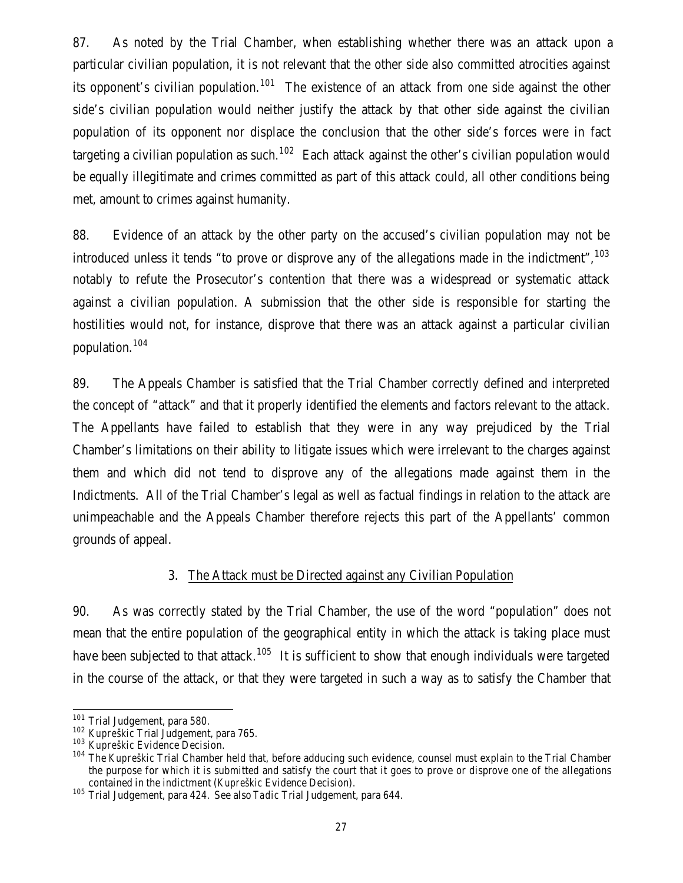87. As noted by the Trial Chamber, when establishing whether there was an attack upon a particular civilian population, it is not relevant that the other side also committed atrocities against its opponent's civilian population.<sup>101</sup> The existence of an attack from one side against the other side's civilian population would neither justify the attack by that other side against the civilian population of its opponent nor displace the conclusion that the other side's forces were in fact targeting a civilian population as such.<sup>102</sup> Each attack against the other's civilian population would be equally illegitimate and crimes committed as part of this attack could, all other conditions being met, amount to crimes against humanity.

88. Evidence of an attack by the other party on the accused's civilian population may not be introduced unless it tends "to prove or disprove any of the allegations made in the indictment",  $103$ notably to refute the Prosecutor's contention that there was a widespread or systematic attack against a civilian population. A submission that the other side is responsible for starting the hostilities would not, for instance, disprove that there was an attack against a particular civilian population.<sup>104</sup>

89. The Appeals Chamber is satisfied that the Trial Chamber correctly defined and interpreted the concept of "attack" and that it properly identified the elements and factors relevant to the attack. The Appellants have failed to establish that they were in any way prejudiced by the Trial Chamber's limitations on their ability to litigate issues which were irrelevant to the charges against them and which did not tend to disprove any of the allegations made against them in the Indictments. All of the Trial Chamber's legal as well as factual findings in relation to the attack are unimpeachable and the Appeals Chamber therefore rejects this part of the Appellants' common grounds of appeal.

### 3. The Attack must be Directed against any Civilian Population

90. As was correctly stated by the Trial Chamber, the use of the word "population" does not mean that the entire population of the geographical entity in which the attack is taking place must have been subjected to that attack.<sup>105</sup> It is sufficient to show that enough individuals were targeted in the course of the attack, or that they were targeted in such a way as to satisfy the Chamber that

 $\overline{1}$ <sup>101</sup> Trial Judgement, para 580.

<sup>102</sup> *Kupreškic* Trial Judgement, para 765.

<sup>103</sup> *Kupreškic* Evidence Decision.

<sup>104</sup> The *Kupreškic* Trial Chamber held that, before adducing such evidence, counsel must explain to the Trial Chamber the purpose for which it is submitted and satisfy the court that it goes to prove or disprove one of the allegations contained in the indictment (*Kupreškic* Evidence Decision).

<sup>105</sup> Trial Judgement, para 424. See also *Tadic* Trial Judgement, para 644.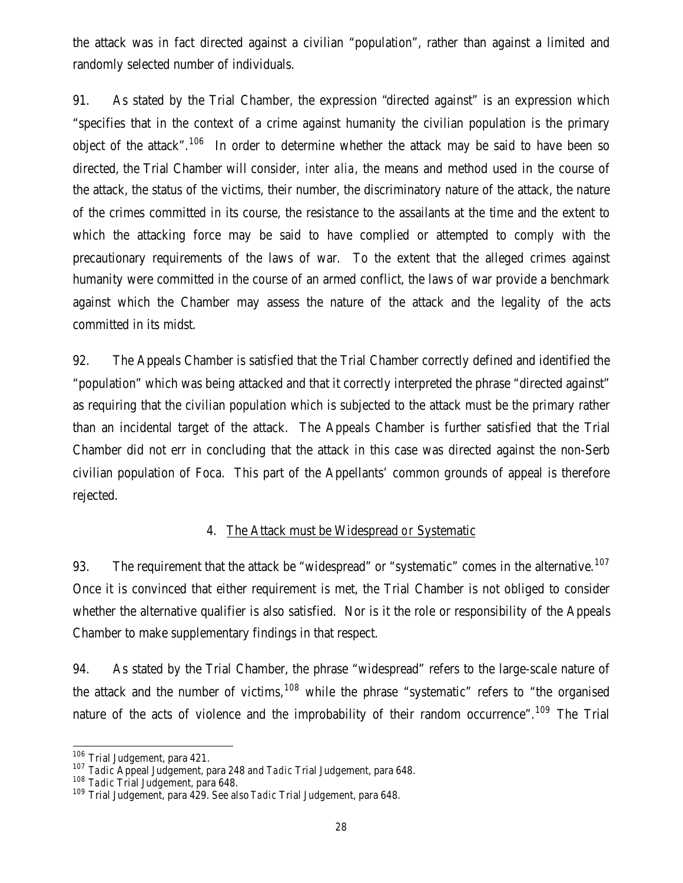the attack was in fact directed against a civilian "population", rather than against a limited and randomly selected number of individuals.

91. As stated by the Trial Chamber, the expression "directed against" is an expression which "specifies that in the context of a crime against humanity the civilian population is the primary object of the attack".<sup>106</sup> In order to determine whether the attack may be said to have been so directed, the Trial Chamber will consider, *inter alia*, the means and method used in the course of the attack, the status of the victims, their number, the discriminatory nature of the attack, the nature of the crimes committed in its course, the resistance to the assailants at the time and the extent to which the attacking force may be said to have complied or attempted to comply with the precautionary requirements of the laws of war. To the extent that the alleged crimes against humanity were committed in the course of an armed conflict, the laws of war provide a benchmark against which the Chamber may assess the nature of the attack and the legality of the acts committed in its midst.

92. The Appeals Chamber is satisfied that the Trial Chamber correctly defined and identified the "population" which was being attacked and that it correctly interpreted the phrase "directed against" as requiring that the civilian population which is subjected to the attack must be the primary rather than an incidental target of the attack. The Appeals Chamber is further satisfied that the Trial Chamber did not err in concluding that the attack in this case was directed against the non-Serb civilian population of Foca. This part of the Appellants' common grounds of appeal is therefore rejected.

### 4. The Attack must be Widespread *or* Systematic

93. The requirement that the attack be "widespread" or "systematic" comes in the alternative.<sup>107</sup> Once it is convinced that either requirement is met, the Trial Chamber is not obliged to consider whether the alternative qualifier is also satisfied. Nor is it the role or responsibility of the Appeals Chamber to make supplementary findings in that respect.

94. As stated by the Trial Chamber, the phrase "widespread" refers to the large-scale nature of the attack and the number of victims,<sup>108</sup> while the phrase "systematic" refers to "the organised nature of the acts of violence and the improbability of their random occurrence".<sup>109</sup> The Trial

 $\overline{1}$ <sup>106</sup> Trial Judgement, para 421.

<sup>107</sup> *Tadic* Appeal Judgement, para 248 and *Tadic* Trial Judgement, para 648.

<sup>108</sup> *Tadic* Trial Judgement, para 648.

<sup>109</sup> Trial Judgement, para 429. See also *Tadic* Trial Judgement, para 648.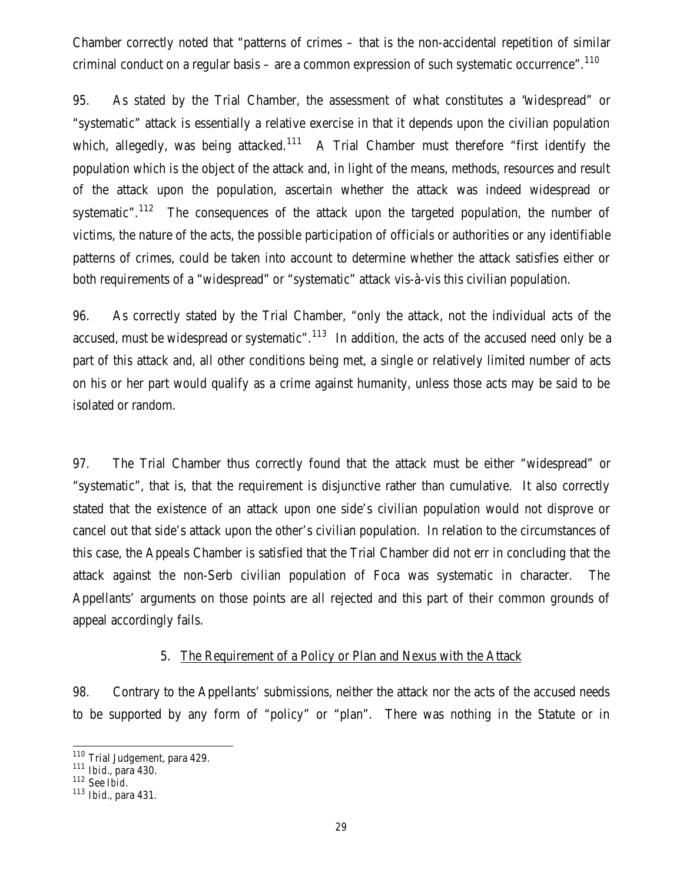Chamber correctly noted that "patterns of crimes – that is the non-accidental repetition of similar criminal conduct on a regular basis – are a common expression of such systematic occurrence".<sup>110</sup>

95. As stated by the Trial Chamber, the assessment of what constitutes a "widespread" or "systematic" attack is essentially a relative exercise in that it depends upon the civilian population which, allegedly, was being attacked.<sup>111</sup> A Trial Chamber must therefore "first identify the population which is the object of the attack and, in light of the means, methods, resources and result of the attack upon the population, ascertain whether the attack was indeed widespread or systematic".<sup>112</sup> The consequences of the attack upon the targeted population, the number of victims, the nature of the acts, the possible participation of officials or authorities or any identifiable patterns of crimes, could be taken into account to determine whether the attack satisfies either or both requirements of a "widespread" or "systematic" attack vis-à-vis this civilian population.

96. As correctly stated by the Trial Chamber, "only the attack, not the individual acts of the accused, must be widespread or systematic".<sup>113</sup> In addition, the acts of the accused need only be a part of this attack and, all other conditions being met, a single or relatively limited number of acts on his or her part would qualify as a crime against humanity, unless those acts may be said to be isolated or random.

97. The Trial Chamber thus correctly found that the attack must be either "widespread" or "systematic", that is, that the requirement is disjunctive rather than cumulative. It also correctly stated that the existence of an attack upon one side's civilian population would not disprove or cancel out that side's attack upon the other's civilian population. In relation to the circumstances of this case, the Appeals Chamber is satisfied that the Trial Chamber did not err in concluding that the attack against the non-Serb civilian population of Foca was systematic in character. The Appellants' arguments on those points are all rejected and this part of their common grounds of appeal accordingly fails.

### 5. The Requirement of a Policy or Plan and Nexus with the Attack

98. Contrary to the Appellants' submissions, neither the attack nor the acts of the accused needs to be supported by any form of "policy" or "plan". There was nothing in the Statute or in

 $\overline{1}$ <sup>110</sup> Trial Judgement, para 429.

<sup>111</sup> *Ibid.*, para 430.

<sup>112</sup> See *Ibid*.

<sup>113</sup> *Ibid.*, para 431.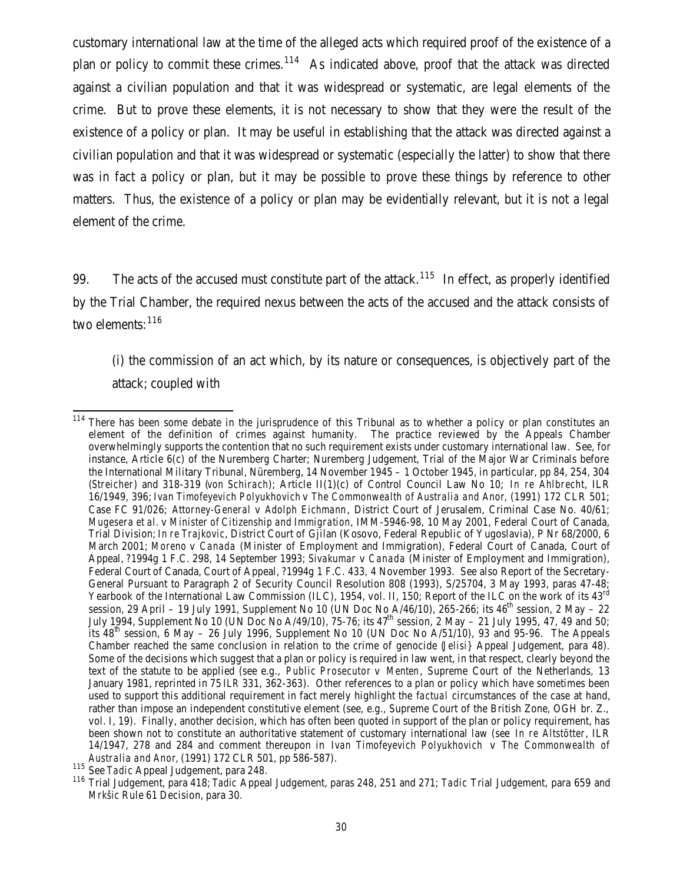customary international law at the time of the alleged acts which required proof of the existence of a plan or policy to commit these crimes.<sup>114</sup> As indicated above, proof that the attack was directed against a civilian population and that it was widespread or systematic, are legal elements of the crime. But to prove these elements, it is not necessary to show that they were the result of the existence of a policy or plan. It may be useful in establishing that the attack was directed against a civilian population and that it was widespread or systematic (especially the latter) to show that there was in fact a policy or plan, but it may be possible to prove these things by reference to other matters. Thus, the existence of a policy or plan may be evidentially relevant, but it is not a legal element of the crime.

99. The acts of the accused must constitute part of the attack.<sup>115</sup> In effect, as properly identified by the Trial Chamber, the required nexus between the acts of the accused and the attack consists of two elements: 116

(i) the commission of an act which, by its nature or consequences, is objectively part of the attack; coupled with

<sup>&</sup>lt;sup>114</sup> There has been some debate in the jurisprudence of this Tribunal as to whether a policy or plan constitutes an element of the definition of crimes against humanity. The practice reviewed by the Appeals Chamber overwhelmingly supports the contention that no such requirement exists under customary international law. See, for instance, Article 6(c) of the Nuremberg Charter; Nuremberg Judgement, Trial of the Major War Criminals before the International Military Tribunal, Nüremberg, 14 November 1945 – 1 October 1945, in particular, pp 84, 254, 304 (*Streicher*) and 318-319 (*von Schirach*); Article II(1)(c) of Control Council Law No 10; *In re Ahlbrecht*, ILR 16/1949, 396; *Ivan Timofeyevich Polyukhovich* v *The Commonwealth of Australia and Anor*, (1991) 172 CLR 501; Case FC 91/026; *Attorney-General* v *Adolph Eichmann*, District Court of Jerusalem, Criminal Case No. 40/61; *Mugesera et al.* v *Minister of Citizenship and Immigration*, IMM-5946-98, 10 May 2001, Federal Court of Canada, Trial Division; *In re Trajkovic*, District Court of Gjilan (Kosovo, Federal Republic of Yugoslavia), P Nr 68/2000, 6 March 2001; *Moreno* v *Canada* (Minister of Employment and Immigration), Federal Court of Canada, Court of Appeal, ?1994g 1 F.C. 298, 14 September 1993; *Sivakumar* v *Canada* (Minister of Employment and Immigration), Federal Court of Canada, Court of Appeal, ?1994g 1 F.C. 433, 4 November 1993. See also Report of the Secretary-General Pursuant to Paragraph 2 of Security Council Resolution 808 (1993), S/25704, 3 May 1993, paras 47-48; Yearbook of the International Law Commission (ILC), 1954, vol. II, 150; Report of the ILC on the work of its 43<sup>rd</sup> session, 29 April – 19 July 1991, Supplement No 10 (UN Doc No A/46/10), 265-266; its 46<sup>th</sup> session, 2 May – 22 July 1994, Supplement No 10 (UN Doc No A/49/10), 75-76; its  $47<sup>th</sup>$  session, 2 May – 21 July 1995, 47, 49 and 50; its  $48<sup>th</sup>$  session, 6 May – 26 July 1996, Supplement No 10 (UN Doc No A/51/10), 93 and 95-96. The Appeals Chamber reached the same conclusion in relation to the crime of genocide (*Jelisi}* Appeal Judgement, para 48). Some of the decisions which suggest that a plan or policy is required in law went, in that respect, clearly beyond the text of the statute to be applied (see e.g., *Public Prosecutor* v *Menten*, Supreme Court of the Netherlands, 13 January 1981, reprinted in 75 *ILR* 331, 362-363). Other references to a plan or policy which have sometimes been used to support this additional requirement in fact merely highlight the *factual* circumstances of the case at hand, rather than impose an independent constitutive element (see, e.g., Supreme Court of the British Zone, OGH br. Z., vol. I, 19). Finally, another decision, which has often been quoted in support of the plan or policy requirement, has been shown not to constitute an authoritative statement of customary international law (see *In re Altstötter*, ILR 14/1947, 278 and 284 and comment thereupon in *Ivan Timofeyevich Polyukhovich* v *The Commonwealth of Australia and Anor*, (1991) 172 CLR 501, pp 586-587).

<sup>115</sup> See *Tadic* Appeal Judgement, para 248.

<sup>116</sup> Trial Judgement, para 418; *Tadic* Appeal Judgement, paras 248, 251 and 271; *Tadic* Trial Judgement, para 659 and *Mrkšic* Rule 61 Decision, para 30.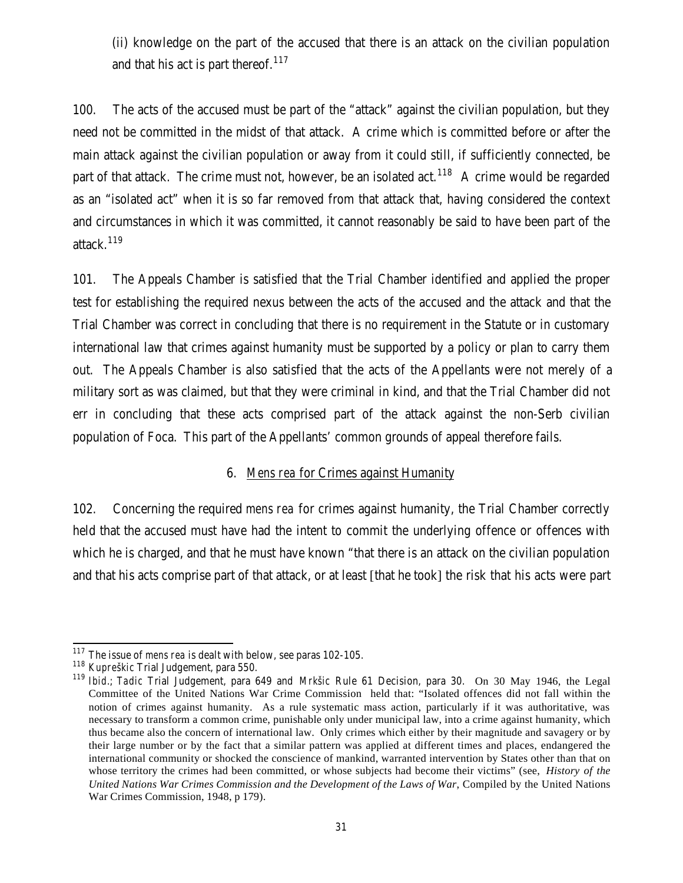(ii) knowledge on the part of the accused that there is an attack on the civilian population and that his act is part thereof.<sup>117</sup>

100. The acts of the accused must be part of the "attack" against the civilian population, but they need not be committed in the midst of that attack. A crime which is committed before or after the main attack against the civilian population or away from it could still, if sufficiently connected, be part of that attack. The crime must not, however, be an isolated act.<sup>118</sup> A crime would be regarded as an "isolated act" when it is so far removed from that attack that, having considered the context and circumstances in which it was committed, it cannot reasonably be said to have been part of the attack.<sup>119</sup>

101. The Appeals Chamber is satisfied that the Trial Chamber identified and applied the proper test for establishing the required nexus between the acts of the accused and the attack and that the Trial Chamber was correct in concluding that there is no requirement in the Statute or in customary international law that crimes against humanity must be supported by a policy or plan to carry them out. The Appeals Chamber is also satisfied that the acts of the Appellants were not merely of a military sort as was claimed, but that they were criminal in kind, and that the Trial Chamber did not err in concluding that these acts comprised part of the attack against the non-Serb civilian population of Foca. This part of the Appellants' common grounds of appeal therefore fails.

### 6. *Mens rea* for Crimes against Humanity

102. Concerning the required *mens rea* for crimes against humanity, the Trial Chamber correctly held that the accused must have had the intent to commit the underlying offence or offences with which he is charged, and that he must have known "that there is an attack on the civilian population and that his acts comprise part of that attack, or at least [that he took] the risk that his acts were part

 <sup>117</sup> The issue of *mens rea* is dealt with below, see paras 102-105.

<sup>118</sup> *Kupreškic* Trial Judgement, para 550.

<sup>119</sup> *Ibid*.; *Tadic* Trial Judgement, para 649 and *Mrkšic* Rule 61 Decision, para 30. On 30 May 1946, the Legal Committee of the United Nations War Crime Commission held that: "Isolated offences did not fall within the notion of crimes against humanity. As a rule systematic mass action, particularly if it was authoritative, was necessary to transform a common crime, punishable only under municipal law, into a crime against humanity, which thus became also the concern of international law. Only crimes which either by their magnitude and savagery or by their large number or by the fact that a similar pattern was applied at different times and places, endangered the international community or shocked the conscience of mankind, warranted intervention by States other than that on whose territory the crimes had been committed, or whose subjects had become their victims" (see, *History of the United Nations War Crimes Commission and the Development of the Laws of War*, Compiled by the United Nations War Crimes Commission, 1948, p 179).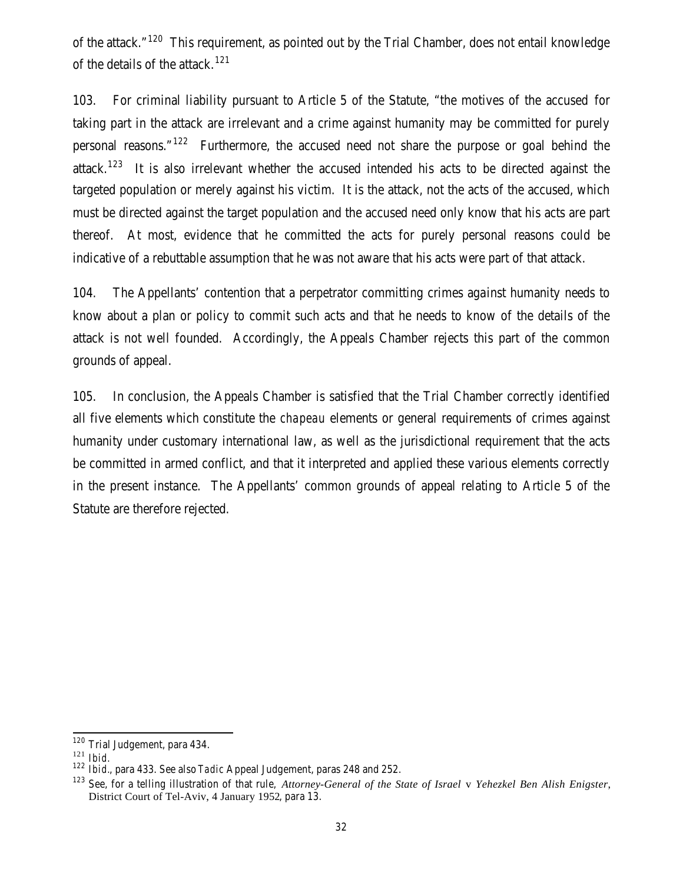of the attack."<sup>120</sup> This requirement, as pointed out by the Trial Chamber, does not entail knowledge of the details of the attack.<sup>121</sup>

103. For criminal liability pursuant to Article 5 of the Statute, "the motives of the accused for taking part in the attack are irrelevant and a crime against humanity may be committed for purely personal reasons. $122$  Furthermore, the accused need not share the purpose or goal behind the attack.<sup>123</sup> It is also irrelevant whether the accused intended his acts to be directed against the targeted population or merely against his victim. It is the attack, not the acts of the accused, which must be directed against the target population and the accused need only know that his acts are part thereof. At most, evidence that he committed the acts for purely personal reasons could be indicative of a rebuttable assumption that he was not aware that his acts were part of that attack.

104. The Appellants' contention that a perpetrator committing crimes against humanity needs to know about a plan or policy to commit such acts and that he needs to know of the details of the attack is not well founded. Accordingly, the Appeals Chamber rejects this part of the common grounds of appeal.

105. In conclusion, the Appeals Chamber is satisfied that the Trial Chamber correctly identified all five elements which constitute the *chapeau* elements or general requirements of crimes against humanity under customary international law, as well as the jurisdictional requirement that the acts be committed in armed conflict, and that it interpreted and applied these various elements correctly in the present instance. The Appellants' common grounds of appeal relating to Article 5 of the Statute are therefore rejected.

 <sup>120</sup> Trial Judgement, para 434.

<sup>121</sup> *Ibid.*

<sup>122</sup> *Ibid.*, para 433. See also *Tadic* Appeal Judgement, paras 248 and 252.

<sup>123</sup> See, for a telling illustration of that rule, *Attorney-General of the State of Israel* v *Yehezkel Ben Alish Enigster*, District Court of Tel-Aviv, 4 January 1952, para 13.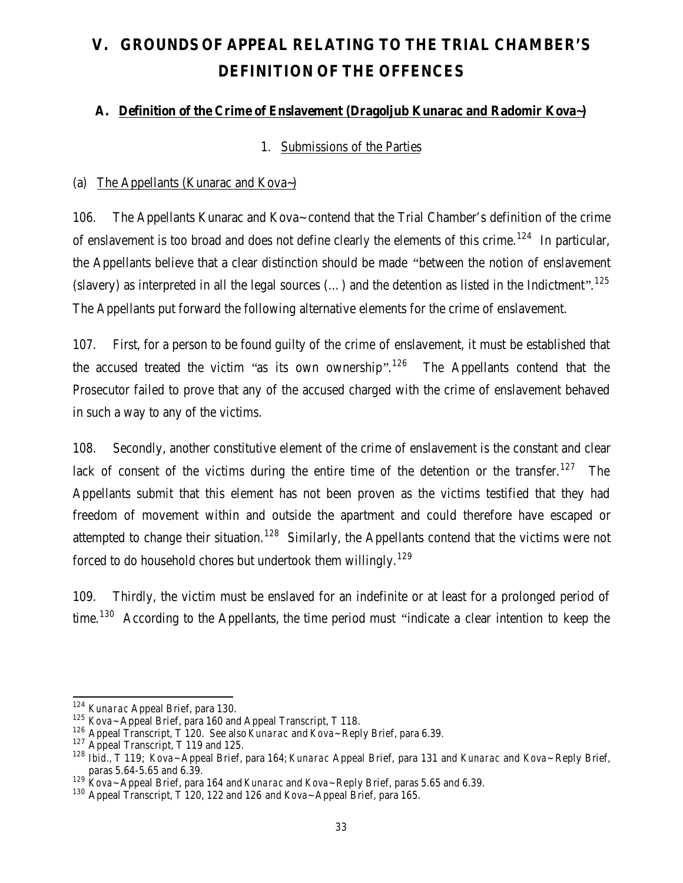# **V. GROUNDS OF APPEAL RELATING TO THE TRIAL CHAMBER'S DEFINITION OF THE OFFENCES**

### **A. Definition of the Crime of Enslavement (Dragoljub Kunarac and Radomir Kova~)**

### 1. Submissions of the Parties

### (a) The Appellants (Kunarac and Kova~)

106. The Appellants Kunarac and Kova~ contend that the Trial Chamber's definition of the crime of enslavement is too broad and does not define clearly the elements of this crime.<sup>124</sup> In particular, the Appellants believe that a clear distinction should be made "between the notion of enslavement (slavery) as interpreted in all the legal sources  $(...)$  and the detention as listed in the Indictment".<sup>125</sup> The Appellants put forward the following alternative elements for the crime of enslavement.

107. First, for a person to be found guilty of the crime of enslavement, it must be established that the accused treated the victim "as its own ownership".<sup>126</sup> The Appellants contend that the Prosecutor failed to prove that any of the accused charged with the crime of enslavement behaved in such a way to any of the victims.

108. Secondly, another constitutive element of the crime of enslavement is the constant and clear lack of consent of the victims during the entire time of the detention or the transfer.<sup>127</sup> The Appellants submit that this element has not been proven as the victims testified that they had freedom of movement within and outside the apartment and could therefore have escaped or attempted to change their situation.<sup>128</sup> Similarly, the Appellants contend that the victims were not forced to do household chores but undertook them willingly.<sup>129</sup>

109. Thirdly, the victim must be enslaved for an indefinite or at least for a prolonged period of time.<sup>130</sup> According to the Appellants, the time period must "indicate a clear intention to keep the

 <sup>124</sup> *Kunarac* Appeal Brief, para 130.

<sup>125</sup> *Kova~* Appeal Brief, para 160 and Appeal Transcript, T 118.

<sup>126</sup> Appeal Transcript, T 120. See also *Kunarac* and *Kova~* Reply Brief, para 6.39.

<sup>&</sup>lt;sup>127</sup> Appeal Transcript, T 119 and 125.

<sup>128</sup> *Ibid.,* T 119; *Kova~* Appeal Brief, para 164; *Kunarac* Appeal Brief, para 131 and *Kunarac* and *Kova~* Reply Brief, paras 5.64-5.65 and 6.39.

<sup>129</sup> *Kova~* Appeal Brief, para 164 and *Kunarac* and *Kova~* Reply Brief, paras 5.65 and 6.39.

<sup>130</sup> Appeal Transcript, T 120, 122 and 126 and *Kova~* Appeal Brief, para 165.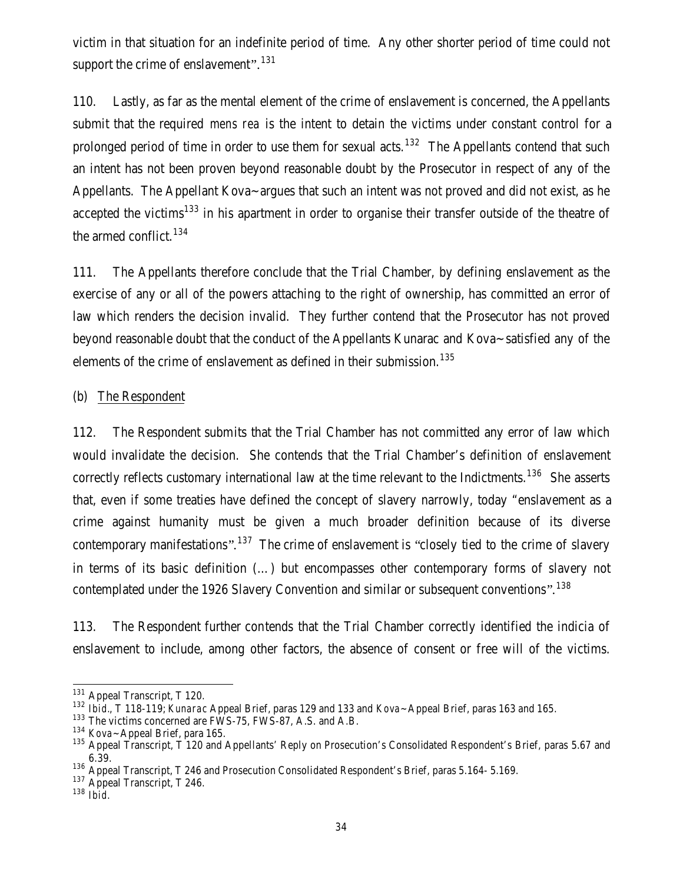victim in that situation for an indefinite period of time. Any other shorter period of time could not support the crime of enslavement".<sup>131</sup>

110. Lastly, as far as the mental element of the crime of enslavement is concerned, the Appellants submit that the required *mens rea* is the intent to detain the victims under constant control for a prolonged period of time in order to use them for sexual acts.<sup>132</sup> The Appellants contend that such an intent has not been proven beyond reasonable doubt by the Prosecutor in respect of any of the Appellants. The Appellant Kova~ argues that such an intent was not proved and did not exist, as he accepted the victims<sup>133</sup> in his apartment in order to organise their transfer outside of the theatre of the armed conflict.<sup>134</sup>

111. The Appellants therefore conclude that the Trial Chamber, by defining enslavement as the exercise of any or all of the powers attaching to the right of ownership, has committed an error of law which renders the decision invalid. They further contend that the Prosecutor has not proved beyond reasonable doubt that the conduct of the Appellants Kunarac and Kova~ satisfied any of the elements of the crime of enslavement as defined in their submission.<sup>135</sup>

### (b) The Respondent

112. The Respondent submits that the Trial Chamber has not committed any error of law which would invalidate the decision. She contends that the Trial Chamber's definition of enslavement correctly reflects customary international law at the time relevant to the Indictments.<sup>136</sup> She asserts that, even if some treaties have defined the concept of slavery narrowly, today "enslavement as a crime against humanity must be given a much broader definition because of its diverse contemporary manifestations".<sup>137</sup> The crime of enslavement is "closely tied to the crime of slavery in terms of its basic definition (…) but encompasses other contemporary forms of slavery not contemplated under the 1926 Slavery Convention and similar or subsequent conventions".<sup>138</sup>

113. The Respondent further contends that the Trial Chamber correctly identified the indicia of enslavement to include, among other factors, the absence of consent or free will of the victims.

<sup>&</sup>lt;sup>131</sup> Appeal Transcript, T 120.

<sup>132</sup> *Ibid.*, T 118-119; *Kunarac* Appeal Brief, paras 129 and 133 and *Kova~* Appeal Brief, paras 163 and 165.

<sup>&</sup>lt;sup>133</sup> The victims concerned are FWS-75, FWS-87, A.S. and A.B.

<sup>134</sup> *Kova~* Appeal Brief, para 165.

<sup>135</sup> Appeal Transcript, T 120 and Appellants' Reply on Prosecution's Consolidated Respondent's Brief, paras 5.67 and 6.39.

<sup>136</sup> Appeal Transcript, T 246 and Prosecution Consolidated Respondent's Brief, paras 5.164- 5.169.

<sup>137</sup> Appeal Transcript, T 246.

<sup>138</sup> *Ibid.*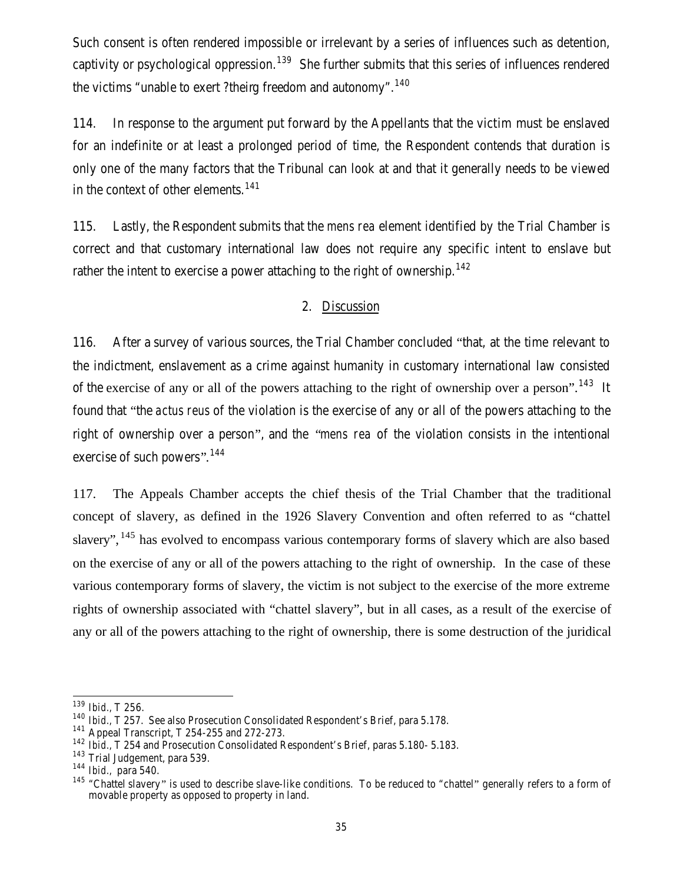Such consent is often rendered impossible or irrelevant by a series of influences such as detention, captivity or psychological oppression.<sup>139</sup> She further submits that this series of influences rendered the victims "unable to exert ?theirg freedom and autonomy".<sup>140</sup>

114. In response to the argument put forward by the Appellants that the victim must be enslaved for an indefinite or at least a prolonged period of time, the Respondent contends that duration is only one of the many factors that the Tribunal can look at and that it generally needs to be viewed in the context of other elements.<sup>141</sup>

115. Lastly, the Respondent submits that the *mens rea* element identified by the Trial Chamber is correct and that customary international law does not require any specific intent to enslave but rather the intent to exercise a power attaching to the right of ownership.<sup>142</sup>

### 2. Discussion

116. After a survey of various sources, the Trial Chamber concluded "that, at the time relevant to the indictment, enslavement as a crime against humanity in customary international law consisted of the exercise of any or all of the powers attaching to the right of ownership over a person".<sup>143</sup> It found that "the *actus reus* of the violation is the exercise of any or all of the powers attaching to the right of ownership over a person", and the "*mens rea* of the violation consists in the intentional exercise of such powers".<sup>144</sup>

117. The Appeals Chamber accepts the chief thesis of the Trial Chamber that the traditional concept of slavery, as defined in the 1926 Slavery Convention and often referred to as "chattel slavery", <sup>145</sup> has evolved to encompass various contemporary forms of slavery which are also based on the exercise of any or all of the powers attaching to the right of ownership. In the case of these various contemporary forms of slavery, the victim is not subject to the exercise of the more extreme rights of ownership associated with "chattel slavery", but in all cases, as a result of the exercise of any or all of the powers attaching to the right of ownership, there is some destruction of the juridical

 <sup>139</sup> *Ibid.,* T 256.

<sup>140</sup> *Ibid.,* T 257. See also Prosecution Consolidated Respondent's Brief, para 5.178.

<sup>141</sup> Appeal Transcript, T 254-255 and 272-273.

<sup>142</sup> *Ibid.,* T 254 and Prosecution Consolidated Respondent's Brief, paras 5.180- 5.183.

<sup>&</sup>lt;sup>143</sup> Trial Judgement, para 539.

<sup>144</sup> *Ibid.,* para 540.

<sup>&</sup>lt;sup>145</sup> "Chattel slavery" is used to describe slave-like conditions. To be reduced to "chattel" generally refers to a form of movable property as opposed to property in land.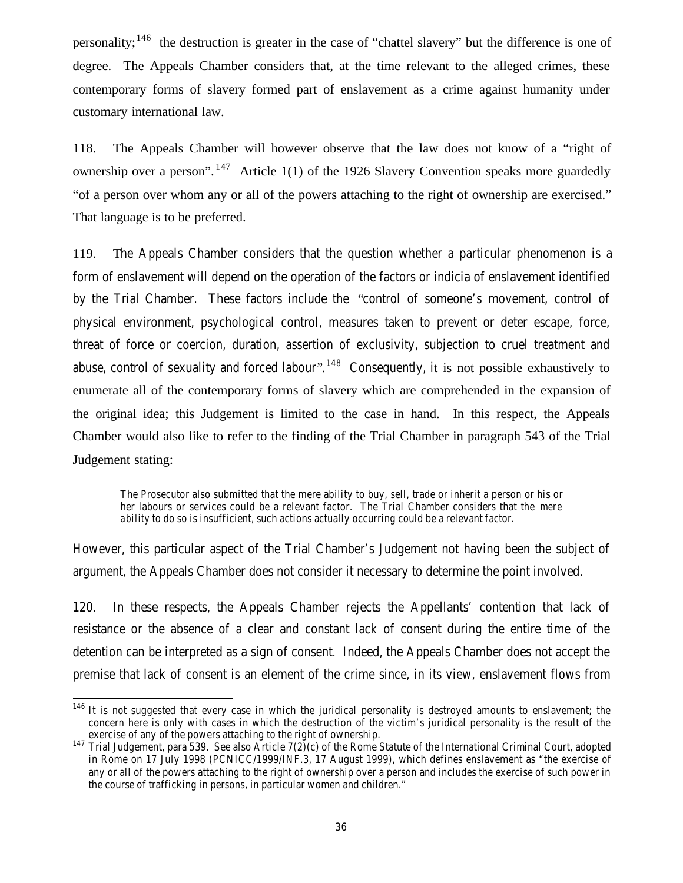personality;<sup>146</sup> the destruction is greater in the case of "chattel slavery" but the difference is one of degree. The Appeals Chamber considers that, at the time relevant to the alleged crimes, these contemporary forms of slavery formed part of enslavement as a crime against humanity under customary international law.

118. The Appeals Chamber will however observe that the law does not know of a "right of ownership over a person".  $147$  Article 1(1) of the 1926 Slavery Convention speaks more guardedly "of a person over whom any or all of the powers attaching to the right of ownership are exercised." That language is to be preferred.

119. The Appeals Chamber considers that the question whether a particular phenomenon is a form of enslavement will depend on the operation of the factors or indicia of enslavement identified by the Trial Chamber. These factors include the "control of someone's movement, control of physical environment, psychological control, measures taken to prevent or deter escape, force, threat of force or coercion, duration, assertion of exclusivity, subjection to cruel treatment and abuse, control of sexuality and forced labour".<sup>148</sup> Consequently, it is not possible exhaustively to enumerate all of the contemporary forms of slavery which are comprehended in the expansion of the original idea; this Judgement is limited to the case in hand. In this respect, the Appeals Chamber would also like to refer to the finding of the Trial Chamber in paragraph 543 of the Trial Judgement stating:

The Prosecutor also submitted that the mere ability to buy, sell, trade or inherit a person or his or her labours or services could be a relevant factor. The Trial Chamber considers that the *mere ability* to do so is insufficient, such actions actually occurring could be a relevant factor.

However, this particular aspect of the Trial Chamber's Judgement not having been the subject of argument, the Appeals Chamber does not consider it necessary to determine the point involved.

120. In these respects, the Appeals Chamber rejects the Appellants' contention that lack of resistance or the absence of a clear and constant lack of consent during the entire time of the detention can be interpreted as a sign of consent. Indeed, the Appeals Chamber does not accept the premise that lack of consent is an element of the crime since, in its view, enslavement flows from

 <sup>146</sup> It is not suggested that every case in which the juridical personality is destroyed amounts to enslavement; the concern here is only with cases in which the destruction of the victim's juridical personality is the result of the exercise of any of the powers attaching to the right of ownership.

<sup>147</sup> Trial Judgement, para 539. See also Article 7(2)(c) of the Rome Statute of the International Criminal Court, adopted in Rome on 17 July 1998 (PCNICC/1999/INF.3, 17 August 1999), which defines enslavement as "the exercise of any or all of the powers attaching to the right of ownership over a person and includes the exercise of such power in the course of trafficking in persons, in particular women and children."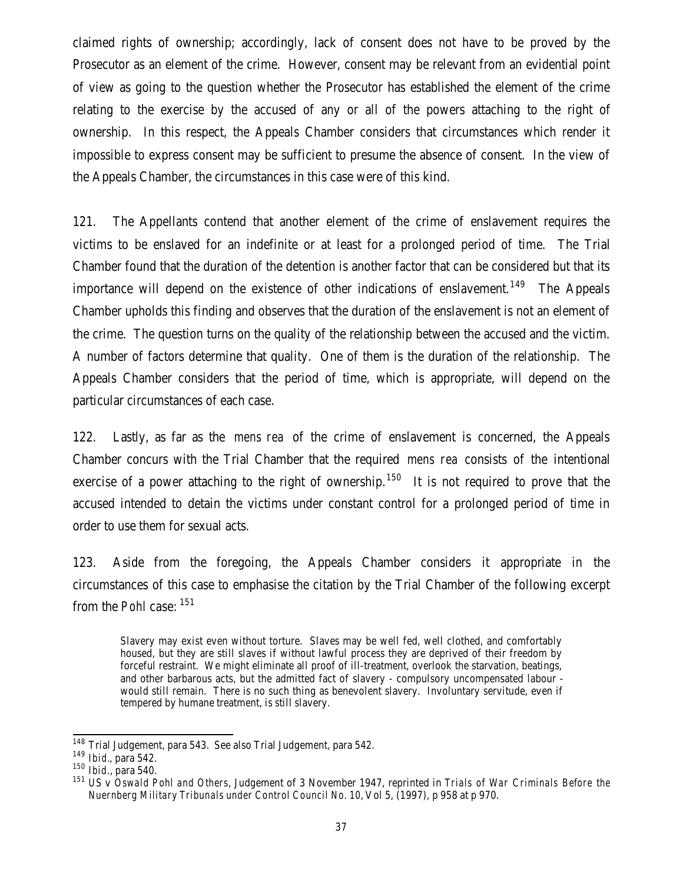claimed rights of ownership; accordingly, lack of consent does not have to be proved by the Prosecutor as an element of the crime. However, consent may be relevant from an evidential point of view as going to the question whether the Prosecutor has established the element of the crime relating to the exercise by the accused of any or all of the powers attaching to the right of ownership. In this respect, the Appeals Chamber considers that circumstances which render it impossible to express consent may be sufficient to presume the absence of consent. In the view of the Appeals Chamber, the circumstances in this case were of this kind.

121. The Appellants contend that another element of the crime of enslavement requires the victims to be enslaved for an indefinite or at least for a prolonged period of time. The Trial Chamber found that the duration of the detention is another factor that can be considered but that its importance will depend on the existence of other indications of enslavement.<sup>149</sup> The Appeals Chamber upholds this finding and observes that the duration of the enslavement is not an element of the crime. The question turns on the quality of the relationship between the accused and the victim. A number of factors determine that quality. One of them is the duration of the relationship. The Appeals Chamber considers that the period of time, which is appropriate, will depend on the particular circumstances of each case.

122. Lastly, as far as the *mens rea* of the crime of enslavement is concerned, the Appeals Chamber concurs with the Trial Chamber that the required *mens rea* consists of the intentional exercise of a power attaching to the right of ownership.<sup>150</sup> It is not required to prove that the accused intended to detain the victims under constant control for a prolonged period of time in order to use them for sexual acts.

123. Aside from the foregoing, the Appeals Chamber considers it appropriate in the circumstances of this case to emphasise the citation by the Trial Chamber of the following excerpt from the *Pohl* case: <sup>151</sup>

Slavery may exist even without torture. Slaves may be well fed, well clothed, and comfortably housed, but they are still slaves if without lawful process they are deprived of their freedom by forceful restraint. We might eliminate all proof of ill-treatment, overlook the starvation, beatings, and other barbarous acts, but the admitted fact of slavery - compulsory uncompensated labour would still remain. There is no such thing as benevolent slavery. Involuntary servitude, even if tempered by humane treatment, is still slavery.

 $\overline{a}$  $148$  Trial Judgement, para 543. See also Trial Judgement, para 542.

<sup>149</sup> *Ibid.*, para 542.

<sup>150</sup> *Ibid*., para 540.

<sup>151</sup> *US* v *Oswald Pohl and Others*, Judgement of 3 November 1947, reprinted in *Trials of War Criminals Before the Nuernberg Military Tribunals under Control Council No. 10,* Vol 5, (1997), p 958 at p 970.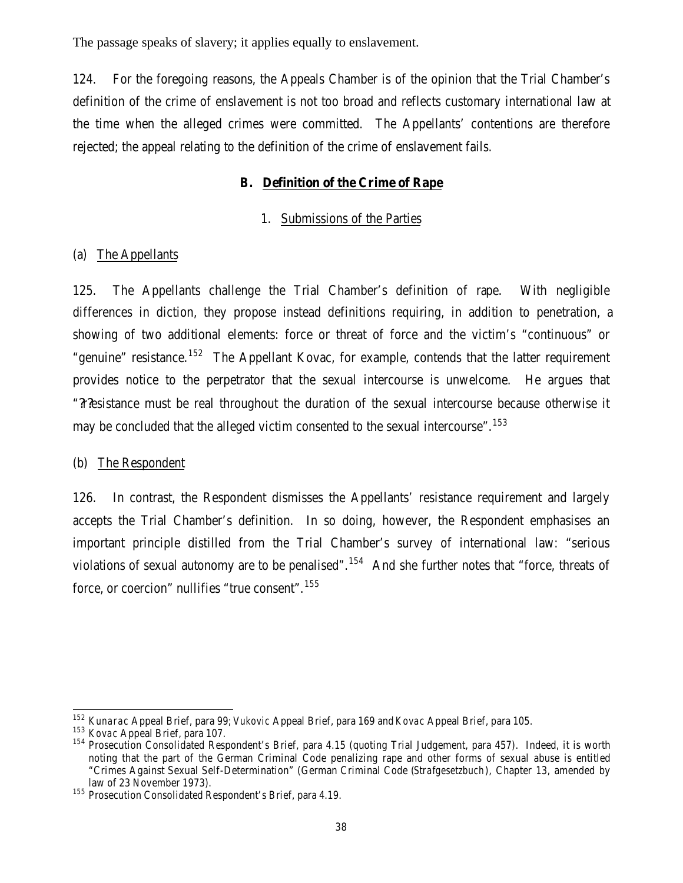The passage speaks of slavery; it applies equally to enslavement.

124. For the foregoing reasons, the Appeals Chamber is of the opinion that the Trial Chamber's definition of the crime of enslavement is not too broad and reflects customary international law at the time when the alleged crimes were committed. The Appellants' contentions are therefore rejected; the appeal relating to the definition of the crime of enslavement fails.

### **B. Definition of the Crime of Rape**

### 1. Submissions of the Parties

### (a) The Appellants

125. The Appellants challenge the Trial Chamber's definition of rape. With negligible differences in diction, they propose instead definitions requiring, in addition to penetration, a showing of two additional elements: force or threat of force and the victim's "continuous" or "genuine" resistance.<sup>152</sup> The Appellant Kovac, for example, contends that the latter requirement provides notice to the perpetrator that the sexual intercourse is unwelcome. He argues that "?r?esistance must be real throughout the duration of the sexual intercourse because otherwise it may be concluded that the alleged victim consented to the sexual intercourse".<sup>153</sup>

### (b) The Respondent

126. In contrast, the Respondent dismisses the Appellants' resistance requirement and largely accepts the Trial Chamber's definition. In so doing, however, the Respondent emphasises an important principle distilled from the Trial Chamber's survey of international law: "serious violations of sexual autonomy are to be penalised".<sup>154</sup> And she further notes that "force, threats of force, or coercion" nullifies "true consent".<sup>155</sup>

 <sup>152</sup> *Kunarac* Appeal Brief, para 99; *Vukovic* Appeal Brief, para 169 and *Kovac* Appeal Brief, para 105.

<sup>153</sup> *Kovac* Appeal Brief, para 107.

<sup>154</sup> Prosecution Consolidated Respondent's Brief, para 4.15 (quoting Trial Judgement, para 457). Indeed, it is worth noting that the part of the German Criminal Code penalizing rape and other forms of sexual abuse is entitled "Crimes Against Sexual Self-Determination" (German Criminal Code (*Strafgesetzbuch*), Chapter 13, amended by law of 23 November 1973).

<sup>&</sup>lt;sup>155</sup> Prosecution Consolidated Respondent's Brief, para 4.19.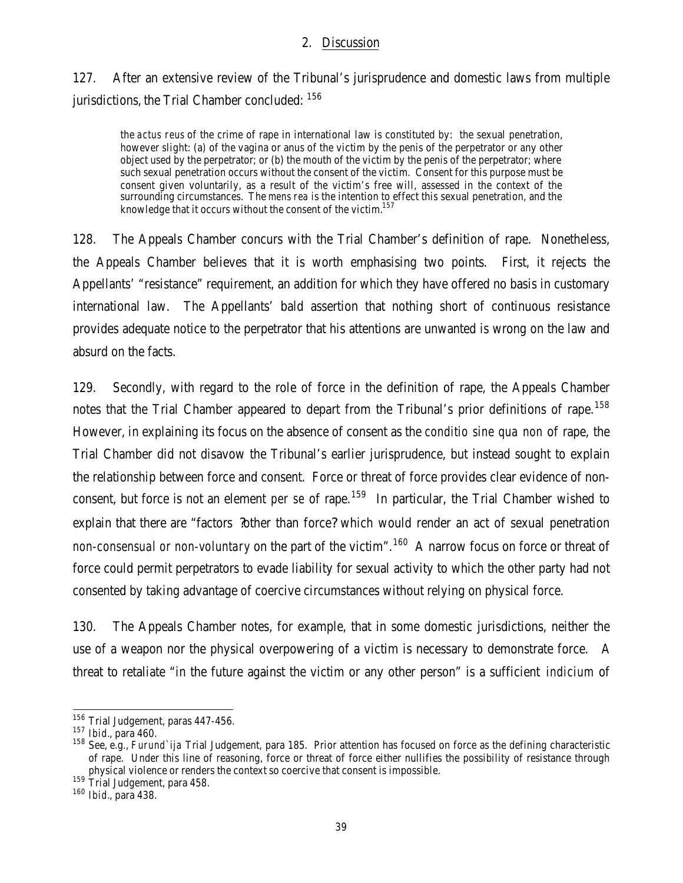#### 2. Discussion

127. After an extensive review of the Tribunal's jurisprudence and domestic laws from multiple jurisdictions, the Trial Chamber concluded: 156

the *actus reus* of the crime of rape in international law is constituted by: the sexual penetration, however slight: (a) of the vagina or anus of the victim by the penis of the perpetrator or any other object used by the perpetrator; or (b) the mouth of the victim by the penis of the perpetrator; where such sexual penetration occurs without the consent of the victim. Consent for this purpose must be consent given voluntarily, as a result of the victim's free will, assessed in the context of the surrounding circumstances. The *mens rea* is the intention to effect this sexual penetration, and the knowledge that it occurs without the consent of the victim.<sup>157</sup>

128. The Appeals Chamber concurs with the Trial Chamber's definition of rape. Nonetheless, the Appeals Chamber believes that it is worth emphasising two points. First, it rejects the Appellants' "resistance" requirement, an addition for which they have offered no basis in customary international law. The Appellants' bald assertion that nothing short of continuous resistance provides adequate notice to the perpetrator that his attentions are unwanted is wrong on the law and absurd on the facts.

129. Secondly, with regard to the role of force in the definition of rape, the Appeals Chamber notes that the Trial Chamber appeared to depart from the Tribunal's prior definitions of rape.<sup>158</sup> However, in explaining its focus on the absence of consent as the *conditio sine qua non* of rape, the Trial Chamber did not disavow the Tribunal's earlier jurisprudence, but instead sought to explain the relationship between force and consent. Force or threat of force provides clear evidence of nonconsent, but force is not an element *per se* of rape.<sup>159</sup> In particular, the Trial Chamber wished to explain that there are "factors ?other than force? which would render an act of sexual penetration *non-consensual or non-voluntary* on the part of the victim".<sup>160</sup> A narrow focus on force or threat of force could permit perpetrators to evade liability for sexual activity to which the other party had not consented by taking advantage of coercive circumstances without relying on physical force.

130. The Appeals Chamber notes, for example, that in some domestic jurisdictions, neither the use of a weapon nor the physical overpowering of a victim is necessary to demonstrate force. A threat to retaliate "in the future against the victim or any other person" is a sufficient *indicium* of

<sup>&</sup>lt;sup>156</sup> Trial Judgement, paras 447-456.

<sup>157</sup> *Ibid.*, para 460.

<sup>158</sup> See, e.g., *Furund`ija* Trial Judgement, para 185. Prior attention has focused on force as the defining characteristic of rape. Under this line of reasoning, force or threat of force either nullifies the possibility of resistance through physical violence or renders the context so coercive that consent is impossible.

<sup>&</sup>lt;sup>159</sup> Trial Judgement, para 458.

<sup>160</sup> *Ibid.*, para 438.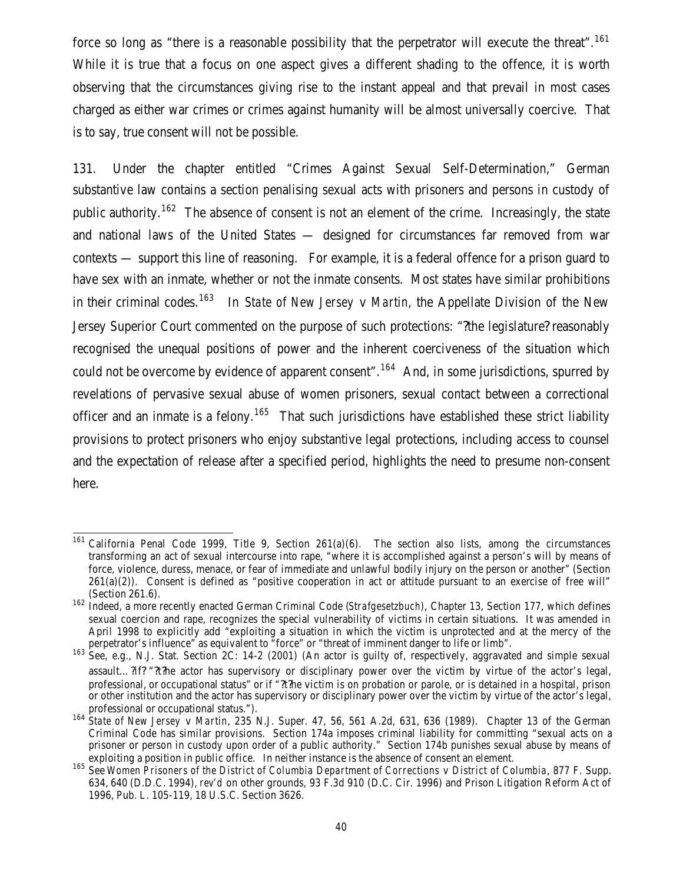force so long as "there is a reasonable possibility that the perpetrator will execute the threat".<sup>161</sup> While it is true that a focus on one aspect gives a different shading to the offence, it is worth observing that the circumstances giving rise to the instant appeal and that prevail in most cases charged as either war crimes or crimes against humanity will be almost universally coercive. That is to say, true consent will not be possible.

131. Under the chapter entitled "Crimes Against Sexual Self-Determination," German substantive law contains a section penalising sexual acts with prisoners and persons in custody of public authority.<sup>162</sup> The absence of consent is not an element of the crime. Increasingly, the state and national laws of the United States — designed for circumstances far removed from war contexts — support this line of reasoning. For example, it is a federal offence for a prison guard to have sex with an inmate, whether or not the inmate consents. Most states have similar prohibitions in their criminal codes.<sup>163</sup> In *State of New Jersey* v *Martin*, the Appellate Division of the New Jersey Superior Court commented on the purpose of such protections: "?the legislature? reasonably recognised the unequal positions of power and the inherent coerciveness of the situation which could not be overcome by evidence of apparent consent".<sup>164</sup> And, in some jurisdictions, spurred by revelations of pervasive sexual abuse of women prisoners, sexual contact between a correctional officer and an inmate is a felony.<sup>165</sup> That such jurisdictions have established these strict liability provisions to protect prisoners who enjoy substantive legal protections, including access to counsel and the expectation of release after a specified period, highlights the need to presume non-consent here.

 $\overline{a}$ <sup>161</sup> California Penal Code 1999, Title 9, Section 261(a)(6). The section also lists, among the circumstances transforming an act of sexual intercourse into rape, "where it is accomplished against a person's will by means of force, violence, duress, menace, or fear of immediate and unlawful bodily injury on the person or another" (Section 261(a)(2)). Consent is defined as "positive cooperation in act or attitude pursuant to an exercise of free will" (Section 261.6).

<sup>162</sup> Indeed, a more recently enacted German Criminal Code (*Strafgesetzbuch*), Chapter 13, Section 177, which defines sexual coercion and rape, recognizes the special vulnerability of victims in certain situations. It was amended in April 1998 to explicitly add "exploiting a situation in which the victim is unprotected and at the mercy of the perpetrator's influence" as equivalent to "force" or "threat of imminent danger to life or limb".

<sup>163</sup> See, e.g., N.J. Stat. Section 2C: 14-2 (2001) (An actor is guilty of, respectively, aggravated and simple sexual assault…?if? "?t?he actor has supervisory or disciplinary power over the victim by virtue of the actor's legal, professional, or occupational status" or if "?t?he victim is on probation or parole, or is detained in a hospital, prison or other institution and the actor has supervisory or disciplinary power over the victim by virtue of the actor's legal, professional or occupational status.").

<sup>164</sup> *State of New Jersey* v *Martin*, 235 N.J. Super. 47, 56, 561 A.2d, 631, 636 (1989). Chapter 13 of the German Criminal Code has similar provisions. Section 174a imposes criminal liability for committing "sexual acts on a prisoner or person in custody upon order of a public authority." Section 174b punishes sexual abuse by means of exploiting a position in public office. In neither instance is the absence of consent an element.

<sup>165</sup> See *Women Prisoners of the District of Columbia Department of Corrections* v *District of Columbia*, 877 F. Supp. 634, 640 (D.D.C. 1994), *rev'd* on other grounds, 93 F.3d 910 (D.C. Cir. 1996) and Prison Litigation Reform Act of 1996, Pub. L. 105-119, 18 U.S.C. Section 3626.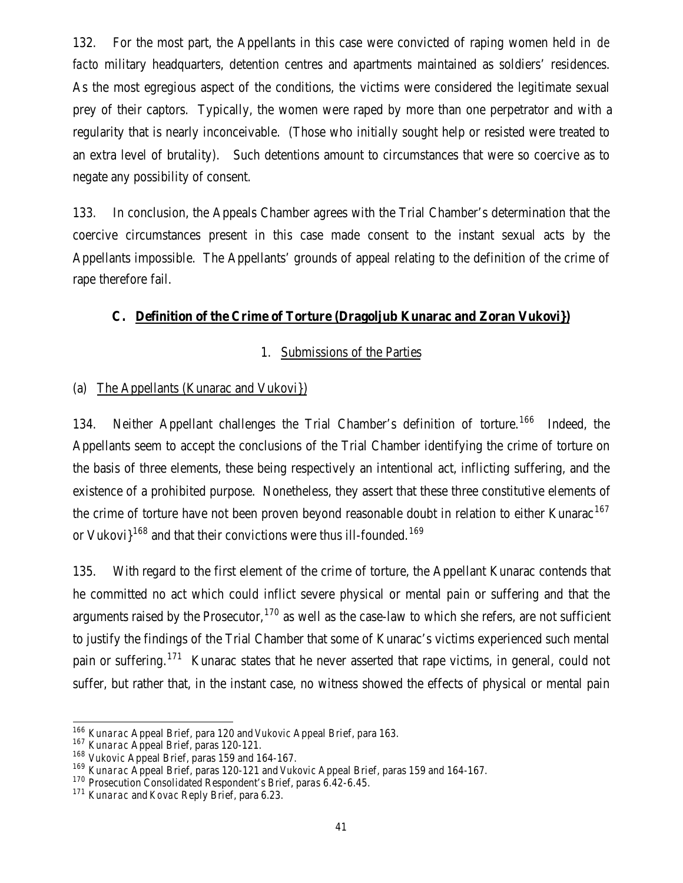132. For the most part, the Appellants in this case were convicted of raping women held in *de facto* military headquarters, detention centres and apartments maintained as soldiers' residences. As the most egregious aspect of the conditions, the victims were considered the legitimate sexual prey of their captors. Typically, the women were raped by more than one perpetrator and with a regularity that is nearly inconceivable. (Those who initially sought help or resisted were treated to an extra level of brutality). Such detentions amount to circumstances that were so coercive as to negate any possibility of consent.

133. In conclusion, the Appeals Chamber agrees with the Trial Chamber's determination that the coercive circumstances present in this case made consent to the instant sexual acts by the Appellants impossible. The Appellants' grounds of appeal relating to the definition of the crime of rape therefore fail.

# **C. Definition of the Crime of Torture (Dragoljub Kunarac and Zoran Vukovi})**

### 1. Submissions of the Parties

### (a) The Appellants (Kunarac and Vukovi})

134. Neither Appellant challenges the Trial Chamber's definition of torture.<sup>166</sup> Indeed, the Appellants seem to accept the conclusions of the Trial Chamber identifying the crime of torture on the basis of three elements, these being respectively an intentional act, inflicting suffering, and the existence of a prohibited purpose. Nonetheless, they assert that these three constitutive elements of the crime of torture have not been proven beyond reasonable doubt in relation to either Kunarac<sup>167</sup> or Vukovi $3^{168}$  and that their convictions were thus ill-founded.<sup>169</sup>

135. With regard to the first element of the crime of torture, the Appellant Kunarac contends that he committed no act which could inflict severe physical or mental pain or suffering and that the arguments raised by the Prosecutor,  $170$  as well as the case-law to which she refers, are not sufficient to justify the findings of the Trial Chamber that some of Kunarac's victims experienced such mental pain or suffering.<sup>171</sup> Kunarac states that he never asserted that rape victims, in general, could not suffer, but rather that, in the instant case, no witness showed the effects of physical or mental pain

 <sup>166</sup> *Kunarac* Appeal Brief, para 120 and *Vukovic* Appeal Brief, para 163.

<sup>167</sup> *Kunarac* Appeal Brief, paras 120-121.

<sup>168</sup> *Vukovic* Appeal Brief, paras 159 and 164-167.

<sup>169</sup> *Kunarac* Appeal Brief, paras 120-121 and *Vukovic* Appeal Brief, paras 159 and 164-167.

<sup>170</sup> Prosecution Consolidated Respondent's Brief, paras 6.42-6.45.

<sup>171</sup> *Kunarac* and *Kovac* Reply Brief, para 6.23.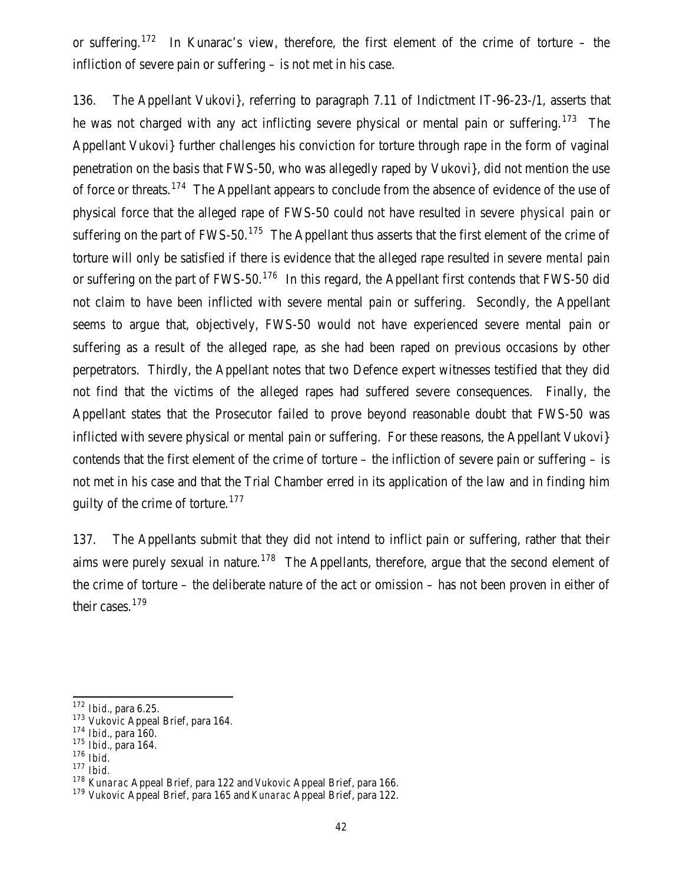or suffering.<sup>172</sup> In Kunarac's view, therefore, the first element of the crime of torture – the infliction of severe pain or suffering – is not met in his case.

136. The Appellant Vukovi}, referring to paragraph 7.11 of Indictment IT-96-23-/1, asserts that he was not charged with any act inflicting severe physical or mental pain or suffering.<sup>173</sup> The Appellant Vukovi} further challenges his conviction for torture through rape in the form of vaginal penetration on the basis that FWS-50, who was allegedly raped by Vukovi}, did not mention the use of force or threats.<sup>174</sup> The Appellant appears to conclude from the absence of evidence of the use of physical force that the alleged rape of FWS-50 could not have resulted in severe *physical* pain or suffering on the part of FWS-50.<sup>175</sup> The Appellant thus asserts that the first element of the crime of torture will only be satisfied if there is evidence that the alleged rape resulted in severe *mental* pain or suffering on the part of FWS-50.<sup>176</sup> In this regard, the Appellant first contends that FWS-50 did not claim to have been inflicted with severe mental pain or suffering. Secondly, the Appellant seems to argue that, objectively, FWS-50 would not have experienced severe mental pain or suffering as a result of the alleged rape, as she had been raped on previous occasions by other perpetrators. Thirdly, the Appellant notes that two Defence expert witnesses testified that they did not find that the victims of the alleged rapes had suffered severe consequences. Finally, the Appellant states that the Prosecutor failed to prove beyond reasonable doubt that FWS-50 was inflicted with severe physical or mental pain or suffering. For these reasons, the Appellant Vukovi} contends that the first element of the crime of torture – the infliction of severe pain or suffering – is not met in his case and that the Trial Chamber erred in its application of the law and in finding him guilty of the crime of torture.<sup>177</sup>

137. The Appellants submit that they did not intend to inflict pain or suffering, rather that their aims were purely sexual in nature.<sup>178</sup> The Appellants, therefore, argue that the second element of the crime of torture – the deliberate nature of the act or omission – has not been proven in either of their cases.<sup>179</sup>

 <sup>172</sup> *Ibid.*, para 6.25.

<sup>173</sup> *Vukovic* Appeal Brief, para 164*.*

<sup>174</sup> *Ibid.*, para 160.

<sup>175</sup> *Ibid.*, para 164.

<sup>176</sup> *Ibid.*

<sup>177</sup> *Ibid.*

<sup>178</sup> *Kunarac* Appeal Brief, para 122 and *Vukovic* Appeal Brief, para 166.

<sup>179</sup> *Vukovic* Appeal Brief, para 165 and *Kunarac* Appeal Brief, para 122.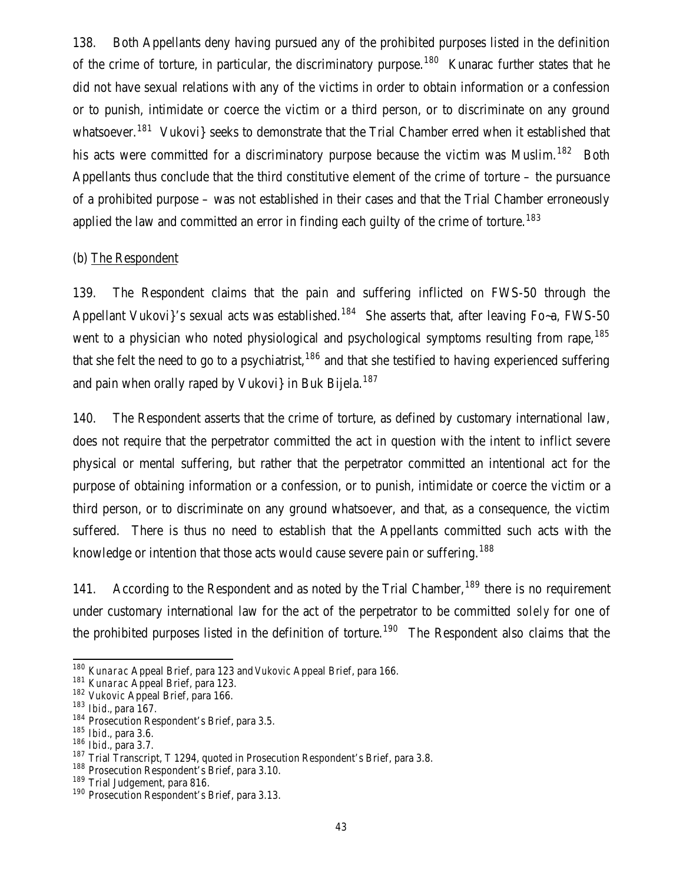138. Both Appellants deny having pursued any of the prohibited purposes listed in the definition of the crime of torture, in particular, the discriminatory purpose.<sup>180</sup> Kunarac further states that he did not have sexual relations with any of the victims in order to obtain information or a confession or to punish, intimidate or coerce the victim or a third person, or to discriminate on any ground whatsoever.<sup>181</sup> Vukovi} seeks to demonstrate that the Trial Chamber erred when it established that his acts were committed for a discriminatory purpose because the victim was Muslim.<sup>182</sup> Both Appellants thus conclude that the third constitutive element of the crime of torture – the pursuance of a prohibited purpose – was not established in their cases and that the Trial Chamber erroneously applied the law and committed an error in finding each quilty of the crime of torture.<sup>183</sup>

### (b) The Respondent

139. The Respondent claims that the pain and suffering inflicted on FWS-50 through the Appellant Vukovi}'s sexual acts was established.<sup>184</sup> She asserts that, after leaving Fo~a, FWS-50 went to a physician who noted physiological and psychological symptoms resulting from rape.<sup>185</sup> that she felt the need to go to a psychiatrist,  $186$  and that she testified to having experienced suffering and pain when orally raped by Vukovi } in Buk Bijela.<sup>187</sup>

140. The Respondent asserts that the crime of torture, as defined by customary international law, does not require that the perpetrator committed the act in question with the intent to inflict severe physical or mental suffering, but rather that the perpetrator committed an intentional act for the purpose of obtaining information or a confession, or to punish, intimidate or coerce the victim or a third person, or to discriminate on any ground whatsoever, and that, as a consequence, the victim suffered. There is thus no need to establish that the Appellants committed such acts with the knowledge or intention that those acts would cause severe pain or suffering.<sup>188</sup>

141. According to the Respondent and as noted by the Trial Chamber,<sup>189</sup> there is no requirement under customary international law for the act of the perpetrator to be committed *solely* for one of the prohibited purposes listed in the definition of torture.<sup>190</sup> The Respondent also claims that the

 <sup>180</sup> *Kunarac* Appeal Brief, para 123 and *Vukovic* Appeal Brief, para 166.

<sup>181</sup> *Kunarac* Appeal Brief, para 123.

<sup>182</sup> *Vukovic* Appeal Brief, para 166.

<sup>183</sup> *Ibid.*, para 167.

<sup>&</sup>lt;sup>184</sup> Prosecution Respondent's Brief, para 3.5.

<sup>185</sup> *Ibid.*, para 3.6.

<sup>186</sup> *Ibid.*, para 3.7.

 $187$  Trial Transcript, T 1294, quoted in Prosecution Respondent's Brief, para 3.8.

<sup>&</sup>lt;sup>188</sup> Prosecution Respondent's Brief, para 3.10.

<sup>189</sup> Trial Judgement, para 816.

<sup>&</sup>lt;sup>190</sup> Prosecution Respondent's Brief, para 3.13.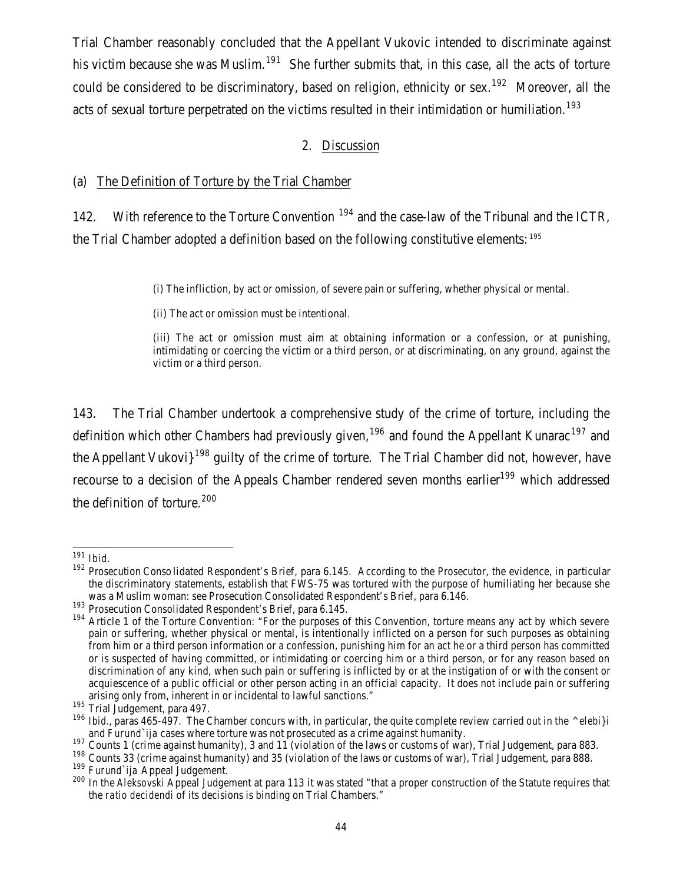Trial Chamber reasonably concluded that the Appellant Vukovic intended to discriminate against his victim because she was Muslim.<sup>191</sup> She further submits that, in this case, all the acts of torture could be considered to be discriminatory, based on religion, ethnicity or sex.<sup>192</sup> Moreover, all the acts of sexual torture perpetrated on the victims resulted in their intimidation or humiliation.<sup>193</sup>

### 2. Discussion

### (a) The Definition of Torture by the Trial Chamber

142. With reference to the Torture Convention <sup>194</sup> and the case-law of the Tribunal and the ICTR, the Trial Chamber adopted a definition based on the following constitutive elements: <sup>195</sup>

(i) The infliction, by act or omission, of severe pain or suffering, whether physical or mental.

(ii) The act or omission must be intentional.

(iii) The act or omission must aim at obtaining information or a confession, or at punishing, intimidating or coercing the victim or a third person, or at discriminating, on any ground, against the victim or a third person.

143. The Trial Chamber undertook a comprehensive study of the crime of torture, including the definition which other Chambers had previously given,<sup>196</sup> and found the Appellant Kunarac<sup>197</sup> and the Appellant Vukovi}<sup>198</sup> guilty of the crime of torture. The Trial Chamber did not, however, have recourse to a decision of the Appeals Chamber rendered seven months earlier<sup>199</sup> which addressed the definition of torture.<sup>200</sup>

 <sup>191</sup> *Ibid.*

<sup>&</sup>lt;sup>192</sup> Prosecution Conso lidated Respondent's Brief, para 6.145. According to the Prosecutor, the evidence, in particular the discriminatory statements, establish that FWS-75 was tortured with the purpose of humiliating her because she was a Muslim woman: see Prosecution Consolidated Respondent's Brief, para 6.146.

<sup>&</sup>lt;sup>193</sup> Prosecution Consolidated Respondent's Brief, para 6.145.

<sup>&</sup>lt;sup>194</sup> Article 1 of the Torture Convention: "For the purposes of this Convention, torture means any act by which severe pain or suffering, whether physical or mental, is intentionally inflicted on a person for such purposes as obtaining from him or a third person information or a confession, punishing him for an act he or a third person has committed or is suspected of having committed, or intimidating or coercing him or a third person, or for any reason based on discrimination of any kind, when such pain or suffering is inflicted by or at the instigation of or with the consent or acquiescence of a public official or other person acting in an official capacity. It does not include pain or suffering arising only from, inherent in or incidental to lawful sanctions."

<sup>195</sup>  $\frac{a_1}{b_1}$  Trial Judgement, para 497.

<sup>196</sup> *Ibid.,* paras 465-497. The Chamber concurs with, in particular, the quite complete review carried out in the *^elebi}i* and *Furund`ija* cases where torture was not prosecuted as a crime against humanity.

<sup>197</sup> Counts 1 (crime against humanity), 3 and 11 (violation of the laws or customs of war), Trial Judgement, para 883.

<sup>&</sup>lt;sup>198</sup> Counts 33 (crime against humanity) and 35 (violation of the laws or customs of war), Trial Judgement, para 888.

<sup>199</sup> *Furund`ija* Appeal Judgement.

<sup>200</sup> In the *Aleksovski* Appeal Judgement at para 113 it was stated "that a proper construction of the Statute requires that the *ratio decidendi* of its decisions is binding on Trial Chambers."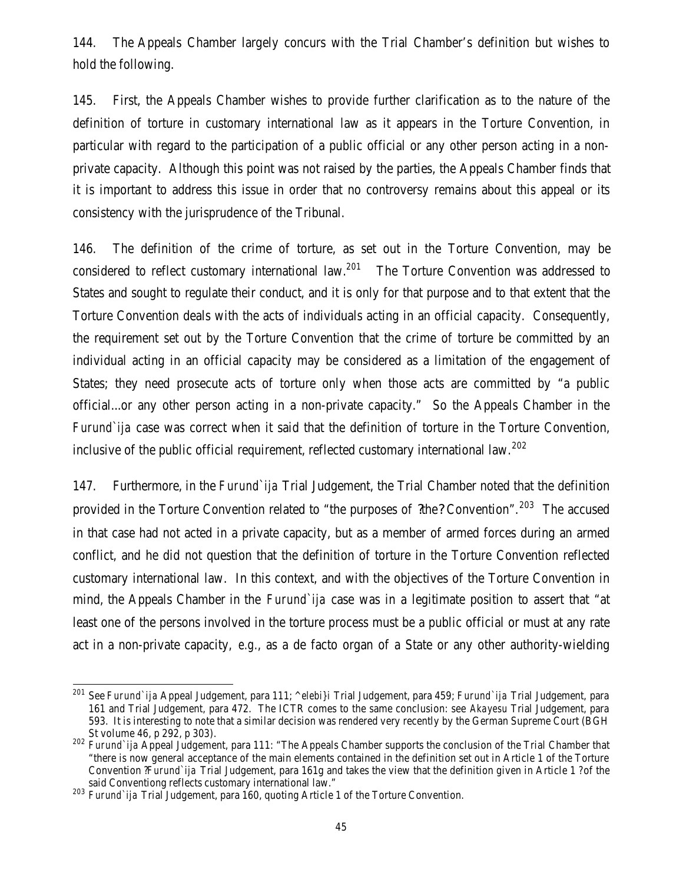144. The Appeals Chamber largely concurs with the Trial Chamber's definition but wishes to hold the following.

145. First, the Appeals Chamber wishes to provide further clarification as to the nature of the definition of torture in customary international law as it appears in the Torture Convention, in particular with regard to the participation of a public official or any other person acting in a nonprivate capacity. Although this point was not raised by the parties, the Appeals Chamber finds that it is important to address this issue in order that no controversy remains about this appeal or its consistency with the jurisprudence of the Tribunal.

146. The definition of the crime of torture, as set out in the Torture Convention, may be considered to reflect customary international law.<sup>201</sup> The Torture Convention was addressed to States and sought to regulate their conduct, and it is only for that purpose and to that extent that the Torture Convention deals with the acts of individuals acting in an official capacity. Consequently, the requirement set out by the Torture Convention that the crime of torture be committed by an individual acting in an official capacity may be considered as a limitation of the engagement of States; they need prosecute acts of torture only when those acts are committed by "a public official...or any other person acting in a non-private capacity." So the Appeals Chamber in the *Furund`ija* case was correct when it said that the definition of torture in the Torture Convention, inclusive of the public official requirement, reflected customary international law.<sup>202</sup>

147. Furthermore, in the *Furund`ija* Trial Judgement, the Trial Chamber noted that the definition provided in the Torture Convention related to "the purposes of ?the? Convention".<sup>203</sup> The accused in that case had not acted in a private capacity, but as a member of armed forces during an armed conflict, and he did not question that the definition of torture in the Torture Convention reflected customary international law. In this context, and with the objectives of the Torture Convention in mind, the Appeals Chamber in the *Furund`ija* case was in a legitimate position to assert that "at least one of the persons involved in the torture process must be a public official or must at any rate act in a non-private capacity, *e.g.*, as a de facto organ of a State or any other authority-wielding

 $\overline{a}$ <sup>201</sup> See *Furund`ija* Appeal Judgement, para 111; *^elebi}i* Trial Judgement, para 459; *Furund`ija* Trial Judgement, para 161 and Trial Judgement, para 472. The ICTR comes to the same conclusion: see *Akayesu* Trial Judgement, para 593. It is interesting to note that a similar decision was rendered very recently by the German Supreme Court (BGH St volume 46, p 292, p 303).

<sup>202</sup> *Furund`ija* Appeal Judgement, para 111: "The Appeals Chamber supports the conclusion of the Trial Chamber that "there is now general acceptance of the main elements contained in the definition set out in Article 1 of the Torture Convention ?*Furund`ija* Trial Judgement, para 161g and takes the view that the definition given in Article 1 ?of the said Conventiong reflects customary international law."

<sup>203</sup> *Furund`ija* Trial Judgement, para 160, quoting Article 1 of the Torture Convention.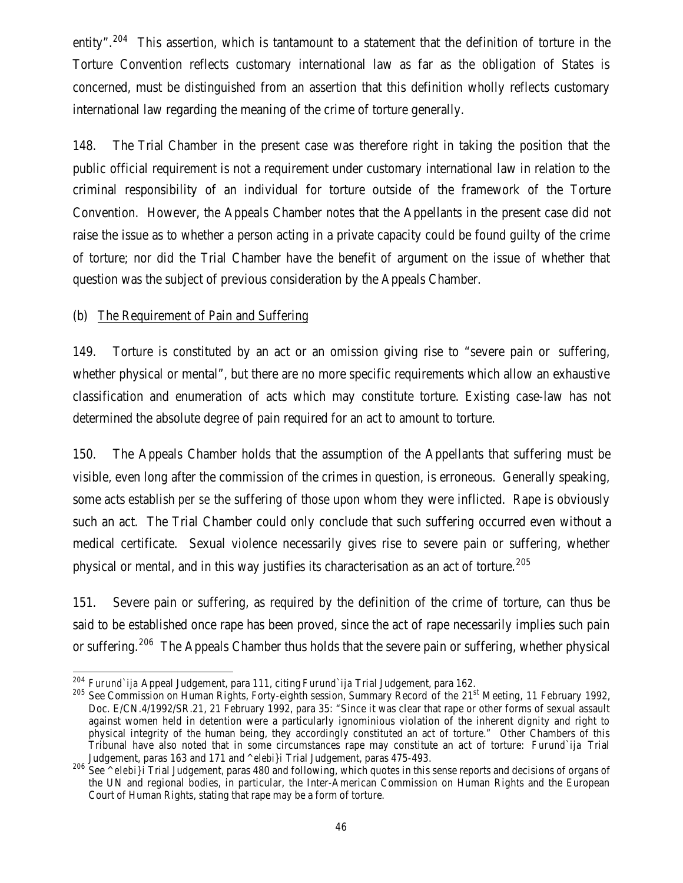entity".<sup>204</sup> This assertion, which is tantamount to a statement that the definition of torture in the Torture Convention reflects customary international law as far as the obligation of States is concerned, must be distinguished from an assertion that this definition wholly reflects customary international law regarding the meaning of the crime of torture generally.

148. The Trial Chamber in the present case was therefore right in taking the position that the public official requirement is not a requirement under customary international law in relation to the criminal responsibility of an individual for torture outside of the framework of the Torture Convention. However, the Appeals Chamber notes that the Appellants in the present case did not raise the issue as to whether a person acting in a private capacity could be found guilty of the crime of torture; nor did the Trial Chamber have the benefit of argument on the issue of whether that question was the subject of previous consideration by the Appeals Chamber.

### (b) The Requirement of Pain and Suffering

149. Torture is constituted by an act or an omission giving rise to "severe pain or suffering, whether physical or mental", but there are no more specific requirements which allow an exhaustive classification and enumeration of acts which may constitute torture. Existing case-law has not determined the absolute degree of pain required for an act to amount to torture.

150. The Appeals Chamber holds that the assumption of the Appellants that suffering must be visible, even long after the commission of the crimes in question, is erroneous. Generally speaking, some acts establish *per se* the suffering of those upon whom they were inflicted. Rape is obviously such an act. The Trial Chamber could only conclude that such suffering occurred even without a medical certificate. Sexual violence necessarily gives rise to severe pain or suffering, whether physical or mental, and in this way justifies its characterisation as an act of torture.<sup>205</sup>

151. Severe pain or suffering, as required by the definition of the crime of torture, can thus be said to be established once rape has been proved, since the act of rape necessarily implies such pain or suffering.<sup>206</sup> The Appeals Chamber thus holds that the severe pain or suffering, whether physical

 $\overline{a}$ <sup>204</sup> *Furund`ija* Appeal Judgement, para 111, citing *Furund`ija* Trial Judgement, para 162.

<sup>205</sup> See Commission on Human Rights, Forty-eighth session, Summary Record of the 21<sup>st</sup> Meeting, 11 February 1992, Doc. E/CN.4/1992/SR.21, 21 February 1992, para 35: "Since it was clear that rape or other forms of sexual assault against women held in detention were a particularly ignominious violation of the inherent dignity and right to physical integrity of the human being, they accordingly constituted an act of torture." Other Chambers of this Tribunal have also noted that in some circumstances rape may constitute an act of torture: *Furund`ija* Trial Judgement, paras 163 and 171 and *^elebi}i* Trial Judgement, paras 475-493.

<sup>206</sup> See *^elebi}i* Trial Judgement, paras 480 and following, which quotes in this sense reports and decisions of organs of the UN and regional bodies, in particular, the Inter-American Commission on Human Rights and the European Court of Human Rights, stating that rape may be a form of torture.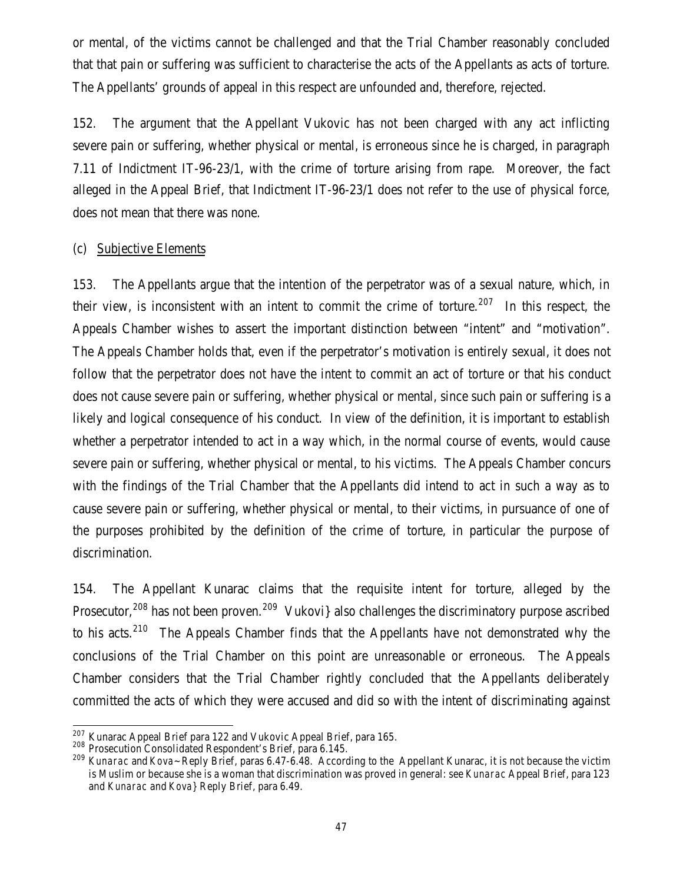or mental, of the victims cannot be challenged and that the Trial Chamber reasonably concluded that that pain or suffering was sufficient to characterise the acts of the Appellants as acts of torture. The Appellants' grounds of appeal in this respect are unfounded and, therefore, rejected.

152. The argument that the Appellant Vukovic has not been charged with any act inflicting severe pain or suffering, whether physical or mental, is erroneous since he is charged, in paragraph 7.11 of Indictment IT-96-23/1, with the crime of torture arising from rape. Moreover, the fact alleged in the Appeal Brief, that Indictment IT-96-23/1 does not refer to the use of physical force, does not mean that there was none.

### (c) Subjective Elements

153. The Appellants argue that the intention of the perpetrator was of a sexual nature, which, in their view, is inconsistent with an intent to commit the crime of torture.<sup>207</sup> In this respect, the Appeals Chamber wishes to assert the important distinction between "intent" and "motivation". The Appeals Chamber holds that, even if the perpetrator's motivation is entirely sexual, it does not follow that the perpetrator does not have the intent to commit an act of torture or that his conduct does not cause severe pain or suffering, whether physical or mental, since such pain or suffering is a likely and logical consequence of his conduct. In view of the definition, it is important to establish whether a perpetrator intended to act in a way which, in the normal course of events, would cause severe pain or suffering, whether physical or mental, to his victims. The Appeals Chamber concurs with the findings of the Trial Chamber that the Appellants did intend to act in such a way as to cause severe pain or suffering, whether physical or mental, to their victims, in pursuance of one of the purposes prohibited by the definition of the crime of torture, in particular the purpose of discrimination.

154. The Appellant Kunarac claims that the requisite intent for torture, alleged by the Prosecutor,  $208$  has not been proven.  $209$  Vukovi also challenges the discriminatory purpose ascribed to his acts.<sup>210</sup> The Appeals Chamber finds that the Appellants have not demonstrated why the conclusions of the Trial Chamber on this point are unreasonable or erroneous. The Appeals Chamber considers that the Trial Chamber rightly concluded that the Appellants deliberately committed the acts of which they were accused and did so with the intent of discriminating against

 $\overline{a}$  $^{207}$  Kunarac Appeal Brief para 122 and Vukovic Appeal Brief, para 165.

<sup>208</sup> Prosecution Consolidated Respondent's Brief, para 6.145.

<sup>209</sup> *Kunarac* and *Kova~* Reply Brief, paras 6.47-6.48. According to the Appellant Kunarac, it is not because the victim is Muslim or because she is a woman that discrimination was proved in general: see *Kunarac* Appeal Brief, para 123 and *Kunarac* and *Kova}* Reply Brief, para 6.49.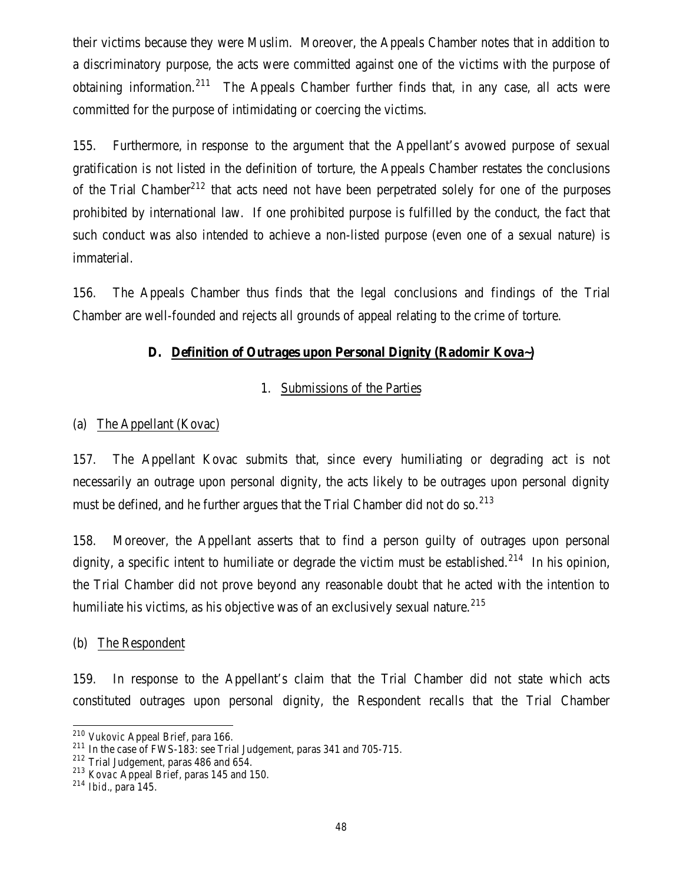their victims because they were Muslim. Moreover, the Appeals Chamber notes that in addition to a discriminatory purpose, the acts were committed against one of the victims with the purpose of obtaining information.<sup>211</sup> The Appeals Chamber further finds that, in any case, all acts were committed for the purpose of intimidating or coercing the victims.

155. Furthermore, in response to the argument that the Appellant's avowed purpose of sexual gratification is not listed in the definition of torture, the Appeals Chamber restates the conclusions of the Trial Chamber<sup>212</sup> that acts need not have been perpetrated solely for one of the purposes prohibited by international law. If one prohibited purpose is fulfilled by the conduct, the fact that such conduct was also intended to achieve a non-listed purpose (even one of a sexual nature) is immaterial.

156. The Appeals Chamber thus finds that the legal conclusions and findings of the Trial Chamber are well-founded and rejects all grounds of appeal relating to the crime of torture.

### **D. Definition of Outrages upon Personal Dignity (Radomir Kova~)**

### 1. Submissions of the Parties

### (a) The Appellant (Kovac)

157. The Appellant Kovac submits that, since every humiliating or degrading act is not necessarily an outrage upon personal dignity, the acts likely to be outrages upon personal dignity must be defined, and he further argues that the Trial Chamber did not do so.  $213$ 

158. Moreover, the Appellant asserts that to find a person guilty of outrages upon personal dignity, a specific intent to humiliate or degrade the victim must be established.<sup>214</sup> In his opinion, the Trial Chamber did not prove beyond any reasonable doubt that he acted with the intention to humiliate his victims, as his objective was of an exclusively sexual nature.<sup>215</sup>

### (b) The Respondent

159. In response to the Appellant's claim that the Trial Chamber did not state which acts constituted outrages upon personal dignity, the Respondent recalls that the Trial Chamber

 $\overline{a}$ <sup>210</sup> *Vukovic* Appeal Brief, para 166.

<sup>&</sup>lt;sup>211</sup> In the case of FWS-183: see Trial Judgement, paras 341 and 705-715.

<sup>&</sup>lt;sup>212</sup> Trial Judgement, paras 486 and 654.

<sup>213</sup> *Kovac* Appeal Brief, paras 145 and 150.

<sup>214</sup> *Ibid.*, para 145.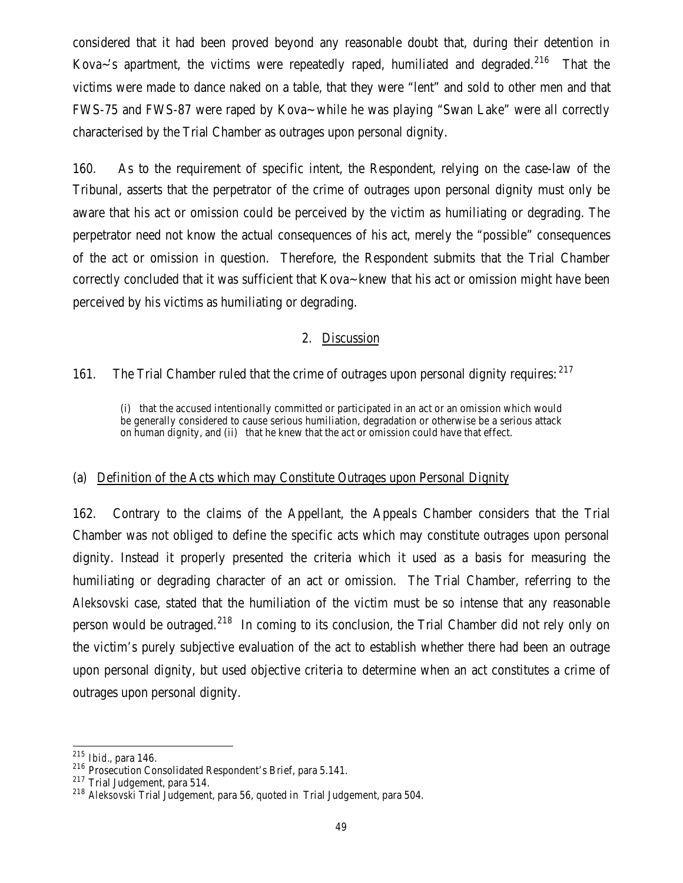considered that it had been proved beyond any reasonable doubt that, during their detention in Kova-'s apartment, the victims were repeatedly raped, humiliated and degraded.<sup>216</sup> That the victims were made to dance naked on a table, that they were "lent" and sold to other men and that FWS-75 and FWS-87 were raped by Kova~ while he was playing "Swan Lake" were all correctly characterised by the Trial Chamber as outrages upon personal dignity.

160. As to the requirement of specific intent, the Respondent, relying on the case-law of the Tribunal, asserts that the perpetrator of the crime of outrages upon personal dignity must only be aware that his act or omission could be perceived by the victim as humiliating or degrading. The perpetrator need not know the actual consequences of his act, merely the "possible" consequences of the act or omission in question. Therefore, the Respondent submits that the Trial Chamber correctly concluded that it was sufficient that Kova~ knew that his act or omission might have been perceived by his victims as humiliating or degrading.

### 2. Discussion

161. The Trial Chamber ruled that the crime of outrages upon personal dignity requires: <sup>217</sup>

(i) that the accused intentionally committed or participated in an act or an omission which would be generally considered to cause serious humiliation, degradation or otherwise be a serious attack on human dignity, and (ii) that he knew that the act or omission could have that effect.

### (a) Definition of the Acts which may Constitute Outrages upon Personal Dignity

162. Contrary to the claims of the Appellant, the Appeals Chamber considers that the Trial Chamber was not obliged to define the specific acts which may constitute outrages upon personal dignity. Instead it properly presented the criteria which it used as a basis for measuring the humiliating or degrading character of an act or omission. The Trial Chamber, referring to the *Aleksovski* case, stated that the humiliation of the victim must be so intense that any reasonable person would be outraged.<sup>218</sup> In coming to its conclusion, the Trial Chamber did not rely only on the victim's purely subjective evaluation of the act to establish whether there had been an outrage upon personal dignity, but used objective criteria to determine when an act constitutes a crime of outrages upon personal dignity.

 $\overline{a}$ <sup>215</sup> *Ibid.*, para 146.

<sup>&</sup>lt;sup>216</sup> Prosecution Consolidated Respondent's Brief, para 5.141.

<sup>&</sup>lt;sup>217</sup> Trial Judgement, para 514.

<sup>218</sup> *Aleksovski* Trial Judgement, para 56, quoted in Trial Judgement, para 504.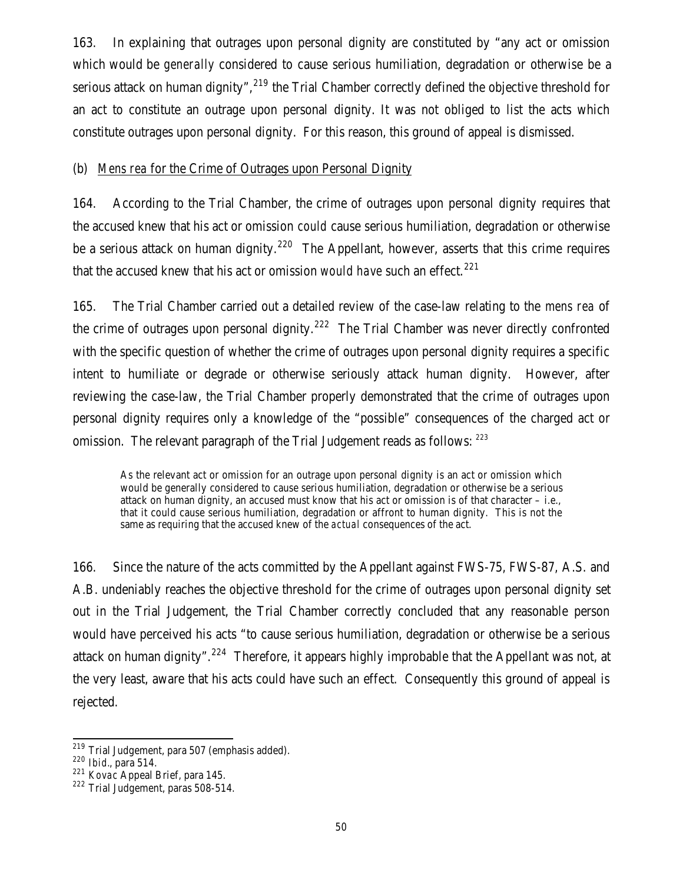163. In explaining that outrages upon personal dignity are constituted by "any act or omission which would be *generally* considered to cause serious humiliation, degradation or otherwise be a serious attack on human dignity",  $219$  the Trial Chamber correctly defined the objective threshold for an act to constitute an outrage upon personal dignity. It was not obliged to list the acts which constitute outrages upon personal dignity. For this reason, this ground of appeal is dismissed.

### (b) *Mens rea* for the Crime of Outrages upon Personal Dignity

164. According to the Trial Chamber, the crime of outrages upon personal dignity requires that the accused knew that his act or omission *could* cause serious humiliation, degradation or otherwise be a serious attack on human dignity.<sup>220</sup> The Appellant, however, asserts that this crime requires that the accused knew that his act or omission *would have* such an effect.<sup>221</sup>

165. The Trial Chamber carried out a detailed review of the case-law relating to the *mens rea* of the crime of outrages upon personal dignity.<sup>222</sup> The Trial Chamber was never directly confronted with the specific question of whether the crime of outrages upon personal dignity requires a specific intent to humiliate or degrade or otherwise seriously attack human dignity. However, after reviewing the case-law, the Trial Chamber properly demonstrated that the crime of outrages upon personal dignity requires only a knowledge of the "possible" consequences of the charged act or omission. The relevant paragraph of the Trial Judgement reads as follows: <sup>223</sup>

As the relevant act or omission for an outrage upon personal dignity is an act or omission which would be generally considered to cause serious humiliation, degradation or otherwise be a serious attack on human dignity, an accused must know that his act or omission is of that character – i.e., that it could cause serious humiliation, degradation or affront to human dignity. This is not the same as requiring that the accused knew of the *actual* consequences of the act.

166. Since the nature of the acts committed by the Appellant against FWS-75, FWS-87, A.S. and A.B. undeniably reaches the objective threshold for the crime of outrages upon personal dignity set out in the Trial Judgement, the Trial Chamber correctly concluded that any reasonable person would have perceived his acts "to cause serious humiliation, degradation or otherwise be a serious attack on human dignity".<sup>224</sup> Therefore, it appears highly improbable that the Appellant was not, at the very least, aware that his acts could have such an effect. Consequently this ground of appeal is rejected.

 $\overline{a}$ <sup>219</sup> Trial Judgement, para 507 (emphasis added).

<sup>220</sup> *Ibid.*, para 514.

<sup>221</sup> *Kovac* Appeal Brief, para 145.

<sup>&</sup>lt;sup>222</sup> Trial Judgement, paras 508-514.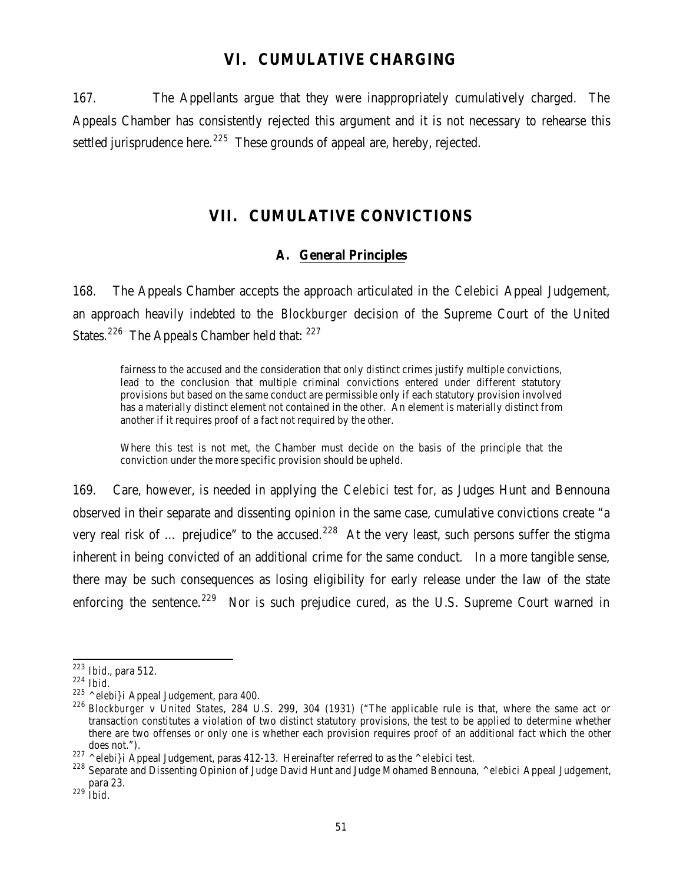# **VI. CUMULATIVE CHARGING**

167. The Appellants argue that they were inappropriately cumulatively charged. The Appeals Chamber has consistently rejected this argument and it is not necessary to rehearse this settled jurisprudence here.<sup>225</sup> These grounds of appeal are, hereby, rejected.

# **VII. CUMULATIVE CONVICTIONS**

# **A. General Principles**

168. The Appeals Chamber accepts the approach articulated in the *Celebici* Appeal Judgement, an approach heavily indebted to the *Blockburger* decision of the Supreme Court of the United States.<sup>226</sup> The Appeals Chamber held that: <sup>227</sup>

fairness to the accused and the consideration that only distinct crimes justify multiple convictions, lead to the conclusion that multiple criminal convictions entered under different statutory provisions but based on the same conduct are permissible only if each statutory provision involved has a materially distinct element not contained in the other. An element is materially distinct from another if it requires proof of a fact not required by the other.

Where this test is not met, the Chamber must decide on the basis of the principle that the conviction under the more specific provision should be upheld.

169. Care, however, is needed in applying the *Celebici* test for, as Judges Hunt and Bennouna observed in their separate and dissenting opinion in the same case, cumulative convictions create "a very real risk of ... prejudice" to the accused.<sup>228</sup> At the very least, such persons suffer the stigma inherent in being convicted of an additional crime for the same conduct. In a more tangible sense, there may be such consequences as losing eligibility for early release under the law of the state enforcing the sentence.<sup>229</sup> Nor is such prejudice cured, as the U.S. Supreme Court warned in

 $\overline{a}$ <sup>223</sup> *Ibid.*, para 512.

<sup>224</sup> *Ibid.*

<sup>225</sup> *^elebi}i* Appeal Judgement, para 400.

<sup>226</sup> *Blockburger* v *United States*, 284 U.S. 299, 304 (1931) ("The applicable rule is that, where the same act or transaction constitutes a violation of two distinct statutory provisions, the test to be applied to determine whether there are two offenses or only one is whether each provision requires proof of an additional fact which the other does not.").

<sup>227</sup> *^elebi}i* Appeal Judgement, paras 412-13. Hereinafter referred to as the *^elebici* test.

<sup>228</sup> Separate and Dissenting Opinion of Judge David Hunt and Judge Mohamed Bennouna, *^elebici* Appeal Judgement, para 23.

<sup>229</sup> *Ibid*.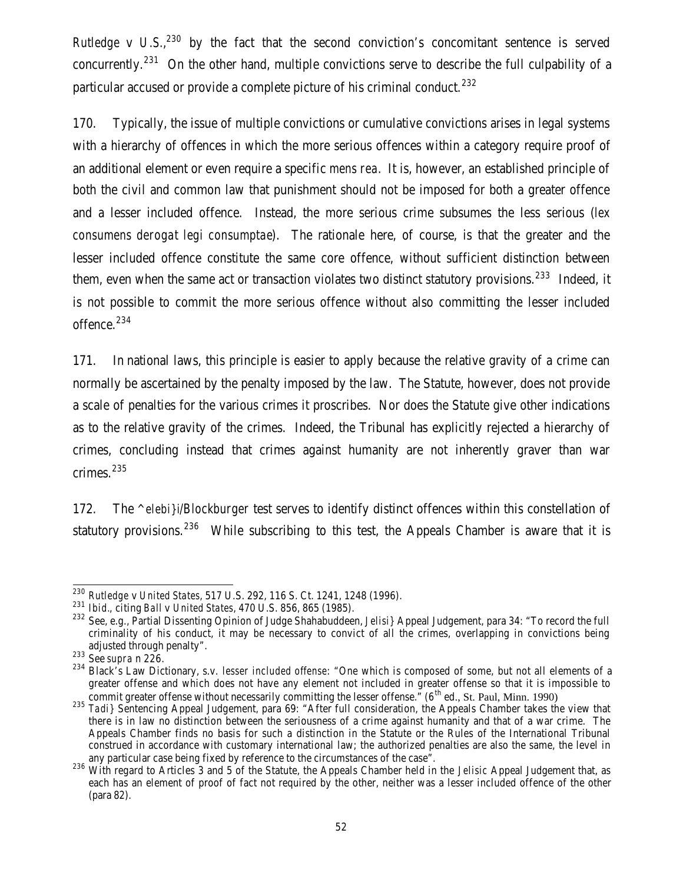*Rutledge* v *U.S.*, <sup>230</sup> by the fact that the second conviction's concomitant sentence is served concurrently.<sup>231</sup> On the other hand, multiple convictions serve to describe the full culpability of a particular accused or provide a complete picture of his criminal conduct.<sup>232</sup>

170. Typically, the issue of multiple convictions or cumulative convictions arises in legal systems with a hierarchy of offences in which the more serious offences within a category require proof of an additional element or even require a specific *mens rea.* It is, however, an established principle of both the civil and common law that punishment should not be imposed for both a greater offence and a lesser included offence. Instead, the more serious crime subsumes the less serious (*lex consumens derogat legi consumptae*). The rationale here, of course, is that the greater and the lesser included offence constitute the same core offence, without sufficient distinction between them, even when the same act or transaction violates two distinct statutory provisions.<sup>233</sup> Indeed, it is not possible to commit the more serious offence without also committing the lesser included offence.<sup>234</sup>

171. In national laws, this principle is easier to apply because the relative gravity of a crime can normally be ascertained by the penalty imposed by the law. The Statute, however, does not provide a scale of penalties for the various crimes it proscribes. Nor does the Statute give other indications as to the relative gravity of the crimes. Indeed, the Tribunal has explicitly rejected a hierarchy of crimes, concluding instead that crimes against humanity are not inherently graver than war crimes. $235$ 

172. The *^elebi}i/Blockburger* test serves to identify distinct offences within this constellation of statutory provisions.<sup>236</sup> While subscribing to this test, the Appeals Chamber is aware that it is

 $\overline{a}$ <sup>230</sup> *Rutledge* v *United States*, 517 U.S. 292, 116 S. Ct. 1241, 1248 (1996).

<sup>231</sup> *Ibid.*, citing *Ball* v *United States*, 470 U.S. 856, 865 (1985).

<sup>232</sup> See, e.g., Partial Dissenting Opinion of Judge Shahabuddeen, *Jelisi}* Appeal Judgement, para 34: "To record the full criminality of his conduct, it may be necessary to convict of all the crimes, overlapping in convictions being adjusted through penalty".

<sup>233</sup> See *supra* n 226.

<sup>234</sup> Black's Law Dictionary, s.v. *lesser included offense*: "One which is composed of some, but not all elements of a greater offense and which does not have any element not included in greater offense so that it is impossible to commit greater offense without necessarily committing the lesser offense." ( $6<sup>th</sup>$  ed., St. Paul, Minn. 1990)

<sup>235</sup> *Tadi}* Sentencing Appeal Judgement*,* para 69: "After full consideration, the Appeals Chamber takes the view that there is in law no distinction between the seriousness of a crime against humanity and that of a war crime. The Appeals Chamber finds no basis for such a distinction in the Statute or the Rules of the International Tribunal construed in accordance with customary international law; the authorized penalties are also the same, the level in any particular case being fixed by reference to the circumstances of the case".

<sup>236</sup> With regard to Articles 3 and 5 of the Statute, the Appeals Chamber held in the *Jelisic* Appeal Judgement that, as each has an element of proof of fact not required by the other, neither was a lesser included offence of the other (para 82).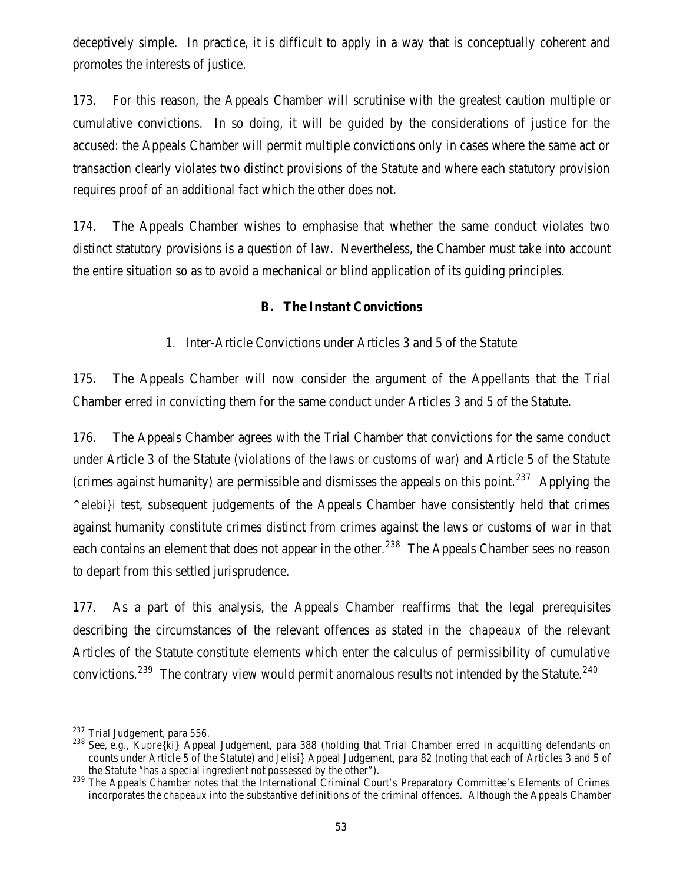deceptively simple. In practice, it is difficult to apply in a way that is conceptually coherent and promotes the interests of justice.

173. For this reason, the Appeals Chamber will scrutinise with the greatest caution multiple or cumulative convictions. In so doing, it will be guided by the considerations of justice for the accused: the Appeals Chamber will permit multiple convictions only in cases where the same act or transaction clearly violates two distinct provisions of the Statute and where each statutory provision requires proof of an additional fact which the other does not.

174. The Appeals Chamber wishes to emphasise that whether the same conduct violates two distinct statutory provisions is a question of law. Nevertheless, the Chamber must take into account the entire situation so as to avoid a mechanical or blind application of its guiding principles.

### **B. The Instant Convictions**

### 1. Inter-Article Convictions under Articles 3 and 5 of the Statute

175. The Appeals Chamber will now consider the argument of the Appellants that the Trial Chamber erred in convicting them for the same conduct under Articles 3 and 5 of the Statute.

176. The Appeals Chamber agrees with the Trial Chamber that convictions for the same conduct under Article 3 of the Statute (violations of the laws or customs of war) and Article 5 of the Statute (crimes against humanity) are permissible and dismisses the appeals on this point.<sup>237</sup> Applying the *^elebi}i* test, subsequent judgements of the Appeals Chamber have consistently held that crimes against humanity constitute crimes distinct from crimes against the laws or customs of war in that each contains an element that does not appear in the other.<sup>238</sup> The Appeals Chamber sees no reason to depart from this settled jurisprudence.

177. As a part of this analysis, the Appeals Chamber reaffirms that the legal prerequisites describing the circumstances of the relevant offences as stated in the *chapeaux* of the relevant Articles of the Statute constitute elements which enter the calculus of permissibility of cumulative convictions.<sup>239</sup> The contrary view would permit anomalous results not intended by the Statute.<sup>240</sup>

 $\overline{a}$  $^{237}$  Trial Judgement, para 556.

<sup>238</sup> See, e.g., *Kupre{ki}* Appeal Judgement, para 388 (holding that Trial Chamber erred in acquitting defendants on counts under Article 5 of the Statute) and *Jelisi}* Appeal Judgement, para 82 (noting that each of Articles 3 and 5 of the Statute "has a special ingredient not possessed by the other").

<sup>&</sup>lt;sup>239</sup> The Appeals Chamber notes that the International Criminal Court's Preparatory Committee's Elements of Crimes incorporates the *chapeaux* into the substantive definitions of the criminal offences. Although the Appeals Chamber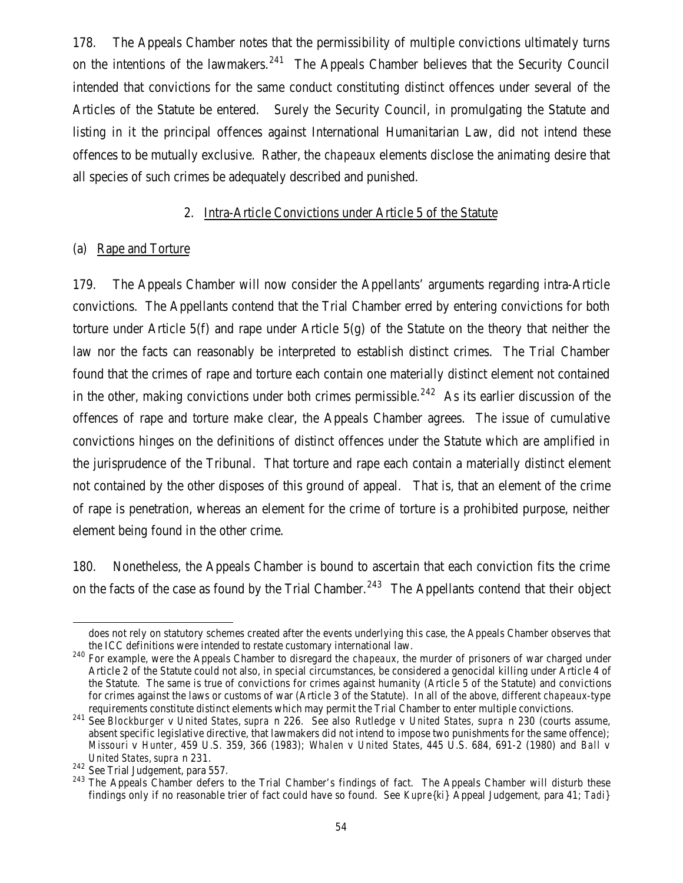178. The Appeals Chamber notes that the permissibility of multiple convictions ultimately turns on the intentions of the lawmakers. $241$  The Appeals Chamber believes that the Security Council intended that convictions for the same conduct constituting distinct offences under several of the Articles of the Statute be entered. Surely the Security Council, in promulgating the Statute and listing in it the principal offences against International Humanitarian Law, did not intend these offences to be mutually exclusive. Rather, the *chapeaux* elements disclose the animating desire that all species of such crimes be adequately described and punished.

### 2. Intra-Article Convictions under Article 5 of the Statute

### (a) Rape and Torture

179. The Appeals Chamber will now consider the Appellants' arguments regarding intra-Article convictions. The Appellants contend that the Trial Chamber erred by entering convictions for both torture under Article 5(f) and rape under Article 5(g) of the Statute on the theory that neither the law nor the facts can reasonably be interpreted to establish distinct crimes. The Trial Chamber found that the crimes of rape and torture each contain one materially distinct element not contained in the other, making convictions under both crimes permissible.<sup>242</sup> As its earlier discussion of the offences of rape and torture make clear, the Appeals Chamber agrees. The issue of cumulative convictions hinges on the definitions of distinct offences under the Statute which are amplified in the jurisprudence of the Tribunal. That torture and rape each contain a materially distinct element not contained by the other disposes of this ground of appeal. That is, that an element of the crime of rape is penetration, whereas an element for the crime of torture is a prohibited purpose, neither element being found in the other crime.

180. Nonetheless, the Appeals Chamber is bound to ascertain that each conviction fits the crime on the facts of the case as found by the Trial Chamber.<sup>243</sup> The Appellants contend that their object

 $\overline{a}$ 

does not rely on statutory schemes created after the events underlying this case, the Appeals Chamber observes that the ICC definitions were intended to restate customary international law.

<sup>240</sup> For example, were the Appeals Chamber to disregard the *chapeaux*, the murder of prisoners of war charged under Article 2 of the Statute could not also, in special circumstances, be considered a genocidal killing under Article 4 of the Statute. The same is true of convictions for crimes against humanity (Article 5 of the Statute) and convictions for crimes against the laws or customs of war (Article 3 of the Statute). In all of the above, different *chapeaux*-type requirements constitute distinct elements which may permit the Trial Chamber to enter multiple convictions.

<sup>241</sup> See *Blockburger* v *United States*, *supra* n 226. See also *Rutledge* v *United States, supra* n 230 (courts assume, absent specific legislative directive, that lawmakers did not intend to impose two punishments for the same offence); *Missouri* v *Hunter*, 459 U.S. 359, 366 (1983); *Whalen* v *United States*, 445 U.S. 684, 691-2 (1980) and *Ball* v *United States*, *supra* n 231.

<sup>242</sup> See Trial Judgement, para 557.

<sup>243</sup> The Appeals Chamber defers to the Trial Chamber's findings of fact. The Appeals Chamber will disturb these findings only if no reasonable trier of fact could have so found. See *Kupre{ki}* Appeal Judgement, para 41; *Tadi}*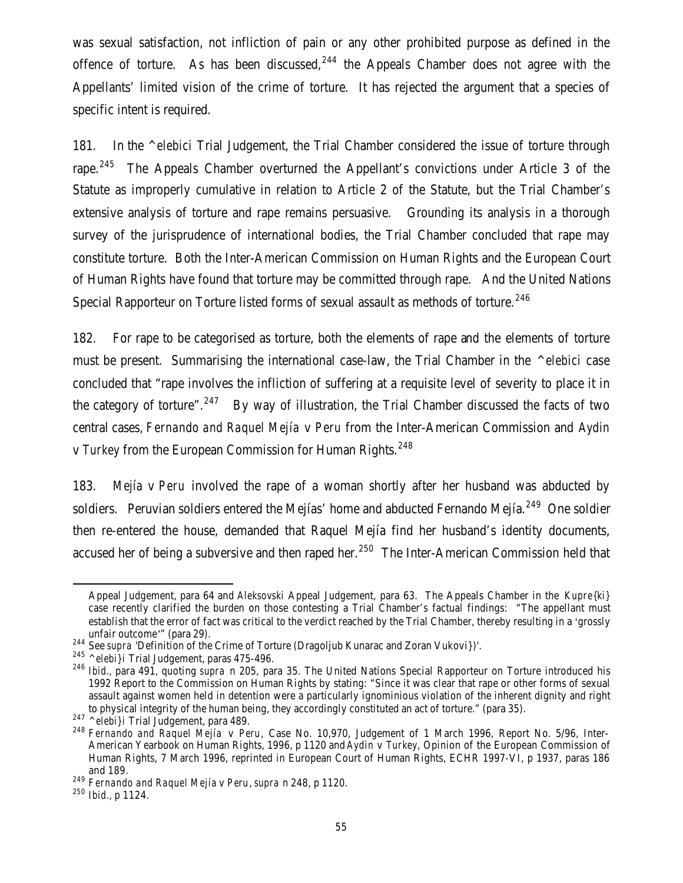was sexual satisfaction, not infliction of pain or any other prohibited purpose as defined in the offence of torture. As has been discussed,  $244$  the Appeals Chamber does not agree with the Appellants' limited vision of the crime of torture. It has rejected the argument that a species of specific intent is required.

181. In the *^elebici* Trial Judgement, the Trial Chamber considered the issue of torture through rape.<sup>245</sup> The Appeals Chamber overturned the Appellant's convictions under Article 3 of the Statute as improperly cumulative in relation to Article 2 of the Statute, but the Trial Chamber's extensive analysis of torture and rape remains persuasive. Grounding its analysis in a thorough survey of the jurisprudence of international bodies, the Trial Chamber concluded that rape may constitute torture. Both the Inter-American Commission on Human Rights and the European Court of Human Rights have found that torture may be committed through rape. And the United Nations Special Rapporteur on Torture listed forms of sexual assault as methods of torture.<sup>246</sup>

182. For rape to be categorised as torture, both the elements of rape and the elements of torture must be present. Summarising the international case-law, the Trial Chamber in the *^elebici* case concluded that "rape involves the infliction of suffering at a requisite level of severity to place it in the category of torture".<sup>247</sup> By way of illustration, the Trial Chamber discussed the facts of two central cases, *Fernando and Raquel Mejía* v *Peru* from the Inter-American Commission and *Aydin* v *Turkey* from the European Commission for Human Rights.<sup>248</sup>

183. *Mejía* v *Peru* involved the rape of a woman shortly after her husband was abducted by soldiers. Peruvian soldiers entered the Mejías' home and abducted Fernando Mejía.<sup>249</sup> One soldier then re-entered the house, demanded that Raquel Mejía find her husband's identity documents, accused her of being a subversive and then raped her.<sup>250</sup> The Inter-American Commission held that

 $\overline{a}$ 

Appeal Judgement, para 64 and *Aleksovski* Appeal Judgement, para 63. The Appeals Chamber in the *Kupre{ki}* case recently clarified the burden on those contesting a Trial Chamber's factual findings: "The appellant must establish that the error of fact was critical to the verdict reached by the Trial Chamber, thereby resulting in a 'grossly unfair outcome'" (para 29).

<sup>244</sup> See *supra* 'Definition of the Crime of Torture (Dragoljub Kunarac and Zoran Vukovi})'.

<sup>245</sup> *^elebi}i* Trial Judgement, paras 475-496.

<sup>246</sup> *Ibid.,* para 491, quoting *supra* n 205, para 35. The United Nations Special Rapporteur on Torture introduced his 1992 Report to the Commission on Human Rights by stating: "Since it was clear that rape or other forms of sexual assault against women held in detention were a particularly ignominious violation of the inherent dignity and right to physical integrity of the human being, they accordingly constituted an act of torture." (para 35).

<sup>247</sup> *^elebi}i* Trial Judgement, para 489.

<sup>248</sup> *Fernando and Raquel Mejía* v *Peru*, Case No. 10,970, Judgement of 1 March 1996, Report No. 5/96, Inter-American Yearbook on Human Rights, 1996, p 1120 and *Aydin* v *Turkey*, Opinion of the European Commission of Human Rights, 7 March 1996, reprinted in European Court of Human Rights, ECHR 1997-VI, p 1937, paras 186 and 189.

<sup>249</sup> *Fernando and Raquel Mejía* v *Peru*, *supra* n 248, p 1120.

<sup>250</sup> *Ibid.,* p 1124.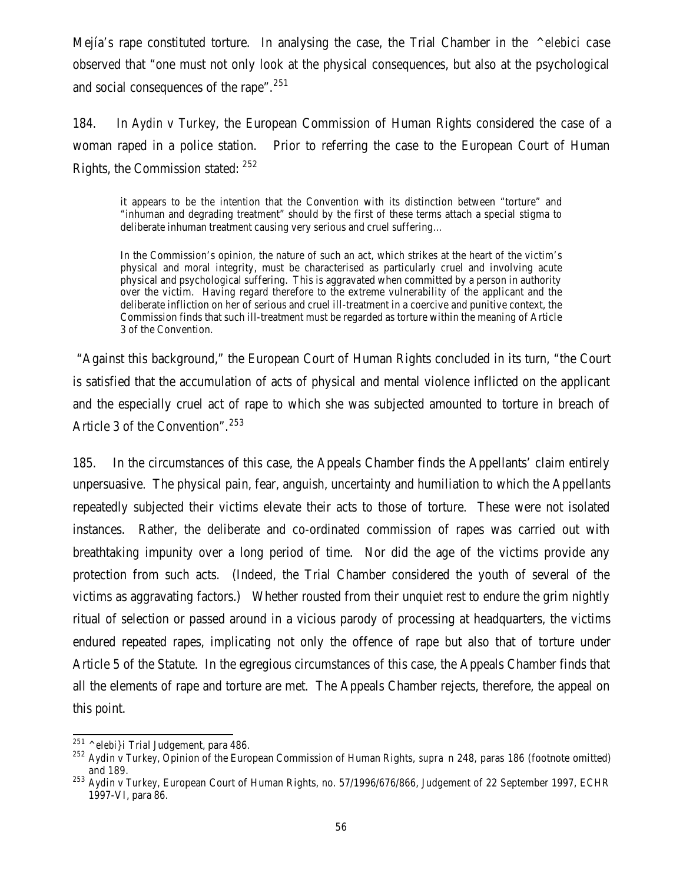Mejía's rape constituted torture. In analysing the case, the Trial Chamber in the *^elebici* case observed that "one must not only look at the physical consequences, but also at the psychological and social consequences of the rape".<sup>251</sup>

184. In *Aydin* v *Turkey*, the European Commission of Human Rights considered the case of a woman raped in a police station. Prior to referring the case to the European Court of Human Rights, the Commission stated: <sup>252</sup>

it appears to be the intention that the Convention with its distinction between "torture" and "inhuman and degrading treatment" should by the first of these terms attach a special stigma to deliberate inhuman treatment causing very serious and cruel suffering…

In the Commission's opinion, the nature of such an act, which strikes at the heart of the victim's physical and moral integrity, must be characterised as particularly cruel and involving acute physical and psychological suffering. This is aggravated when committed by a person in authority over the victim. Having regard therefore to the extreme vulnerability of the applicant and the deliberate infliction on her of serious and cruel ill-treatment in a coercive and punitive context, the Commission finds that such ill-treatment must be regarded as torture within the meaning of Article 3 of the Convention.

 "Against this background," the European Court of Human Rights concluded in its turn, "the Court is satisfied that the accumulation of acts of physical and mental violence inflicted on the applicant and the especially cruel act of rape to which she was subjected amounted to torture in breach of Article 3 of the Convention".<sup>253</sup>

185. In the circumstances of this case, the Appeals Chamber finds the Appellants' claim entirely unpersuasive. The physical pain, fear, anguish, uncertainty and humiliation to which the Appellants repeatedly subjected their victims elevate their acts to those of torture. These were not isolated instances. Rather, the deliberate and co-ordinated commission of rapes was carried out with breathtaking impunity over a long period of time. Nor did the age of the victims provide any protection from such acts. (Indeed, the Trial Chamber considered the youth of several of the victims as aggravating factors.) Whether rousted from their unquiet rest to endure the grim nightly ritual of selection or passed around in a vicious parody of processing at headquarters, the victims endured repeated rapes, implicating not only the offence of rape but also that of torture under Article 5 of the Statute. In the egregious circumstances of this case, the Appeals Chamber finds that all the elements of rape and torture are met. The Appeals Chamber rejects, therefore, the appeal on this point.

 $\overline{a}$ <sup>251</sup> *^elebi}i* Trial Judgement, para 486.

<sup>252</sup> *Aydin* v *Turkey*, Opinion of the European Commission of Human Rights, *supra* n 248, paras 186 (footnote omitted) and 189.

<sup>253</sup> *Aydin* v *Turkey*, European Court of Human Rights, no. 57/1996/676/866, Judgement of 22 September 1997, ECHR 1997-VI, para 86.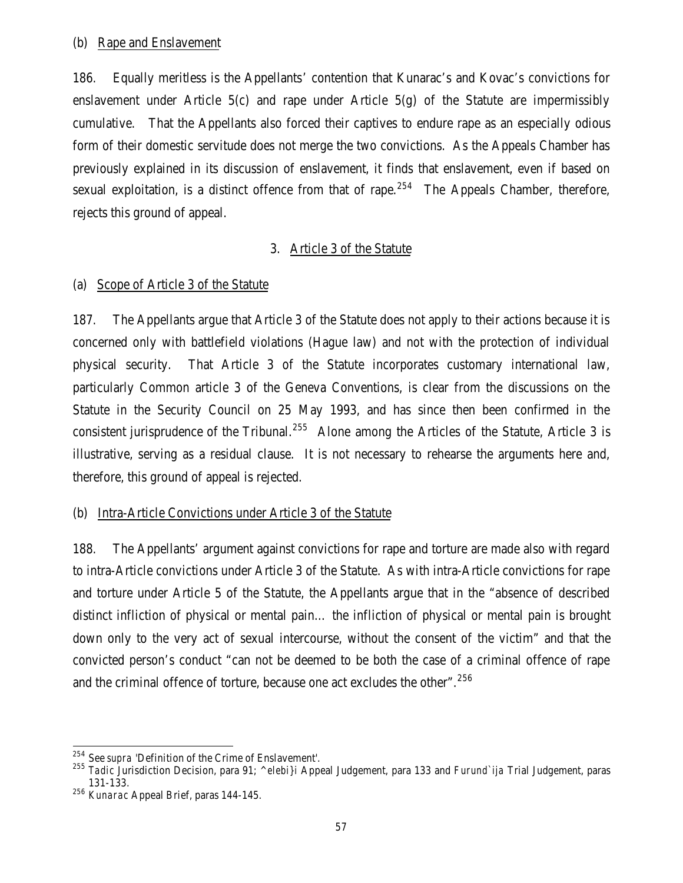### (b) Rape and Enslavement

186. Equally meritless is the Appellants' contention that Kunarac's and Kovac's convictions for enslavement under Article 5(c) and rape under Article 5(g) of the Statute are impermissibly cumulative. That the Appellants also forced their captives to endure rape as an especially odious form of their domestic servitude does not merge the two convictions. As the Appeals Chamber has previously explained in its discussion of enslavement, it finds that enslavement, even if based on sexual exploitation, is a distinct offence from that of rape.<sup>254</sup> The Appeals Chamber, therefore, rejects this ground of appeal.

### 3. Article 3 of the Statute

### (a) Scope of Article 3 of the Statute

187. The Appellants argue that Article 3 of the Statute does not apply to their actions because it is concerned only with battlefield violations (Hague law) and not with the protection of individual physical security. That Article 3 of the Statute incorporates customary international law, particularly Common article 3 of the Geneva Conventions, is clear from the discussions on the Statute in the Security Council on 25 May 1993, and has since then been confirmed in the consistent jurisprudence of the Tribunal.<sup>255</sup> Alone among the Articles of the Statute, Article 3 is illustrative, serving as a residual clause. It is not necessary to rehearse the arguments here and, therefore, this ground of appeal is rejected.

### (b) Intra-Article Convictions under Article 3 of the Statute

188. The Appellants' argument against convictions for rape and torture are made also with regard to intra-Article convictions under Article 3 of the Statute. As with intra-Article convictions for rape and torture under Article 5 of the Statute, the Appellants argue that in the "absence of described distinct infliction of physical or mental pain… the infliction of physical or mental pain is brought down only to the very act of sexual intercourse, without the consent of the victim" and that the convicted person's conduct "can not be deemed to be both the case of a criminal offence of rape and the criminal offence of torture, because one act excludes the other".<sup>256</sup>

 $\overline{a}$ <sup>254</sup> See *supra* 'Definition of the Crime of Enslavement'.

<sup>255</sup> *Tadic* Jurisdiction Decision, para 91; *^elebi}i* Appeal Judgement, para 133 and *Furund`ija* Trial Judgement, paras 131-133.

<sup>256</sup> *Kunarac* Appeal Brief, paras 144-145.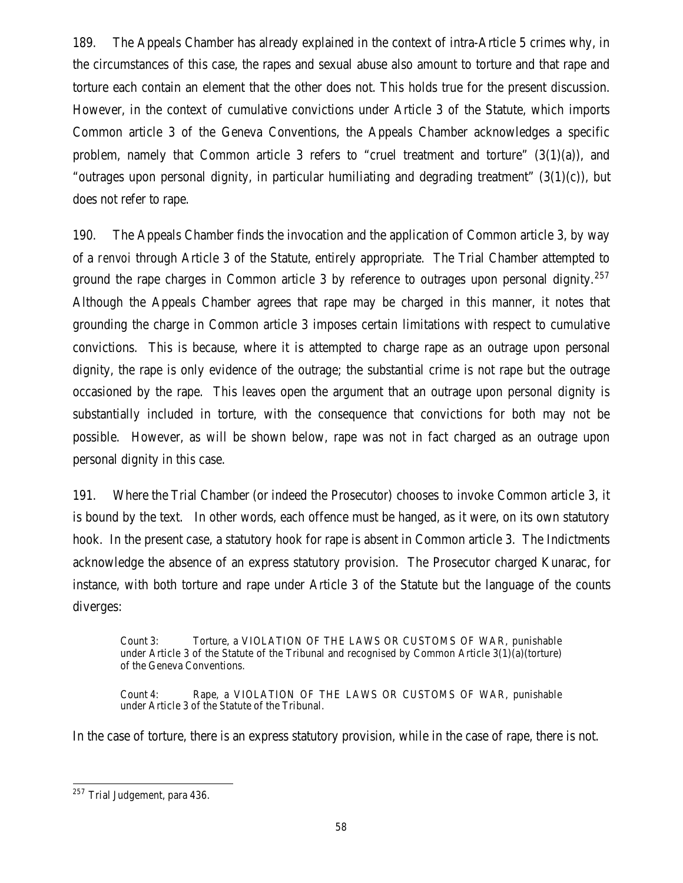189. The Appeals Chamber has already explained in the context of intra-Article 5 crimes why, in the circumstances of this case, the rapes and sexual abuse also amount to torture and that rape and torture each contain an element that the other does not. This holds true for the present discussion. However, in the context of cumulative convictions under Article 3 of the Statute, which imports Common article 3 of the Geneva Conventions, the Appeals Chamber acknowledges a specific problem, namely that Common article 3 refers to "cruel treatment and torture" (3(1)(a)), and "outrages upon personal dignity, in particular humiliating and degrading treatment" (3(1)(c)), but does not refer to rape.

190. The Appeals Chamber finds the invocation and the application of Common article 3, by way of a *renvoi* through Article 3 of the Statute, entirely appropriate. The Trial Chamber attempted to ground the rape charges in Common article 3 by reference to outrages upon personal dignity.<sup>257</sup> Although the Appeals Chamber agrees that rape may be charged in this manner, it notes that grounding the charge in Common article 3 imposes certain limitations with respect to cumulative convictions. This is because, where it is attempted to charge rape as an outrage upon personal dignity, the rape is only evidence of the outrage; the substantial crime is not rape but the outrage occasioned by the rape. This leaves open the argument that an outrage upon personal dignity is substantially included in torture, with the consequence that convictions for both may not be possible. However, as will be shown below, rape was not in fact charged as an outrage upon personal dignity in this case.

191. Where the Trial Chamber (or indeed the Prosecutor) chooses to invoke Common article 3, it is bound by the text. In other words, each offence must be hanged, as it were, on its own statutory hook. In the present case, a statutory hook for rape is absent in Common article 3. The Indictments acknowledge the absence of an express statutory provision. The Prosecutor charged Kunarac, for instance, with both torture and rape under Article 3 of the Statute but the language of the counts diverges:

Count 3: Torture, a VIOLATION OF THE LAWS OR CUSTOMS OF WAR, punishable under Article 3 of the Statute of the Tribunal and recognised by Common Article 3(1)(a)(torture) of the Geneva Conventions.

Count 4: Rape, a VIOLATION OF THE LAWS OR CUSTOMS OF WAR, punishable under Article 3 of the Statute of the Tribunal.

In the case of torture, there is an express statutory provision, while in the case of rape, there is not.

 $\overline{a}$  $^{257}$  Trial Judgement, para 436.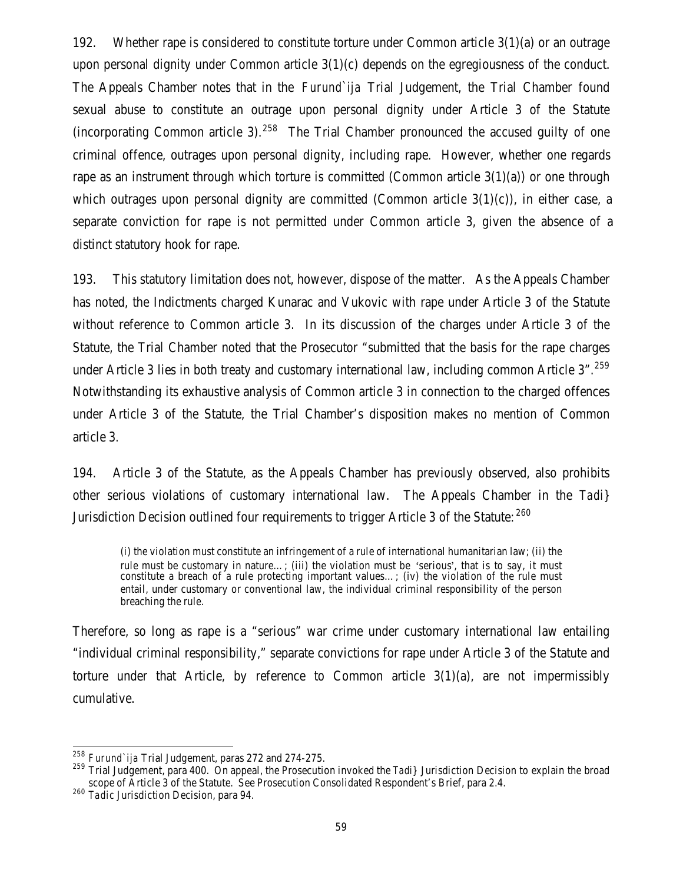192. Whether rape is considered to constitute torture under Common article 3(1)(a) or an outrage upon personal dignity under Common article 3(1)(c) depends on the egregiousness of the conduct. The Appeals Chamber notes that in the *Furund`ija* Trial Judgement, the Trial Chamber found sexual abuse to constitute an outrage upon personal dignity under Article 3 of the Statute (incorporating Common article 3).<sup>258</sup> The Trial Chamber pronounced the accused quilty of one criminal offence, outrages upon personal dignity, including rape. However, whether one regards rape as an instrument through which torture is committed (Common article 3(1)(a)) or one through which outrages upon personal dignity are committed (Common article 3(1)(c)), in either case, a separate conviction for rape is not permitted under Common article 3, given the absence of a distinct statutory hook for rape.

193. This statutory limitation does not, however, dispose of the matter. As the Appeals Chamber has noted, the Indictments charged Kunarac and Vukovic with rape under Article 3 of the Statute without reference to Common article 3. In its discussion of the charges under Article 3 of the Statute, the Trial Chamber noted that the Prosecutor "submitted that the basis for the rape charges under Article 3 lies in both treaty and customary international law, including common Article 3".<sup>259</sup> Notwithstanding its exhaustive analysis of Common article 3 in connection to the charged offences under Article 3 of the Statute, the Trial Chamber's disposition makes no mention of Common article 3.

194. Article 3 of the Statute, as the Appeals Chamber has previously observed, also prohibits other serious violations of customary international law. The Appeals Chamber in the *Tadi}* Jurisdiction Decision outlined four requirements to trigger Article 3 of the Statute: <sup>260</sup>

(i) the violation must constitute an infringement of a rule of international humanitarian law; (ii) the rule must be customary in nature…; (iii) the violation must be 'serious', that is to say, it must constitute a breach of a rule protecting important values...; (iv) the violation of the rule must entail, under customary or conventional law, the individual criminal responsibility of the person breaching the rule.

Therefore, so long as rape is a "serious" war crime under customary international law entailing "individual criminal responsibility," separate convictions for rape under Article 3 of the Statute and torture under that Article, by reference to Common article 3(1)(a), are not impermissibly cumulative.

 $\overline{a}$ 

<sup>258</sup> *Furund`ija* Trial Judgement, paras 272 and 274-275.

<sup>259</sup> Trial Judgement, para 400. On appeal, the Prosecution invoked the *Tadi}* Jurisdiction Decision to explain the broad scope of Article 3 of the Statute. See Prosecution Consolidated Respondent's Brief, para 2.4.

<sup>260</sup> *Tadic* Jurisdiction Decision, para 94.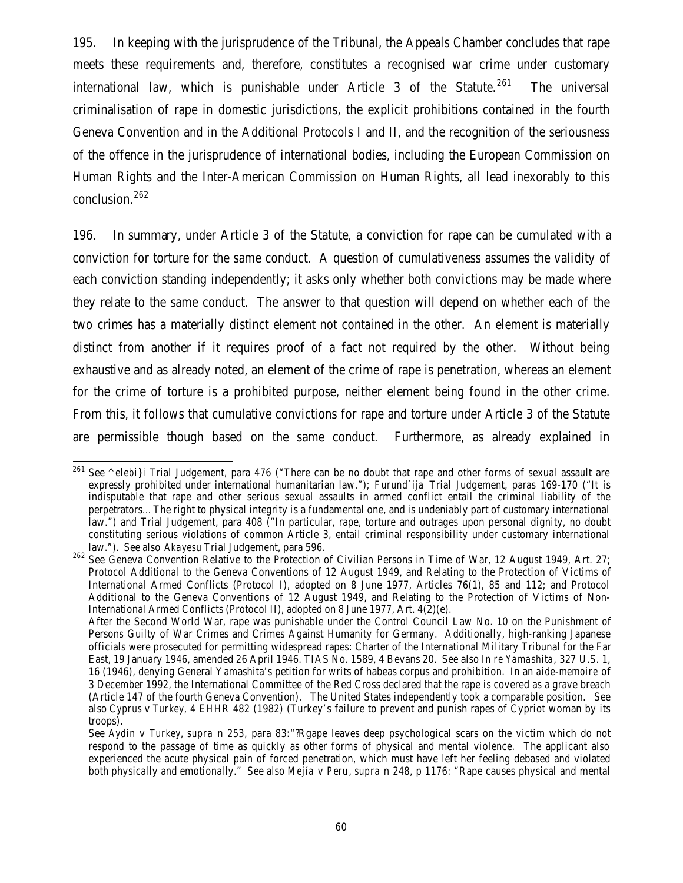195. In keeping with the jurisprudence of the Tribunal, the Appeals Chamber concludes that rape meets these requirements and, therefore, constitutes a recognised war crime under customary international law, which is punishable under Article 3 of the Statute.<sup>261</sup> The universal criminalisation of rape in domestic jurisdictions, the explicit prohibitions contained in the fourth Geneva Convention and in the Additional Protocols I and II, and the recognition of the seriousness of the offence in the jurisprudence of international bodies, including the European Commission on Human Rights and the Inter-American Commission on Human Rights, all lead inexorably to this conclusion.<sup>262</sup>

196. In summary, under Article 3 of the Statute, a conviction for rape can be cumulated with a conviction for torture for the same conduct. A question of cumulativeness assumes the validity of each conviction standing independently; it asks only whether both convictions may be made where they relate to the same conduct. The answer to that question will depend on whether each of the two crimes has a materially distinct element not contained in the other. An element is materially distinct from another if it requires proof of a fact not required by the other. Without being exhaustive and as already noted, an element of the crime of rape is penetration, whereas an element for the crime of torture is a prohibited purpose, neither element being found in the other crime. From this, it follows that cumulative convictions for rape and torture under Article 3 of the Statute are permissible though based on the same conduct. Furthermore, as already explained in

 $\overline{a}$ <sup>261</sup> See *^elebi}i* Trial Judgement, para 476 ("There can be no doubt that rape and other forms of sexual assault are expressly prohibited under international humanitarian law."); *Furund`ija* Trial Judgement, paras 169-170 ("It is indisputable that rape and other serious sexual assaults in armed conflict entail the criminal liability of the perpetrators…The right to physical integrity is a fundamental one, and is undeniably part of customary international law.") and Trial Judgement, para 408 ("In particular, rape, torture and outrages upon personal dignity, no doubt constituting serious violations of common Article 3, entail criminal responsibility under customary international law."). See also *Akayesu* Trial Judgement, para 596.

<sup>262</sup> See Geneva Convention Relative to the Protection of Civilian Persons in Time of War, 12 August 1949, Art. 27; Protocol Additional to the Geneva Conventions of 12 August 1949, and Relating to the Protection of Victims of International Armed Conflicts (Protocol I), adopted on 8 June 1977, Articles 76(1), 85 and 112; and Protocol Additional to the Geneva Conventions of 12 August 1949, and Relating to the Protection of Victims of Non-International Armed Conflicts (Protocol II), adopted on 8 June 1977, Art. 4(2)(e).

After the Second World War, rape was punishable under the Control Council Law No. 10 on the Punishment of Persons Guilty of War Crimes and Crimes Against Humanity for Germany. Additionally, high-ranking Japanese officials were prosecuted for permitting widespread rapes: Charter of the International Military Tribunal for the Far East, 19 January 1946, amended 26 April 1946. TIAS No. 1589, 4 Bevans 20. See also *In re Yamashita*, 327 U.S. 1, 16 (1946), denying General Yamashita's petition for writs of habeas corpus and prohibition. In an *aide-memoire* of 3 December 1992, the International Committee of the Red Cross declared that the rape is covered as a grave breach (Article 147 of the fourth Geneva Convention). The United States independently took a comparable position. See also *Cyprus* v *Turkey*, 4 EHHR 482 (1982) (Turkey's failure to prevent and punish rapes of Cypriot woman by its troops).

See *Aydin* v *Turkey*, *supra* n 253, para 83:"?Rgape leaves deep psychological scars on the victim which do not respond to the passage of time as quickly as other forms of physical and mental violence. The applicant also experienced the acute physical pain of forced penetration, which must have left her feeling debased and violated both physically and emotionally." See also *Mejía* v *Peru*, *supra* n 248, p 1176: "Rape causes physical and mental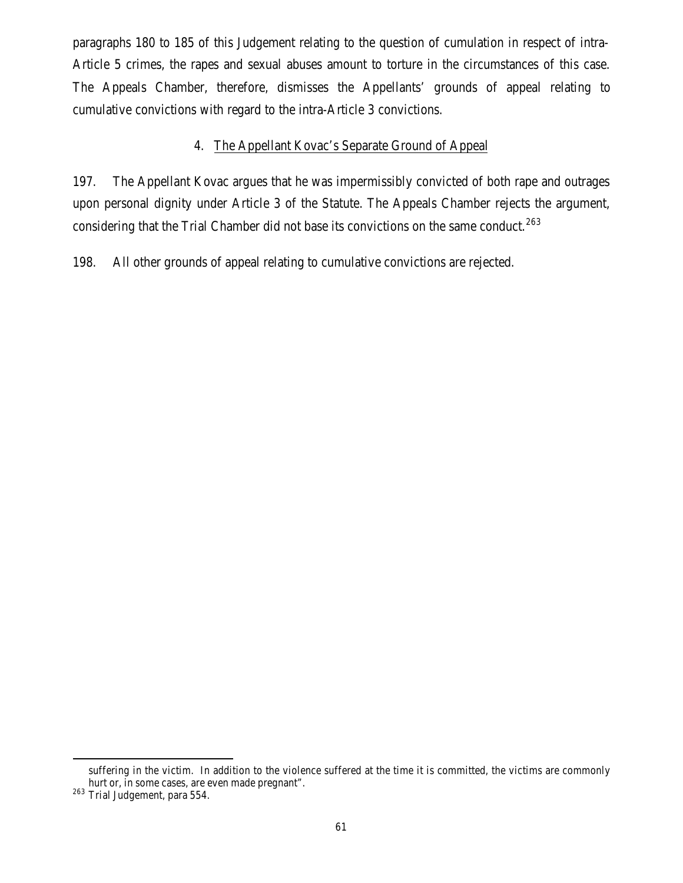paragraphs 180 to 185 of this Judgement relating to the question of cumulation in respect of intra-Article 5 crimes, the rapes and sexual abuses amount to torture in the circumstances of this case. The Appeals Chamber, therefore, dismisses the Appellants' grounds of appeal relating to cumulative convictions with regard to the intra-Article 3 convictions.

### 4. The Appellant Kovac's Separate Ground of Appeal

197. The Appellant Kovac argues that he was impermissibly convicted of both rape and outrages upon personal dignity under Article 3 of the Statute. The Appeals Chamber rejects the argument, considering that the Trial Chamber did not base its convictions on the same conduct.<sup>263</sup>

198. All other grounds of appeal relating to cumulative convictions are rejected.

 $\overline{a}$ suffering in the victim. In addition to the violence suffered at the time it is committed, the victims are commonly hurt or, in some cases, are even made pregnant".

 $^{263}$  Trial Judgement, para 554.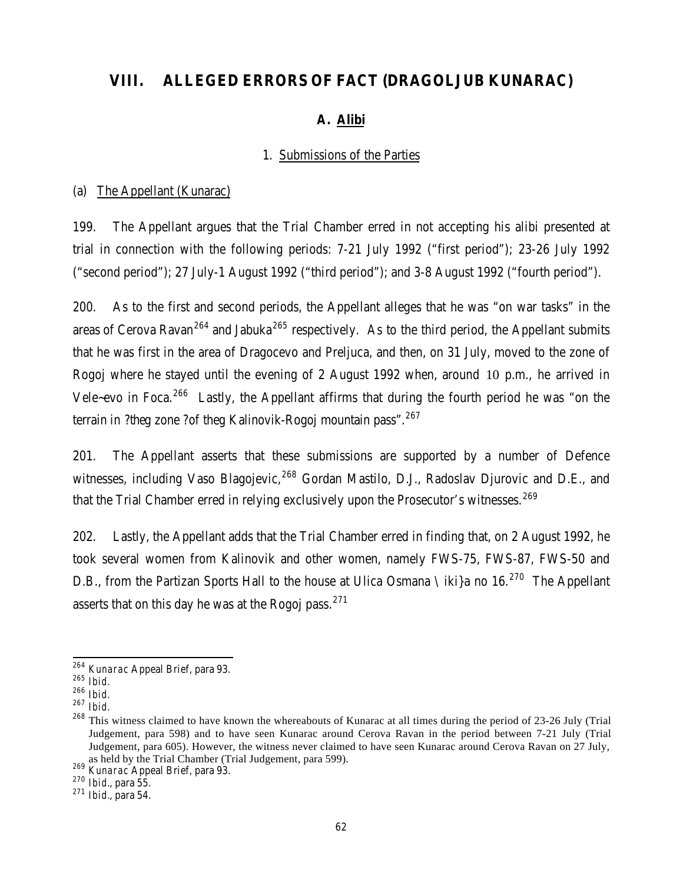# **VIII. ALLEGED ERRORS OF FACT (DRAGOLJUB KUNARAC)**

### **A. Alibi**

### 1. Submissions of the Parties

### (a) The Appellant (Kunarac)

199. The Appellant argues that the Trial Chamber erred in not accepting his alibi presented at trial in connection with the following periods: 7-21 July 1992 ("first period"); 23-26 July 1992 ("second period"); 27 July-1 August 1992 ("third period"); and 3-8 August 1992 ("fourth period").

200. As to the first and second periods, the Appellant alleges that he was "on war tasks" in the areas of Cerova Ravan<sup>264</sup> and Jabuka<sup>265</sup> respectively. As to the third period, the Appellant submits that he was first in the area of Dragocevo and Preljuca, and then, on 31 July, moved to the zone of Rogoj where he stayed until the evening of 2 August 1992 when, around 10 p.m., he arrived in Vele-evo in Foca.<sup>266</sup> Lastly, the Appellant affirms that during the fourth period he was "on the terrain in ?theg zone ?of theg Kalinovik-Rogoj mountain pass". <sup>267</sup>

201. The Appellant asserts that these submissions are supported by a number of Defence witnesses, including Vaso Blagojevic, 268 Gordan Mastilo, D.J., Radoslav Djurovic and D.E., and that the Trial Chamber erred in relying exclusively upon the Prosecutor's witnesses.<sup>269</sup>

202. Lastly, the Appellant adds that the Trial Chamber erred in finding that, on 2 August 1992, he took several women from Kalinovik and other women, namely FWS-75, FWS-87, FWS-50 and D.B., from the Partizan Sports Hall to the house at Ulica Osmana \iki}a no 16.<sup>270</sup> The Appellant asserts that on this day he was at the Rogoj pass.  $271$ 

 $\overline{a}$ <sup>264</sup> *Kunarac* Appeal Brief, para 93.

<sup>265</sup> *Ibid.*

<sup>266</sup> *Ibid.*

<sup>267</sup> *Ibid.*

<sup>&</sup>lt;sup>268</sup> This witness claimed to have known the whereabouts of Kunarac at all times during the period of 23-26 July (Trial Judgement, para 598) and to have seen Kunarac around Cerova Ravan in the period between 7-21 July (Trial Judgement, para 605). However, the witness never claimed to have seen Kunarac around Cerova Ravan on 27 July, as held by the Trial Chamber (Trial Judgement, para 599).

<sup>269</sup> *Kunarac* Appeal Brief, para 93.

<sup>270</sup> *Ibid.*, para 55.

<sup>271</sup> *Ibid.*, para 54.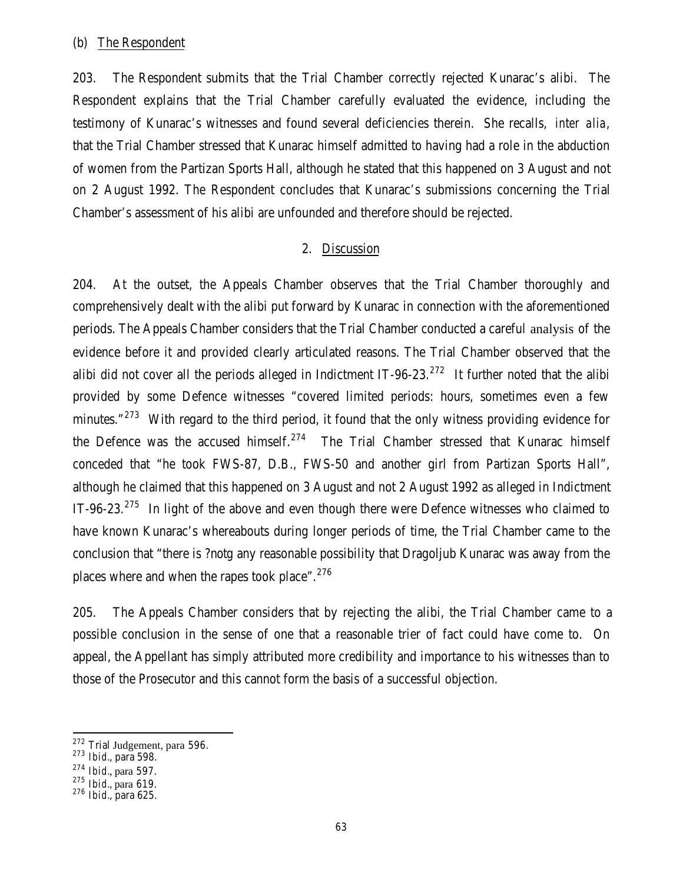### (b) The Respondent

203. The Respondent submits that the Trial Chamber correctly rejected Kunarac's alibi. The Respondent explains that the Trial Chamber carefully evaluated the evidence, including the testimony of Kunarac's witnesses and found several deficiencies therein. She recalls, *inter alia*, that the Trial Chamber stressed that Kunarac himself admitted to having had a role in the abduction of women from the Partizan Sports Hall, although he stated that this happened on 3 August and not on 2 August 1992. The Respondent concludes that Kunarac's submissions concerning the Trial Chamber's assessment of his alibi are unfounded and therefore should be rejected.

#### 2. Discussion

204. At the outset, the Appeals Chamber observes that the Trial Chamber thoroughly and comprehensively dealt with the alibi put forward by Kunarac in connection with the aforementioned periods. The Appeals Chamber considers that the Trial Chamber conducted a careful analysis of the evidence before it and provided clearly articulated reasons. The Trial Chamber observed that the alibi did not cover all the periods alleged in Indictment  $IT-96-23.<sup>272</sup>$  It further noted that the alibi provided by some Defence witnesses "covered limited periods: hours, sometimes even a few minutes."<sup>273</sup> With regard to the third period, it found that the only witness providing evidence for the Defence was the accused himself.<sup>274</sup> The Trial Chamber stressed that Kunarac himself conceded that "he took FWS-87, D.B., FWS-50 and another girl from Partizan Sports Hall", although he claimed that this happened on 3 August and not 2 August 1992 as alleged in Indictment IT-96-23.<sup>275</sup> In light of the above and even though there were Defence witnesses who claimed to have known Kunarac's whereabouts during longer periods of time, the Trial Chamber came to the conclusion that "there is ?notg any reasonable possibility that Dragoljub Kunarac was away from the places where and when the rapes took place".  $276$ 

205. The Appeals Chamber considers that by rejecting the alibi, the Trial Chamber came to a possible conclusion in the sense of one that a reasonable trier of fact could have come to. On appeal, the Appellant has simply attributed more credibility and importance to his witnesses than to those of the Prosecutor and this cannot form the basis of a successful objection.

 $\overline{a}$ 

 $^{272}_{222}$  Trial Judgement, para 596.

<sup>273</sup> *Ibid.*, para 598.

<sup>274</sup> *Ibid.*, para 597.

<sup>275</sup> *Ibid.*, para 619.

<sup>276</sup> *Ibid.*, para 625.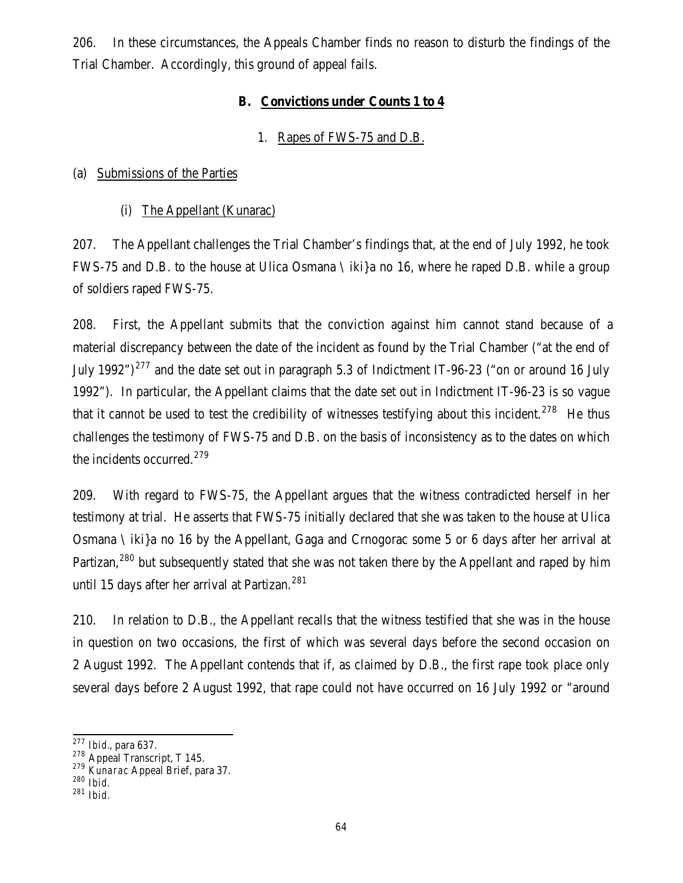206. In these circumstances, the Appeals Chamber finds no reason to disturb the findings of the Trial Chamber. Accordingly, this ground of appeal fails.

### **B. Convictions under Counts 1 to 4**

### 1. Rapes of FWS-75 and D.B.

### (a) Submissions of the Parties

### (i) The Appellant (Kunarac)

207. The Appellant challenges the Trial Chamber's findings that, at the end of July 1992, he took FWS-75 and D.B. to the house at Ulica Osmana \iki}a no 16, where he raped D.B. while a group of soldiers raped FWS-75.

208. First, the Appellant submits that the conviction against him cannot stand because of a material discrepancy between the date of the incident as found by the Trial Chamber ("at the end of July 1992")<sup>277</sup> and the date set out in paragraph 5.3 of Indictment IT-96-23 ("on or around 16 July 1992"). In particular, the Appellant claims that the date set out in Indictment IT-96-23 is so vague that it cannot be used to test the credibility of witnesses testifying about this incident.<sup>278</sup> He thus challenges the testimony of FWS-75 and D.B. on the basis of inconsistency as to the dates on which the incidents occurred.<sup>279</sup>

209. With regard to FWS-75, the Appellant argues that the witness contradicted herself in her testimony at trial. He asserts that FWS-75 initially declared that she was taken to the house at Ulica Osmana \iki}a no 16 by the Appellant, Gaga and Crnogorac some 5 or 6 days after her arrival at Partizan,<sup>280</sup> but subsequently stated that she was not taken there by the Appellant and raped by him until 15 days after her arrival at Partizan.<sup>281</sup>

210. In relation to D.B., the Appellant recalls that the witness testified that she was in the house in question on two occasions, the first of which was several days before the second occasion on 2 August 1992. The Appellant contends that if, as claimed by D.B., the first rape took place only several days before 2 August 1992, that rape could not have occurred on 16 July 1992 or "around

 $\overline{\phantom{0}}$ <sup>277</sup> *Ibid.*, para 637.

<sup>278</sup> Appeal Transcript, T 145.

<sup>279</sup> *Kunarac* Appeal Brief, para 37.

<sup>280</sup> *Ibid.*

<sup>281</sup> *Ibid.*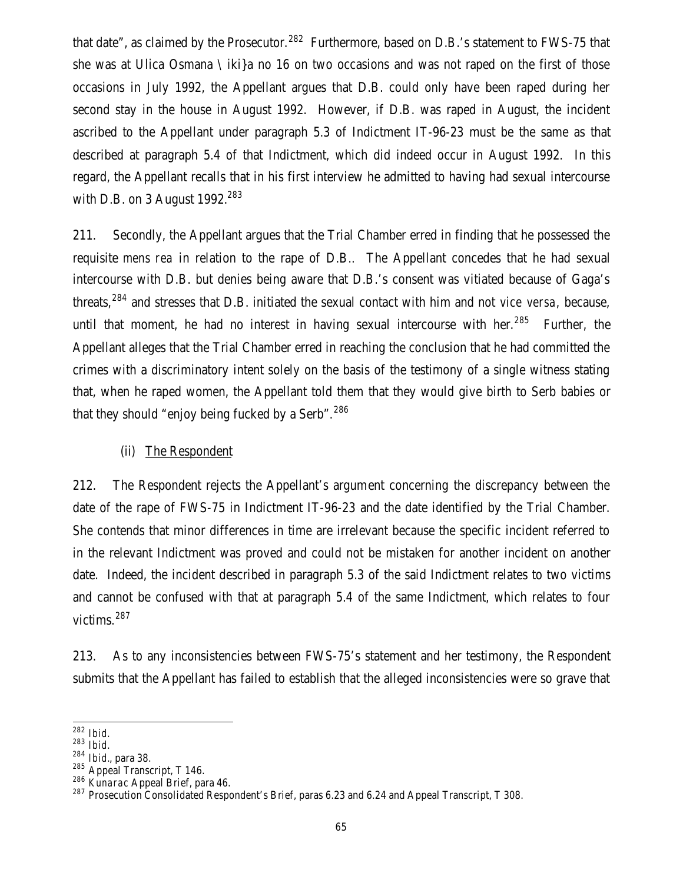that date", as claimed by the Prosecutor.<sup>282</sup> Furthermore, based on D.B.'s statement to FWS-75 that she was at Ulica Osmana \iki}a no 16 on two occasions and was not raped on the first of those occasions in July 1992, the Appellant argues that D.B. could only have been raped during her second stay in the house in August 1992. However, if D.B. was raped in August, the incident ascribed to the Appellant under paragraph 5.3 of Indictment IT-96-23 must be the same as that described at paragraph 5.4 of that Indictment, which did indeed occur in August 1992. In this regard, the Appellant recalls that in his first interview he admitted to having had sexual intercourse with D.B. on 3 August  $1992.<sup>283</sup>$ 

211. Secondly, the Appellant argues that the Trial Chamber erred in finding that he possessed the requisite *mens rea* in relation to the rape of D.B.. The Appellant concedes that he had sexual intercourse with D.B. but denies being aware that D.B.'s consent was vitiated because of Gaga's threats,<sup>284</sup> and stresses that D.B. initiated the sexual contact with him and not *vice versa*, because, until that moment, he had no interest in having sexual intercourse with her. $285$  Further, the Appellant alleges that the Trial Chamber erred in reaching the conclusion that he had committed the crimes with a discriminatory intent solely on the basis of the testimony of a single witness stating that, when he raped women, the Appellant told them that they would give birth to Serb babies or that they should "enjoy being fucked by a Serb".<sup>286</sup>

### (ii) The Respondent

212. The Respondent rejects the Appellant's argument concerning the discrepancy between the date of the rape of FWS-75 in Indictment IT-96-23 and the date identified by the Trial Chamber. She contends that minor differences in time are irrelevant because the specific incident referred to in the relevant Indictment was proved and could not be mistaken for another incident on another date. Indeed, the incident described in paragraph 5.3 of the said Indictment relates to two victims and cannot be confused with that at paragraph 5.4 of the same Indictment, which relates to four victims.<sup>287</sup>

213. As to any inconsistencies between FWS-75's statement and her testimony, the Respondent submits that the Appellant has failed to establish that the alleged inconsistencies were so grave that

 $\overline{a}$ <sup>282</sup> *Ibid.*

<sup>283</sup> *Ibid.*

<sup>284</sup> *Ibid.*, para 38.

<sup>&</sup>lt;sup>285</sup> Appeal Transcript, T 146.

<sup>286</sup> *Kunarac* Appeal Brief, para 46.

<sup>287</sup> Prosecution Consolidated Respondent's Brief, paras 6.23 and 6.24 and Appeal Transcript, T 308.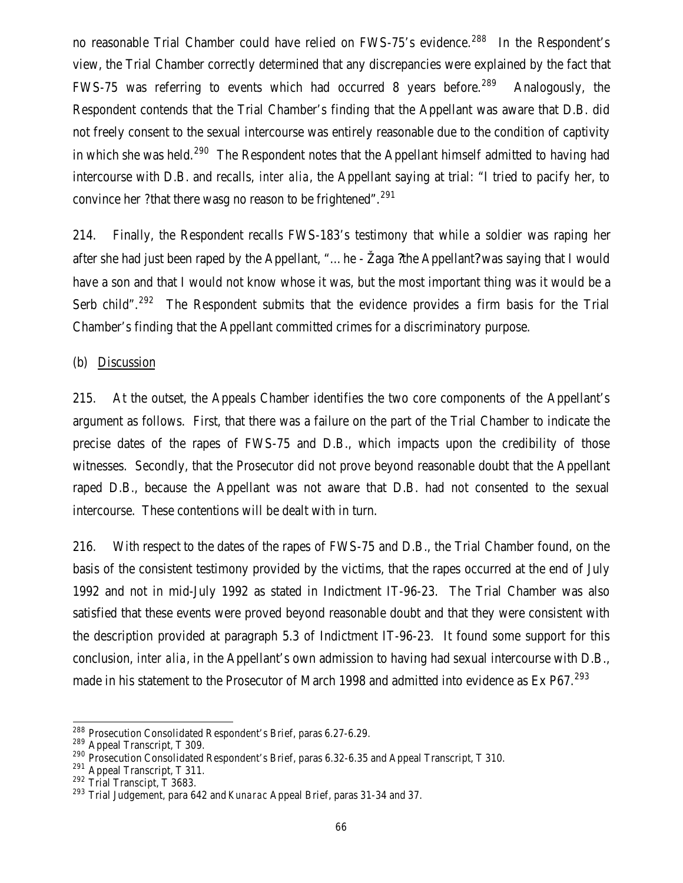no reasonable Trial Chamber could have relied on FWS-75's evidence.<sup>288</sup> In the Respondent's view, the Trial Chamber correctly determined that any discrepancies were explained by the fact that FWS-75 was referring to events which had occurred 8 years before.<sup>289</sup> Analogously, the Respondent contends that the Trial Chamber's finding that the Appellant was aware that D.B. did not freely consent to the sexual intercourse was entirely reasonable due to the condition of captivity in which she was held.<sup>290</sup> The Respondent notes that the Appellant himself admitted to having had intercourse with D.B. and recalls, *inter alia*, the Appellant saying at trial: "I tried to pacify her, to convince her ?that there wasg no reason to be frightened".<sup>291</sup>

214. Finally, the Respondent recalls FWS-183's testimony that while a soldier was raping her after she had just been raped by the Appellant, "…he - Žaga ?the Appellant? was saying that I would have a son and that I would not know whose it was, but the most important thing was it would be a Serb child".<sup>292</sup> The Respondent submits that the evidence provides a firm basis for the Trial Chamber's finding that the Appellant committed crimes for a discriminatory purpose.

## (b) Discussion

215. At the outset, the Appeals Chamber identifies the two core components of the Appellant's argument as follows. First, that there was a failure on the part of the Trial Chamber to indicate the precise dates of the rapes of FWS-75 and D.B., which impacts upon the credibility of those witnesses. Secondly, that the Prosecutor did not prove beyond reasonable doubt that the Appellant raped D.B., because the Appellant was not aware that D.B. had not consented to the sexual intercourse. These contentions will be dealt with in turn.

216. With respect to the dates of the rapes of FWS-75 and D.B., the Trial Chamber found, on the basis of the consistent testimony provided by the victims, that the rapes occurred at the end of July 1992 and not in mid-July 1992 as stated in Indictment IT-96-23. The Trial Chamber was also satisfied that these events were proved beyond reasonable doubt and that they were consistent with the description provided at paragraph 5.3 of Indictment IT-96-23. It found some support for this conclusion, *inter alia*, in the Appellant's own admission to having had sexual intercourse with D.B., made in his statement to the Prosecutor of March 1998 and admitted into evidence as Ex P67.<sup>293</sup>

 $\overline{a}$  $^{288}_{\sim}$  Prosecution Consolidated Respondent's Brief, paras 6.27-6.29.

<sup>289</sup> Appeal Transcript, T 309.

<sup>290</sup> Prosecution Consolidated Respondent's Brief, paras 6.32-6.35 and Appeal Transcript, T 310.

<sup>&</sup>lt;sup>291</sup> Appeal Transcript, T 311.

<sup>&</sup>lt;sup>292</sup> Trial Transcipt, T 3683.

<sup>293</sup> Trial Judgement, para 642 and *Kunarac* Appeal Brief, paras 31-34 and 37.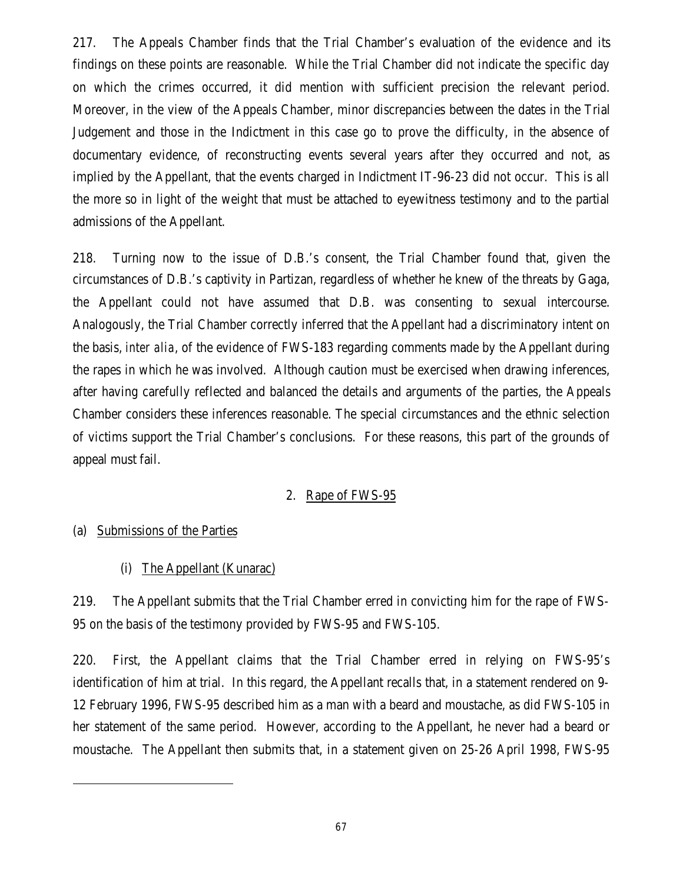217. The Appeals Chamber finds that the Trial Chamber's evaluation of the evidence and its findings on these points are reasonable. While the Trial Chamber did not indicate the specific day on which the crimes occurred, it did mention with sufficient precision the relevant period. Moreover, in the view of the Appeals Chamber, minor discrepancies between the dates in the Trial Judgement and those in the Indictment in this case go to prove the difficulty, in the absence of documentary evidence, of reconstructing events several years after they occurred and not, as implied by the Appellant, that the events charged in Indictment IT-96-23 did not occur. This is all the more so in light of the weight that must be attached to eyewitness testimony and to the partial admissions of the Appellant.

218. Turning now to the issue of D.B.'s consent, the Trial Chamber found that, given the circumstances of D.B.'s captivity in Partizan, regardless of whether he knew of the threats by Gaga, the Appellant could not have assumed that D.B. was consenting to sexual intercourse. Analogously, the Trial Chamber correctly inferred that the Appellant had a discriminatory intent on the basis, *inter alia*, of the evidence of FWS-183 regarding comments made by the Appellant during the rapes in which he was involved. Although caution must be exercised when drawing inferences, after having carefully reflected and balanced the details and arguments of the parties, the Appeals Chamber considers these inferences reasonable. The special circumstances and the ethnic selection of victims support the Trial Chamber's conclusions. For these reasons, this part of the grounds of appeal must fail.

## 2. Rape of FWS-95

## (a) Submissions of the Parties

 $\overline{a}$ 

(i) The Appellant (Kunarac)

219. The Appellant submits that the Trial Chamber erred in convicting him for the rape of FWS-95 on the basis of the testimony provided by FWS-95 and FWS-105.

220. First, the Appellant claims that the Trial Chamber erred in relying on FWS-95's identification of him at trial. In this regard, the Appellant recalls that, in a statement rendered on 9- 12 February 1996, FWS-95 described him as a man with a beard and moustache, as did FWS-105 in her statement of the same period. However, according to the Appellant, he never had a beard or moustache. The Appellant then submits that, in a statement given on 25-26 April 1998, FWS-95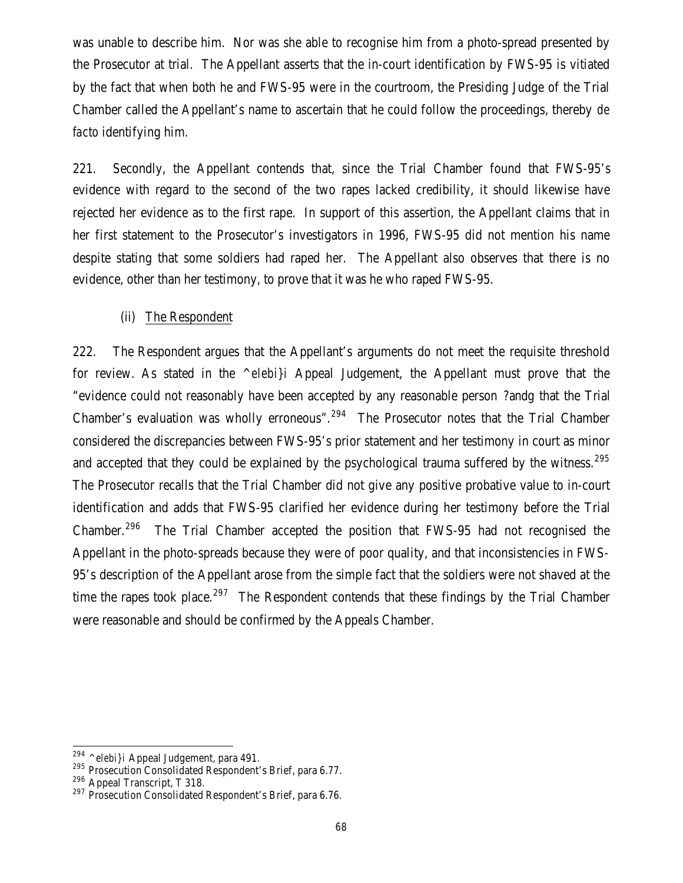was unable to describe him. Nor was she able to recognise him from a photo-spread presented by the Prosecutor at trial. The Appellant asserts that the in-court identification by FWS-95 is vitiated by the fact that when both he and FWS-95 were in the courtroom, the Presiding Judge of the Trial Chamber called the Appellant's name to ascertain that he could follow the proceedings, thereby *de facto* identifying him.

221. Secondly, the Appellant contends that, since the Trial Chamber found that FWS-95's evidence with regard to the second of the two rapes lacked credibility, it should likewise have rejected her evidence as to the first rape. In support of this assertion, the Appellant claims that in her first statement to the Prosecutor's investigators in 1996, FWS-95 did not mention his name despite stating that some soldiers had raped her. The Appellant also observes that there is no evidence, other than her testimony, to prove that it was he who raped FWS-95.

## (ii) The Respondent

222. The Respondent argues that the Appellant's arguments do not meet the requisite threshold for review. As stated in the *^elebi}i* Appeal Judgement, the Appellant must prove that the "evidence could not reasonably have been accepted by any reasonable person ?andg that the Trial Chamber's evaluation was wholly erroneous".<sup>294</sup> The Prosecutor notes that the Trial Chamber considered the discrepancies between FWS-95's prior statement and her testimony in court as minor and accepted that they could be explained by the psychological trauma suffered by the witness.<sup>295</sup> The Prosecutor recalls that the Trial Chamber did not give any positive probative value to in-court identification and adds that FWS-95 clarified her evidence during her testimony before the Trial Chamber.<sup>296</sup> The Trial Chamber accepted the position that FWS-95 had not recognised the Appellant in the photo-spreads because they were of poor quality, and that inconsistencies in FWS-95's description of the Appellant arose from the simple fact that the soldiers were not shaved at the time the rapes took place.<sup>297</sup> The Respondent contends that these findings by the Trial Chamber were reasonable and should be confirmed by the Appeals Chamber.

 $\overline{a}$ <sup>294</sup> *^elebi}i* Appeal Judgement, para 491.

<sup>295</sup> Prosecution Consolidated Respondent's Brief, para 6.77.

<sup>296</sup> Appeal Transcript, T 318.

<sup>297</sup> Prosecution Consolidated Respondent's Brief, para 6.76.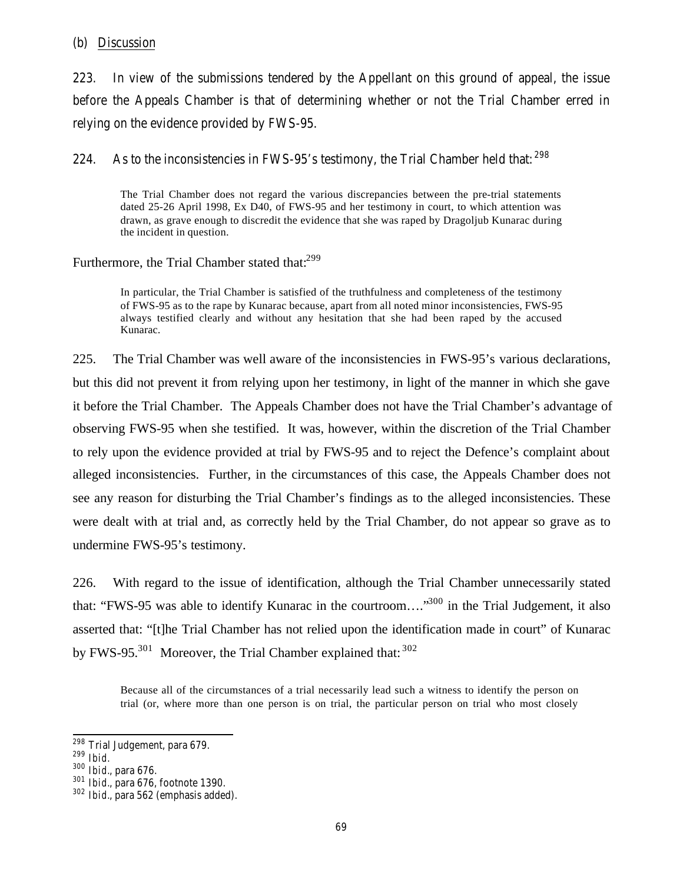#### (b) Discussion

223. In view of the submissions tendered by the Appellant on this ground of appeal, the issue before the Appeals Chamber is that of determining whether or not the Trial Chamber erred in relying on the evidence provided by FWS-95.

224. As to the inconsistencies in FWS-95's testimony, the Trial Chamber held that:  $^{298}$ 

The Trial Chamber does not regard the various discrepancies between the pre-trial statements dated 25-26 April 1998, Ex D40, of FWS-95 and her testimony in court, to which attention was drawn, as grave enough to discredit the evidence that she was raped by Dragoljub Kunarac during the incident in question.

Furthermore, the Trial Chamber stated that:<sup>299</sup>

In particular, the Trial Chamber is satisfied of the truthfulness and completeness of the testimony of FWS-95 as to the rape by Kunarac because, apart from all noted minor inconsistencies, FWS-95 always testified clearly and without any hesitation that she had been raped by the accused Kunarac.

225. The Trial Chamber was well aware of the inconsistencies in FWS-95's various declarations, but this did not prevent it from relying upon her testimony, in light of the manner in which she gave it before the Trial Chamber. The Appeals Chamber does not have the Trial Chamber's advantage of observing FWS-95 when she testified. It was, however, within the discretion of the Trial Chamber to rely upon the evidence provided at trial by FWS-95 and to reject the Defence's complaint about alleged inconsistencies. Further, in the circumstances of this case, the Appeals Chamber does not see any reason for disturbing the Trial Chamber's findings as to the alleged inconsistencies. These were dealt with at trial and, as correctly held by the Trial Chamber, do not appear so grave as to undermine FWS-95's testimony.

226. With regard to the issue of identification, although the Trial Chamber unnecessarily stated that: "FWS-95 was able to identify Kunarac in the courtroom…."<sup>300</sup> in the Trial Judgement, it also asserted that: "[t]he Trial Chamber has not relied upon the identification made in court" of Kunarac by FWS-95.<sup>301</sup> Moreover, the Trial Chamber explained that: <sup>302</sup>

Because all of the circumstances of a trial necessarily lead such a witness to identify the person on trial (or, where more than one person is on trial, the particular person on trial who most closely

 $\overline{\phantom{0}}$ <sup>298</sup> Trial Judgement, para 679.

<sup>299</sup> *Ibid.*

<sup>300</sup> *Ibid.*, para 676.

<sup>301</sup> *Ibid.*, para 676, footnote 1390.

<sup>302</sup> *Ibid.*, para 562 (emphasis added).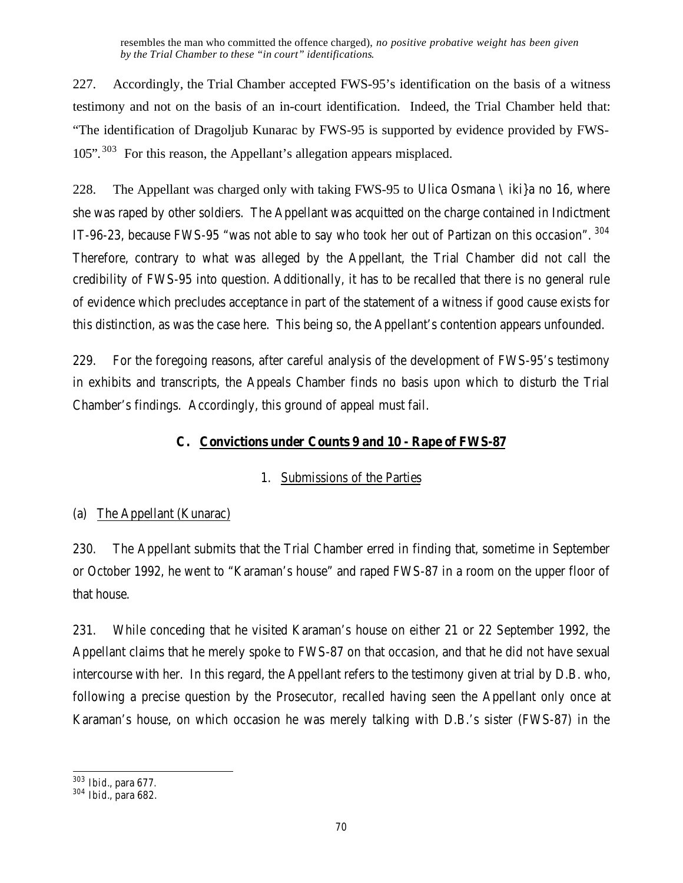resembles the man who committed the offence charged), *no positive probative weight has been given by the Trial Chamber to these "in court" identifications*.

227. Accordingly, the Trial Chamber accepted FWS-95's identification on the basis of a witness testimony and not on the basis of an in-court identification. Indeed, the Trial Chamber held that: "The identification of Dragoljub Kunarac by FWS-95 is supported by evidence provided by FWS-105".<sup>303</sup> For this reason, the Appellant's allegation appears misplaced.

228. The Appellant was charged only with taking FWS-95 to Ulica Osmana \iki}a no 16, where she was raped by other soldiers. The Appellant was acquitted on the charge contained in Indictment IT-96-23, because FWS-95 "was not able to say who took her out of Partizan on this occasion". 304 Therefore, contrary to what was alleged by the Appellant, the Trial Chamber did not call the credibility of FWS-95 into question. Additionally, it has to be recalled that there is no general rule of evidence which precludes acceptance in part of the statement of a witness if good cause exists for this distinction, as was the case here. This being so, the Appellant's contention appears unfounded.

229. For the foregoing reasons, after careful analysis of the development of FWS-95's testimony in exhibits and transcripts, the Appeals Chamber finds no basis upon which to disturb the Trial Chamber's findings. Accordingly, this ground of appeal must fail.

## **C. Convictions under Counts 9 and 10 - Rape of FWS-87**

## 1. Submissions of the Parties

## (a) The Appellant (Kunarac)

230. The Appellant submits that the Trial Chamber erred in finding that, sometime in September or October 1992, he went to "Karaman's house" and raped FWS-87 in a room on the upper floor of that house.

231. While conceding that he visited Karaman's house on either 21 or 22 September 1992, the Appellant claims that he merely spoke to FWS-87 on that occasion, and that he did not have sexual intercourse with her. In this regard, the Appellant refers to the testimony given at trial by D.B. who, following a precise question by the Prosecutor, recalled having seen the Appellant only once at Karaman's house, on which occasion he was merely talking with D.B.'s sister (FWS-87) in the

 $\overline{a}$ <sup>303</sup> *Ibid.*, para 677*.*

<sup>304</sup> *Ibid.*, para 682.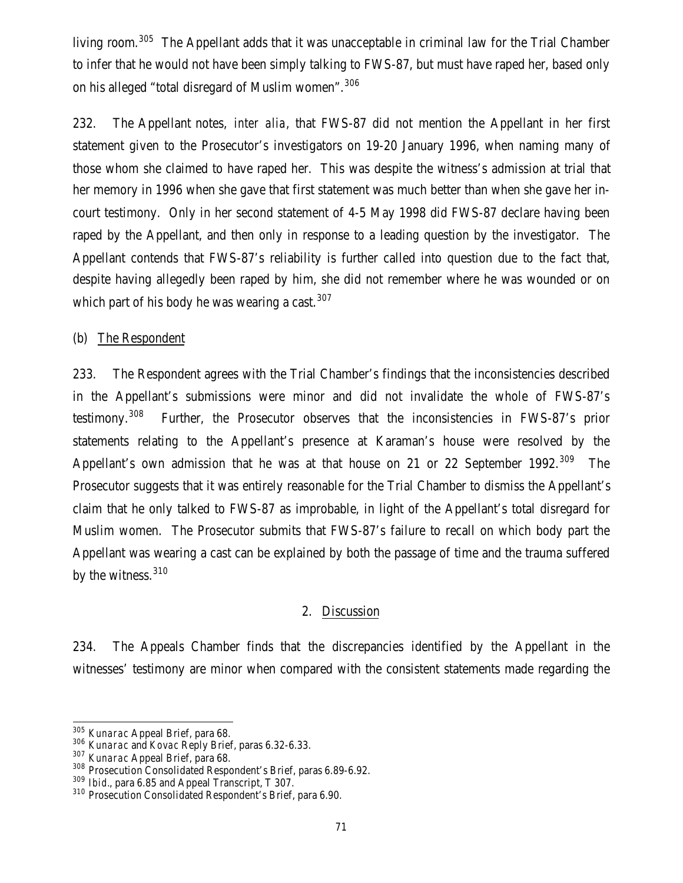living room.<sup>305</sup> The Appellant adds that it was unacceptable in criminal law for the Trial Chamber to infer that he would not have been simply talking to FWS-87, but must have raped her, based only on his alleged "total disregard of Muslim women".<sup>306</sup>

232. The Appellant notes, *inter alia*, that FWS-87 did not mention the Appellant in her first statement given to the Prosecutor's investigators on 19-20 January 1996, when naming many of those whom she claimed to have raped her. This was despite the witness's admission at trial that her memory in 1996 when she gave that first statement was much better than when she gave her incourt testimony. Only in her second statement of 4-5 May 1998 did FWS-87 declare having been raped by the Appellant, and then only in response to a leading question by the investigator. The Appellant contends that FWS-87's reliability is further called into question due to the fact that, despite having allegedly been raped by him, she did not remember where he was wounded or on which part of his body he was wearing a cast.<sup>307</sup>

## (b) The Respondent

233. The Respondent agrees with the Trial Chamber's findings that the inconsistencies described in the Appellant's submissions were minor and did not invalidate the whole of FWS-87's testimony.<sup>308</sup> Further, the Prosecutor observes that the inconsistencies in FWS-87's prior statements relating to the Appellant's presence at Karaman's house were resolved by the Appellant's own admission that he was at that house on 21 or 22 September 1992.<sup>309</sup> The Prosecutor suggests that it was entirely reasonable for the Trial Chamber to dismiss the Appellant's claim that he only talked to FWS-87 as improbable, in light of the Appellant's total disregard for Muslim women. The Prosecutor submits that FWS-87's failure to recall on which body part the Appellant was wearing a cast can be explained by both the passage of time and the trauma suffered by the witness.  $310$ 

## 2. Discussion

234. The Appeals Chamber finds that the discrepancies identified by the Appellant in the witnesses' testimony are minor when compared with the consistent statements made regarding the

 $\overline{a}$ <sup>305</sup> *Kunarac* Appeal Brief, para 68.

<sup>306</sup> *Kunarac* and *Kovac* Reply Brief, paras 6.32-6.33.

<sup>307</sup> *Kunarac* Appeal Brief, para 68.

<sup>308</sup> Prosecution Consolidated Respondent's Brief, paras 6.89-6.92.

<sup>309</sup> *Ibid.*, para 6.85 and Appeal Transcript, T 307.

<sup>310</sup> Prosecution Consolidated Respondent's Brief, para 6.90.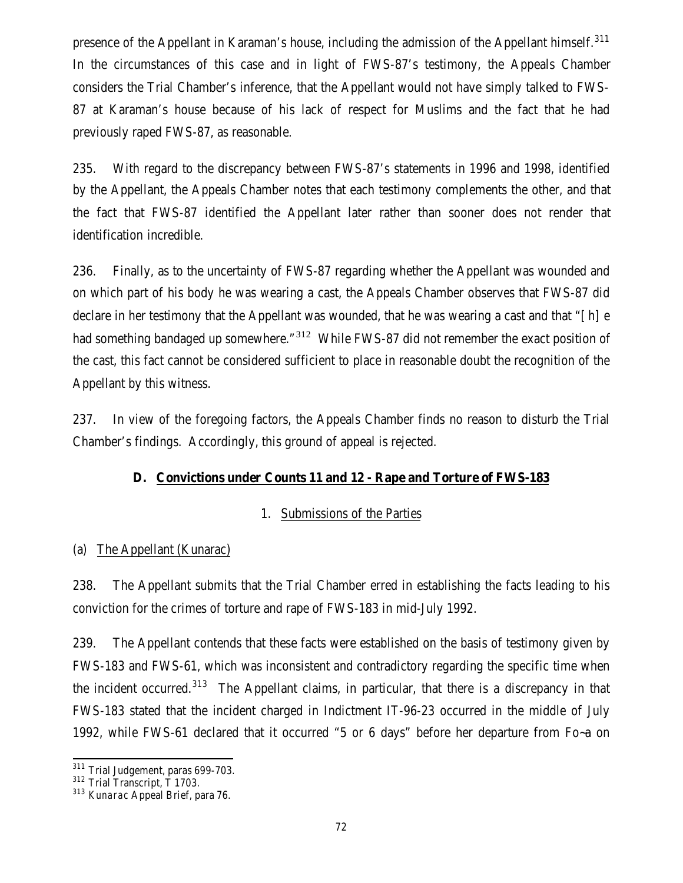presence of the Appellant in Karaman's house, including the admission of the Appellant himself.<sup>311</sup> In the circumstances of this case and in light of FWS-87's testimony, the Appeals Chamber considers the Trial Chamber's inference, that the Appellant would not have simply talked to FWS-87 at Karaman's house because of his lack of respect for Muslims and the fact that he had previously raped FWS-87, as reasonable.

235. With regard to the discrepancy between FWS-87's statements in 1996 and 1998, identified by the Appellant, the Appeals Chamber notes that each testimony complements the other, and that the fact that FWS-87 identified the Appellant later rather than sooner does not render that identification incredible.

236. Finally, as to the uncertainty of FWS-87 regarding whether the Appellant was wounded and on which part of his body he was wearing a cast, the Appeals Chamber observes that FWS-87 did declare in her testimony that the Appellant was wounded, that he was wearing a cast and that "[h]e had something bandaged up somewhere."<sup>312</sup> While FWS-87 did not remember the exact position of the cast, this fact cannot be considered sufficient to place in reasonable doubt the recognition of the Appellant by this witness.

237. In view of the foregoing factors, the Appeals Chamber finds no reason to disturb the Trial Chamber's findings. Accordingly, this ground of appeal is rejected.

## **D. Convictions under Counts 11 and 12 - Rape and Torture of FWS-183**

## 1. Submissions of the Parties

## (a) The Appellant (Kunarac)

238. The Appellant submits that the Trial Chamber erred in establishing the facts leading to his conviction for the crimes of torture and rape of FWS-183 in mid-July 1992.

239. The Appellant contends that these facts were established on the basis of testimony given by FWS-183 and FWS-61, which was inconsistent and contradictory regarding the specific time when the incident occurred.<sup>313</sup> The Appellant claims, in particular, that there is a discrepancy in that FWS-183 stated that the incident charged in Indictment IT-96-23 occurred in the middle of July 1992, while FWS-61 declared that it occurred "5 or 6 days" before her departure from Fo~a on

 $\overline{a}$ <sup>311</sup> Trial Judgement, paras 699-703.

 $312$  Trial Transcript, T 1703.

<sup>313</sup> *Kunarac* Appeal Brief, para 76.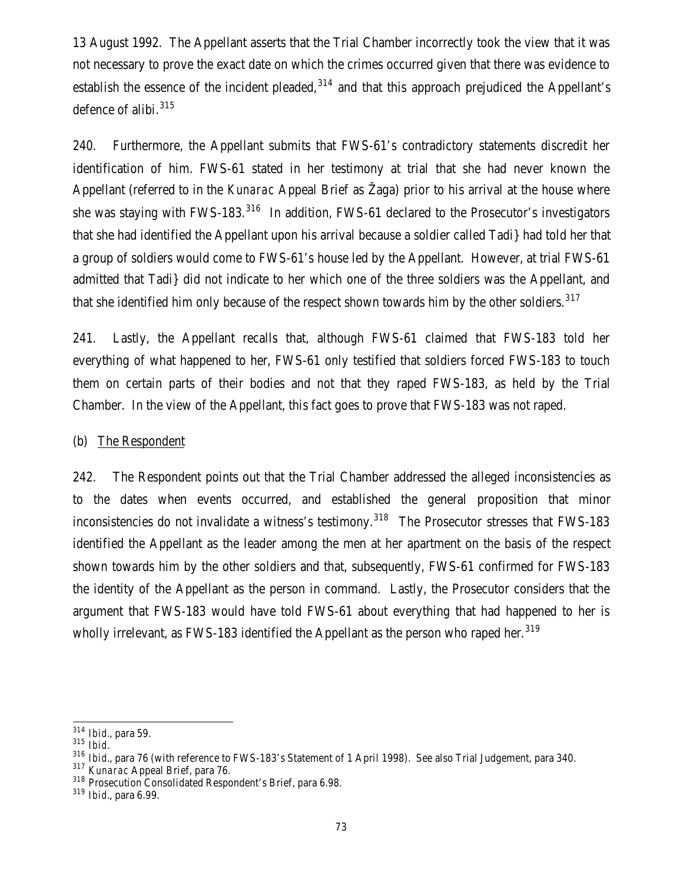13 August 1992. The Appellant asserts that the Trial Chamber incorrectly took the view that it was not necessary to prove the exact date on which the crimes occurred given that there was evidence to establish the essence of the incident pleaded,  $314$  and that this approach prejudiced the Appellant's defence of alibi.<sup>315</sup>

240. Furthermore, the Appellant submits that FWS-61's contradictory statements discredit her identification of him. FWS-61 stated in her testimony at trial that she had never known the Appellant (referred to in the *Kunarac* Appeal Brief as Žaga) prior to his arrival at the house where she was staying with FWS-183.<sup>316</sup> In addition, FWS-61 declared to the Prosecutor's investigators that she had identified the Appellant upon his arrival because a soldier called Tadi} had told her that a group of soldiers would come to FWS-61's house led by the Appellant. However, at trial FWS-61 admitted that Tadi} did not indicate to her which one of the three soldiers was the Appellant, and that she identified him only because of the respect shown towards him by the other soldiers.  $317$ 

241. Lastly, the Appellant recalls that, although FWS-61 claimed that FWS-183 told her everything of what happened to her, FWS-61 only testified that soldiers forced FWS-183 to touch them on certain parts of their bodies and not that they raped FWS-183, as held by the Trial Chamber. In the view of the Appellant, this fact goes to prove that FWS-183 was not raped.

## (b) The Respondent

242. The Respondent points out that the Trial Chamber addressed the alleged inconsistencies as to the dates when events occurred, and established the general proposition that minor inconsistencies do not invalidate a witness's testimony.<sup>318</sup> The Prosecutor stresses that FWS-183 identified the Appellant as the leader among the men at her apartment on the basis of the respect shown towards him by the other soldiers and that, subsequently, FWS-61 confirmed for FWS-183 the identity of the Appellant as the person in command. Lastly, the Prosecutor considers that the argument that FWS-183 would have told FWS-61 about everything that had happened to her is wholly irrelevant, as FWS-183 identified the Appellant as the person who raped her.<sup>319</sup>

 $\overline{a}$ <sup>314</sup> *Ibid.*, para 59.

<sup>315</sup> *Ibid.*

<sup>316</sup> *Ibid.*, para 76 (with reference to FWS-183's Statement of 1 April 1998). See also Trial Judgement, para 340.

<sup>317</sup> *Kunarac* Appeal Brief, para 76.

<sup>318</sup> Prosecution Consolidated Respondent's Brief, para 6.98.

<sup>319</sup> *Ibid.*, para 6.99.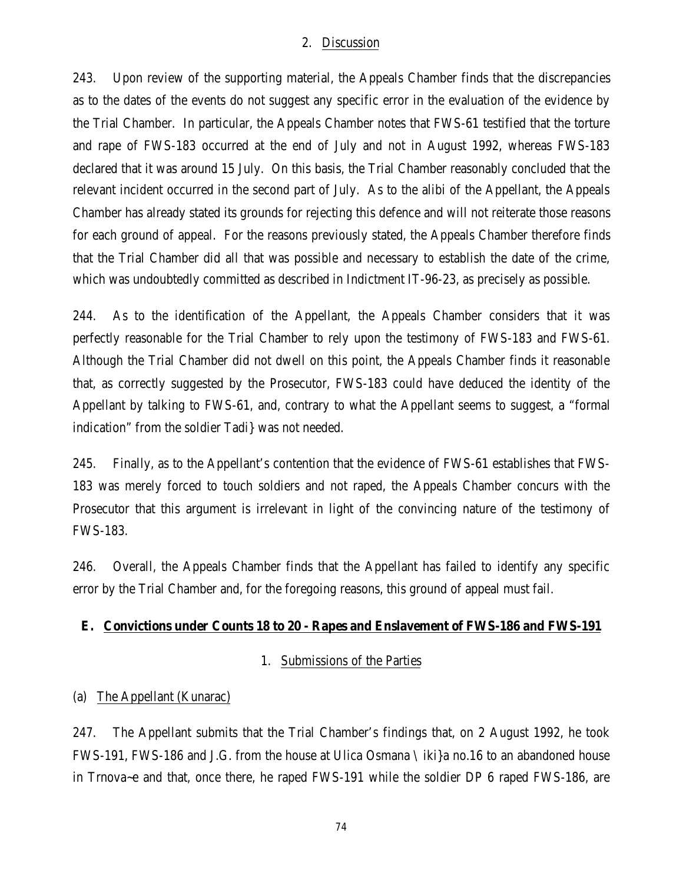#### 2. Discussion

243. Upon review of the supporting material, the Appeals Chamber finds that the discrepancies as to the dates of the events do not suggest any specific error in the evaluation of the evidence by the Trial Chamber. In particular, the Appeals Chamber notes that FWS-61 testified that the torture and rape of FWS-183 occurred at the end of July and not in August 1992, whereas FWS-183 declared that it was around 15 July. On this basis, the Trial Chamber reasonably concluded that the relevant incident occurred in the second part of July. As to the alibi of the Appellant, the Appeals Chamber has already stated its grounds for rejecting this defence and will not reiterate those reasons for each ground of appeal. For the reasons previously stated, the Appeals Chamber therefore finds that the Trial Chamber did all that was possible and necessary to establish the date of the crime, which was undoubtedly committed as described in Indictment IT-96-23, as precisely as possible.

244. As to the identification of the Appellant, the Appeals Chamber considers that it was perfectly reasonable for the Trial Chamber to rely upon the testimony of FWS-183 and FWS-61. Although the Trial Chamber did not dwell on this point, the Appeals Chamber finds it reasonable that, as correctly suggested by the Prosecutor, FWS-183 could have deduced the identity of the Appellant by talking to FWS-61, and, contrary to what the Appellant seems to suggest, a "formal indication" from the soldier Tadi} was not needed.

245. Finally, as to the Appellant's contention that the evidence of FWS-61 establishes that FWS-183 was merely forced to touch soldiers and not raped, the Appeals Chamber concurs with the Prosecutor that this argument is irrelevant in light of the convincing nature of the testimony of FWS-183.

246. Overall, the Appeals Chamber finds that the Appellant has failed to identify any specific error by the Trial Chamber and, for the foregoing reasons, this ground of appeal must fail.

## **E. Convictions under Counts 18 to 20 - Rapes and Enslavement of FWS-186 and FWS-191**

## 1. Submissions of the Parties

## (a) The Appellant (Kunarac)

247. The Appellant submits that the Trial Chamber's findings that, on 2 August 1992, he took FWS-191, FWS-186 and J.G. from the house at Ulica Osmana \iki}a no.16 to an abandoned house in Trnova~e and that, once there, he raped FWS-191 while the soldier DP 6 raped FWS-186, are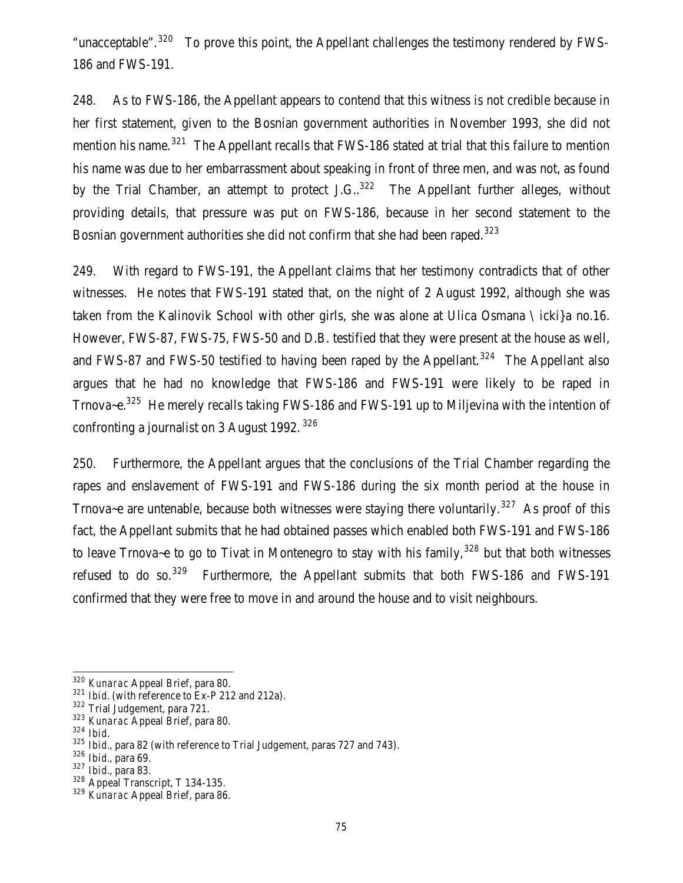"unacceptable".<sup>320</sup> To prove this point, the Appellant challenges the testimony rendered by FWS-186 and FWS-191.

248. As to FWS-186, the Appellant appears to contend that this witness is not credible because in her first statement, given to the Bosnian government authorities in November 1993, she did not mention his name.<sup>321</sup> The Appellant recalls that FWS-186 stated at trial that this failure to mention his name was due to her embarrassment about speaking in front of three men, and was not, as found by the Trial Chamber, an attempt to protect  $J.G.$ <sup>322</sup> The Appellant further alleges, without providing details, that pressure was put on FWS-186, because in her second statement to the Bosnian government authorities she did not confirm that she had been raped.<sup>323</sup>

249. With regard to FWS-191, the Appellant claims that her testimony contradicts that of other witnesses. He notes that FWS-191 stated that, on the night of 2 August 1992, although she was taken from the Kalinovik School with other girls, she was alone at Ulica Osmana \icki}a no.16. However, FWS-87, FWS-75, FWS-50 and D.B. testified that they were present at the house as well, and FWS-87 and FWS-50 testified to having been raped by the Appellant.<sup>324</sup> The Appellant also argues that he had no knowledge that FWS-186 and FWS-191 were likely to be raped in Trnova~e.<sup>325</sup> He merely recalls taking FWS-186 and FWS-191 up to Miljevina with the intention of confronting a journalist on 3 August 1992. <sup>326</sup>

250. Furthermore, the Appellant argues that the conclusions of the Trial Chamber regarding the rapes and enslavement of FWS-191 and FWS-186 during the six month period at the house in Trnova~e are untenable, because both witnesses were staying there voluntarily.<sup>327</sup> As proof of this fact, the Appellant submits that he had obtained passes which enabled both FWS-191 and FWS-186 to leave Trnova~e to go to Tivat in Montenegro to stay with his family,  $328$  but that both witnesses refused to do so.  $329$  Furthermore, the Appellant submits that both FWS-186 and FWS-191 confirmed that they were free to move in and around the house and to visit neighbours.

 $\overline{a}$ <sup>320</sup> *Kunarac* Appeal Brief, para 80.

<sup>321</sup> *Ibid.* (with reference to Ex-P 212 and 212a).

<sup>322</sup> Trial Judgement, para 721.

<sup>323</sup> *Kunarac* Appeal Brief, para 80.

<sup>324</sup> *Ibid.*

<sup>&</sup>lt;sup>325</sup> *Ibid.*, para 82 (with reference to Trial Judgement, paras 727 and 743).

<sup>326</sup> *Ibid.*, para 69.

<sup>327</sup> *Ibid.*, para 83.

<sup>328</sup> Appeal Transcript, T 134-135.

<sup>329</sup> *Kunarac* Appeal Brief, para 86.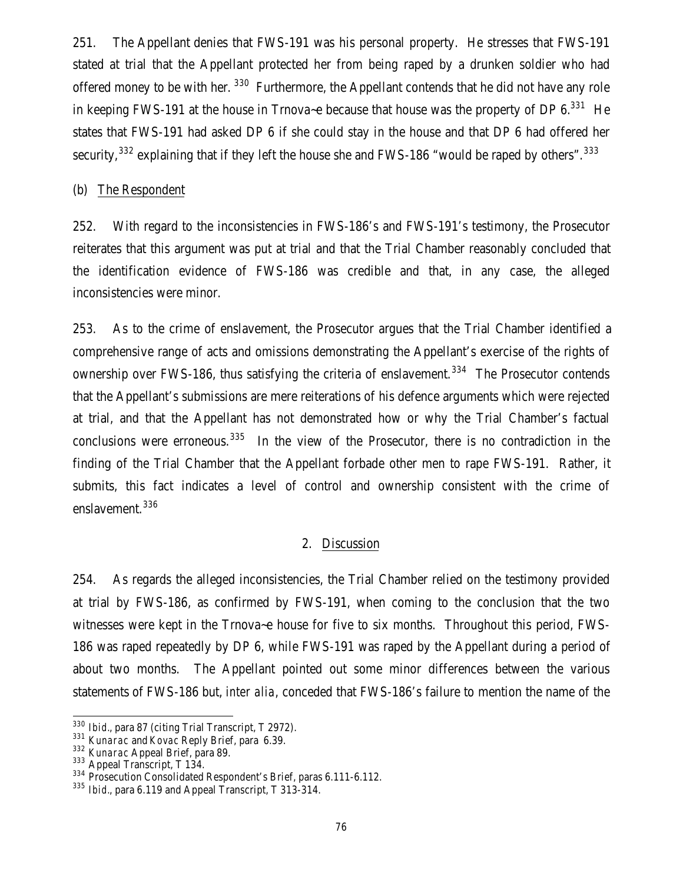251. The Appellant denies that FWS-191 was his personal property. He stresses that FWS-191 stated at trial that the Appellant protected her from being raped by a drunken soldier who had offered money to be with her. <sup>330</sup> Furthermore, the Appellant contends that he did not have any role in keeping FWS-191 at the house in Trnova~e because that house was the property of DP  $6^{331}$  He states that FWS-191 had asked DP 6 if she could stay in the house and that DP 6 had offered her security,  $332$  explaining that if they left the house she and FWS-186 "would be raped by others".  $333$ 

#### (b) The Respondent

252. With regard to the inconsistencies in FWS-186's and FWS-191's testimony, the Prosecutor reiterates that this argument was put at trial and that the Trial Chamber reasonably concluded that the identification evidence of FWS-186 was credible and that, in any case, the alleged inconsistencies were minor.

253. As to the crime of enslavement, the Prosecutor argues that the Trial Chamber identified a comprehensive range of acts and omissions demonstrating the Appellant's exercise of the rights of ownership over FWS-186, thus satisfying the criteria of enslavement.<sup>334</sup> The Prosecutor contends that the Appellant's submissions are mere reiterations of his defence arguments which were rejected at trial, and that the Appellant has not demonstrated how or why the Trial Chamber's factual conclusions were erroneous. $335$  In the view of the Prosecutor, there is no contradiction in the finding of the Trial Chamber that the Appellant forbade other men to rape FWS-191. Rather, it submits, this fact indicates a level of control and ownership consistent with the crime of enslavement.<sup>336</sup>

## 2. Discussion

254. As regards the alleged inconsistencies, the Trial Chamber relied on the testimony provided at trial by FWS-186, as confirmed by FWS-191, when coming to the conclusion that the two witnesses were kept in the Trnova~e house for five to six months. Throughout this period, FWS-186 was raped repeatedly by DP 6, while FWS-191 was raped by the Appellant during a period of about two months. The Appellant pointed out some minor differences between the various statements of FWS-186 but, *inter alia*, conceded that FWS-186's failure to mention the name of the

 $\overline{a}$ <sup>330</sup> *Ibid.*, para 87 (citing Trial Transcript, T 2972).

<sup>331</sup> *Kunarac* and *Kovac* Reply Brief, para 6.39.

<sup>332</sup> *Kunarac* Appeal Brief, para 89.

<sup>333</sup> Appeal Transcript, T 134.

<sup>334</sup> Prosecution Consolidated Respondent's Brief, paras 6.111-6.112.

<sup>335</sup> *Ibid.*, para 6.119 and Appeal Transcript, T 313-314.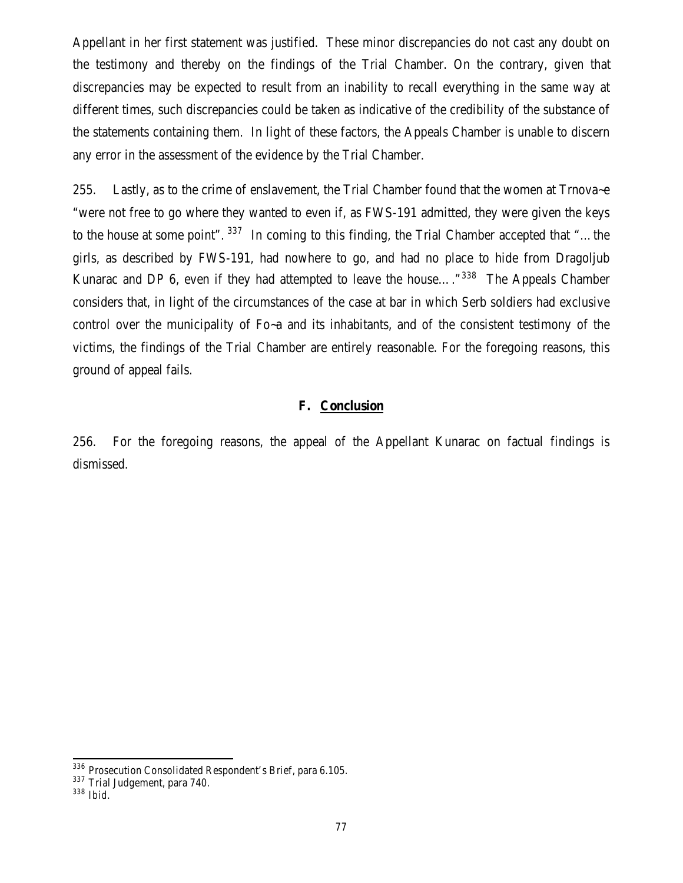Appellant in her first statement was justified. These minor discrepancies do not cast any doubt on the testimony and thereby on the findings of the Trial Chamber. On the contrary, given that discrepancies may be expected to result from an inability to recall everything in the same way at different times, such discrepancies could be taken as indicative of the credibility of the substance of the statements containing them. In light of these factors, the Appeals Chamber is unable to discern any error in the assessment of the evidence by the Trial Chamber.

255. Lastly, as to the crime of enslavement, the Trial Chamber found that the women at Trnova~e "were not free to go where they wanted to even if, as FWS-191 admitted, they were given the keys to the house at some point".  $337$  In coming to this finding, the Trial Chamber accepted that "...the girls, as described by FWS-191, had nowhere to go, and had no place to hide from Dragoljub Kunarac and DP 6, even if they had attempted to leave the house...."<sup>338</sup> The Appeals Chamber considers that, in light of the circumstances of the case at bar in which Serb soldiers had exclusive control over the municipality of Fo~a and its inhabitants, and of the consistent testimony of the victims, the findings of the Trial Chamber are entirely reasonable. For the foregoing reasons, this ground of appeal fails.

#### **F. Conclusion**

256. For the foregoing reasons, the appeal of the Appellant Kunarac on factual findings is dismissed.

 $\overline{a}$ 

 $336$  Prosecution Consolidated Respondent's Brief, para 6.105.

<sup>&</sup>lt;sup>337</sup> Trial Judgement, para 740.

<sup>338</sup> *Ibid.*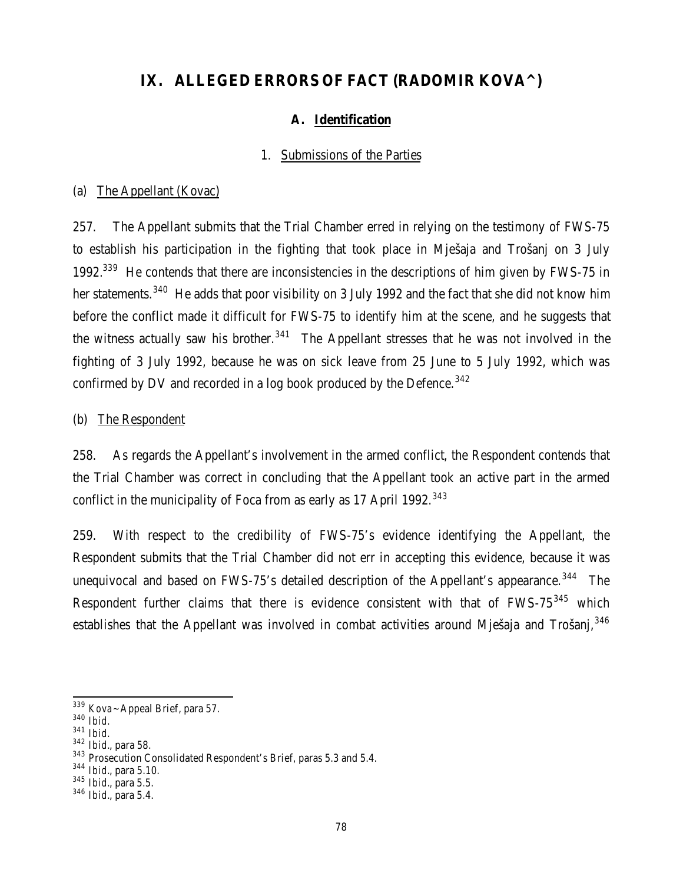# **IX. ALLEGED ERRORS OF FACT (RADOMIR KOVA^)**

## **A. Identification**

## 1. Submissions of the Parties

## (a) The Appellant (Kovac)

257. The Appellant submits that the Trial Chamber erred in relying on the testimony of FWS-75 to establish his participation in the fighting that took place in Mješaja and Trošanj on 3 July 1992.<sup>339</sup> He contends that there are inconsistencies in the descriptions of him given by FWS-75 in her statements.<sup>340</sup> He adds that poor visibility on 3 July 1992 and the fact that she did not know him before the conflict made it difficult for FWS-75 to identify him at the scene, and he suggests that the witness actually saw his brother.<sup>341</sup> The Appellant stresses that he was not involved in the fighting of 3 July 1992, because he was on sick leave from 25 June to 5 July 1992, which was confirmed by DV and recorded in a log book produced by the Defence.  $342$ 

## (b) The Respondent

258. As regards the Appellant's involvement in the armed conflict, the Respondent contends that the Trial Chamber was correct in concluding that the Appellant took an active part in the armed conflict in the municipality of Foca from as early as 17 April 1992.<sup>343</sup>

259. With respect to the credibility of FWS-75's evidence identifying the Appellant, the Respondent submits that the Trial Chamber did not err in accepting this evidence, because it was unequivocal and based on FWS-75's detailed description of the Appellant's appearance.<sup>344</sup> The Respondent further claims that there is evidence consistent with that of FWS-75<sup>345</sup> which establishes that the Appellant was involved in combat activities around Mješaja and Trošanj, 346

 $\overline{a}$ <sup>339</sup> *Kova~* Appeal Brief, para 57.

<sup>340</sup> *Ibid.*

<sup>341</sup> *Ibid.*

<sup>342</sup> *Ibid.*, para 58.

<sup>&</sup>lt;sup>343</sup> Prosecution Consolidated Respondent's Brief, paras 5.3 and 5.4.

<sup>344</sup> *Ibid.*, para 5.10.

<sup>345</sup> *Ibid.*, para 5.5.

<sup>346</sup> *Ibid.*, para 5.4.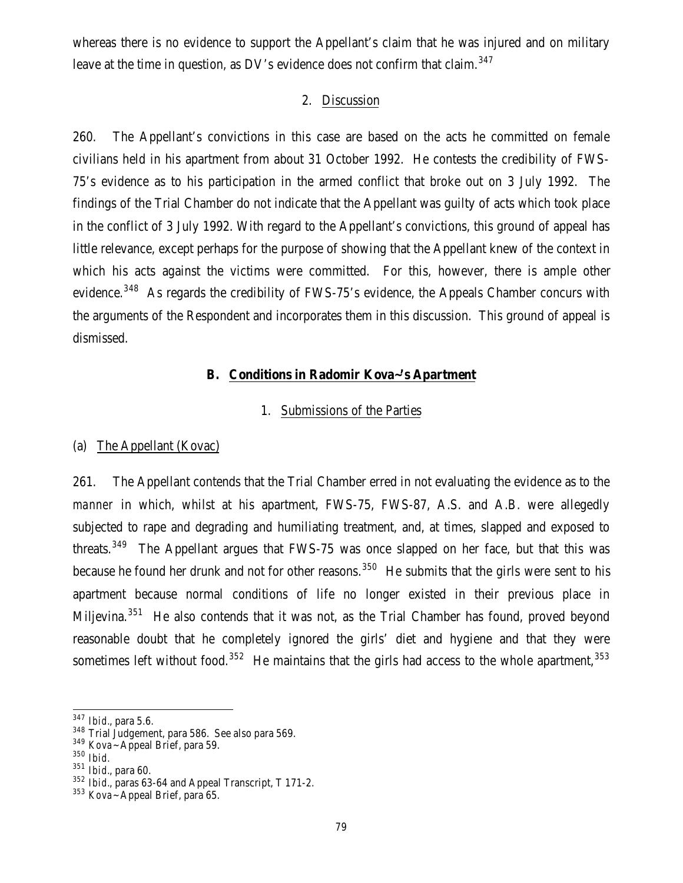whereas there is no evidence to support the Appellant's claim that he was injured and on military leave at the time in question, as DV's evidence does not confirm that claim.<sup>347</sup>

#### 2. Discussion

260. The Appellant's convictions in this case are based on the acts he committed on female civilians held in his apartment from about 31 October 1992. He contests the credibility of FWS-75's evidence as to his participation in the armed conflict that broke out on 3 July 1992. The findings of the Trial Chamber do not indicate that the Appellant was guilty of acts which took place in the conflict of 3 July 1992. With regard to the Appellant's convictions, this ground of appeal has little relevance, except perhaps for the purpose of showing that the Appellant knew of the context in which his acts against the victims were committed. For this, however, there is ample other evidence.<sup>348</sup> As regards the credibility of FWS-75's evidence, the Appeals Chamber concurs with the arguments of the Respondent and incorporates them in this discussion. This ground of appeal is dismissed.

## **B. Conditions in Radomir Kova~'s Apartment**

## 1. Submissions of the Parties

## (a) The Appellant (Kovac)

261. The Appellant contends that the Trial Chamber erred in not evaluating the evidence as to the *manner* in which, whilst at his apartment, FWS-75, FWS-87, A.S. and A.B. were allegedly subjected to rape and degrading and humiliating treatment, and, at times, slapped and exposed to threats.<sup>349</sup> The Appellant argues that FWS-75 was once slapped on her face, but that this was because he found her drunk and not for other reasons.<sup>350</sup> He submits that the girls were sent to his apartment because normal conditions of life no longer existed in their previous place in Miljevina.<sup>351</sup> He also contends that it was not, as the Trial Chamber has found, proved beyond reasonable doubt that he completely ignored the girls' diet and hygiene and that they were sometimes left without food.<sup>352</sup> He maintains that the girls had access to the whole apartment,<sup>353</sup>

 $\overline{a}$ <sup>347</sup> *Ibid.*, para 5.6.

<sup>348</sup> Trial Judgement, para 586. See also para 569.

<sup>349</sup> *Kova~* Appeal Brief, para 59.

<sup>350</sup> *Ibid.*

<sup>351</sup> *Ibid.*, para 60.

<sup>352</sup> *Ibid.*, paras 63-64 and Appeal Transcript, T 171-2.

<sup>353</sup> *Kova~* Appeal Brief, para 65.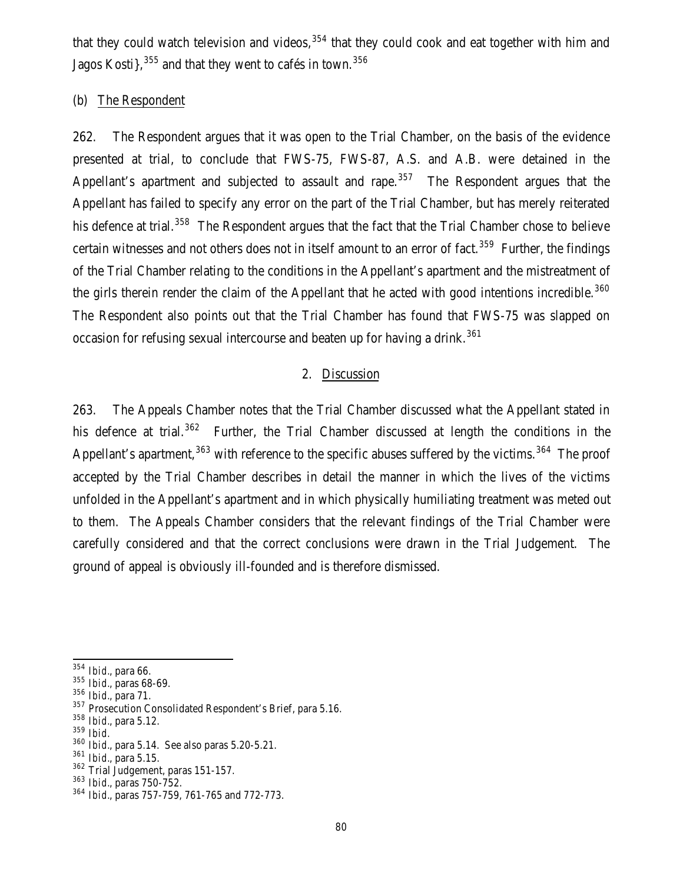that they could watch television and videos,  $354$  that they could cook and eat together with him and Jagos Kosti $\binom{355}{7}$  and that they went to cafés in town.<sup>356</sup>

#### (b) The Respondent

262. The Respondent argues that it was open to the Trial Chamber, on the basis of the evidence presented at trial, to conclude that FWS-75, FWS-87, A.S. and A.B. were detained in the Appellant's apartment and subjected to assault and rape.<sup>357</sup> The Respondent argues that the Appellant has failed to specify any error on the part of the Trial Chamber, but has merely reiterated his defence at trial.<sup>358</sup> The Respondent argues that the fact that the Trial Chamber chose to believe certain witnesses and not others does not in itself amount to an error of fact.<sup>359</sup> Further, the findings of the Trial Chamber relating to the conditions in the Appellant's apartment and the mistreatment of the girls therein render the claim of the Appellant that he acted with good intentions incredible.<sup>360</sup> The Respondent also points out that the Trial Chamber has found that FWS-75 was slapped on occasion for refusing sexual intercourse and beaten up for having a drink.<sup>361</sup>

## 2. Discussion

263. The Appeals Chamber notes that the Trial Chamber discussed what the Appellant stated in his defence at trial.<sup>362</sup> Further, the Trial Chamber discussed at length the conditions in the Appellant's apartment,  $363$  with reference to the specific abuses suffered by the victims.  $364$  The proof accepted by the Trial Chamber describes in detail the manner in which the lives of the victims unfolded in the Appellant's apartment and in which physically humiliating treatment was meted out to them. The Appeals Chamber considers that the relevant findings of the Trial Chamber were carefully considered and that the correct conclusions were drawn in the Trial Judgement. The ground of appeal is obviously ill-founded and is therefore dismissed.

<sup>363</sup> *Ibid.*, paras 750-752.

 $\overline{a}$ <sup>354</sup> *Ibid.*, para 66.

<sup>355</sup> *Ibid.*, paras 68-69.

<sup>356</sup> *Ibid.*, para 71.

<sup>&</sup>lt;sup>357</sup> Prosecution Consolidated Respondent's Brief, para 5.16.

<sup>358</sup> *Ibid.*, para 5.12.

<sup>359</sup> *Ibid.*

<sup>360</sup> *Ibid.*, para 5.14. See also paras 5.20-5.21.

<sup>361</sup> *Ibid.*, para 5.15.

<sup>362</sup> Trial Judgement, paras 151-157.

<sup>364</sup> *Ibid.*, paras 757-759, 761-765 and 772-773.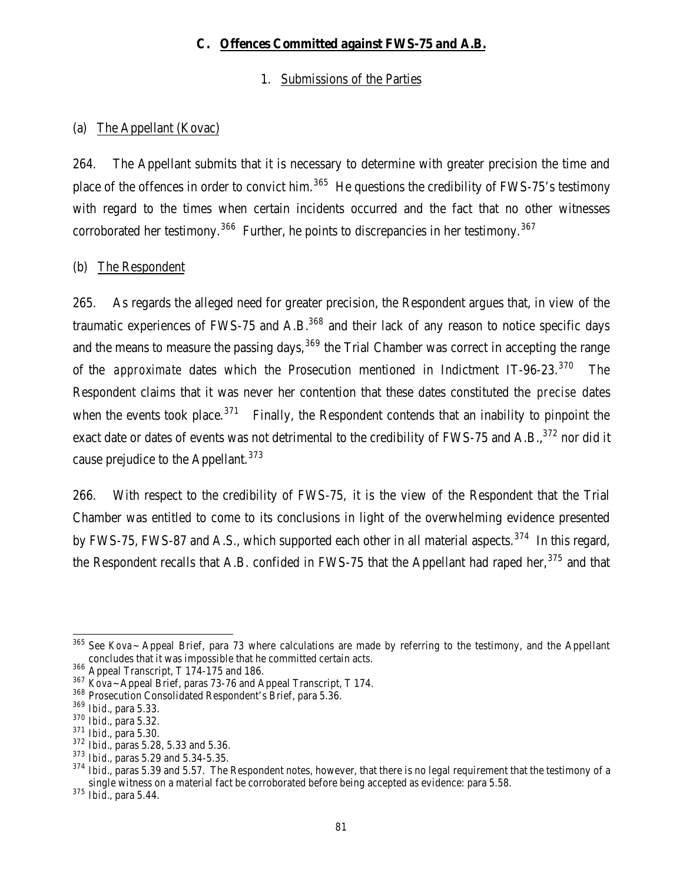#### **C. Offences Committed against FWS-75 and A.B.**

#### 1. Submissions of the Parties

## (a) The Appellant (Kovac)

264. The Appellant submits that it is necessary to determine with greater precision the time and place of the offences in order to convict him.<sup>365</sup> He questions the credibility of FWS-75's testimony with regard to the times when certain incidents occurred and the fact that no other witnesses corroborated her testimony.<sup>366</sup> Further, he points to discrepancies in her testimony.<sup>367</sup>

## (b) The Respondent

265. As regards the alleged need for greater precision, the Respondent argues that, in view of the traumatic experiences of FWS-75 and  $A.B.^{368}$  and their lack of any reason to notice specific days and the means to measure the passing days,<sup>369</sup> the Trial Chamber was correct in accepting the range of the *approximate* dates which the Prosecution mentioned in Indictment IT-96-23.<sup>370</sup> The Respondent claims that it was never her contention that these dates constituted the *precise* dates when the events took place.<sup>371</sup> Finally, the Respondent contends that an inability to pinpoint the exact date or dates of events was not detrimental to the credibility of FWS-75 and A.B., 372 nor did it cause prejudice to the Appellant. 373

266. With respect to the credibility of FWS-75, it is the view of the Respondent that the Trial Chamber was entitled to come to its conclusions in light of the overwhelming evidence presented by FWS-75, FWS-87 and A.S., which supported each other in all material aspects.<sup>374</sup> In this regard, the Respondent recalls that A.B. confided in FWS-75 that the Appellant had raped her,<sup>375</sup> and that

 $\overline{a}$ <sup>365</sup> See *Kova~* Appeal Brief, para 73 where calculations are made by referring to the testimony, and the Appellant concludes that it was impossible that he committed certain acts.

<sup>&</sup>lt;sup>366</sup> Appeal Transcript, T 174-175 and 186.

<sup>367</sup> *Kova~* Appeal Brief, paras 73-76 and Appeal Transcript, T 174.

<sup>368</sup> Prosecution Consolidated Respondent's Brief, para 5.36.

<sup>369</sup> *Ibid.*, para 5.33.

<sup>370</sup> *Ibid.*, para 5.32.

<sup>371</sup> *Ibid.*, para 5.30.

<sup>372</sup> *Ibid.*, paras 5.28, 5.33 and 5.36.

<sup>373</sup> *Ibid.*, paras 5.29 and 5.34-5.35.

<sup>&</sup>lt;sup>374</sup> *Ibid.*, paras 5.39 and 5.57. The Respondent notes, however, that there is no legal requirement that the testimony of a single witness on a material fact be corroborated before being accepted as evidence: para 5.58.

<sup>375</sup> *Ibid.*, para 5.44.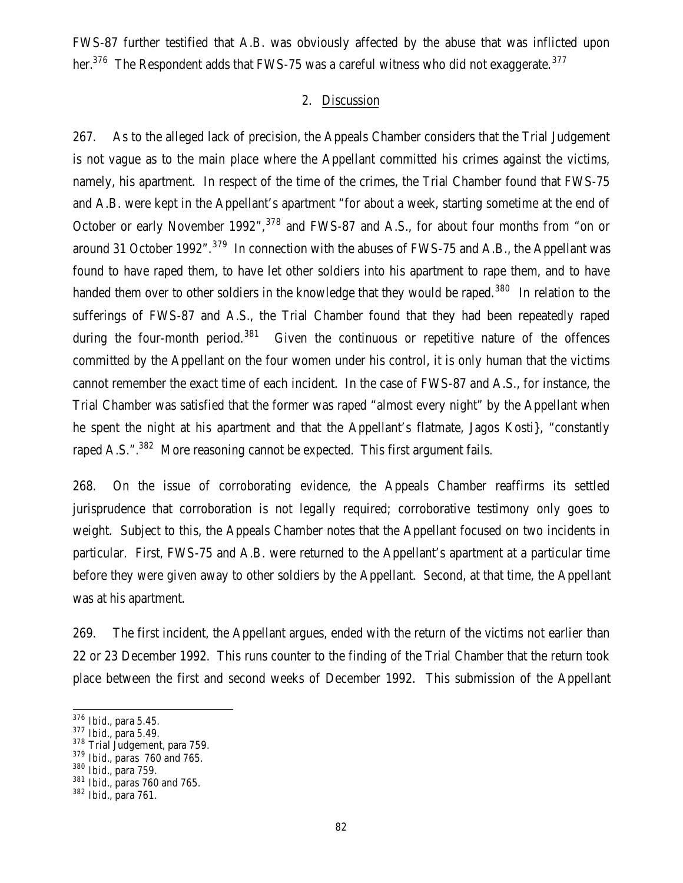FWS-87 further testified that A.B. was obviously affected by the abuse that was inflicted upon her.<sup>376</sup> The Respondent adds that FWS-75 was a careful witness who did not exaggerate.<sup>377</sup>

#### 2. Discussion

267. As to the alleged lack of precision, the Appeals Chamber considers that the Trial Judgement is not vague as to the main place where the Appellant committed his crimes against the victims, namely, his apartment. In respect of the time of the crimes, the Trial Chamber found that FWS-75 and A.B. were kept in the Appellant's apartment "for about a week, starting sometime at the end of October or early November 1992",<sup>378</sup> and FWS-87 and A.S., for about four months from "on or around 31 October 1992".<sup>379</sup> In connection with the abuses of FWS-75 and A.B., the Appellant was found to have raped them, to have let other soldiers into his apartment to rape them, and to have handed them over to other soldiers in the knowledge that they would be raped.<sup>380</sup> In relation to the sufferings of FWS-87 and A.S., the Trial Chamber found that they had been repeatedly raped during the four-month period. $381$  Given the continuous or repetitive nature of the offences committed by the Appellant on the four women under his control, it is only human that the victims cannot remember the exact time of each incident. In the case of FWS-87 and A.S., for instance, the Trial Chamber was satisfied that the former was raped "almost every night" by the Appellant when he spent the night at his apartment and that the Appellant's flatmate, Jagos Kosti}, "constantly raped A.S.".<sup>382</sup> More reasoning cannot be expected. This first argument fails.

268. On the issue of corroborating evidence, the Appeals Chamber reaffirms its settled jurisprudence that corroboration is not legally required; corroborative testimony only goes to weight. Subject to this, the Appeals Chamber notes that the Appellant focused on two incidents in particular. First, FWS-75 and A.B. were returned to the Appellant's apartment at a particular time before they were given away to other soldiers by the Appellant. Second, at that time, the Appellant was at his apartment.

269. The first incident, the Appellant argues, ended with the return of the victims not earlier than 22 or 23 December 1992. This runs counter to the finding of the Trial Chamber that the return took place between the first and second weeks of December 1992. This submission of the Appellant

 $\overline{a}$ 

<sup>376</sup> *Ibid.*, para 5.45.

<sup>377</sup> *Ibid.*, para 5.49.

<sup>378</sup> Trial Judgement, para 759.

<sup>379</sup> *Ibid.*, paras 760 and 765.

<sup>380</sup> *Ibid.*, para 759.

<sup>381</sup> *Ibid.*, paras 760 and 765.

<sup>382</sup> *Ibid.*, para 761.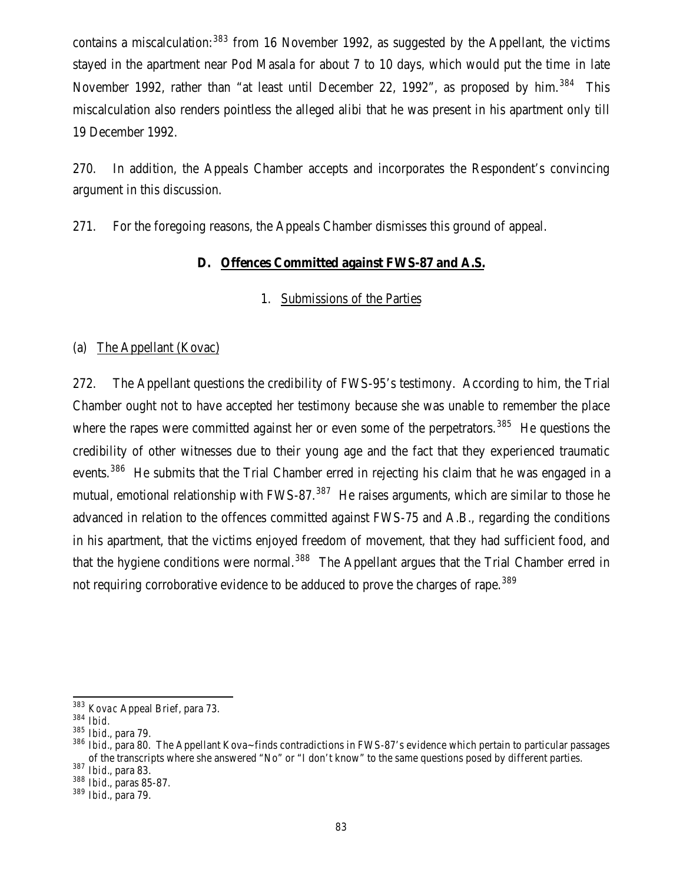contains a miscalculation:<sup>383</sup> from 16 November 1992, as suggested by the Appellant, the victims stayed in the apartment near Pod Masala for about 7 to 10 days, which would put the time in late November 1992, rather than "at least until December 22, 1992", as proposed by him.<sup>384</sup> This miscalculation also renders pointless the alleged alibi that he was present in his apartment only till 19 December 1992.

270. In addition, the Appeals Chamber accepts and incorporates the Respondent's convincing argument in this discussion.

271. For the foregoing reasons, the Appeals Chamber dismisses this ground of appeal.

## **D. Offences Committed against FWS-87 and A.S.**

## 1. Submissions of the Parties

## (a) The Appellant (Kovac)

272. The Appellant questions the credibility of FWS-95's testimony. According to him, the Trial Chamber ought not to have accepted her testimony because she was unable to remember the place where the rapes were committed against her or even some of the perpetrators.<sup>385</sup> He questions the credibility of other witnesses due to their young age and the fact that they experienced traumatic events.<sup>386</sup> He submits that the Trial Chamber erred in rejecting his claim that he was engaged in a mutual, emotional relationship with FWS-87.<sup>387</sup> He raises arguments, which are similar to those he advanced in relation to the offences committed against FWS-75 and A.B., regarding the conditions in his apartment, that the victims enjoyed freedom of movement, that they had sufficient food, and that the hygiene conditions were normal.<sup>388</sup> The Appellant argues that the Trial Chamber erred in not requiring corroborative evidence to be adduced to prove the charges of rape.<sup>389</sup>

 $\overline{a}$ <sup>383</sup> *Kovac* Appeal Brief, para 73.

<sup>384</sup> *Ibid.*

<sup>385</sup> *Ibid.*, para 79.

<sup>386</sup> *Ibid.*, para 80. The Appellant Kova~ finds contradictions in FWS-87's evidence which pertain to particular passages of the transcripts where she answered "No" or "I don't know" to the same questions posed by different parties. <sup>387</sup> *Ibid.*, para 83.

<sup>388</sup> *Ibid.*, paras 85-87. <sup>389</sup> *Ibid.*, para 79.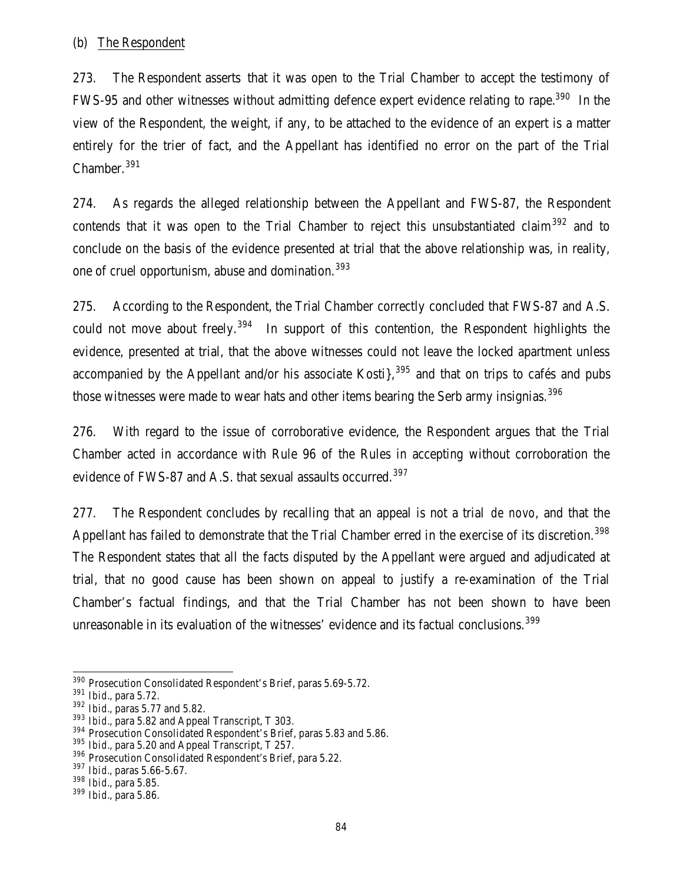## (b) The Respondent

273. The Respondent asserts that it was open to the Trial Chamber to accept the testimony of FWS-95 and other witnesses without admitting defence expert evidence relating to rape.<sup>390</sup> In the view of the Respondent, the weight, if any, to be attached to the evidence of an expert is a matter entirely for the trier of fact, and the Appellant has identified no error on the part of the Trial Chamber.<sup>391</sup>

274. As regards the alleged relationship between the Appellant and FWS-87, the Respondent contends that it was open to the Trial Chamber to reject this unsubstantiated claim<sup>392</sup> and to conclude on the basis of the evidence presented at trial that the above relationship was, in reality, one of cruel opportunism, abuse and domination.<sup>393</sup>

275. According to the Respondent, the Trial Chamber correctly concluded that FWS-87 and A.S. could not move about freely.<sup>394</sup> In support of this contention, the Respondent highlights the evidence, presented at trial, that the above witnesses could not leave the locked apartment unless accompanied by the Appellant and/or his associate Kosti $\frac{395}{395}$  and that on trips to cafés and pubs those witnesses were made to wear hats and other items bearing the Serb army insignias.<sup>396</sup>

276. With regard to the issue of corroborative evidence, the Respondent argues that the Trial Chamber acted in accordance with Rule 96 of the Rules in accepting without corroboration the evidence of FWS-87 and A.S. that sexual assaults occurred.<sup>397</sup>

277. The Respondent concludes by recalling that an appeal is not a trial *de novo*, and that the Appellant has failed to demonstrate that the Trial Chamber erred in the exercise of its discretion.<sup>398</sup> The Respondent states that all the facts disputed by the Appellant were argued and adjudicated at trial, that no good cause has been shown on appeal to justify a re-examination of the Trial Chamber's factual findings, and that the Trial Chamber has not been shown to have been unreasonable in its evaluation of the witnesses' evidence and its factual conclusions.<sup>399</sup>

 $\overline{a}$  $390$  Prosecution Consolidated Respondent's Brief, paras 5.69-5.72.

<sup>391</sup> *Ibid.*, para 5.72.

<sup>392</sup> *Ibid.*, paras 5.77 and 5.82.

<sup>393</sup> *Ibid.*, para 5.82 and Appeal Transcript, T 303.

<sup>&</sup>lt;sup>394</sup> Prosecution Consolidated Respondent's Brief, paras 5.83 and 5.86.

<sup>395</sup> *Ibid.*, para 5.20 and Appeal Transcript, T 257.

<sup>396</sup> Prosecution Consolidated Respondent's Brief, para 5.22.

<sup>397</sup> *Ibid.*, paras 5.66-5.67.

<sup>398</sup> *Ibid.*, para 5.85.

<sup>399</sup> *Ibid.*, para 5.86.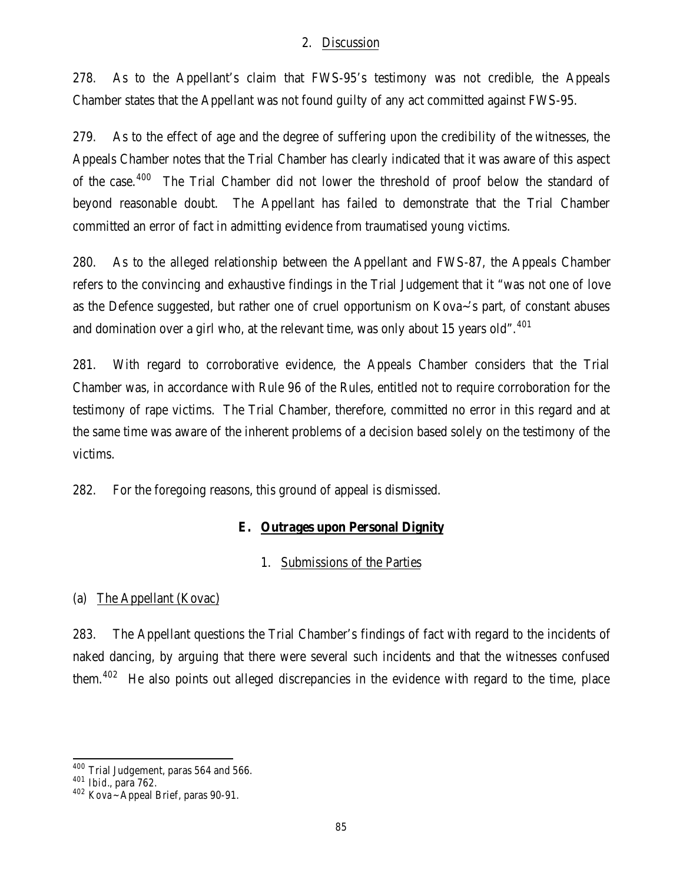#### 2. Discussion

278. As to the Appellant's claim that FWS-95's testimony was not credible, the Appeals Chamber states that the Appellant was not found guilty of any act committed against FWS-95.

279. As to the effect of age and the degree of suffering upon the credibility of the witnesses, the Appeals Chamber notes that the Trial Chamber has clearly indicated that it was aware of this aspect of the case.<sup>400</sup> The Trial Chamber did not lower the threshold of proof below the standard of beyond reasonable doubt. The Appellant has failed to demonstrate that the Trial Chamber committed an error of fact in admitting evidence from traumatised young victims.

280. As to the alleged relationship between the Appellant and FWS-87, the Appeals Chamber refers to the convincing and exhaustive findings in the Trial Judgement that it "was not one of love as the Defence suggested, but rather one of cruel opportunism on Kova~'s part, of constant abuses and domination over a girl who, at the relevant time, was only about 15 years old".<sup>401</sup>

281. With regard to corroborative evidence, the Appeals Chamber considers that the Trial Chamber was, in accordance with Rule 96 of the Rules, entitled not to require corroboration for the testimony of rape victims. The Trial Chamber, therefore, committed no error in this regard and at the same time was aware of the inherent problems of a decision based solely on the testimony of the victims.

282. For the foregoing reasons, this ground of appeal is dismissed.

## **E. Outrages upon Personal Dignity**

1. Submissions of the Parties

## (a) The Appellant (Kovac)

283. The Appellant questions the Trial Chamber's findings of fact with regard to the incidents of naked dancing, by arguing that there were several such incidents and that the witnesses confused them.<sup>402</sup> He also points out alleged discrepancies in the evidence with regard to the time, place

 $\overline{a}$  $^{400}$  Trial Judgement, paras 564 and 566.

<sup>401</sup> *Ibid.*, para 762.

<sup>402</sup> *Kova~* Appeal Brief, paras 90-91.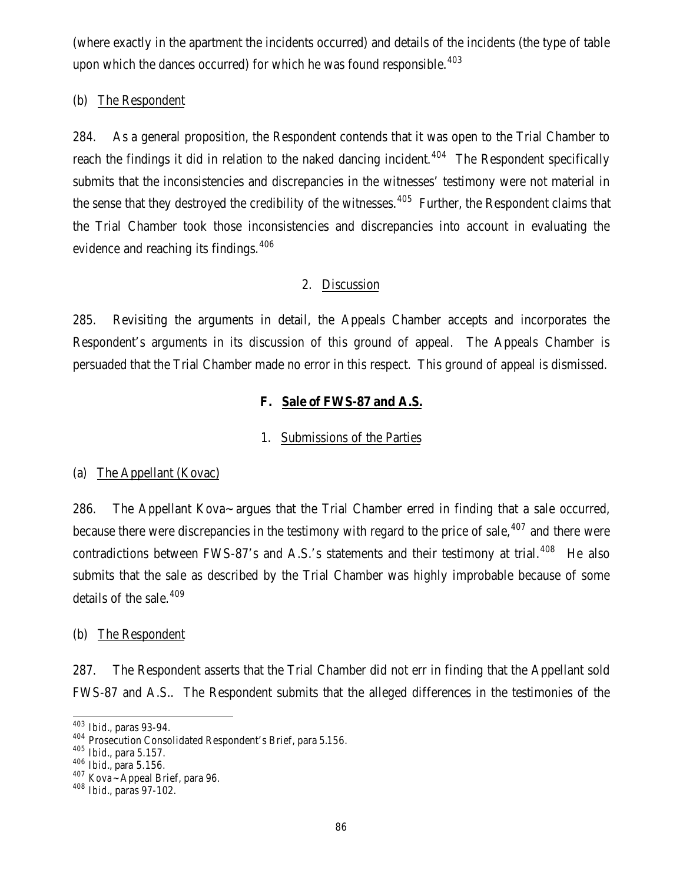(where exactly in the apartment the incidents occurred) and details of the incidents (the type of table upon which the dances occurred) for which he was found responsible.<sup>403</sup>

## (b) The Respondent

284. As a general proposition, the Respondent contends that it was open to the Trial Chamber to reach the findings it did in relation to the naked dancing incident.<sup>404</sup> The Respondent specifically submits that the inconsistencies and discrepancies in the witnesses' testimony were not material in the sense that they destroyed the credibility of the witnesses.<sup>405</sup> Further, the Respondent claims that the Trial Chamber took those inconsistencies and discrepancies into account in evaluating the evidence and reaching its findings.<sup>406</sup>

## 2. Discussion

285. Revisiting the arguments in detail, the Appeals Chamber accepts and incorporates the Respondent's arguments in its discussion of this ground of appeal.The Appeals Chamber is persuaded that the Trial Chamber made no error in this respect. This ground of appeal is dismissed.

## **F. Sale of FWS-87 and A.S.**

## 1. Submissions of the Parties

## (a) The Appellant (Kovac)

286. The Appellant Kova~ argues that the Trial Chamber erred in finding that a sale occurred, because there were discrepancies in the testimony with regard to the price of sale,<sup>407</sup> and there were contradictions between FWS-87's and A.S.'s statements and their testimony at trial.<sup>408</sup> He also submits that the sale as described by the Trial Chamber was highly improbable because of some details of the sale.<sup>409</sup>

## (b) The Respondent

287. The Respondent asserts that the Trial Chamber did not err in finding that the Appellant sold FWS-87 and A.S.. The Respondent submits that the alleged differences in the testimonies of the

 $\overline{a}$ <sup>403</sup> *Ibid.*, paras 93-94.

<sup>404</sup> Prosecution Consolidated Respondent's Brief, para 5.156.

<sup>405</sup> *Ibid.*, para 5.157.

<sup>406</sup> *Ibid.*, para 5.156.

<sup>407</sup> *Kova~* Appeal Brief, para 96.

<sup>408</sup> *Ibid.*, paras 97-102.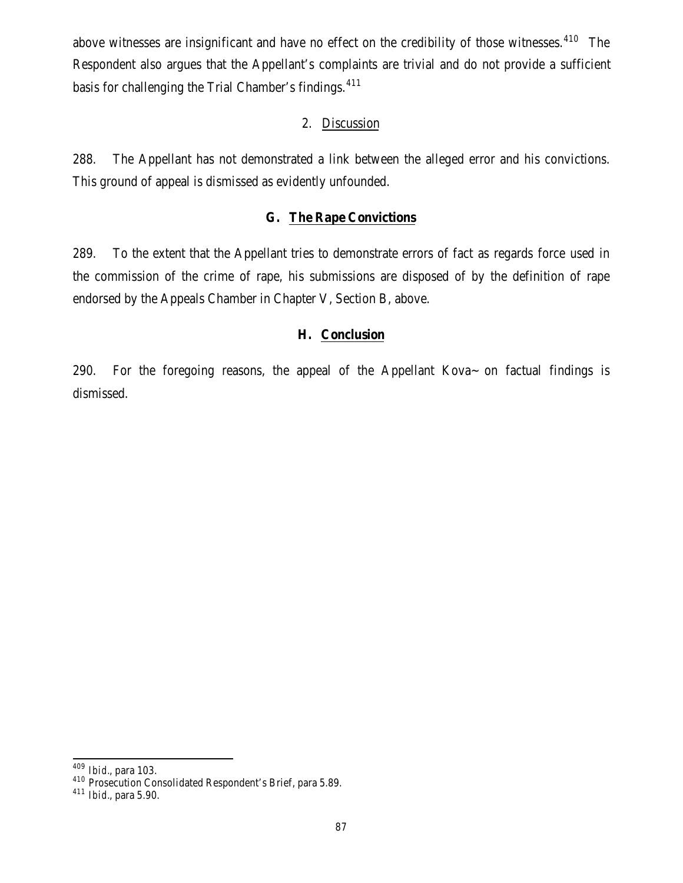above witnesses are insignificant and have no effect on the credibility of those witnesses.<sup>410</sup> The Respondent also argues that the Appellant's complaints are trivial and do not provide a sufficient basis for challenging the Trial Chamber's findings.<sup>411</sup>

## 2. Discussion

288. The Appellant has not demonstrated a link between the alleged error and his convictions. This ground of appeal is dismissed as evidently unfounded.

## **G. The Rape Convictions**

289. To the extent that the Appellant tries to demonstrate errors of fact as regards force used in the commission of the crime of rape, his submissions are disposed of by the definition of rape endorsed by the Appeals Chamber in Chapter V, Section B, above.

## **H. Conclusion**

290. For the foregoing reasons, the appeal of the Appellant Kova~ on factual findings is dismissed.

 $\overline{a}$ <sup>409</sup> *Ibid.*, para 103.

<sup>&</sup>lt;sup>410</sup> Prosecution Consolidated Respondent's Brief, para 5.89.

<sup>411</sup> *Ibid.*, para 5.90.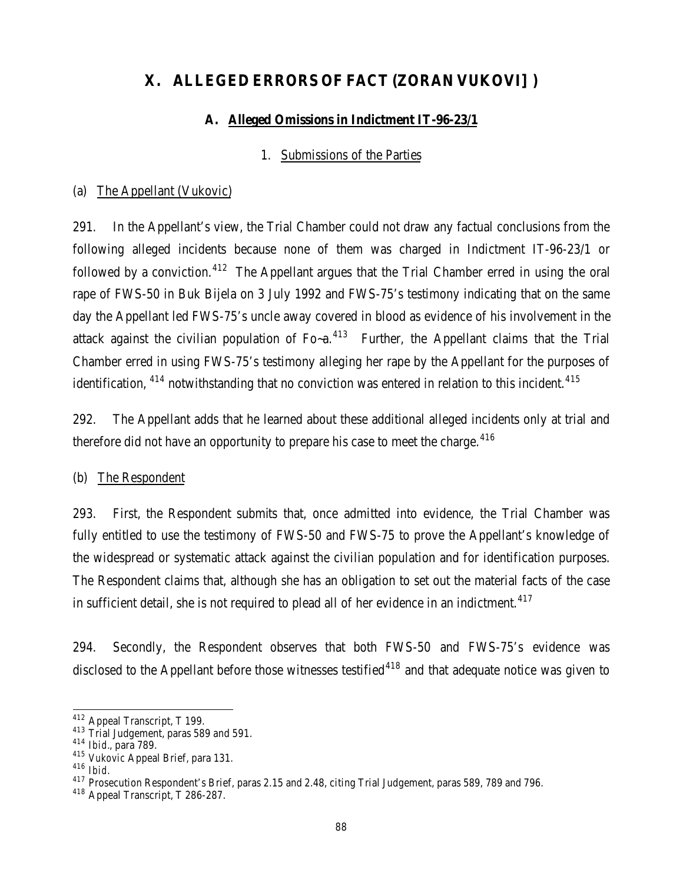# **X. ALLEGED ERRORS OF FACT (ZORAN VUKOVI])**

## **A. Alleged Omissions in Indictment IT-96-23/1**

## 1. Submissions of the Parties

## (a) The Appellant (Vukovic)

291. In the Appellant's view, the Trial Chamber could not draw any factual conclusions from the following alleged incidents because none of them was charged in Indictment IT-96-23/1 or followed by a conviction.<sup>412</sup> The Appellant argues that the Trial Chamber erred in using the oral rape of FWS-50 in Buk Bijela on 3 July 1992 and FWS-75's testimony indicating that on the same day the Appellant led FWS-75's uncle away covered in blood as evidence of his involvement in the attack against the civilian population of  $Fo-a$ .<sup>413</sup> Further, the Appellant claims that the Trial Chamber erred in using FWS-75's testimony alleging her rape by the Appellant for the purposes of identification,  $414$  notwithstanding that no conviction was entered in relation to this incident.  $415$ 

292. The Appellant adds that he learned about these additional alleged incidents only at trial and therefore did not have an opportunity to prepare his case to meet the charge.<sup>416</sup>

## (b) The Respondent

293. First, the Respondent submits that, once admitted into evidence, the Trial Chamber was fully entitled to use the testimony of FWS-50 and FWS-75 to prove the Appellant's knowledge of the widespread or systematic attack against the civilian population and for identification purposes. The Respondent claims that, although she has an obligation to set out the material facts of the case in sufficient detail, she is not required to plead all of her evidence in an indictment.<sup>417</sup>

294. Secondly, the Respondent observes that both FWS-50 and FWS-75's evidence was disclosed to the Appellant before those witnesses testified<sup>418</sup> and that adequate notice was given to

 $\overline{a}$ <sup>412</sup> Appeal Transcript, T 199.

<sup>413</sup> Trial Judgement, paras 589 and 591.

<sup>414</sup> *Ibid.*, para 789.

<sup>415</sup> *Vukovic* Appeal Brief, para 131.

<sup>416</sup> *Ibid.*

<sup>&</sup>lt;sup>417</sup> Prosecution Respondent's Brief, paras 2.15 and 2.48, citing Trial Judgement, paras 589, 789 and 796.

<sup>418</sup> Appeal Transcript, T 286-287.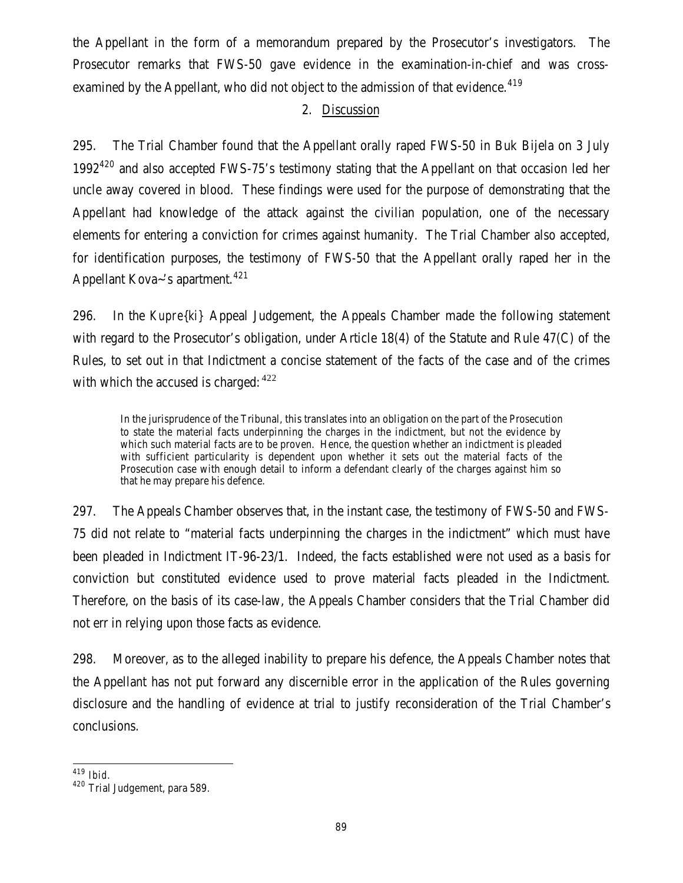the Appellant in the form of a memorandum prepared by the Prosecutor's investigators. The Prosecutor remarks that FWS-50 gave evidence in the examination-in-chief and was crossexamined by the Appellant, who did not object to the admission of that evidence.<sup>419</sup>

## 2. Discussion

295. The Trial Chamber found that the Appellant orally raped FWS-50 in Buk Bijela on 3 July 1992 $420$  and also accepted FWS-75's testimony stating that the Appellant on that occasion led her uncle away covered in blood. These findings were used for the purpose of demonstrating that the Appellant had knowledge of the attack against the civilian population, one of the necessary elements for entering a conviction for crimes against humanity. The Trial Chamber also accepted, for identification purposes, the testimony of FWS-50 that the Appellant orally raped her in the Appellant Kova~'s apartment.<sup>421</sup>

296. In the *Kupre{ki}* Appeal Judgement, the Appeals Chamber made the following statement with regard to the Prosecutor's obligation, under Article 18(4) of the Statute and Rule 47(C) of the Rules, to set out in that Indictment a concise statement of the facts of the case and of the crimes with which the accused is charged:  $422$ 

In the jurisprudence of the Tribunal, this translates into an obligation on the part of the Prosecution to state the material facts underpinning the charges in the indictment, but not the evidence by which such material facts are to be proven. Hence, the question whether an indictment is pleaded with sufficient particularity is dependent upon whether it sets out the material facts of the Prosecution case with enough detail to inform a defendant clearly of the charges against him so that he may prepare his defence.

297. The Appeals Chamber observes that, in the instant case, the testimony of FWS-50 and FWS-75 did not relate to "material facts underpinning the charges in the indictment" which must have been pleaded in Indictment IT-96-23/1. Indeed, the facts established were not used as a basis for conviction but constituted evidence used to prove material facts pleaded in the Indictment. Therefore, on the basis of its case-law, the Appeals Chamber considers that the Trial Chamber did not err in relying upon those facts as evidence.

298. Moreover, as to the alleged inability to prepare his defence, the Appeals Chamber notes that the Appellant has not put forward any discernible error in the application of the Rules governing disclosure and the handling of evidence at trial to justify reconsideration of the Trial Chamber's conclusions.

 $\overline{a}$ <sup>419</sup> *Ibid.*

<sup>420</sup> Trial Judgement, para 589.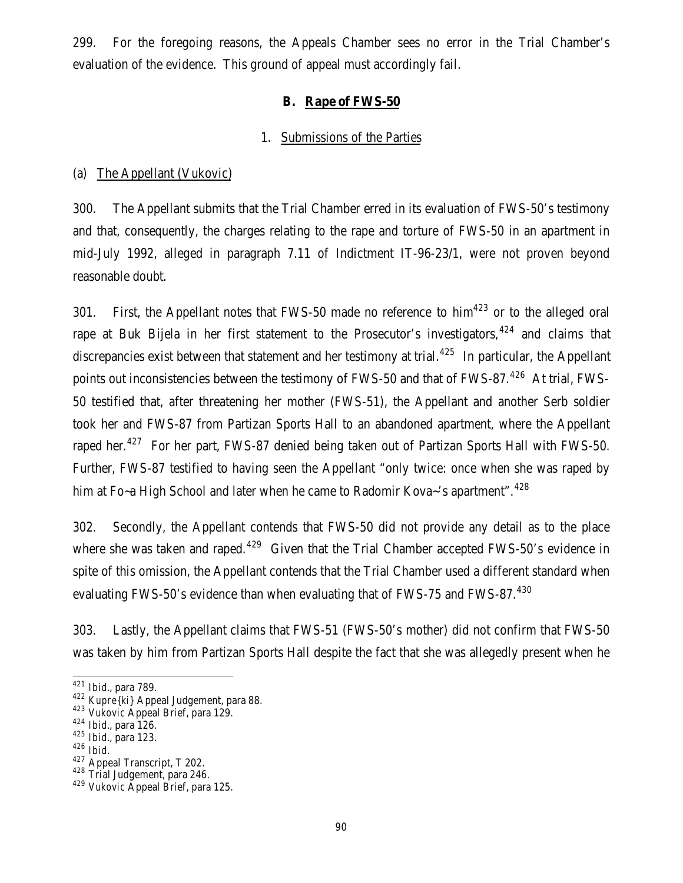299. For the foregoing reasons, the Appeals Chamber sees no error in the Trial Chamber's evaluation of the evidence. This ground of appeal must accordingly fail.

## **B. Rape of FWS-50**

## 1. Submissions of the Parties

## (a) The Appellant (Vukovic)

300. The Appellant submits that the Trial Chamber erred in its evaluation of FWS-50's testimony and that, consequently, the charges relating to the rape and torture of FWS-50 in an apartment in mid-July 1992, alleged in paragraph 7.11 of Indictment IT-96-23/1, were not proven beyond reasonable doubt.

301. First, the Appellant notes that FWS-50 made no reference to him<sup>423</sup> or to the alleged oral rape at Buk Bijela in her first statement to the Prosecutor's investigators,<sup>424</sup> and claims that discrepancies exist between that statement and her testimony at trial.<sup>425</sup> In particular, the Appellant points out inconsistencies between the testimony of FWS-50 and that of FWS-87.<sup>426</sup> At trial, FWS-50 testified that, after threatening her mother (FWS-51), the Appellant and another Serb soldier took her and FWS-87 from Partizan Sports Hall to an abandoned apartment, where the Appellant raped her.<sup>427</sup> For her part, FWS-87 denied being taken out of Partizan Sports Hall with FWS-50. Further, FWS-87 testified to having seen the Appellant "only twice: once when she was raped by him at Fo~a High School and later when he came to Radomir Kova~'s apartment".<sup>428</sup>

302. Secondly, the Appellant contends that FWS-50 did not provide any detail as to the place where she was taken and raped.<sup>429</sup> Given that the Trial Chamber accepted FWS-50's evidence in spite of this omission, the Appellant contends that the Trial Chamber used a different standard when evaluating FWS-50's evidence than when evaluating that of FWS-75 and FWS-87.<sup>430</sup>

303. Lastly, the Appellant claims that FWS-51 (FWS-50's mother) did not confirm that FWS-50 was taken by him from Partizan Sports Hall despite the fact that she was allegedly present when he

 $\overline{a}$ <sup>421</sup> *Ibid.*, para 789.

<sup>422</sup> *Kupre{ki}* Appeal Judgement, para 88.

<sup>423</sup> *Vukovic* Appeal Brief, para 129.

<sup>424</sup> *Ibid.*, para 126.

<sup>425</sup> *Ibid.*, para 123.

<sup>426</sup> *Ibid.*

<sup>427</sup> Appeal Transcript, T 202.

<sup>428</sup> Trial Judgement, para 246.

<sup>429</sup> *Vukovic* Appeal Brief, para 125.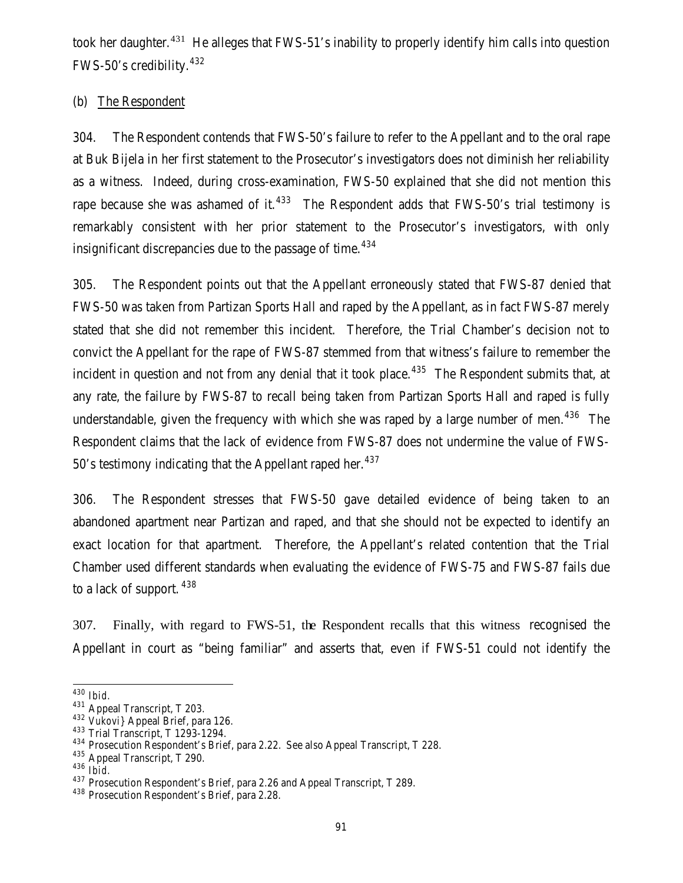took her daughter.<sup>431</sup> He alleges that FWS-51's inability to properly identify him calls into question FWS-50's credibility.<sup>432</sup>

## (b) The Respondent

304. The Respondent contends that FWS-50's failure to refer to the Appellant and to the oral rape at Buk Bijela in her first statement to the Prosecutor's investigators does not diminish her reliability as a witness. Indeed, during cross-examination, FWS-50 explained that she did not mention this rape because she was ashamed of it.<sup>433</sup> The Respondent adds that FWS-50's trial testimony is remarkably consistent with her prior statement to the Prosecutor's investigators, with only insignificant discrepancies due to the passage of time.<sup>434</sup>

305. The Respondent points out that the Appellant erroneously stated that FWS-87 denied that FWS-50 was taken from Partizan Sports Hall and raped by the Appellant, as in fact FWS-87 merely stated that she did not remember this incident. Therefore, the Trial Chamber's decision not to convict the Appellant for the rape of FWS-87 stemmed from that witness's failure to remember the incident in question and not from any denial that it took place.<sup>435</sup> The Respondent submits that, at any rate, the failure by FWS-87 to recall being taken from Partizan Sports Hall and raped is fully understandable, given the frequency with which she was raped by a large number of men.<sup>436</sup> The Respondent claims that the lack of evidence from FWS-87 does not undermine the value of FWS-50's testimony indicating that the Appellant raped her. 437

306. The Respondent stresses that FWS-50 gave detailed evidence of being taken to an abandoned apartment near Partizan and raped, and that she should not be expected to identify an exact location for that apartment. Therefore, the Appellant's related contention that the Trial Chamber used different standards when evaluating the evidence of FWS-75 and FWS-87 fails due to a lack of support. 438

307. Finally, with regard to FWS-51, the Respondent recalls that this witness recognised the Appellant in court as "being familiar" and asserts that, even if FWS-51 could not identify the

 $\overline{a}$ <sup>430</sup> *Ibid.*

<sup>431</sup> Appeal Transcript, T 203.

<sup>432</sup> *Vukovi}* Appeal Brief, para 126.

<sup>433</sup> Trial Transcript, T 1293-1294.

<sup>&</sup>lt;sup>434</sup> Prosecution Respondent's Brief, para 2.22. See also Appeal Transcript, T 228.

<sup>435</sup> Appeal Transcript, T 290.

<sup>436</sup> *Ibid.*

<sup>437</sup> Prosecution Respondent's Brief, para 2.26 and Appeal Transcript, T 289.

<sup>&</sup>lt;sup>438</sup> Prosecution Respondent's Brief, para 2.28.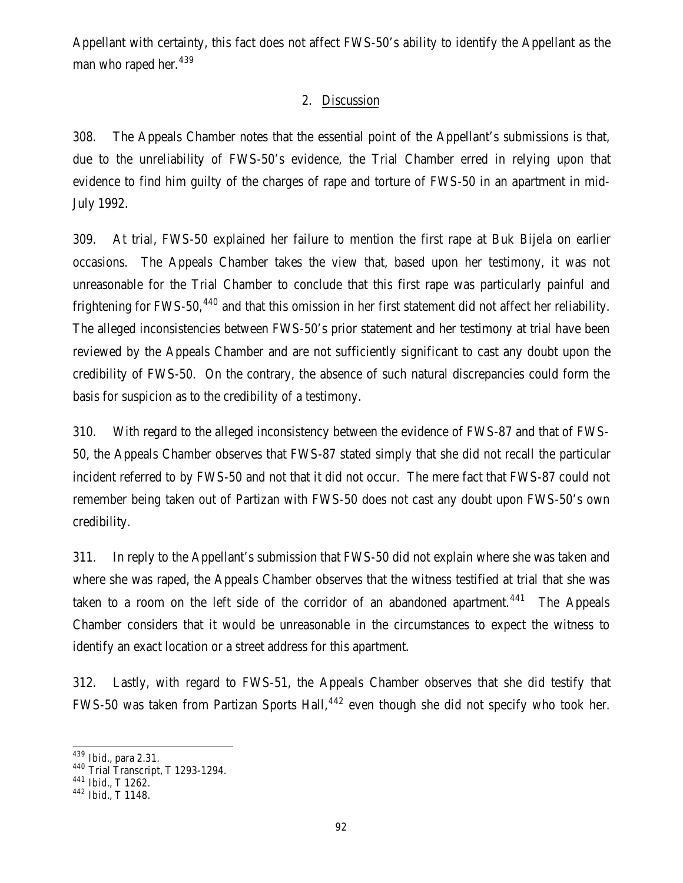Appellant with certainty, this fact does not affect FWS-50's ability to identify the Appellant as the man who raped her.<sup>439</sup>

## 2. Discussion

308. The Appeals Chamber notes that the essential point of the Appellant's submissions is that, due to the unreliability of FWS-50's evidence, the Trial Chamber erred in relying upon that evidence to find him guilty of the charges of rape and torture of FWS-50 in an apartment in mid-July 1992.

309. At trial, FWS-50 explained her failure to mention the first rape at Buk Bijela on earlier occasions. The Appeals Chamber takes the view that, based upon her testimony, it was not unreasonable for the Trial Chamber to conclude that this first rape was particularly painful and frightening for FWS-50,<sup>440</sup> and that this omission in her first statement did not affect her reliability. The alleged inconsistencies between FWS-50's prior statement and her testimony at trial have been reviewed by the Appeals Chamber and are not sufficiently significant to cast any doubt upon the credibility of FWS-50. On the contrary, the absence of such natural discrepancies could form the basis for suspicion as to the credibility of a testimony.

310. With regard to the alleged inconsistency between the evidence of FWS-87 and that of FWS-50, the Appeals Chamber observes that FWS-87 stated simply that she did not recall the particular incident referred to by FWS-50 and not that it did not occur. The mere fact that FWS-87 could not remember being taken out of Partizan with FWS-50 does not cast any doubt upon FWS-50's own credibility.

311. In reply to the Appellant's submission that FWS-50 did not explain where she was taken and where she was raped, the Appeals Chamber observes that the witness testified at trial that she was taken to a room on the left side of the corridor of an abandoned apartment.<sup>441</sup> The Appeals Chamber considers that it would be unreasonable in the circumstances to expect the witness to identify an exact location or a street address for this apartment.

312. Lastly, with regard to FWS-51, the Appeals Chamber observes that she did testify that FWS-50 was taken from Partizan Sports Hall,  $442$  even though she did not specify who took her.

 $\overline{a}$ <sup>439</sup> *Ibid.*, para 2.31.

 $440$  Trial Transcript, T 1293-1294.

<sup>441</sup> *Ibid.*, T 1262.

<sup>442</sup> *Ibid.*, T 1148.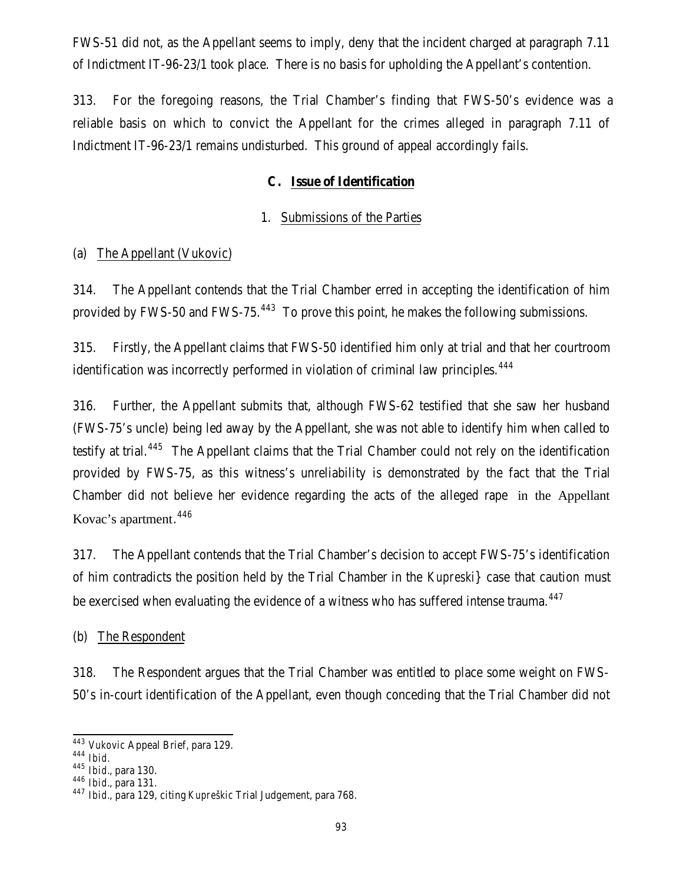FWS-51 did not, as the Appellant seems to imply, deny that the incident charged at paragraph 7.11 of Indictment IT-96-23/1 took place. There is no basis for upholding the Appellant's contention.

313. For the foregoing reasons, the Trial Chamber's finding that FWS-50's evidence was a reliable basis on which to convict the Appellant for the crimes alleged in paragraph 7.11 of Indictment IT-96-23/1 remains undisturbed. This ground of appeal accordingly fails.

## **C. Issue of Identification**

## 1. Submissions of the Parties

## (a) The Appellant (Vukovic)

314. The Appellant contends that the Trial Chamber erred in accepting the identification of him provided by FWS-50 and FWS-75.<sup>443</sup> To prove this point, he makes the following submissions.

315. Firstly, the Appellant claims that FWS-50 identified him only at trial and that her courtroom identification was incorrectly performed in violation of criminal law principles.<sup>444</sup>

316. Further, the Appellant submits that, although FWS-62 testified that she saw her husband (FWS-75's uncle) being led away by the Appellant, she was not able to identify him when called to testify at trial.<sup>445</sup> The Appellant claims that the Trial Chamber could not rely on the identification provided by FWS-75, as this witness's unreliability is demonstrated by the fact that the Trial Chamber did not believe her evidence regarding the acts of the alleged rape in the Appellant Kovac's apartment.<sup>446</sup>

317. The Appellant contends that the Trial Chamber's decision to accept FWS-75's identification of him contradicts the position held by the Trial Chamber in the *Kupreski}* case that caution must be exercised when evaluating the evidence of a witness who has suffered intense trauma.<sup>447</sup>

(b) The Respondent

318. The Respondent argues that the Trial Chamber was entitled to place some weight on FWS-50's in-court identification of the Appellant, even though conceding that the Trial Chamber did not

 $\overline{a}$ <sup>443</sup> *Vukovic* Appeal Brief, para 129.

<sup>444</sup> *Ibid.*

<sup>445</sup> *Ibid.*, para 130.

<sup>446</sup> *Ibid.*, para 131.

<sup>447</sup> *Ibid.*, para 129, citing *Kupreškic* Trial Judgement, para 768.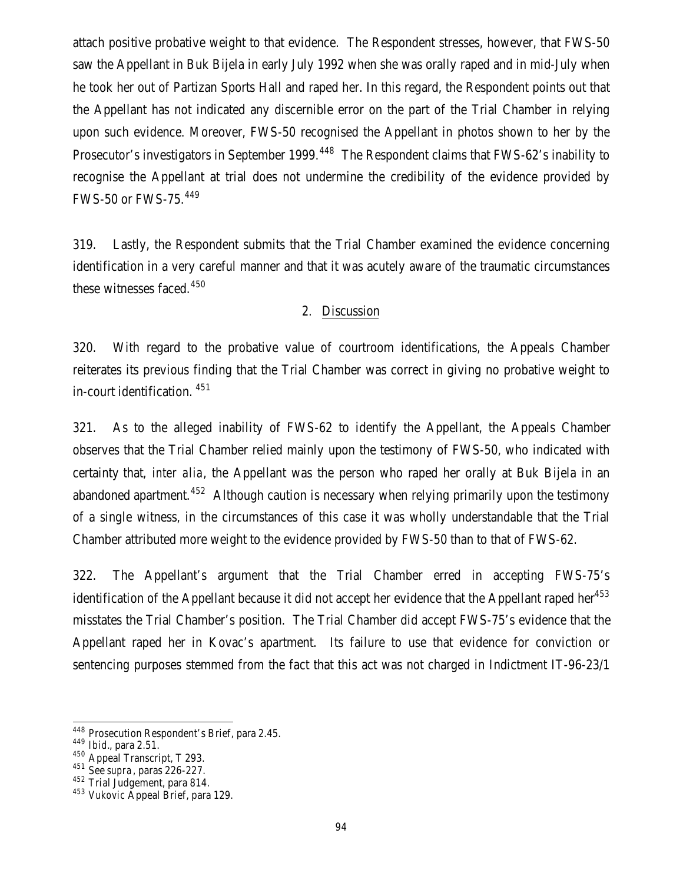attach positive probative weight to that evidence. The Respondent stresses, however, that FWS-50 saw the Appellant in Buk Bijela in early July 1992 when she was orally raped and in mid-July when he took her out of Partizan Sports Hall and raped her. In this regard, the Respondent points out that the Appellant has not indicated any discernible error on the part of the Trial Chamber in relying upon such evidence. Moreover, FWS-50 recognised the Appellant in photos shown to her by the Prosecutor's investigators in September 1999.<sup>448</sup> The Respondent claims that FWS-62's inability to recognise the Appellant at trial does not undermine the credibility of the evidence provided by FWS-50 or FWS-75.<sup>449</sup>

319. Lastly, the Respondent submits that the Trial Chamber examined the evidence concerning identification in a very careful manner and that it was acutely aware of the traumatic circumstances these witnesses faced.<sup>450</sup>

#### 2. Discussion

320. With regard to the probative value of courtroom identifications, the Appeals Chamber reiterates its previous finding that the Trial Chamber was correct in giving no probative weight to in-court identification. <sup>451</sup>

321. As to the alleged inability of FWS-62 to identify the Appellant, the Appeals Chamber observes that the Trial Chamber relied mainly upon the testimony of FWS-50, who indicated with certainty that, *inter alia*, the Appellant was the person who raped her orally at Buk Bijela in an abandoned apartment.<sup>452</sup> Although caution is necessary when relying primarily upon the testimony of a single witness, in the circumstances of this case it was wholly understandable that the Trial Chamber attributed more weight to the evidence provided by FWS-50 than to that of FWS-62.

322. The Appellant's argument that the Trial Chamber erred in accepting FWS-75's identification of the Appellant because it did not accept her evidence that the Appellant raped her<sup>453</sup> misstates the Trial Chamber's position. The Trial Chamber did accept FWS-75's evidence that the Appellant raped her in Kovac's apartment. Its failure to use that evidence for conviction or sentencing purposes stemmed from the fact that this act was not charged in Indictment IT-96-23/1

 $\overline{a}$ 

 $^{448}_{112}$  Prosecution Respondent's Brief, para 2.45.

<sup>449</sup> *Ibid.*, para 2.51.

<sup>450</sup> Appeal Transcript, T 293.

<sup>451</sup> See *supra*, paras 226-227.

<sup>452</sup> Trial Judgement, para 814.

<sup>453</sup> *Vukovic* Appeal Brief, para 129.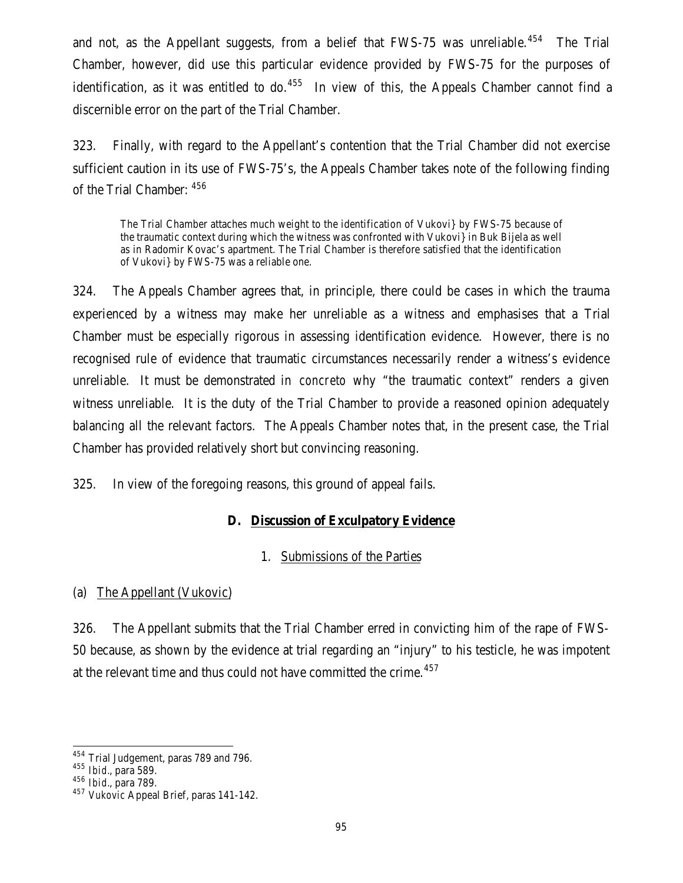and not, as the Appellant suggests, from a belief that FWS-75 was unreliable.<sup>454</sup> The Trial Chamber, however, did use this particular evidence provided by FWS-75 for the purposes of identification, as it was entitled to do.<sup>455</sup> In view of this, the Appeals Chamber cannot find a discernible error on the part of the Trial Chamber.

323. Finally, with regard to the Appellant's contention that the Trial Chamber did not exercise sufficient caution in its use of FWS-75's, the Appeals Chamber takes note of the following finding of the Trial Chamber:  $456$ 

The Trial Chamber attaches much weight to the identification of Vukovi} by FWS-75 because of the traumatic context during which the witness was confronted with Vukovi} in Buk Bijela as well as in Radomir Kovac's apartment. The Trial Chamber is therefore satisfied that the identification of Vukovi} by FWS-75 was a reliable one.

324. The Appeals Chamber agrees that, in principle, there could be cases in which the trauma experienced by a witness may make her unreliable as a witness and emphasises that a Trial Chamber must be especially rigorous in assessing identification evidence. However, there is no recognised rule of evidence that traumatic circumstances necessarily render a witness's evidence unreliable. It must be demonstrated in *concreto* why "the traumatic context" renders a given witness unreliable. It is the duty of the Trial Chamber to provide a reasoned opinion adequately balancing all the relevant factors. The Appeals Chamber notes that, in the present case, the Trial Chamber has provided relatively short but convincing reasoning.

325. In view of the foregoing reasons, this ground of appeal fails.

## **D. Discussion of Exculpatory Evidence**

1. Submissions of the Parties

## (a) The Appellant (Vukovic)

326. The Appellant submits that the Trial Chamber erred in convicting him of the rape of FWS-50 because, as shown by the evidence at trial regarding an "injury" to his testicle, he was impotent at the relevant time and thus could not have committed the crime.<sup>457</sup>

 $\overline{a}$  $454$  Trial Judgement, paras 789 and 796.

<sup>455</sup> *Ibid.*, para 589.

<sup>456</sup> *Ibid.*, para 789.

<sup>457</sup> *Vukovic* Appeal Brief, paras 141-142.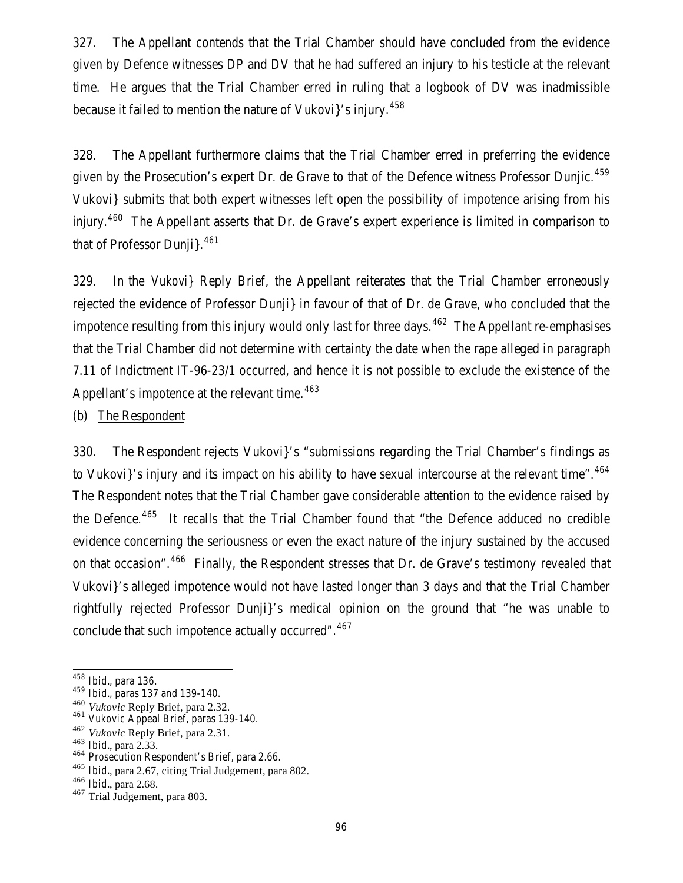327. The Appellant contends that the Trial Chamber should have concluded from the evidence given by Defence witnesses DP and DV that he had suffered an injury to his testicle at the relevant time. He argues that the Trial Chamber erred in ruling that a logbook of DV was inadmissible because it failed to mention the nature of Vukovi}'s injury.<sup>458</sup>

328. The Appellant furthermore claims that the Trial Chamber erred in preferring the evidence given by the Prosecution's expert Dr. de Grave to that of the Defence witness Professor Dunjic.<sup>459</sup> Vukovi} submits that both expert witnesses left open the possibility of impotence arising from his injury.<sup>460</sup> The Appellant asserts that Dr. de Grave's expert experience is limited in comparison to that of Professor Dunji}.<sup>461</sup>

329. In the *Vukovi}* Reply Brief, the Appellant reiterates that the Trial Chamber erroneously rejected the evidence of Professor Dunji} in favour of that of Dr. de Grave, who concluded that the impotence resulting from this injury would only last for three days.  $462$  The Appellant re-emphasises that the Trial Chamber did not determine with certainty the date when the rape alleged in paragraph 7.11 of Indictment IT-96-23/1 occurred, and hence it is not possible to exclude the existence of the Appellant's impotence at the relevant time.<sup>463</sup>

#### (b) The Respondent

330. The Respondent rejects Vukovi}'s "submissions regarding the Trial Chamber's findings as to Vukovi}'s injury and its impact on his ability to have sexual intercourse at the relevant time".<sup>464</sup> The Respondent notes that the Trial Chamber gave considerable attention to the evidence raised by the Defence.<sup>465</sup> It recalls that the Trial Chamber found that "the Defence adduced no credible evidence concerning the seriousness or even the exact nature of the injury sustained by the accused on that occasion".<sup>466</sup> Finally, the Respondent stresses that Dr. de Grave's testimony revealed that Vukovi}'s alleged impotence would not have lasted longer than 3 days and that the Trial Chamber rightfully rejected Professor Dunji}'s medical opinion on the ground that "he was unable to conclude that such impotence actually occurred".<sup>467</sup>

 $\overline{a}$ <sup>458</sup> *Ibid.*, para 136.

<sup>459</sup> *Ibid.*, paras 137 and 139-140.

<sup>460</sup> *Vukovic* Reply Brief, para 2.32.

<sup>461</sup> *Vukovic* Appeal Brief, paras 139-140.

<sup>462</sup> *Vukovic* Reply Brief, para 2.31.

<sup>463</sup> *Ibid.*, para 2.33.

<sup>464</sup> Prosecution Respondent's Brief, para 2.66.

<sup>465</sup> *Ibid.*, para 2.67, citing Trial Judgement, para 802.

<sup>466</sup> *Ibid.*, para 2.68.

<sup>467</sup> Trial Judgement, para 803.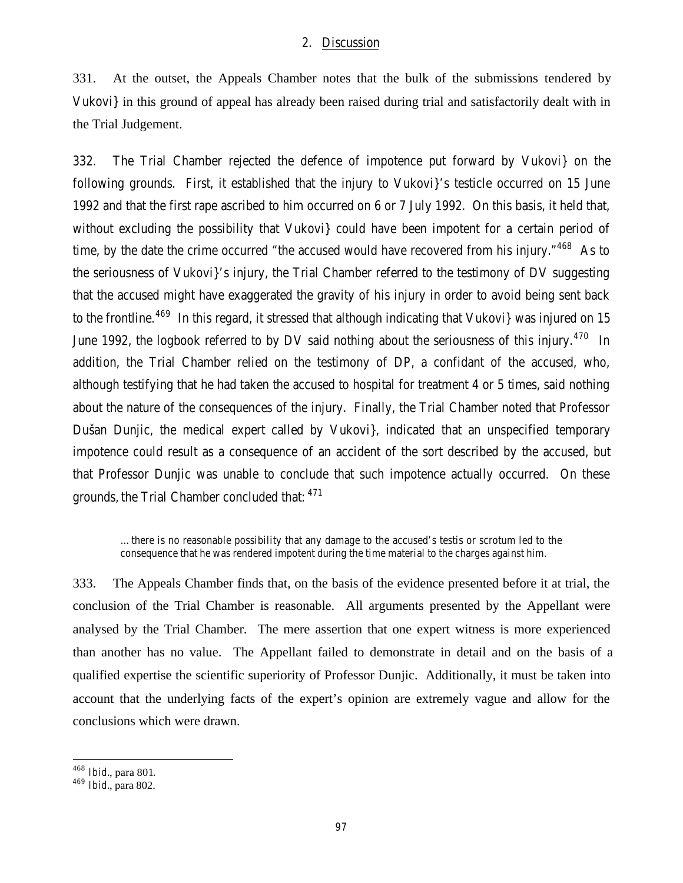#### 2. Discussion

331. At the outset, the Appeals Chamber notes that the bulk of the submissions tendered by Vukovi} in this ground of appeal has already been raised during trial and satisfactorily dealt with in the Trial Judgement.

332. The Trial Chamber rejected the defence of impotence put forward by Vukovi} on the following grounds. First, it established that the injury to Vukovi}'s testicle occurred on 15 June 1992 and that the first rape ascribed to him occurred on 6 or 7 July 1992. On this basis, it held that, without excluding the possibility that Vukovi} could have been impotent for a certain period of time, by the date the crime occurred "the accused would have recovered from his injury."<sup>468</sup> As to the seriousness of Vukovi}'s injury, the Trial Chamber referred to the testimony of DV suggesting that the accused might have exaggerated the gravity of his injury in order to avoid being sent back to the frontline.<sup>469</sup> In this regard, it stressed that although indicating that Vukovi} was injured on 15 June 1992, the logbook referred to by DV said nothing about the seriousness of this injury.<sup>470</sup> In addition, the Trial Chamber relied on the testimony of DP, a confidant of the accused, who, although testifying that he had taken the accused to hospital for treatment 4 or 5 times, said nothing about the nature of the consequences of the injury. Finally, the Trial Chamber noted that Professor Dušan Dunjic, the medical expert called by Vukovi}, indicated that an unspecified temporary impotence could result as a consequence of an accident of the sort described by the accused, but that Professor Dunjic was unable to conclude that such impotence actually occurred. On these grounds, the Trial Chamber concluded that:  $471$ 

…there is no reasonable possibility that any damage to the accused's testis or scrotum led to the consequence that he was rendered impotent during the time material to the charges against him.

333. The Appeals Chamber finds that, on the basis of the evidence presented before it at trial, the conclusion of the Trial Chamber is reasonable. All arguments presented by the Appellant were analysed by the Trial Chamber. The mere assertion that one expert witness is more experienced than another has no value. The Appellant failed to demonstrate in detail and on the basis of a qualified expertise the scientific superiority of Professor Dunjic. Additionally, it must be taken into account that the underlying facts of the expert's opinion are extremely vague and allow for the conclusions which were drawn.

 $\overline{a}$ 

<sup>468</sup> *Ibid.*, para 801.

<sup>469</sup> *Ibid.*, para 802.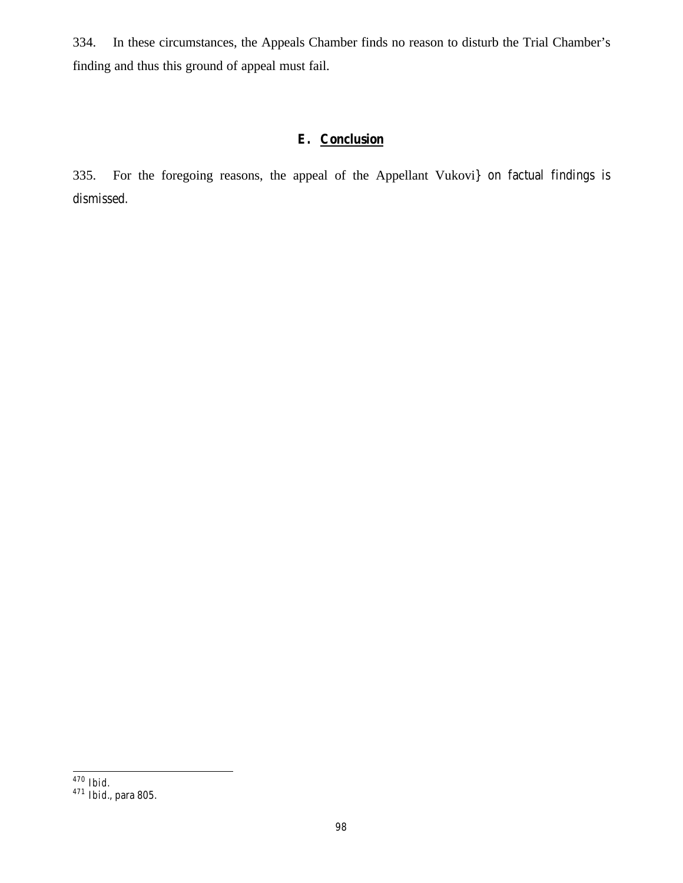334. In these circumstances, the Appeals Chamber finds no reason to disturb the Trial Chamber's finding and thus this ground of appeal must fail.

## **E. Conclusion**

335. For the foregoing reasons, the appeal of the Appellant Vukovi} on factual findings is dismissed.

 $\overline{a}$ <sup>470</sup> *Ibid.*

<sup>471</sup> *Ibid.*, para 805.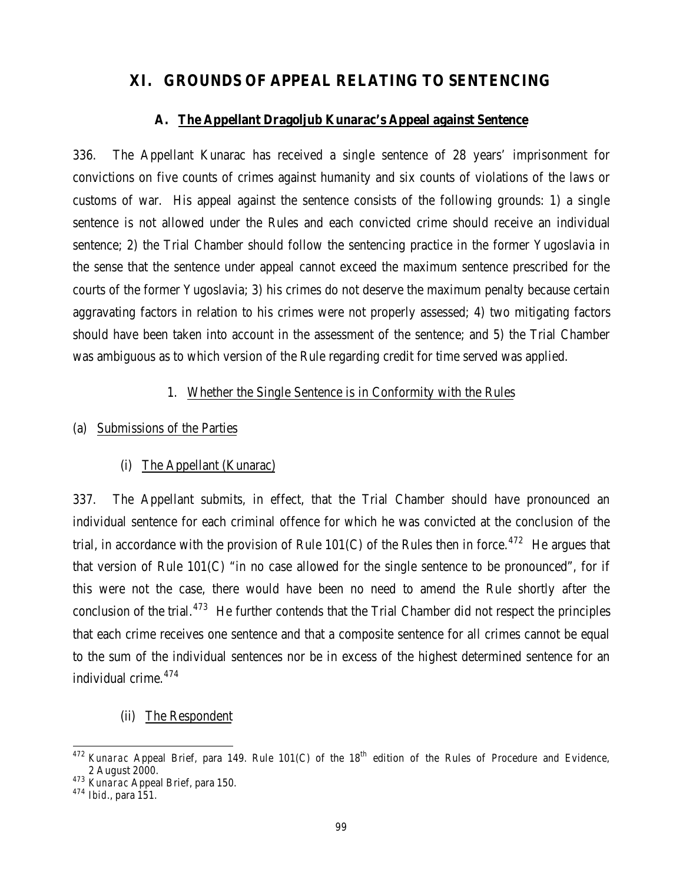## **XI. GROUNDS OF APPEAL RELATING TO SENTENCING**

## **A. The Appellant Dragoljub Kunarac's Appeal against Sentence**

336. The Appellant Kunarac has received a single sentence of 28 years' imprisonment for convictions on five counts of crimes against humanity and six counts of violations of the laws or customs of war. His appeal against the sentence consists of the following grounds: 1) a single sentence is not allowed under the Rules and each convicted crime should receive an individual sentence; 2) the Trial Chamber should follow the sentencing practice in the former Yugoslavia in the sense that the sentence under appeal cannot exceed the maximum sentence prescribed for the courts of the former Yugoslavia; 3) his crimes do not deserve the maximum penalty because certain aggravating factors in relation to his crimes were not properly assessed; 4) two mitigating factors should have been taken into account in the assessment of the sentence; and 5) the Trial Chamber was ambiguous as to which version of the Rule regarding credit for time served was applied.

## 1. Whether the Single Sentence is in Conformity with the Rules

## (a) Submissions of the Parties

## (i) The Appellant (Kunarac)

337. The Appellant submits, in effect, that the Trial Chamber should have pronounced an individual sentence for each criminal offence for which he was convicted at the conclusion of the trial, in accordance with the provision of Rule 101(C) of the Rules then in force.<sup>472</sup> He argues that that version of Rule 101(C) "in no case allowed for the single sentence to be pronounced", for if this were not the case, there would have been no need to amend the Rule shortly after the conclusion of the trial.<sup>473</sup> He further contends that the Trial Chamber did not respect the principles that each crime receives one sentence and that a composite sentence for all crimes cannot be equal to the sum of the individual sentences nor be in excess of the highest determined sentence for an individual crime. $474$ 

## (ii) The Respondent

 $\overline{a}$ <sup>472</sup> *Kunarac* Appeal Brief, para 149. Rule 101(C) of the 18<sup>th</sup> edition of the Rules of Procedure and Evidence, 2 August 2000.

<sup>473</sup> *Kunarac* Appeal Brief, para 150.

<sup>474</sup> *Ibid*., para 151.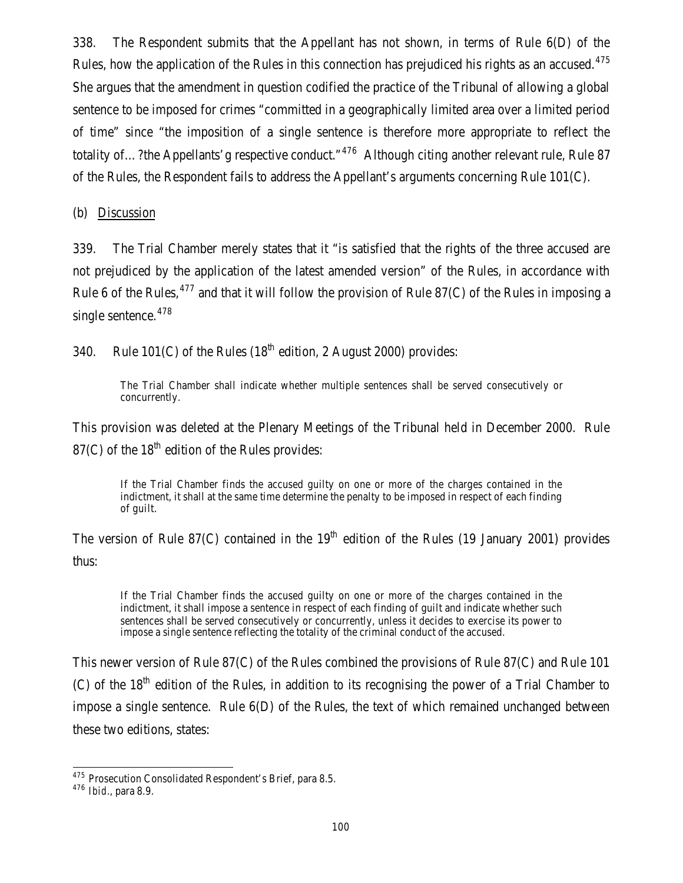338. The Respondent submits that the Appellant has not shown, in terms of Rule 6(D) of the Rules, how the application of the Rules in this connection has prejudiced his rights as an accused.<sup>475</sup> She argues that the amendment in question codified the practice of the Tribunal of allowing a global sentence to be imposed for crimes "committed in a geographically limited area over a limited period of time" since "the imposition of a single sentence is therefore more appropriate to reflect the totality of…?the Appellants' g respective conduct."<sup>476</sup> Although citing another relevant rule, Rule 87 of the Rules, the Respondent fails to address the Appellant's arguments concerning Rule 101(C).

#### (b) Discussion

339. The Trial Chamber merely states that it "is satisfied that the rights of the three accused are not prejudiced by the application of the latest amended version" of the Rules, in accordance with Rule 6 of the Rules, <sup>477</sup> and that it will follow the provision of Rule 87(C) of the Rules in imposing a single sentence.<sup>478</sup>

340. Rule 101(C) of the Rules  $(18<sup>th</sup>$  edition, 2 August 2000) provides:

The Trial Chamber shall indicate whether multiple sentences shall be served consecutively or concurrently.

This provision was deleted at the Plenary Meetings of the Tribunal held in December 2000. Rule 87(C) of the  $18<sup>th</sup>$  edition of the Rules provides:

If the Trial Chamber finds the accused guilty on one or more of the charges contained in the indictment, it shall at the same time determine the penalty to be imposed in respect of each finding of guilt.

The version of Rule 87(C) contained in the  $19<sup>th</sup>$  edition of the Rules (19 January 2001) provides thus:

If the Trial Chamber finds the accused guilty on one or more of the charges contained in the indictment, it shall impose a sentence in respect of each finding of guilt and indicate whether such sentences shall be served consecutively or concurrently, unless it decides to exercise its power to impose a single sentence reflecting the totality of the criminal conduct of the accused.

This newer version of Rule 87(C) of the Rules combined the provisions of Rule 87(C) and Rule 101  $(C)$  of the 18<sup>th</sup> edition of the Rules, in addition to its recognising the power of a Trial Chamber to impose a single sentence. Rule 6(D) of the Rules, the text of which remained unchanged between these two editions, states:

 $\overline{a}$  $475$  Prosecution Consolidated Respondent's Brief, para 8.5.

<sup>476</sup> *Ibid*., para 8.9.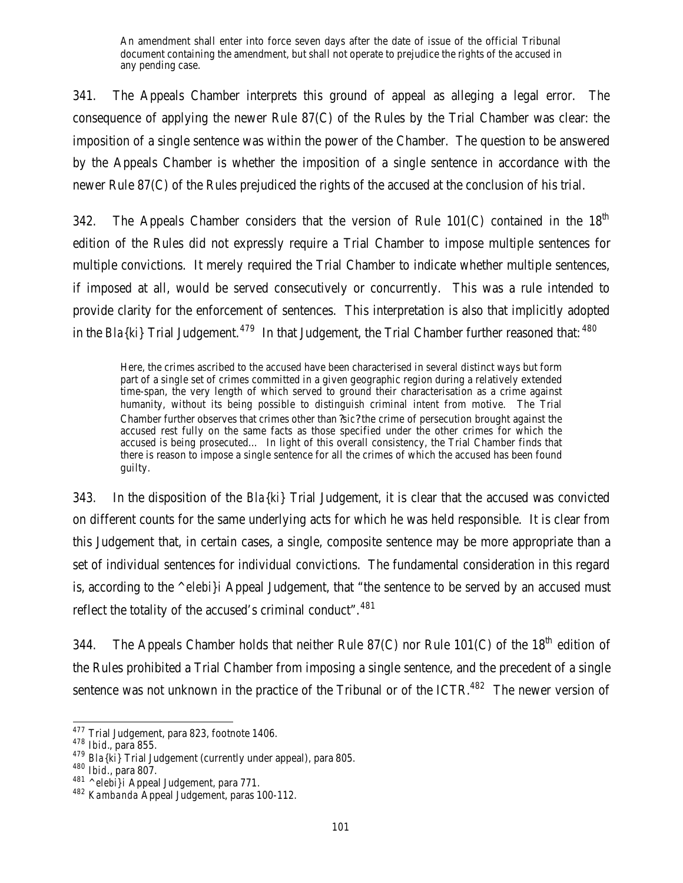An amendment shall enter into force seven days after the date of issue of the official Tribunal document containing the amendment, but shall not operate to prejudice the rights of the accused in any pending case.

341. The Appeals Chamber interprets this ground of appeal as alleging a legal error. The consequence of applying the newer Rule 87(C) of the Rules by the Trial Chamber was clear: the imposition of a single sentence was within the power of the Chamber. The question to be answered by the Appeals Chamber is whether the imposition of a single sentence in accordance with the newer Rule 87(C) of the Rules prejudiced the rights of the accused at the conclusion of his trial.

342. The Appeals Chamber considers that the version of Rule 101(C) contained in the 18<sup>th</sup> edition of the Rules did not expressly require a Trial Chamber to impose multiple sentences for multiple convictions. It merely required the Trial Chamber to indicate whether multiple sentences, if imposed at all, would be served consecutively or concurrently. This was a rule intended to provide clarity for the enforcement of sentences. This interpretation is also that implicitly adopted in the *Bla{ki}* Trial Judgement.<sup>479</sup> In that Judgement, the Trial Chamber further reasoned that: <sup>480</sup>

Here, the crimes ascribed to the accused have been characterised in several distinct ways but form part of a single set of crimes committed in a given geographic region during a relatively extended time-span, the very length of which served to ground their characterisation as a crime against humanity, without its being possible to distinguish criminal intent from motive. The Trial Chamber further observes that crimes other than ?*sic*? the crime of persecution brought against the accused rest fully on the same facts as those specified under the other crimes for which the accused is being prosecuted... In light of this overall consistency, the Trial Chamber finds that there is reason to impose a single sentence for all the crimes of which the accused has been found guilty.

343. In the disposition of the *Bla{ki}* Trial Judgement, it is clear that the accused was convicted on different counts for the same underlying acts for which he was held responsible. It is clear from this Judgement that, in certain cases, a single, composite sentence may be more appropriate than a set of individual sentences for individual convictions. The fundamental consideration in this regard is, according to the *^elebi}i* Appeal Judgement, that "the sentence to be served by an accused must reflect the totality of the accused's criminal conduct".<sup>481</sup>

344. The Appeals Chamber holds that neither Rule 87(C) nor Rule 101(C) of the 18<sup>th</sup> edition of the Rules prohibited a Trial Chamber from imposing a single sentence, and the precedent of a single sentence was not unknown in the practice of the Tribunal or of the ICTR.<sup>482</sup> The newer version of

 $\overline{a}$  $^{477}_{12}$  Trial Judgement, para 823, footnote 1406.

<sup>478</sup> *Ibid.*, para 855.

<sup>479</sup> *Bla{ki}* Trial Judgement (currently under appeal), para 805.

<sup>480</sup> *Ibid*., para 807.

<sup>481</sup> *^elebi}i* Appeal Judgement, para 771.

<sup>482</sup> *Kambanda* Appeal Judgement, paras 100-112.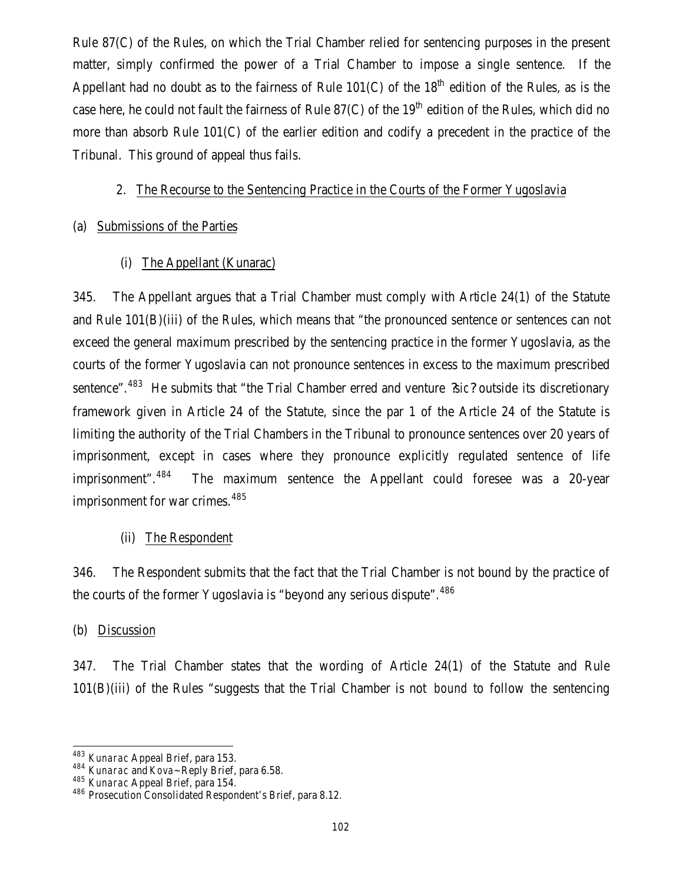Rule 87(C) of the Rules, on which the Trial Chamber relied for sentencing purposes in the present matter, simply confirmed the power of a Trial Chamber to impose a single sentence. If the Appellant had no doubt as to the fairness of Rule 101(C) of the  $18<sup>th</sup>$  edition of the Rules, as is the case here, he could not fault the fairness of Rule 87(C) of the 19<sup>th</sup> edition of the Rules, which did no more than absorb Rule 101(C) of the earlier edition and codify a precedent in the practice of the Tribunal. This ground of appeal thus fails.

### 2. The Recourse to the Sentencing Practice in the Courts of the Former Yugoslavia

## (a) Submissions of the Parties

## (i) The Appellant (Kunarac)

345. The Appellant argues that a Trial Chamber must comply with Article 24(1) of the Statute and Rule 101(B)(iii) of the Rules, which means that "the pronounced sentence or sentences can not exceed the general maximum prescribed by the sentencing practice in the former Yugoslavia, as the courts of the former Yugoslavia can not pronounce sentences in excess to the maximum prescribed sentence".<sup>483</sup> He submits that "the Trial Chamber erred and venture *?sic?* outside its discretionary framework given in Article 24 of the Statute, since the par 1 of the Article 24 of the Statute is limiting the authority of the Trial Chambers in the Tribunal to pronounce sentences over 20 years of imprisonment, except in cases where they pronounce explicitly regulated sentence of life imprisonment".<sup>484</sup> The maximum sentence the Appellant could foresee was a 20-year imprisonment for war crimes.<sup>485</sup>

## (ii) The Respondent

346. The Respondent submits that the fact that the Trial Chamber is not bound by the practice of the courts of the former Yugoslavia is "beyond any serious dispute". 486

## (b) Discussion

347. The Trial Chamber states that the wording of Article 24(1) of the Statute and Rule 101(B)(iii) of the Rules "suggests that the Trial Chamber is not *bound* to follow the sentencing

 $\overline{a}$ <sup>483</sup> *Kunarac* Appeal Brief, para 153.

<sup>484</sup> *Kunarac* and *Kova~* Reply Brief, para 6.58.

<sup>485</sup> *Kunarac* Appeal Brief, para 154.

<sup>486</sup> Prosecution Consolidated Respondent's Brief, para 8.12.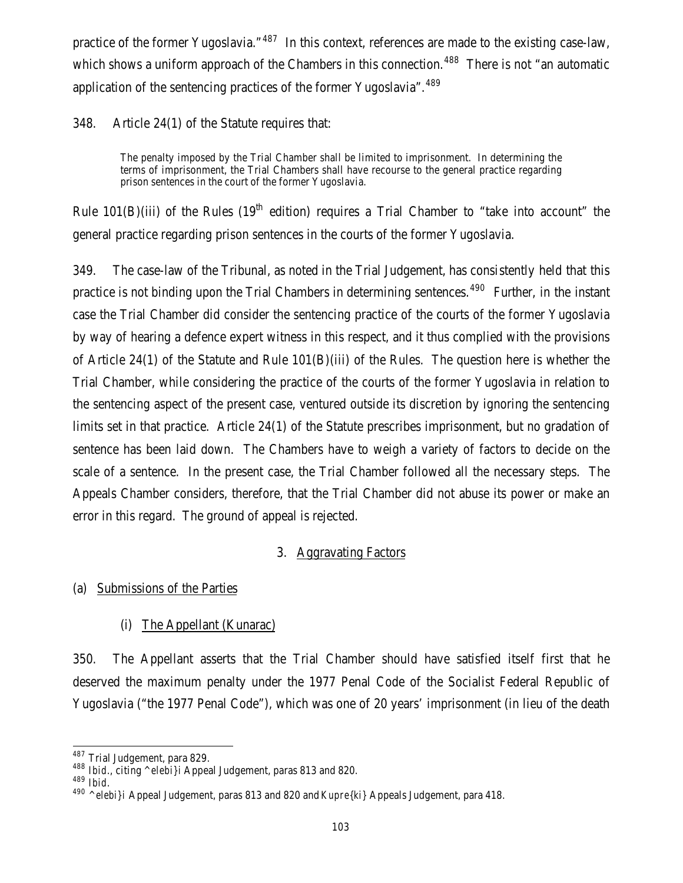practice of the former Yugoslavia."<sup>487</sup> In this context, references are made to the existing case-law, which shows a uniform approach of the Chambers in this connection.<sup>488</sup> There is not "an automatic application of the sentencing practices of the former Yugoslavia".<sup>489</sup>

348. Article 24(1) of the Statute requires that:

The penalty imposed by the Trial Chamber shall be limited to imprisonment. In determining the terms of imprisonment, the Trial Chambers shall have recourse to the general practice regarding prison sentences in the court of the former Yugoslavia.

Rule 101(B)(iii) of the Rules (19<sup>th</sup> edition) requires a Trial Chamber to "take into account" the general practice regarding prison sentences in the courts of the former Yugoslavia.

349. The case-law of the Tribunal, as noted in the Trial Judgement, has consistently held that this practice is not binding upon the Trial Chambers in determining sentences.<sup>490</sup> Further, in the instant case the Trial Chamber did consider the sentencing practice of the courts of the former Yugoslavia by way of hearing a defence expert witness in this respect, and it thus complied with the provisions of Article 24(1) of the Statute and Rule 101(B)(iii) of the Rules. The question here is whether the Trial Chamber, while considering the practice of the courts of the former Yugoslavia in relation to the sentencing aspect of the present case, ventured outside its discretion by ignoring the sentencing limits set in that practice. Article 24(1) of the Statute prescribes imprisonment, but no gradation of sentence has been laid down. The Chambers have to weigh a variety of factors to decide on the scale of a sentence. In the present case, the Trial Chamber followed all the necessary steps. The Appeals Chamber considers, therefore, that the Trial Chamber did not abuse its power or make an error in this regard. The ground of appeal is rejected.

## 3. Aggravating Factors

### (a) Submissions of the Parties

## (i) The Appellant (Kunarac)

350. The Appellant asserts that the Trial Chamber should have satisfied itself first that he deserved the maximum penalty under the 1977 Penal Code of the Socialist Federal Republic of Yugoslavia ("the 1977 Penal Code"), which was one of 20 years' imprisonment (in lieu of the death

 $\overline{a}$ <sup>487</sup> Trial Judgement, para 829.

<sup>488</sup> *Ibid*., citing *^elebi}i* Appeal Judgement, paras 813 and 820.

<sup>489</sup> *Ibid*.

<sup>490</sup> *^elebi}i* Appeal Judgement, paras 813 and 820 and *Kupre{ki}* Appeals Judgement, para 418.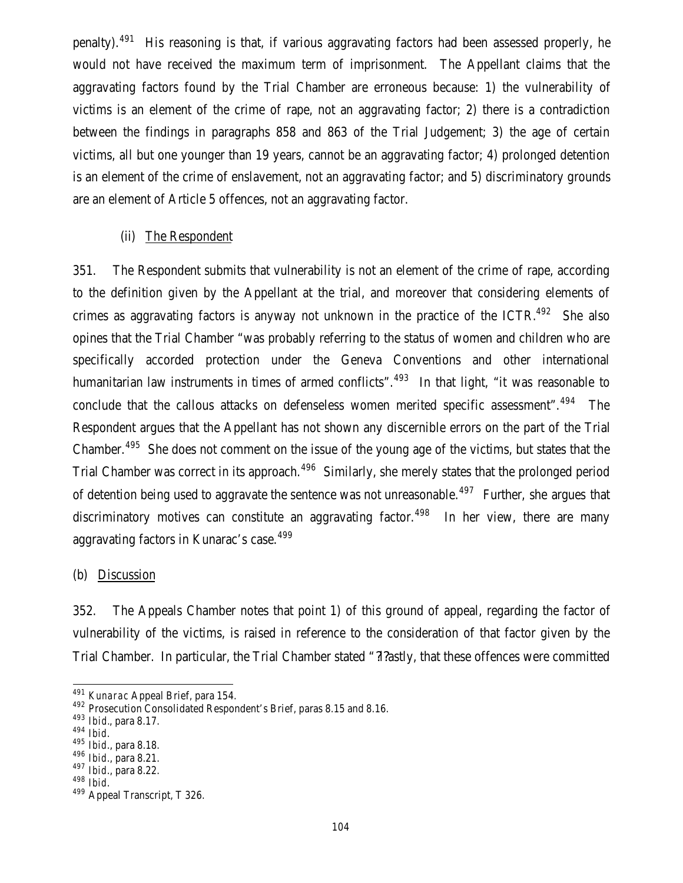penalty).<sup>491</sup> His reasoning is that, if various aggravating factors had been assessed properly, he would not have received the maximum term of imprisonment. The Appellant claims that the aggravating factors found by the Trial Chamber are erroneous because: 1) the vulnerability of victims is an element of the crime of rape, not an aggravating factor; 2) there is a contradiction between the findings in paragraphs 858 and 863 of the Trial Judgement; 3) the age of certain victims, all but one younger than 19 years, cannot be an aggravating factor; 4) prolonged detention is an element of the crime of enslavement, not an aggravating factor; and 5) discriminatory grounds are an element of Article 5 offences, not an aggravating factor.

#### (ii) The Respondent

351. The Respondent submits that vulnerability is not an element of the crime of rape, according to the definition given by the Appellant at the trial, and moreover that considering elements of crimes as aggravating factors is anyway not unknown in the practice of the ICTR.<sup>492</sup> She also opines that the Trial Chamber "was probably referring to the status of women and children who are specifically accorded protection under the Geneva Conventions and other international humanitarian law instruments in times of armed conflicts".<sup>493</sup> In that light, "it was reasonable to conclude that the callous attacks on defenseless women merited specific assessment".<sup>494</sup> The Respondent argues that the Appellant has not shown any discernible errors on the part of the Trial Chamber.<sup>495</sup> She does not comment on the issue of the young age of the victims, but states that the Trial Chamber was correct in its approach.<sup>496</sup> Similarly, she merely states that the prolonged period of detention being used to aggravate the sentence was not unreasonable.<sup>497</sup> Further, she argues that discriminatory motives can constitute an aggravating factor.<sup>498</sup> In her view, there are many aggravating factors in Kunarac's case.<sup>499</sup>

#### (b) Discussion

352. The Appeals Chamber notes that point 1) of this ground of appeal, regarding the factor of vulnerability of the victims, is raised in reference to the consideration of that factor given by the Trial Chamber. In particular, the Trial Chamber stated "?l?astly, that these offences were committed

 $\overline{a}$ <sup>491</sup> *Kunarac* Appeal Brief, para 154.

<sup>492</sup> Prosecution Consolidated Respondent's Brief, paras 8.15 and 8.16.

<sup>493</sup> *Ibid.*, para 8.17.

<sup>494</sup> *Ibid*.

<sup>495</sup> *Ibid*., para 8.18.

<sup>496</sup> *Ibid*., para 8.21.

<sup>497</sup> *Ibid*., para 8.22.

<sup>498</sup> *Ibid*.

<sup>499</sup> Appeal Transcript, T 326.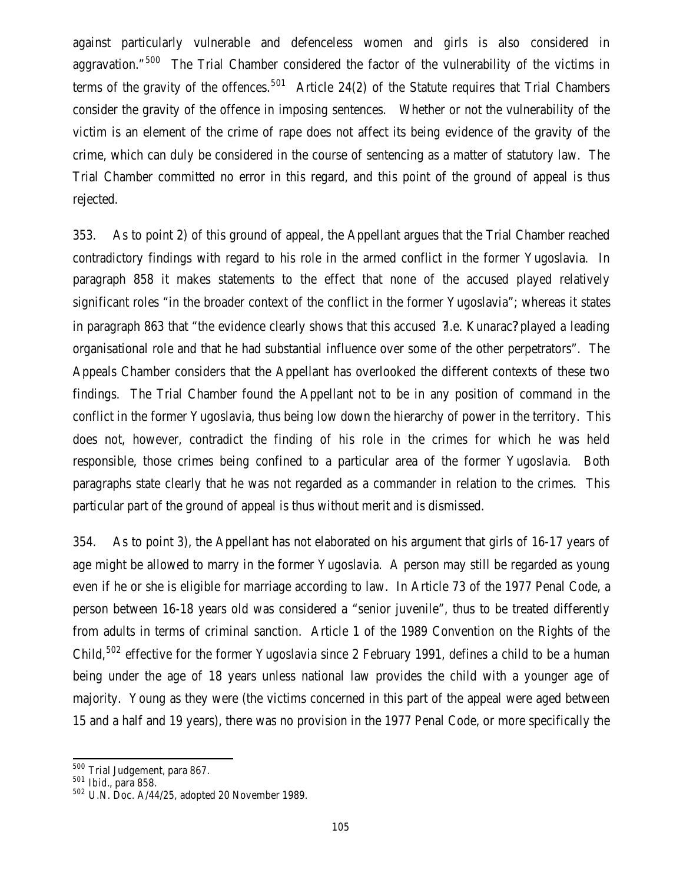against particularly vulnerable and defenceless women and girls is also considered in aggravation."<sup>500</sup> The Trial Chamber considered the factor of the vulnerability of the victims in terms of the gravity of the offences.<sup>501</sup> Article 24(2) of the Statute requires that Trial Chambers consider the gravity of the offence in imposing sentences. Whether or not the vulnerability of the victim is an element of the crime of rape does not affect its being evidence of the gravity of the crime, which can duly be considered in the course of sentencing as a matter of statutory law. The Trial Chamber committed no error in this regard, and this point of the ground of appeal is thus rejected.

353. As to point 2) of this ground of appeal, the Appellant argues that the Trial Chamber reached contradictory findings with regard to his role in the armed conflict in the former Yugoslavia. In paragraph 858 it makes statements to the effect that none of the accused played relatively significant roles "in the broader context of the conflict in the former Yugoslavia"; whereas it states in paragraph 863 that "the evidence clearly shows that this accused ?i.e. Kunarac? played a leading organisational role and that he had substantial influence over some of the other perpetrators". The Appeals Chamber considers that the Appellant has overlooked the different contexts of these two findings. The Trial Chamber found the Appellant not to be in any position of command in the conflict in the former Yugoslavia, thus being low down the hierarchy of power in the territory. This does not, however, contradict the finding of his role in the crimes for which he was held responsible, those crimes being confined to a particular area of the former Yugoslavia. Both paragraphs state clearly that he was not regarded as a commander in relation to the crimes. This particular part of the ground of appeal is thus without merit and is dismissed.

354. As to point 3), the Appellant has not elaborated on his argument that girls of 16-17 years of age might be allowed to marry in the former Yugoslavia. A person may still be regarded as young even if he or she is eligible for marriage according to law. In Article 73 of the 1977 Penal Code, a person between 16-18 years old was considered a "senior juvenile", thus to be treated differently from adults in terms of criminal sanction. Article 1 of the 1989 Convention on the Rights of the Child, $502$  effective for the former Yugoslavia since 2 February 1991, defines a child to be a human being under the age of 18 years unless national law provides the child with a younger age of majority. Young as they were (the victims concerned in this part of the appeal were aged between 15 and a half and 19 years), there was no provision in the 1977 Penal Code, or more specifically the

 $\overline{a}$ <sup>500</sup> Trial Judgement, para 867.

<sup>501</sup> *Ibid.*, para 858.

<sup>502</sup> U.N. Doc. A/44/25, adopted 20 November 1989.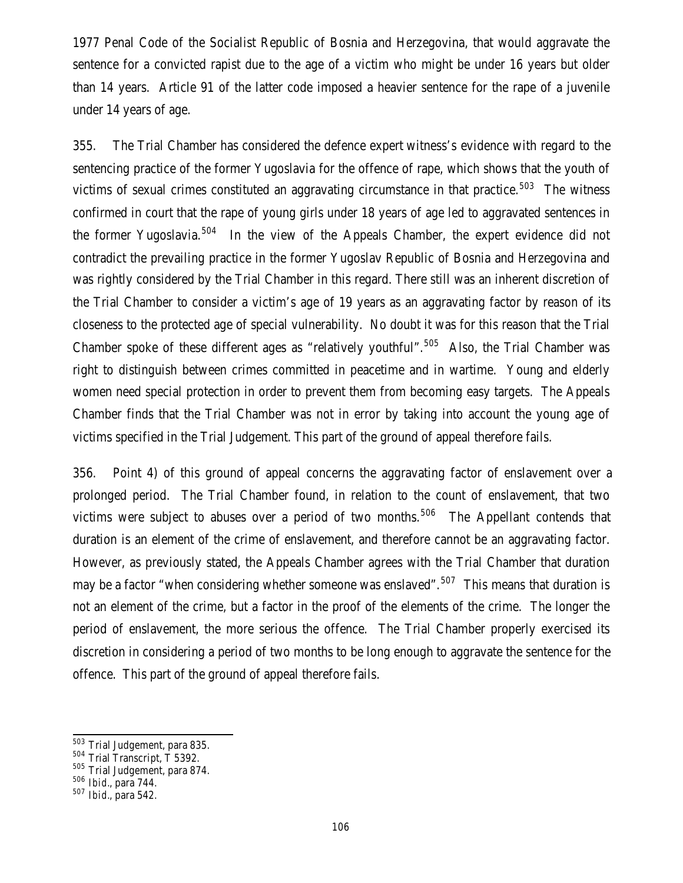1977 Penal Code of the Socialist Republic of Bosnia and Herzegovina, that would aggravate the sentence for a convicted rapist due to the age of a victim who might be under 16 years but older than 14 years. Article 91 of the latter code imposed a heavier sentence for the rape of a juvenile under 14 years of age.

355. The Trial Chamber has considered the defence expert witness's evidence with regard to the sentencing practice of the former Yugoslavia for the offence of rape, which shows that the youth of victims of sexual crimes constituted an aggravating circumstance in that practice.<sup>503</sup> The witness confirmed in court that the rape of young girls under 18 years of age led to aggravated sentences in the former Yugoslavia.<sup>504</sup> In the view of the Appeals Chamber, the expert evidence did not contradict the prevailing practice in the former Yugoslav Republic of Bosnia and Herzegovina and was rightly considered by the Trial Chamber in this regard. There still was an inherent discretion of the Trial Chamber to consider a victim's age of 19 years as an aggravating factor by reason of its closeness to the protected age of special vulnerability. No doubt it was for this reason that the Trial Chamber spoke of these different ages as "relatively youthful".<sup>505</sup> Also, the Trial Chamber was right to distinguish between crimes committed in peacetime and in wartime. Young and elderly women need special protection in order to prevent them from becoming easy targets. The Appeals Chamber finds that the Trial Chamber was not in error by taking into account the young age of victims specified in the Trial Judgement. This part of the ground of appeal therefore fails.

356. Point 4) of this ground of appeal concerns the aggravating factor of enslavement over a prolonged period. The Trial Chamber found, in relation to the count of enslavement, that two victims were subject to abuses over a period of two months.<sup>506</sup> The Appellant contends that duration is an element of the crime of enslavement, and therefore cannot be an aggravating factor. However, as previously stated, the Appeals Chamber agrees with the Trial Chamber that duration may be a factor "when considering whether someone was enslaved".<sup>507</sup> This means that duration is not an element of the crime, but a factor in the proof of the elements of the crime. The longer the period of enslavement, the more serious the offence. The Trial Chamber properly exercised its discretion in considering a period of two months to be long enough to aggravate the sentence for the offence. This part of the ground of appeal therefore fails.

 $\overline{a}$ <sup>503</sup> Trial Judgement, para 835.

<sup>504</sup> Trial Transcript, T 5392.

<sup>&</sup>lt;sup>505</sup> Trial Judgement, para 874.

<sup>506</sup> *Ibid.*, para 744.

<sup>507</sup> *Ibid.*, para 542.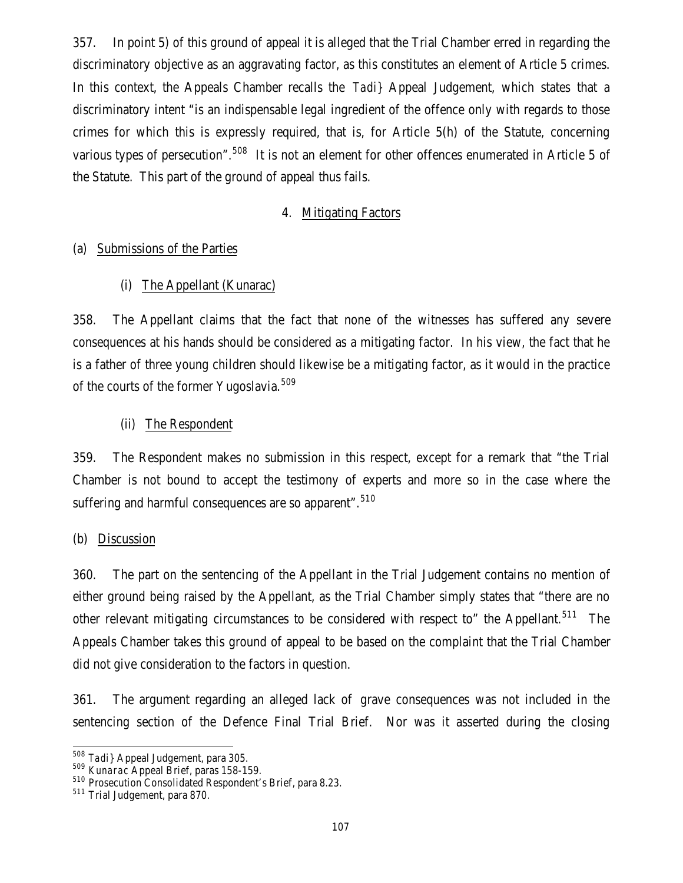357. In point 5) of this ground of appeal it is alleged that the Trial Chamber erred in regarding the discriminatory objective as an aggravating factor, as this constitutes an element of Article 5 crimes. In this context, the Appeals Chamber recalls the *Tadi}* Appeal Judgement, which states that a discriminatory intent "is an indispensable legal ingredient of the offence only with regards to those crimes for which this is expressly required, that is, for Article 5(h) of the Statute, concerning various types of persecution".<sup>508</sup> It is not an element for other offences enumerated in Article 5 of the Statute. This part of the ground of appeal thus fails.

## 4. Mitigating Factors

## (a) Submissions of the Parties

## (i) The Appellant (Kunarac)

358. The Appellant claims that the fact that none of the witnesses has suffered any severe consequences at his hands should be considered as a mitigating factor. In his view, the fact that he is a father of three young children should likewise be a mitigating factor, as it would in the practice of the courts of the former Yugoslavia.<sup>509</sup>

## (ii) The Respondent

359. The Respondent makes no submission in this respect, except for a remark that "the Trial Chamber is not bound to accept the testimony of experts and more so in the case where the suffering and harmful consequences are so apparent".<sup>510</sup>

### (b) Discussion

360. The part on the sentencing of the Appellant in the Trial Judgement contains no mention of either ground being raised by the Appellant, as the Trial Chamber simply states that "there are no other relevant mitigating circumstances to be considered with respect to" the Appellant.<sup>511</sup> The Appeals Chamber takes this ground of appeal to be based on the complaint that the Trial Chamber did not give consideration to the factors in question.

361. The argument regarding an alleged lack of grave consequences was not included in the sentencing section of the Defence Final Trial Brief. Nor was it asserted during the closing

 $\overline{a}$ <sup>508</sup> *Tadi}* Appeal Judgement, para 305.

<sup>509</sup> *Kunarac* Appeal Brief, paras 158-159.

<sup>510</sup> Prosecution Consolidated Respondent's Brief, para 8.23.

<sup>511</sup> Trial Judgement, para 870.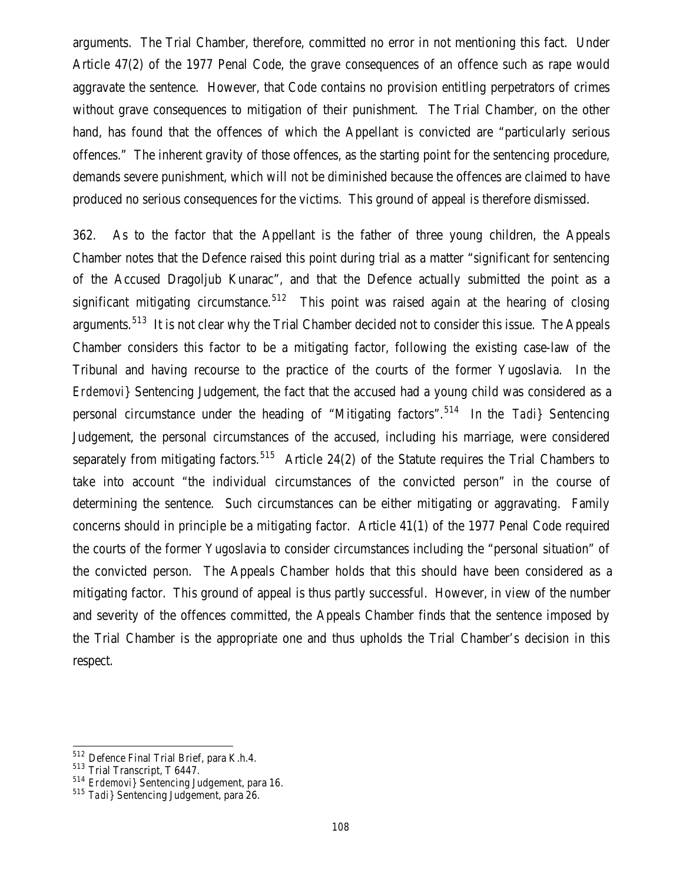arguments. The Trial Chamber, therefore, committed no error in not mentioning this fact. Under Article 47(2) of the 1977 Penal Code, the grave consequences of an offence such as rape would aggravate the sentence. However, that Code contains no provision entitling perpetrators of crimes without grave consequences to mitigation of their punishment. The Trial Chamber, on the other hand, has found that the offences of which the Appellant is convicted are "particularly serious offences." The inherent gravity of those offences, as the starting point for the sentencing procedure, demands severe punishment, which will not be diminished because the offences are claimed to have produced no serious consequences for the victims. This ground of appeal is therefore dismissed.

362. As to the factor that the Appellant is the father of three young children, the Appeals Chamber notes that the Defence raised this point during trial as a matter "significant for sentencing of the Accused Dragoljub Kunarac", and that the Defence actually submitted the point as a significant mitigating circumstance.<sup>512</sup> This point was raised again at the hearing of closing arguments.<sup>513</sup> It is not clear why the Trial Chamber decided not to consider this issue. The Appeals Chamber considers this factor to be a mitigating factor, following the existing case-law of the Tribunal and having recourse to the practice of the courts of the former Yugoslavia. In the *Erdemovi}* Sentencing Judgement, the fact that the accused had a young child was considered as a personal circumstance under the heading of "Mitigating factors".<sup>514</sup> In the *Tadi}* Sentencing Judgement, the personal circumstances of the accused, including his marriage, were considered separately from mitigating factors.<sup>515</sup> Article 24(2) of the Statute requires the Trial Chambers to take into account "the individual circumstances of the convicted person" in the course of determining the sentence. Such circumstances can be either mitigating or aggravating. Family concerns should in principle be a mitigating factor. Article 41(1) of the 1977 Penal Code required the courts of the former Yugoslavia to consider circumstances including the "personal situation" of the convicted person. The Appeals Chamber holds that this should have been considered as a mitigating factor. This ground of appeal is thus partly successful. However, in view of the number and severity of the offences committed, the Appeals Chamber finds that the sentence imposed by the Trial Chamber is the appropriate one and thus upholds the Trial Chamber's decision in this respect.

 $\overline{a}$ 

<sup>&</sup>lt;sup>512</sup> Defence Final Trial Brief, para K.h.4.

<sup>&</sup>lt;sup>513</sup> Trial Transcript, T 6447.

<sup>514</sup> *Erdemovi}* Sentencing Judgement, para 16.

<sup>515</sup> *Tadi}* Sentencing Judgement, para 26.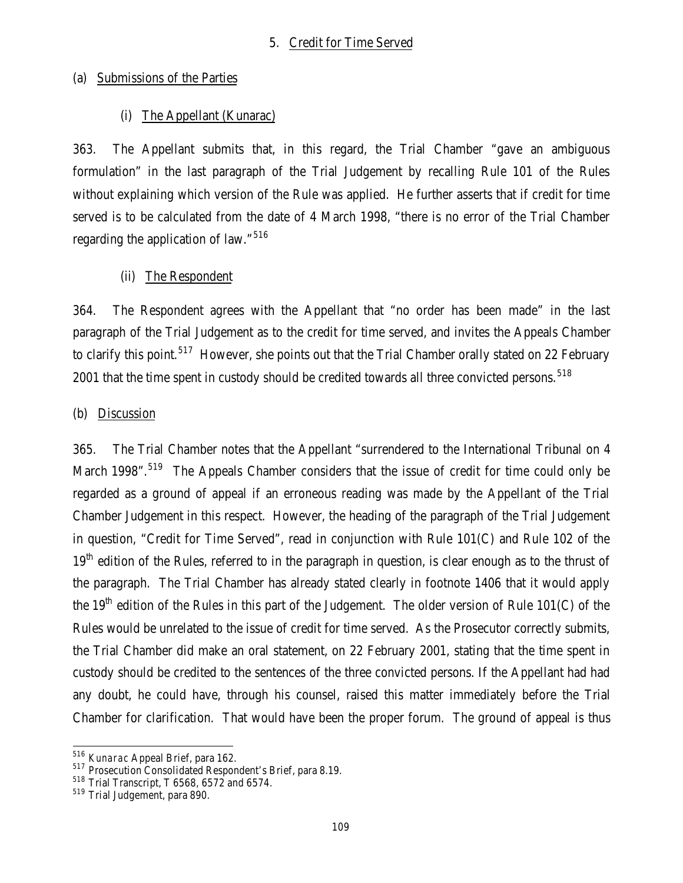#### 5. Credit for Time Served

#### (a) Submissions of the Parties

#### (i) The Appellant (Kunarac)

363. The Appellant submits that, in this regard, the Trial Chamber "gave an ambiguous formulation" in the last paragraph of the Trial Judgement by recalling Rule 101 of the Rules without explaining which version of the Rule was applied. He further asserts that if credit for time served is to be calculated from the date of 4 March 1998, "there is no error of the Trial Chamber regarding the application of law."<sup>516</sup>

#### (ii) The Respondent

364. The Respondent agrees with the Appellant that "no order has been made" in the last paragraph of the Trial Judgement as to the credit for time served, and invites the Appeals Chamber to clarify this point.<sup>517</sup> However, she points out that the Trial Chamber orally stated on 22 February 2001 that the time spent in custody should be credited towards all three convicted persons.<sup>518</sup>

#### (b) Discussion

365. The Trial Chamber notes that the Appellant "surrendered to the International Tribunal on 4 March 1998".<sup>519</sup> The Appeals Chamber considers that the issue of credit for time could only be regarded as a ground of appeal if an erroneous reading was made by the Appellant of the Trial Chamber Judgement in this respect. However, the heading of the paragraph of the Trial Judgement in question, "Credit for Time Served", read in conjunction with Rule 101(C) and Rule 102 of the  $19<sup>th</sup>$  edition of the Rules, referred to in the paragraph in question, is clear enough as to the thrust of the paragraph. The Trial Chamber has already stated clearly in footnote 1406 that it would apply the 19<sup>th</sup> edition of the Rules in this part of the Judgement. The older version of Rule 101(C) of the Rules would be unrelated to the issue of credit for time served. As the Prosecutor correctly submits, the Trial Chamber did make an oral statement, on 22 February 2001, stating that the time spent in custody should be credited to the sentences of the three convicted persons. If the Appellant had had any doubt, he could have, through his counsel, raised this matter immediately before the Trial Chamber for clarification. That would have been the proper forum. The ground of appeal is thus

 $\overline{a}$ <sup>516</sup> *Kunarac* Appeal Brief, para 162.

<sup>&</sup>lt;sup>517</sup> Prosecution Consolidated Respondent's Brief, para 8.19.

<sup>518</sup> Trial Transcript, T 6568, 6572 and 6574.

<sup>519</sup> Trial Judgement, para 890.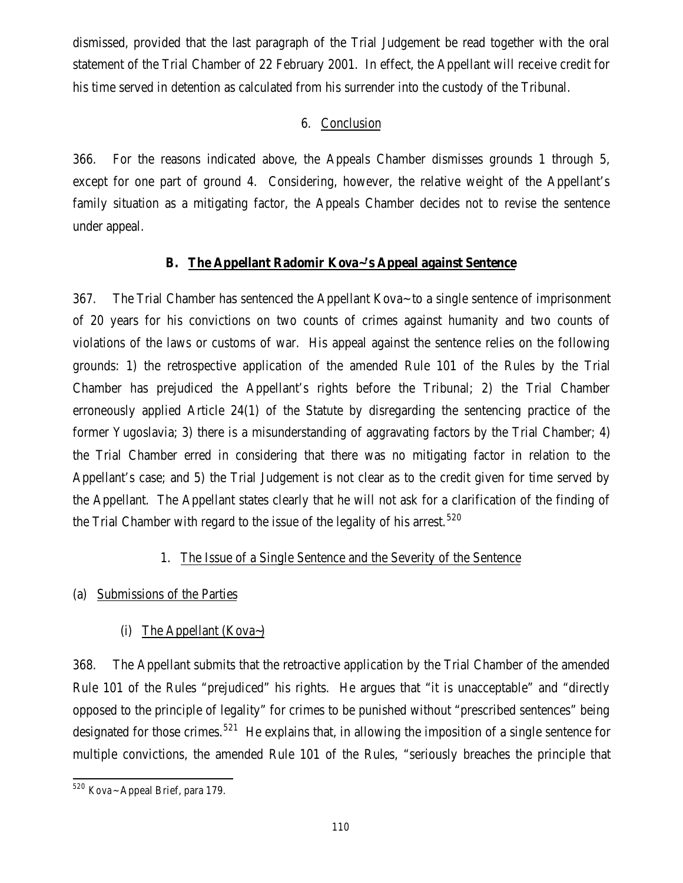dismissed, provided that the last paragraph of the Trial Judgement be read together with the oral statement of the Trial Chamber of 22 February 2001. In effect, the Appellant will receive credit for his time served in detention as calculated from his surrender into the custody of the Tribunal.

### 6. Conclusion

366. For the reasons indicated above, the Appeals Chamber dismisses grounds 1 through 5, except for one part of ground 4. Considering, however, the relative weight of the Appellant's family situation as a mitigating factor, the Appeals Chamber decides not to revise the sentence under appeal.

### **B. The Appellant Radomir Kova~'s Appeal against Sentence**

367. The Trial Chamber has sentenced the Appellant Kova~ to a single sentence of imprisonment of 20 years for his convictions on two counts of crimes against humanity and two counts of violations of the laws or customs of war. His appeal against the sentence relies on the following grounds: 1) the retrospective application of the amended Rule 101 of the Rules by the Trial Chamber has prejudiced the Appellant's rights before the Tribunal; 2) the Trial Chamber erroneously applied Article 24(1) of the Statute by disregarding the sentencing practice of the former Yugoslavia; 3) there is a misunderstanding of aggravating factors by the Trial Chamber; 4) the Trial Chamber erred in considering that there was no mitigating factor in relation to the Appellant's case; and 5) the Trial Judgement is not clear as to the credit given for time served by the Appellant. The Appellant states clearly that he will not ask for a clarification of the finding of the Trial Chamber with regard to the issue of the legality of his arrest.<sup>520</sup>

### 1. The Issue of a Single Sentence and the Severity of the Sentence

### (a) Submissions of the Parties

## (i) The Appellant (Kova~)

368. The Appellant submits that the retroactive application by the Trial Chamber of the amended Rule 101 of the Rules "prejudiced" his rights. He argues that "it is unacceptable" and "directly opposed to the principle of legality" for crimes to be punished without "prescribed sentences" being designated for those crimes.<sup>521</sup> He explains that, in allowing the imposition of a single sentence for multiple convictions, the amended Rule 101 of the Rules, "seriously breaches the principle that

 $\overline{a}$ <sup>520</sup> *Kova~* Appeal Brief, para 179.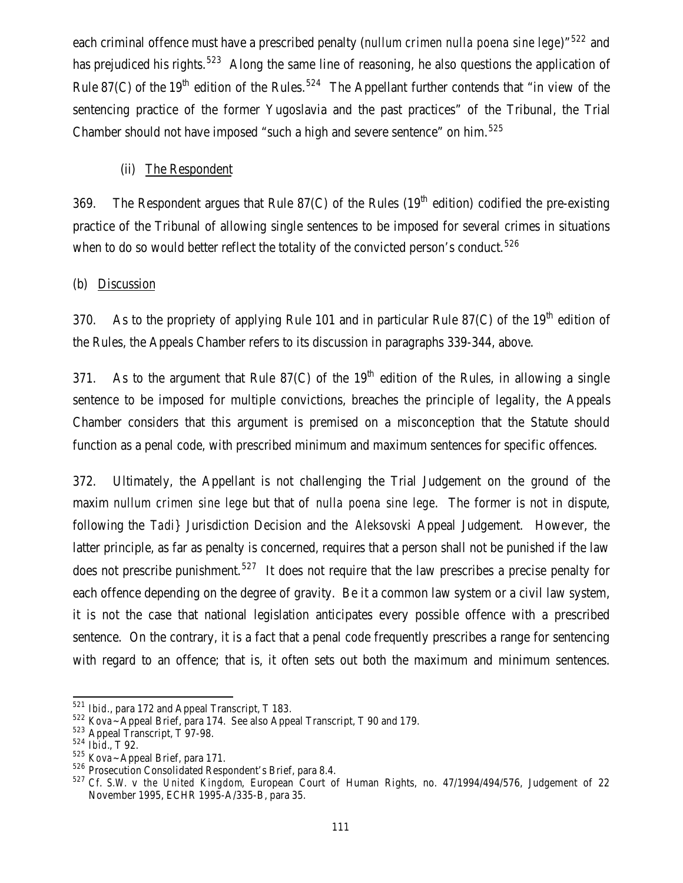each criminal offence must have a prescribed penalty (*nullum crimen nulla poena sine lege*)"<sup>522</sup> and has prejudiced his rights.<sup>523</sup> Along the same line of reasoning, he also questions the application of Rule 87(C) of the 19<sup>th</sup> edition of the Rules.<sup>524</sup> The Appellant further contends that "in view of the sentencing practice of the former Yugoslavia and the past practices" of the Tribunal, the Trial Chamber should not have imposed "such a high and severe sentence" on him.<sup>525</sup>

#### (ii) The Respondent

369. The Respondent argues that Rule 87(C) of the Rules (19<sup>th</sup> edition) codified the pre-existing practice of the Tribunal of allowing single sentences to be imposed for several crimes in situations when to do so would better reflect the totality of the convicted person's conduct.<sup>526</sup>

#### (b) Discussion

370. As to the propriety of applying Rule 101 and in particular Rule 87(C) of the 19<sup>th</sup> edition of the Rules, the Appeals Chamber refers to its discussion in paragraphs 339-344, above.

371. As to the argument that Rule 87(C) of the 19<sup>th</sup> edition of the Rules, in allowing a single sentence to be imposed for multiple convictions, breaches the principle of legality, the Appeals Chamber considers that this argument is premised on a misconception that the Statute should function as a penal code, with prescribed minimum and maximum sentences for specific offences.

372. Ultimately, the Appellant is not challenging the Trial Judgement on the ground of the maxim *nullum crimen sine lege* but that of *nulla poena sine lege*. The former is not in dispute, following the *Tadi}* Jurisdiction Decision and the *Aleksovski* Appeal Judgement. However, the latter principle, as far as penalty is concerned, requires that a person shall not be punished if the law does not prescribe punishment.<sup>527</sup> It does not require that the law prescribes a precise penalty for each offence depending on the degree of gravity. Be it a common law system or a civil law system, it is not the case that national legislation anticipates every possible offence with a prescribed sentence. On the contrary, it is a fact that a penal code frequently prescribes a range for sentencing with regard to an offence; that is, it often sets out both the maximum and minimum sentences.

 $\overline{a}$ <sup>521</sup> *Ibid.*, para 172 and Appeal Transcript, T 183.

<sup>522</sup> *Kova~* Appeal Brief, para 174. See also Appeal Transcript, T 90 and 179.

<sup>523</sup> Appeal Transcript, T 97-98.

<sup>524</sup> *Ibid.*, T 92.

<sup>525</sup> *Kova~* Appeal Brief, para 171.

<sup>526</sup> Prosecution Consolidated Respondent's Brief, para 8.4.

<sup>527</sup> *Cf*. *S.W.* v *the United Kingdom*, European Court of Human Rights, no. 47/1994/494/576, Judgement of 22 November 1995, ECHR 1995-A/335-B, para 35.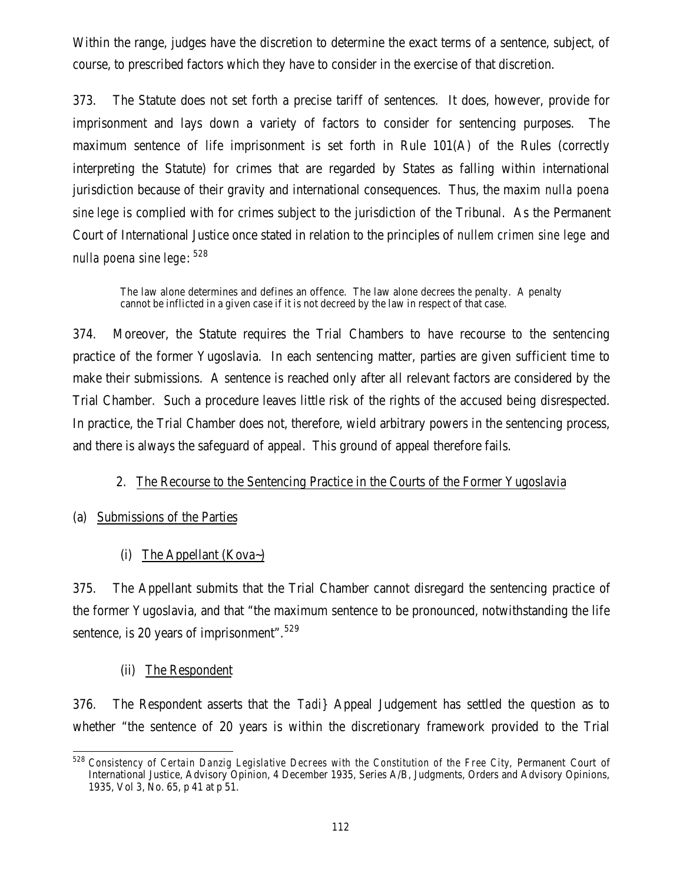Within the range, judges have the discretion to determine the exact terms of a sentence, subject, of course, to prescribed factors which they have to consider in the exercise of that discretion.

373. The Statute does not set forth a precise tariff of sentences. It does, however, provide for imprisonment and lays down a variety of factors to consider for sentencing purposes. The maximum sentence of life imprisonment is set forth in Rule 101(A) of the Rules (correctly interpreting the Statute) for crimes that are regarded by States as falling within international jurisdiction because of their gravity and international consequences. Thus, the maxim *nulla poena sine lege* is complied with for crimes subject to the jurisdiction of the Tribunal. As the Permanent Court of International Justice once stated in relation to the principles of *nullem crimen sine lege* and *nulla poena sine lege*: 528

The law alone determines and defines an offence. The law alone decrees the penalty. A penalty cannot be inflicted in a given case if it is not decreed by the law in respect of that case.

374. Moreover, the Statute requires the Trial Chambers to have recourse to the sentencing practice of the former Yugoslavia. In each sentencing matter, parties are given sufficient time to make their submissions. A sentence is reached only after all relevant factors are considered by the Trial Chamber. Such a procedure leaves little risk of the rights of the accused being disrespected. In practice, the Trial Chamber does not, therefore, wield arbitrary powers in the sentencing process, and there is always the safeguard of appeal. This ground of appeal therefore fails.

#### 2. The Recourse to the Sentencing Practice in the Courts of the Former Yugoslavia

#### (a) Submissions of the Parties

(i) The Appellant (Kova~)

375. The Appellant submits that the Trial Chamber cannot disregard the sentencing practice of the former Yugoslavia, and that "the maximum sentence to be pronounced, notwithstanding the life sentence, is 20 years of imprisonment".<sup>529</sup>

#### (ii) The Respondent

376. The Respondent asserts that the *Tadi}* Appeal Judgement has settled the question as to whether "the sentence of 20 years is within the discretionary framework provided to the Trial

 $\overline{a}$ <sup>528</sup> *Consistency of Certain Danzig Legislative Decrees with the Constitution of the Free City*, Permanent Court of International Justice, Advisory Opinion, 4 December 1935, Series A/B, Judgments, Orders and Advisory Opinions, 1935, Vol 3, No. 65, p 41 at p 51.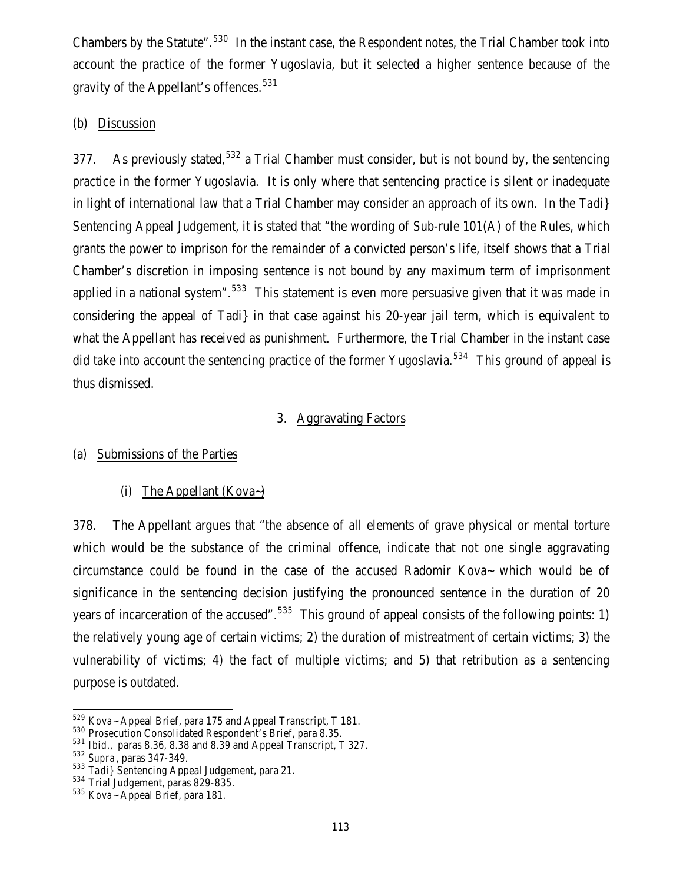Chambers by the Statute".<sup>530</sup> In the instant case, the Respondent notes, the Trial Chamber took into account the practice of the former Yugoslavia, but it selected a higher sentence because of the gravity of the Appellant's offences.<sup>531</sup>

#### (b) Discussion

377. As previously stated,<sup>532</sup> a Trial Chamber must consider, but is not bound by, the sentencing practice in the former Yugoslavia. It is only where that sentencing practice is silent or inadequate in light of international law that a Trial Chamber may consider an approach of its own. In the *Tadi}* Sentencing Appeal Judgement, it is stated that "the wording of Sub-rule 101(A) of the Rules, which grants the power to imprison for the remainder of a convicted person's life, itself shows that a Trial Chamber's discretion in imposing sentence is not bound by any maximum term of imprisonment applied in a national system".<sup>533</sup> This statement is even more persuasive given that it was made in considering the appeal of Tadi} in that case against his 20-year jail term, which is equivalent to what the Appellant has received as punishment. Furthermore, the Trial Chamber in the instant case did take into account the sentencing practice of the former Yugoslavia.<sup>534</sup> This ground of appeal is thus dismissed.

#### 3. Aggravating Factors

### (a) Submissions of the Parties

### (i) The Appellant (Kova~)

378. The Appellant argues that "the absence of all elements of grave physical or mental torture which would be the substance of the criminal offence, indicate that not one single aggravating circumstance could be found in the case of the accused Radomir Kova~ which would be of significance in the sentencing decision justifying the pronounced sentence in the duration of 20 years of incarceration of the accused".<sup>535</sup> This ground of appeal consists of the following points: 1) the relatively young age of certain victims; 2) the duration of mistreatment of certain victims; 3) the vulnerability of victims; 4) the fact of multiple victims; and 5) that retribution as a sentencing purpose is outdated.

 $\overline{a}$ <sup>529</sup> *Kova~* Appeal Brief, para 175 and Appeal Transcript, T 181.

<sup>530</sup> Prosecution Consolidated Respondent's Brief, para 8.35.

<sup>531</sup> *Ibid*., paras 8.36, 8.38 and 8.39 and Appeal Transcript, T 327.

<sup>532</sup> *Supra*, paras 347-349.

<sup>533</sup> *Tadi}* Sentencing Appeal Judgement, para 21.

<sup>534</sup> Trial Judgement, paras 829-835.

<sup>535</sup> *Kova~* Appeal Brief, para 181.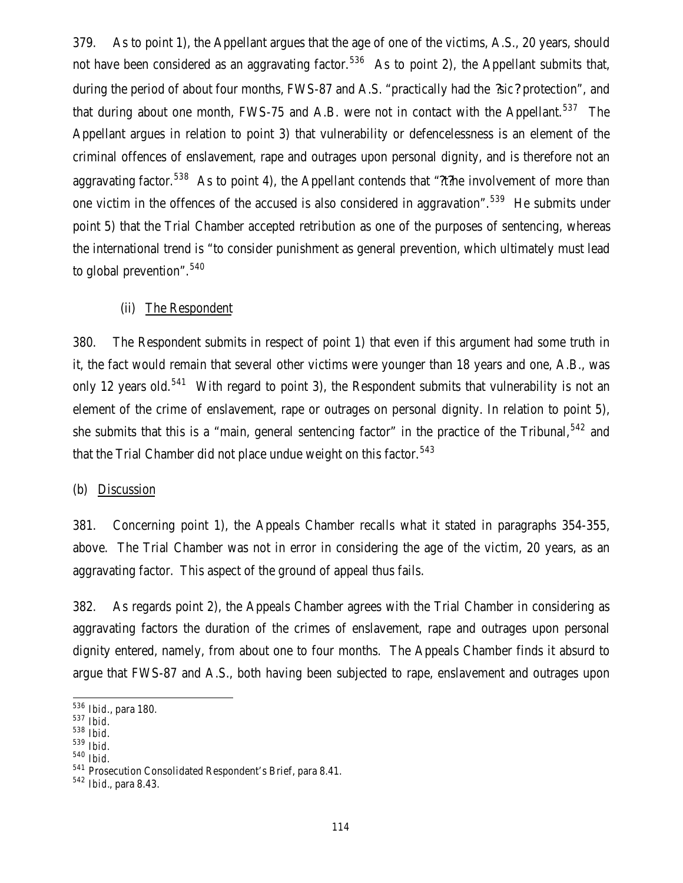379. As to point 1), the Appellant argues that the age of one of the victims, A.S., 20 years, should not have been considered as an aggravating factor.<sup>536</sup> As to point 2), the Appellant submits that, during the period of about four months, FWS-87 and A.S. "practically had the ?*sic*? protection", and that during about one month, FWS-75 and A.B. were not in contact with the Appellant.<sup>537</sup> The Appellant argues in relation to point 3) that vulnerability or defencelessness is an element of the criminal offences of enslavement, rape and outrages upon personal dignity, and is therefore not an aggravating factor.<sup>538</sup> As to point 4), the Appellant contends that "?t?he involvement of more than one victim in the offences of the accused is also considered in aggravation".<sup>539</sup> He submits under point 5) that the Trial Chamber accepted retribution as one of the purposes of sentencing, whereas the international trend is "to consider punishment as general prevention, which ultimately must lead to global prevention".<sup>540</sup>

#### (ii) The Respondent

380. The Respondent submits in respect of point 1) that even if this argument had some truth in it, the fact would remain that several other victims were younger than 18 years and one, A.B., was only 12 years old.<sup>541</sup> With regard to point 3), the Respondent submits that vulnerability is not an element of the crime of enslavement, rape or outrages on personal dignity. In relation to point 5), she submits that this is a "main, general sentencing factor" in the practice of the Tribunal,  $542$  and that the Trial Chamber did not place undue weight on this factor.  $543$ 

#### (b) Discussion

381. Concerning point 1), the Appeals Chamber recalls what it stated in paragraphs 354-355, above. The Trial Chamber was not in error in considering the age of the victim, 20 years, as an aggravating factor. This aspect of the ground of appeal thus fails.

382. As regards point 2), the Appeals Chamber agrees with the Trial Chamber in considering as aggravating factors the duration of the crimes of enslavement, rape and outrages upon personal dignity entered, namely, from about one to four months. The Appeals Chamber finds it absurd to argue that FWS-87 and A.S., both having been subjected to rape, enslavement and outrages upon

- <sup>538</sup> *Ibid*. <sup>539</sup> *Ibid*.
- <sup>540</sup> *Ibid*.

 $\overline{a}$ <sup>536</sup> *Ibid*., para 180.

<sup>537</sup> *Ibid*.

<sup>541</sup> Prosecution Consolidated Respondent's Brief, para 8.41.

<sup>542</sup> *Ibid.*, para 8.43.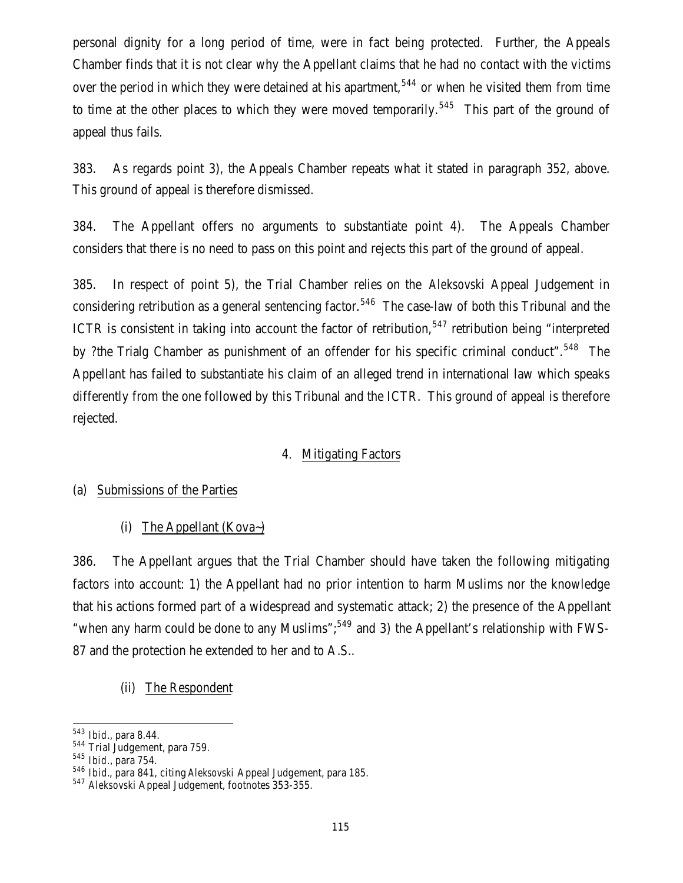personal dignity for a long period of time, were in fact being protected. Further, the Appeals Chamber finds that it is not clear why the Appellant claims that he had no contact with the victims over the period in which they were detained at his apartment,  $544$  or when he visited them from time to time at the other places to which they were moved temporarily.<sup>545</sup> This part of the ground of appeal thus fails.

383. As regards point 3), the Appeals Chamber repeats what it stated in paragraph 352, above. This ground of appeal is therefore dismissed.

384. The Appellant offers no arguments to substantiate point 4). The Appeals Chamber considers that there is no need to pass on this point and rejects this part of the ground of appeal.

385. In respect of point 5), the Trial Chamber relies on the *Aleksovski* Appeal Judgement in considering retribution as a general sentencing factor.<sup>546</sup> The case-law of both this Tribunal and the ICTR is consistent in taking into account the factor of retribution,<sup>547</sup> retribution being "interpreted by ?the Trialg Chamber as punishment of an offender for his specific criminal conduct".<sup>548</sup> The Appellant has failed to substantiate his claim of an alleged trend in international law which speaks differently from the one followed by this Tribunal and the ICTR. This ground of appeal is therefore rejected.

### 4. Mitigating Factors

#### (a) Submissions of the Parties

(i) The Appellant (Kova~)

386. The Appellant argues that the Trial Chamber should have taken the following mitigating factors into account: 1) the Appellant had no prior intention to harm Muslims nor the knowledge that his actions formed part of a widespread and systematic attack; 2) the presence of the Appellant "when any harm could be done to any Muslims";<sup>549</sup> and 3) the Appellant's relationship with FWS-87 and the protection he extended to her and to A.S..

(ii) The Respondent

 $\overline{a}$ <sup>543</sup> *Ibid*., para 8.44.

<sup>544</sup> Trial Judgement, para 759.

<sup>545</sup> *Ibid*., para 754.

<sup>546</sup> *Ibid.*, para 841, citing *Aleksovski* Appeal Judgement, para 185.

<sup>547</sup> *Aleksovski* Appeal Judgement, footnotes 353-355.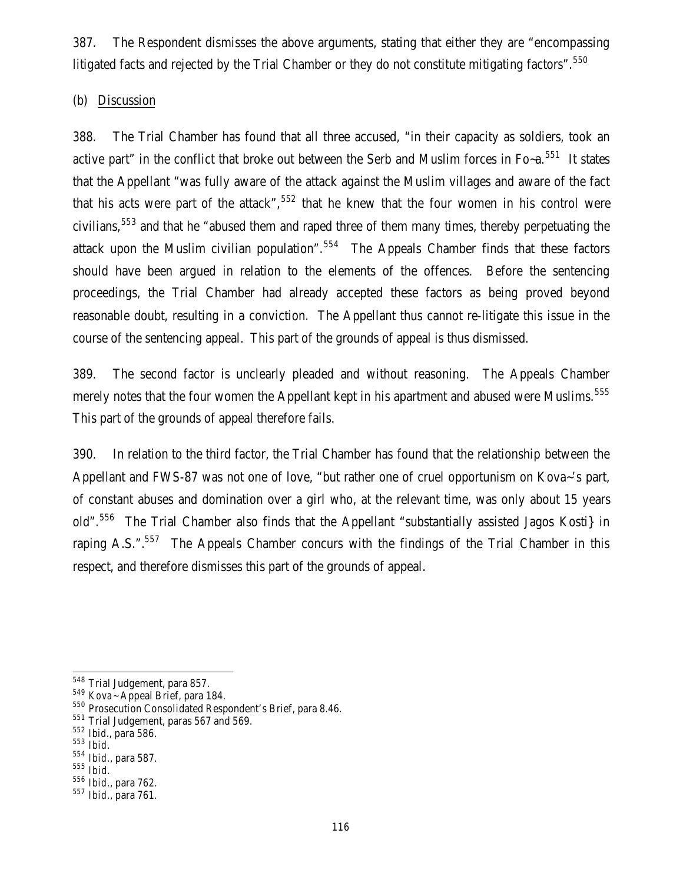387. The Respondent dismisses the above arguments, stating that either they are "encompassing litigated facts and rejected by the Trial Chamber or they do not constitute mitigating factors".<sup>550</sup>

#### (b) Discussion

388. The Trial Chamber has found that all three accused, "in their capacity as soldiers, took an active part" in the conflict that broke out between the Serb and Muslim forces in Fo-a.<sup>551</sup> It states that the Appellant "was fully aware of the attack against the Muslim villages and aware of the fact that his acts were part of the attack",  $552$  that he knew that the four women in his control were civilians,<sup>553</sup> and that he "abused them and raped three of them many times, thereby perpetuating the attack upon the Muslim civilian population".<sup>554</sup> The Appeals Chamber finds that these factors should have been argued in relation to the elements of the offences. Before the sentencing proceedings, the Trial Chamber had already accepted these factors as being proved beyond reasonable doubt, resulting in a conviction. The Appellant thus cannot re-litigate this issue in the course of the sentencing appeal. This part of the grounds of appeal is thus dismissed.

389. The second factor is unclearly pleaded and without reasoning. The Appeals Chamber merely notes that the four women the Appellant kept in his apartment and abused were Muslims.<sup>555</sup> This part of the grounds of appeal therefore fails.

390. In relation to the third factor, the Trial Chamber has found that the relationship between the Appellant and FWS-87 was not one of love, "but rather one of cruel opportunism on Kova~'s part, of constant abuses and domination over a girl who, at the relevant time, was only about 15 years old".<sup>556</sup> The Trial Chamber also finds that the Appellant "substantially assisted Jagos Kosti} in raping A.S.".<sup>557</sup> The Appeals Chamber concurs with the findings of the Trial Chamber in this respect, and therefore dismisses this part of the grounds of appeal.

 $\overline{a}$ <sup>548</sup> Trial Judgement, para 857.

<sup>549</sup> *Kova~* Appeal Brief, para 184.

<sup>550</sup> Prosecution Consolidated Respondent's Brief, para 8.46.

<sup>551</sup> Trial Judgement, paras 567 and 569.

<sup>552</sup> *Ibid.,* para 586.

<sup>553</sup> *Ibid*.

<sup>554</sup> *Ibid*., para 587.

<sup>555</sup> *Ibid.*

<sup>556</sup> *Ibid*., para 762.

<sup>557</sup> *Ibid*., para 761.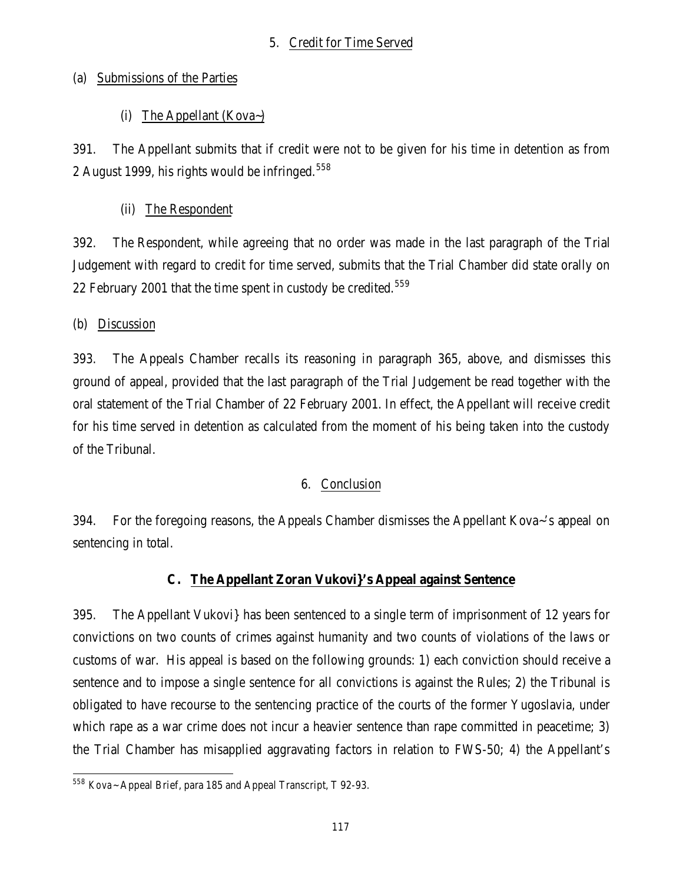#### 5. Credit for Time Served

#### (a) Submissions of the Parties

## (i) The Appellant (Kova~)

391. The Appellant submits that if credit were not to be given for his time in detention as from 2 August 1999, his rights would be infringed.<sup>558</sup>

(ii) The Respondent

392. The Respondent, while agreeing that no order was made in the last paragraph of the Trial Judgement with regard to credit for time served, submits that the Trial Chamber did state orally on 22 February 2001 that the time spent in custody be credited.<sup>559</sup>

#### (b) Discussion

393. The Appeals Chamber recalls its reasoning in paragraph 365, above, and dismisses this ground of appeal, provided that the last paragraph of the Trial Judgement be read together with the oral statement of the Trial Chamber of 22 February 2001. In effect, the Appellant will receive credit for his time served in detention as calculated from the moment of his being taken into the custody of the Tribunal.

### 6. Conclusion

394. For the foregoing reasons, the Appeals Chamber dismisses the Appellant Kova~'s appeal on sentencing in total.

### **C. The Appellant Zoran Vukovi}'s Appeal against Sentence**

395. The Appellant Vukovi} has been sentenced to a single term of imprisonment of 12 years for convictions on two counts of crimes against humanity and two counts of violations of the laws or customs of war. His appeal is based on the following grounds: 1) each conviction should receive a sentence and to impose a single sentence for all convictions is against the Rules; 2) the Tribunal is obligated to have recourse to the sentencing practice of the courts of the former Yugoslavia, under which rape as a war crime does not incur a heavier sentence than rape committed in peacetime; 3) the Trial Chamber has misapplied aggravating factors in relation to FWS-50; 4) the Appellant's

 $\overline{a}$ <sup>558</sup> *Kova~* Appeal Brief, para 185 and Appeal Transcript, T 92-93.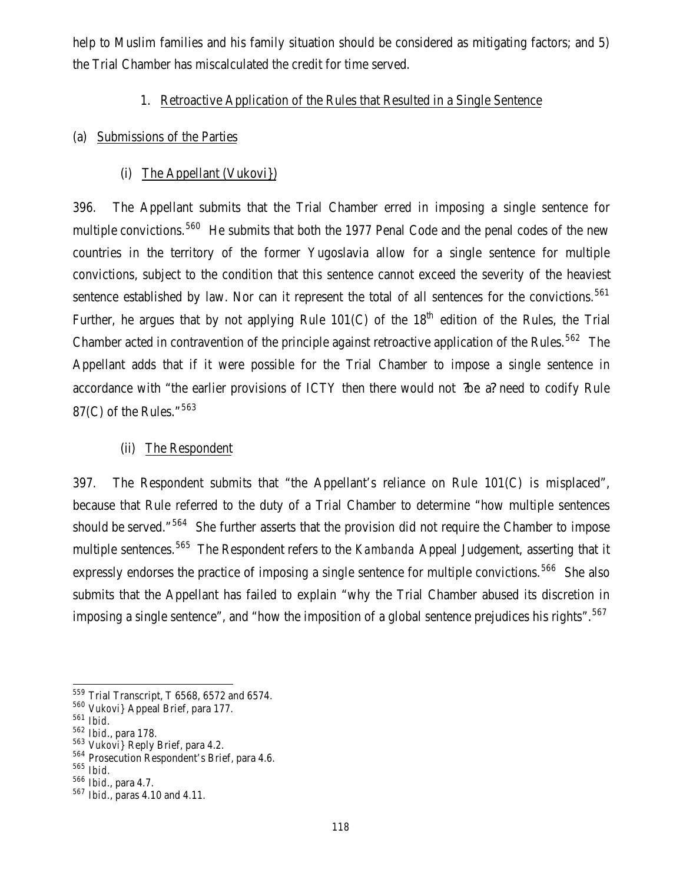help to Muslim families and his family situation should be considered as mitigating factors; and 5) the Trial Chamber has miscalculated the credit for time served.

#### 1. Retroactive Application of the Rules that Resulted in a Single Sentence

#### (a) Submissions of the Parties

### (i) The Appellant (Vukovi})

396. The Appellant submits that the Trial Chamber erred in imposing a single sentence for multiple convictions.<sup>560</sup> He submits that both the 1977 Penal Code and the penal codes of the new countries in the territory of the former Yugoslavia allow for a single sentence for multiple convictions, subject to the condition that this sentence cannot exceed the severity of the heaviest sentence established by law. Nor can it represent the total of all sentences for the convictions.<sup>561</sup> Further, he argues that by not applying Rule 101(C) of the  $18<sup>th</sup>$  edition of the Rules, the Trial Chamber acted in contravention of the principle against retroactive application of the Rules.<sup>562</sup> The Appellant adds that if it were possible for the Trial Chamber to impose a single sentence in accordance with "the earlier provisions of ICTY then there would not ?be a? need to codify Rule 87(C) of the Rules." $563$ 

### (ii) The Respondent

397. The Respondent submits that "the Appellant's reliance on Rule 101(C) is misplaced", because that Rule referred to the duty of a Trial Chamber to determine "how multiple sentences should be served."<sup>564</sup> She further asserts that the provision did not require the Chamber to impose multiple sentences.<sup>565</sup> The Respondent refers to the *Kambanda* Appeal Judgement, asserting that it expressly endorses the practice of imposing a single sentence for multiple convictions.<sup>566</sup> She also submits that the Appellant has failed to explain "why the Trial Chamber abused its discretion in imposing a single sentence", and "how the imposition of a global sentence prejudices his rights".<sup>567</sup>

<sup>562</sup> *Ibid*., para 178.

<sup>564</sup> Prosecution Respondent's Brief, para 4.6.

 $\overline{a}$  $^{559}$  Trial Transcript, T 6568, 6572 and 6574.

<sup>560</sup> *Vukovi}* Appeal Brief, para 177.

<sup>561</sup> *Ibid*.

<sup>563</sup> *Vukovi}* Reply Brief, para 4.2.

<sup>565</sup> *Ibid.*

<sup>566</sup> *Ibid*., para 4.7.

<sup>567</sup> *Ibid*., paras 4.10 and 4.11.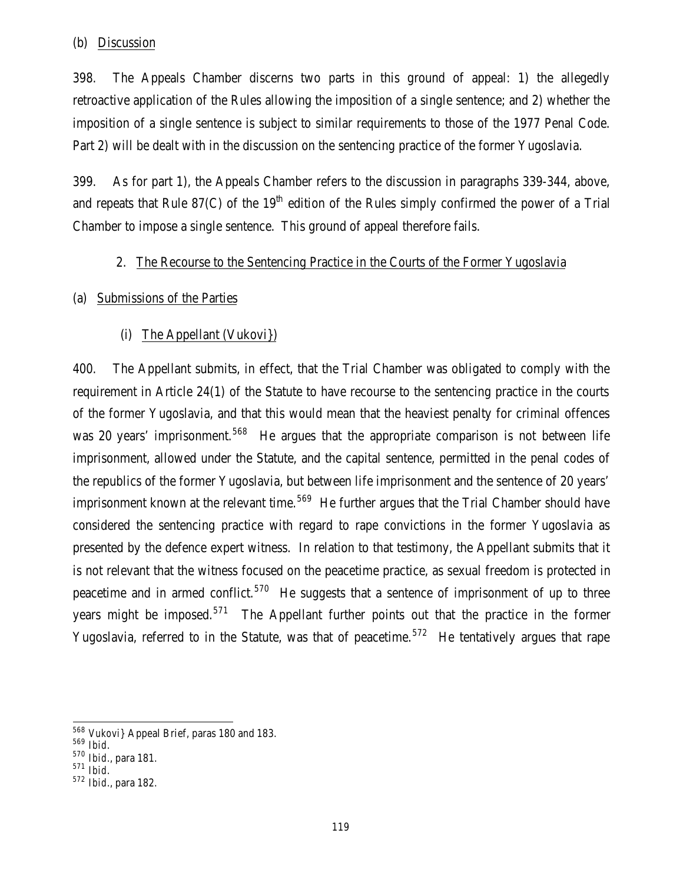#### (b) Discussion

398. The Appeals Chamber discerns two parts in this ground of appeal: 1) the allegedly retroactive application of the Rules allowing the imposition of a single sentence; and 2) whether the imposition of a single sentence is subject to similar requirements to those of the 1977 Penal Code. Part 2) will be dealt with in the discussion on the sentencing practice of the former Yugoslavia.

399. As for part 1), the Appeals Chamber refers to the discussion in paragraphs 339-344, above, and repeats that Rule 87(C) of the  $19<sup>th</sup>$  edition of the Rules simply confirmed the power of a Trial Chamber to impose a single sentence. This ground of appeal therefore fails.

#### 2. The Recourse to the Sentencing Practice in the Courts of the Former Yugoslavia

#### (a) Submissions of the Parties

### (i) The Appellant (Vukovi})

400. The Appellant submits, in effect, that the Trial Chamber was obligated to comply with the requirement in Article 24(1) of the Statute to have recourse to the sentencing practice in the courts of the former Yugoslavia, and that this would mean that the heaviest penalty for criminal offences was 20 years' imprisonment.<sup>568</sup> He argues that the appropriate comparison is not between life imprisonment, allowed under the Statute, and the capital sentence, permitted in the penal codes of the republics of the former Yugoslavia, but between life imprisonment and the sentence of 20 years' imprisonment known at the relevant time.<sup>569</sup> He further argues that the Trial Chamber should have considered the sentencing practice with regard to rape convictions in the former Yugoslavia as presented by the defence expert witness. In relation to that testimony, the Appellant submits that it is not relevant that the witness focused on the peacetime practice, as sexual freedom is protected in peacetime and in armed conflict.<sup>570</sup> He suggests that a sentence of imprisonment of up to three years might be imposed.<sup>571</sup> The Appellant further points out that the practice in the former Yugoslavia, referred to in the Statute, was that of peacetime.<sup>572</sup> He tentatively argues that rape

 $\overline{a}$ <sup>568</sup> *Vukovi}* Appeal Brief, paras 180 and 183.

<sup>569</sup> *Ibid*.

<sup>570</sup> *Ibid*., para 181.

<sup>571</sup> *Ibid*.

<sup>572</sup> *Ibid*., para 182.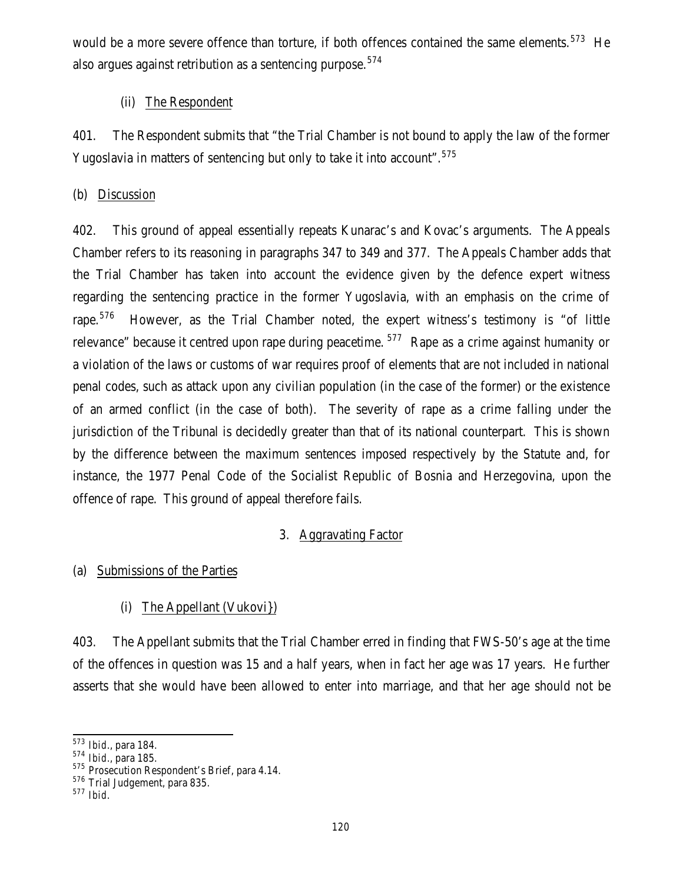would be a more severe offence than torture, if both offences contained the same elements.<sup>573</sup> He also argues against retribution as a sentencing purpose.<sup>574</sup>

### (ii) The Respondent

401. The Respondent submits that "the Trial Chamber is not bound to apply the law of the former Yugoslavia in matters of sentencing but only to take it into account".<sup>575</sup>

### (b) Discussion

402. This ground of appeal essentially repeats Kunarac's and Kovac's arguments. The Appeals Chamber refers to its reasoning in paragraphs 347 to 349 and 377. The Appeals Chamber adds that the Trial Chamber has taken into account the evidence given by the defence expert witness regarding the sentencing practice in the former Yugoslavia, with an emphasis on the crime of rape.<sup>576</sup> However, as the Trial Chamber noted, the expert witness's testimony is "of little relevance" because it centred upon rape during peacetime. <sup>577</sup> Rape as a crime against humanity or a violation of the laws or customs of war requires proof of elements that are not included in national penal codes, such as attack upon any civilian population (in the case of the former) or the existence of an armed conflict (in the case of both). The severity of rape as a crime falling under the jurisdiction of the Tribunal is decidedly greater than that of its national counterpart. This is shown by the difference between the maximum sentences imposed respectively by the Statute and, for instance, the 1977 Penal Code of the Socialist Republic of Bosnia and Herzegovina, upon the offence of rape. This ground of appeal therefore fails.

## 3. Aggravating Factor

## (a) Submissions of the Parties

## (i) The Appellant (Vukovi})

403. The Appellant submits that the Trial Chamber erred in finding that FWS-50's age at the time of the offences in question was 15 and a half years, when in fact her age was 17 years. He further asserts that she would have been allowed to enter into marriage, and that her age should not be

 $\overline{a}$ <sup>573</sup> *Ibid*., para 184.

<sup>574</sup> *Ibid*., para 185.

<sup>575</sup> Prosecution Respondent's Brief, para 4.14.

<sup>576</sup> Trial Judgement, para 835.

<sup>577</sup> *Ibid*.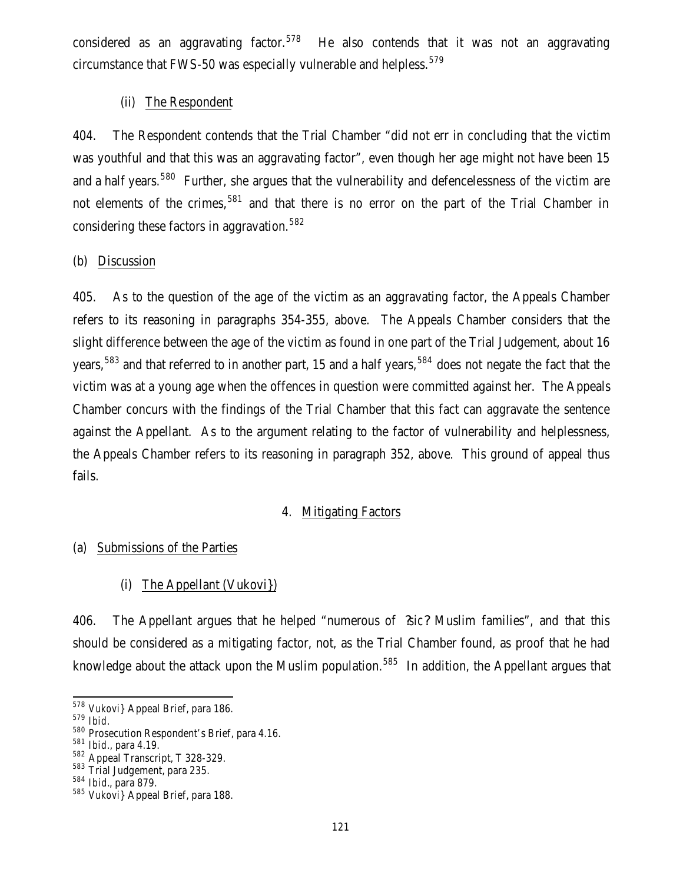considered as an aggravating factor.<sup>578</sup> He also contends that it was not an aggravating circumstance that FWS-50 was especially vulnerable and helpless.<sup>579</sup>

#### (ii) The Respondent

404. The Respondent contends that the Trial Chamber "did not err in concluding that the victim was youthful and that this was an aggravating factor", even though her age might not have been 15 and a half years.<sup>580</sup> Further, she argues that the vulnerability and defencelessness of the victim are not elements of the crimes,  $581$  and that there is no error on the part of the Trial Chamber in considering these factors in aggravation.<sup>582</sup>

#### (b) Discussion

405. As to the question of the age of the victim as an aggravating factor, the Appeals Chamber refers to its reasoning in paragraphs 354-355, above. The Appeals Chamber considers that the slight difference between the age of the victim as found in one part of the Trial Judgement, about 16 years,<sup>583</sup> and that referred to in another part, 15 and a half years,<sup>584</sup> does not negate the fact that the victim was at a young age when the offences in question were committed against her. The Appeals Chamber concurs with the findings of the Trial Chamber that this fact can aggravate the sentence against the Appellant. As to the argument relating to the factor of vulnerability and helplessness, the Appeals Chamber refers to its reasoning in paragraph 352, above. This ground of appeal thus fails.

### 4. Mitigating Factors

#### (a) Submissions of the Parties

(i) The Appellant (Vukovi})

406. The Appellant argues that he helped "numerous of ?*sic*? Muslim families", and that this should be considered as a mitigating factor, not, as the Trial Chamber found, as proof that he had knowledge about the attack upon the Muslim population.<sup>585</sup> In addition, the Appellant argues that

 $\overline{a}$ <sup>578</sup> *Vukovi}* Appeal Brief, para 186.

<sup>579</sup> *Ibid*.

<sup>580</sup> Prosecution Respondent's Brief, para 4.16.

<sup>581</sup> *Ibid*., para 4.19.

<sup>582</sup> Appeal Transcript, T 328-329.

<sup>&</sup>lt;sup>583</sup> Trial Judgement, para 235.

<sup>584</sup> *Ibid.*, para 879.

<sup>585</sup> *Vukovi}* Appeal Brief, para 188.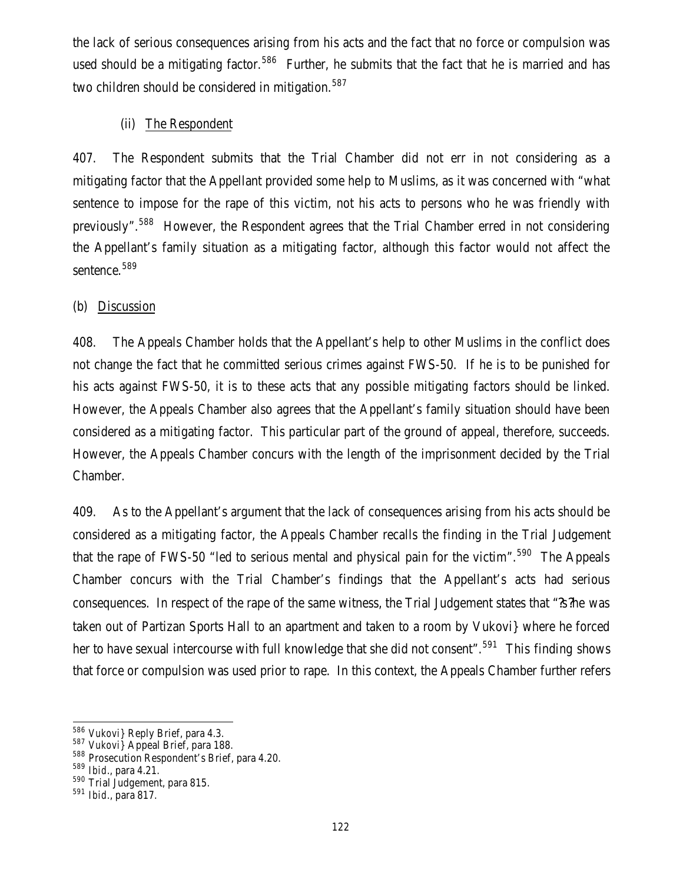the lack of serious consequences arising from his acts and the fact that no force or compulsion was used should be a mitigating factor.<sup>586</sup> Further, he submits that the fact that he is married and has two children should be considered in mitigation.<sup>587</sup>

#### (ii) The Respondent

407. The Respondent submits that the Trial Chamber did not err in not considering as a mitigating factor that the Appellant provided some help to Muslims, as it was concerned with "what sentence to impose for the rape of this victim, not his acts to persons who he was friendly with previously".<sup>588</sup> However, the Respondent agrees that the Trial Chamber erred in not considering the Appellant's family situation as a mitigating factor, although this factor would not affect the sentence.<sup>589</sup>

#### (b) Discussion

408. The Appeals Chamber holds that the Appellant's help to other Muslims in the conflict does not change the fact that he committed serious crimes against FWS-50. If he is to be punished for his acts against FWS-50, it is to these acts that any possible mitigating factors should be linked. However, the Appeals Chamber also agrees that the Appellant's family situation should have been considered as a mitigating factor. This particular part of the ground of appeal, therefore, succeeds. However, the Appeals Chamber concurs with the length of the imprisonment decided by the Trial Chamber.

409. As to the Appellant's argument that the lack of consequences arising from his acts should be considered as a mitigating factor, the Appeals Chamber recalls the finding in the Trial Judgement that the rape of FWS-50 "led to serious mental and physical pain for the victim".<sup>590</sup> The Appeals Chamber concurs with the Trial Chamber's findings that the Appellant's acts had serious consequences. In respect of the rape of the same witness, the Trial Judgement states that "?s?he was taken out of Partizan Sports Hall to an apartment and taken to a room by Vukovi} where he forced her to have sexual intercourse with full knowledge that she did not consent".<sup>591</sup> This finding shows that force or compulsion was used prior to rape. In this context, the Appeals Chamber further refers

 $\overline{a}$ <sup>586</sup> *Vukovi}* Reply Brief, para 4.3.

<sup>587</sup> *Vukovi}* Appeal Brief, para 188.

<sup>588</sup> Prosecution Respondent's Brief, para 4.20.

<sup>589</sup> *Ibid*., para 4.21.

<sup>590</sup> Trial Judgement, para 815.

<sup>591</sup> *Ibid*., para 817.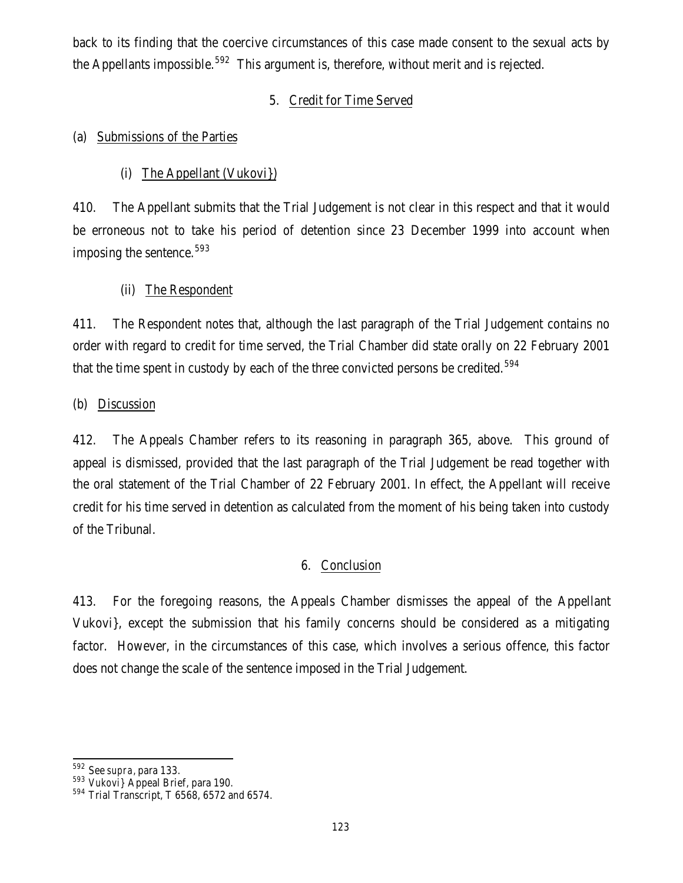back to its finding that the coercive circumstances of this case made consent to the sexual acts by the Appellants impossible.<sup>592</sup> This argument is, therefore, without merit and is rejected.

### 5. Credit for Time Served

#### (a) Submissions of the Parties

### (i) The Appellant (Vukovi})

410. The Appellant submits that the Trial Judgement is not clear in this respect and that it would be erroneous not to take his period of detention since 23 December 1999 into account when imposing the sentence.<sup>593</sup>

### (ii) The Respondent

411. The Respondent notes that, although the last paragraph of the Trial Judgement contains no order with regard to credit for time served, the Trial Chamber did state orally on 22 February 2001 that the time spent in custody by each of the three convicted persons be credited.<sup>594</sup>

#### (b) Discussion

412. The Appeals Chamber refers to its reasoning in paragraph 365, above. This ground of appeal is dismissed, provided that the last paragraph of the Trial Judgement be read together with the oral statement of the Trial Chamber of 22 February 2001. In effect, the Appellant will receive credit for his time served in detention as calculated from the moment of his being taken into custody of the Tribunal.

### 6. Conclusion

413. For the foregoing reasons, the Appeals Chamber dismisses the appeal of the Appellant Vukovi}, except the submission that his family concerns should be considered as a mitigating factor. However, in the circumstances of this case, which involves a serious offence, this factor does not change the scale of the sentence imposed in the Trial Judgement.

 $\overline{a}$ 

<sup>592</sup> See *supra,* para 133.

<sup>593</sup> *Vukovi}* Appeal Brief, para 190.

<sup>&</sup>lt;sup>594</sup> Trial Transcript, T 6568, 6572 and 6574.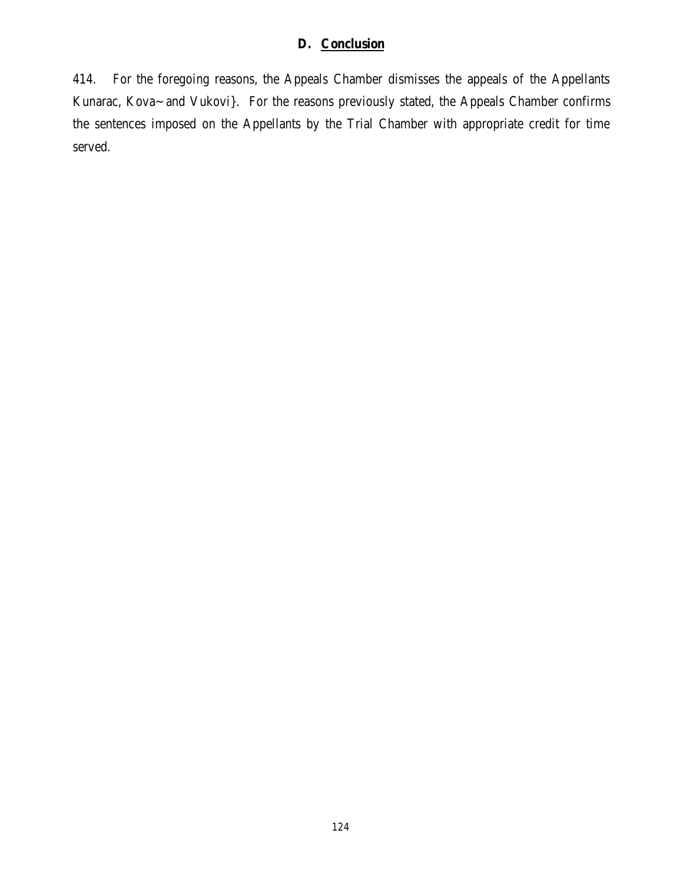#### **D. Conclusion**

414. For the foregoing reasons, the Appeals Chamber dismisses the appeals of the Appellants Kunarac, Kova~ and Vukovi}. For the reasons previously stated, the Appeals Chamber confirms the sentences imposed on the Appellants by the Trial Chamber with appropriate credit for time served.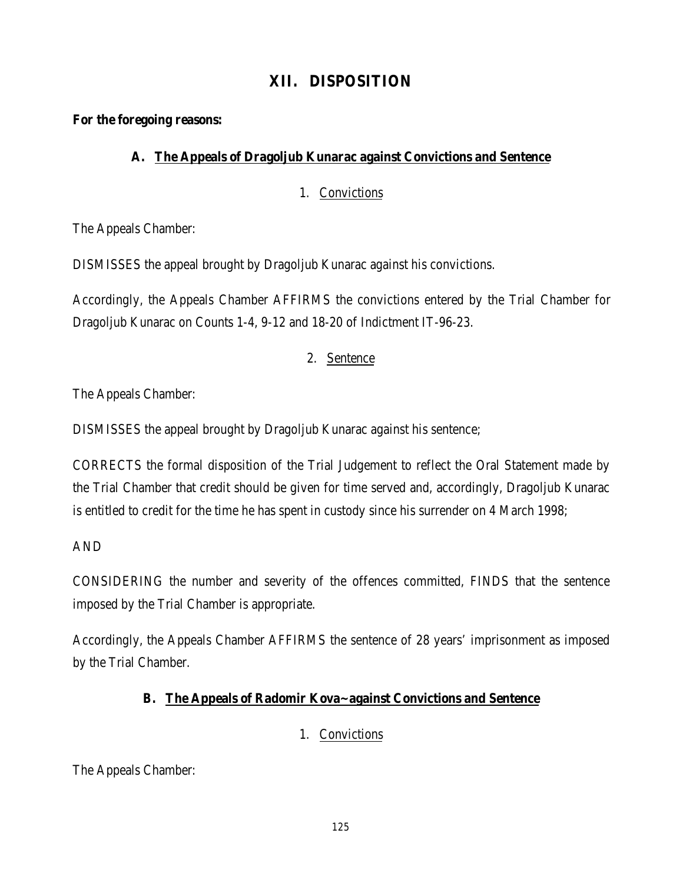# **XII. DISPOSITION**

**For the foregoing reasons:**

### **A. The Appeals of Dragoljub Kunarac against Convictions and Sentence**

1. Convictions

The Appeals Chamber:

DISMISSES the appeal brought by Dragoljub Kunarac against his convictions.

Accordingly, the Appeals Chamber AFFIRMS the convictions entered by the Trial Chamber for Dragoljub Kunarac on Counts 1-4, 9-12 and 18-20 of Indictment IT-96-23.

## 2. Sentence

The Appeals Chamber:

DISMISSES the appeal brought by Dragoljub Kunarac against his sentence;

CORRECTS the formal disposition of the Trial Judgement to reflect the Oral Statement made by the Trial Chamber that credit should be given for time served and, accordingly, Dragoljub Kunarac is entitled to credit for the time he has spent in custody since his surrender on 4 March 1998;

AND

CONSIDERING the number and severity of the offences committed, FINDS that the sentence imposed by the Trial Chamber is appropriate.

Accordingly, the Appeals Chamber AFFIRMS the sentence of 28 years' imprisonment as imposed by the Trial Chamber.

## **B. The Appeals of Radomir Kova~ against Convictions and Sentence**

## 1. Convictions

The Appeals Chamber: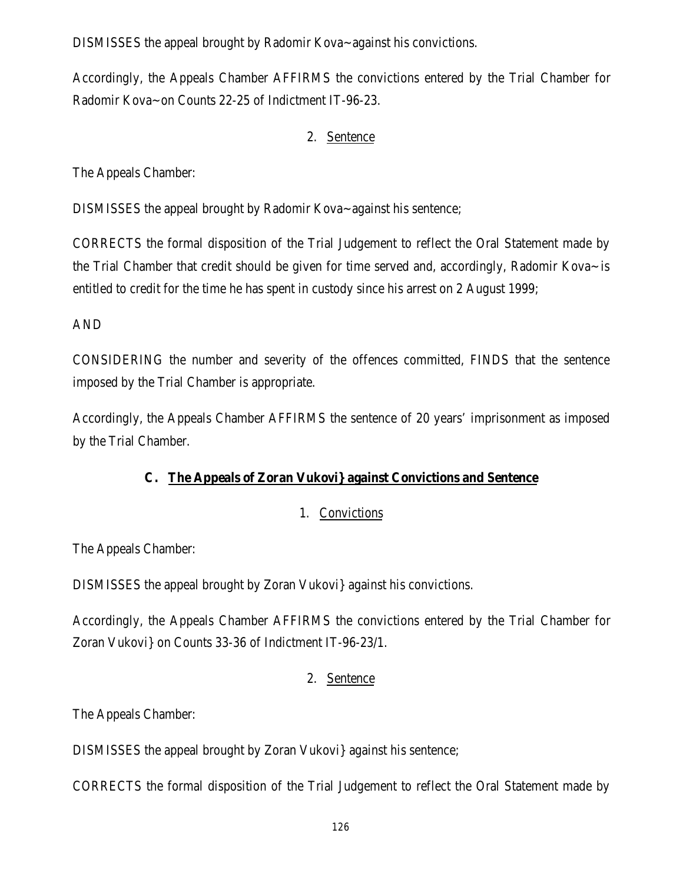DISMISSES the appeal brought by Radomir Kova~ against his convictions.

Accordingly, the Appeals Chamber AFFIRMS the convictions entered by the Trial Chamber for Radomir Kova~ on Counts 22-25 of Indictment IT-96-23.

#### 2. Sentence

The Appeals Chamber:

DISMISSES the appeal brought by Radomir Kova~ against his sentence;

CORRECTS the formal disposition of the Trial Judgement to reflect the Oral Statement made by the Trial Chamber that credit should be given for time served and, accordingly, Radomir Kova~ is entitled to credit for the time he has spent in custody since his arrest on 2 August 1999;

#### AND

CONSIDERING the number and severity of the offences committed, FINDS that the sentence imposed by the Trial Chamber is appropriate.

Accordingly, the Appeals Chamber AFFIRMS the sentence of 20 years' imprisonment as imposed by the Trial Chamber.

### **C. The Appeals of Zoran Vukovi} against Convictions and Sentence**

### 1. Convictions

The Appeals Chamber:

DISMISSES the appeal brought by Zoran Vukovi} against his convictions.

Accordingly, the Appeals Chamber AFFIRMS the convictions entered by the Trial Chamber for Zoran Vukovi} on Counts 33-36 of Indictment IT-96-23/1.

#### 2. Sentence

The Appeals Chamber:

DISMISSES the appeal brought by Zoran Vukovi} against his sentence;

CORRECTS the formal disposition of the Trial Judgement to reflect the Oral Statement made by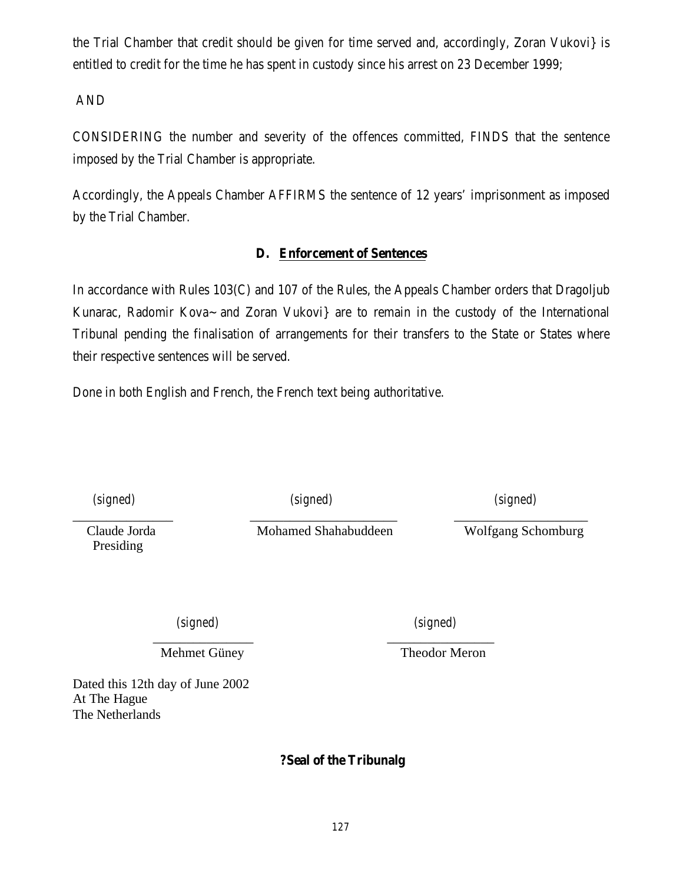the Trial Chamber that credit should be given for time served and, accordingly, Zoran Vukovi} is entitled to credit for the time he has spent in custody since his arrest on 23 December 1999;

AND

CONSIDERING the number and severity of the offences committed, FINDS that the sentence imposed by the Trial Chamber is appropriate.

Accordingly, the Appeals Chamber AFFIRMS the sentence of 12 years' imprisonment as imposed by the Trial Chamber.

### **D. Enforcement of Sentences**

In accordance with Rules 103(C) and 107 of the Rules, the Appeals Chamber orders that Dragoljub Kunarac, Radomir Kova~ and Zoran Vukovi} are to remain in the custody of the International Tribunal pending the finalisation of arrangements for their transfers to the State or States where their respective sentences will be served.

Done in both English and French, the French text being authoritative.

 *(signed) (signed) (signed)*

Presiding

\_\_\_\_\_\_\_\_\_\_\_\_\_\_\_ \_\_\_\_\_\_\_\_\_\_\_\_\_\_\_\_\_\_\_\_\_\_ \_\_\_\_\_\_\_\_\_\_\_\_\_\_\_\_\_\_\_\_ Claude Jorda Mohamed Shahabuddeen Wolfgang Schomburg

 *(signed) (signed)*

\_\_\_\_\_\_\_\_\_\_\_\_\_\_\_ \_\_\_\_\_\_\_\_\_\_\_\_\_\_\_\_ Mehmet Güney Theodor Meron

Dated this 12th day of June 2002 At The Hague The Netherlands

**?Seal of the Tribunalg**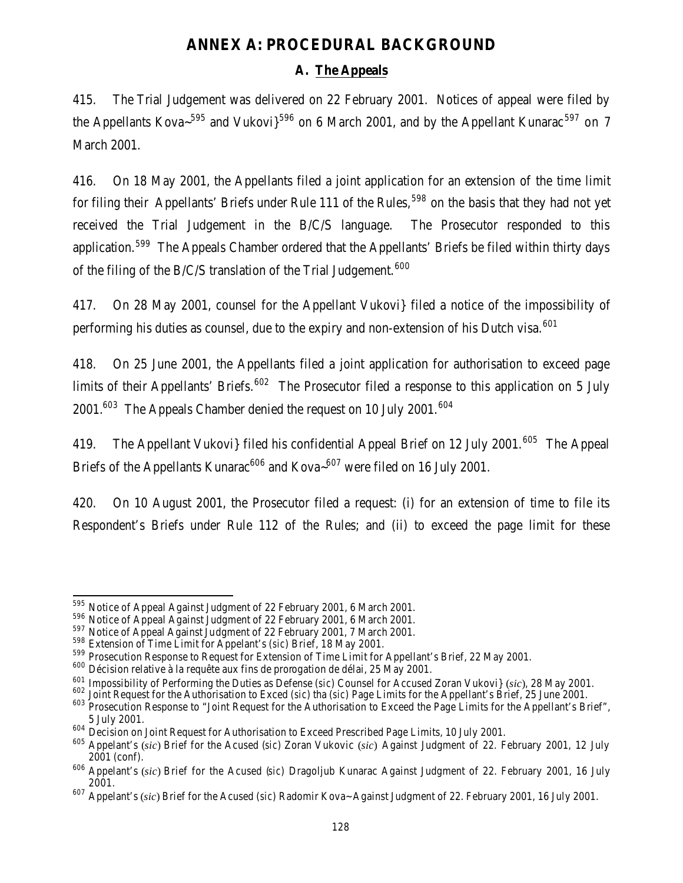## **ANNEX A: PROCEDURAL BACKGROUND**

#### **A. The Appeals**

415. The Trial Judgement was delivered on 22 February 2001. Notices of appeal were filed by the Appellants Kova<sup> $595$ </sup> and Vukovi}<sup>596</sup> on 6 March 2001, and by the Appellant Kunarac<sup>597</sup> on 7 March 2001.

416. On 18 May 2001, the Appellants filed a joint application for an extension of the time limit for filing their Appellants' Briefs under Rule 111 of the Rules,<sup>598</sup> on the basis that they had not yet received the Trial Judgement in the B/C/S language. The Prosecutor responded to this application.<sup>599</sup> The Appeals Chamber ordered that the Appellants' Briefs be filed within thirty days of the filing of the B/C/S translation of the Trial Judgement.<sup>600</sup>

417. On 28 May 2001, counsel for the Appellant Vukovi} filed a notice of the impossibility of performing his duties as counsel, due to the expiry and non-extension of his Dutch visa.<sup>601</sup>

418. On 25 June 2001, the Appellants filed a joint application for authorisation to exceed page limits of their Appellants' Briefs.<sup>602</sup> The Prosecutor filed a response to this application on 5 July 2001.<sup>603</sup> The Appeals Chamber denied the request on 10 July 2001.<sup>604</sup>

419. The Appellant Vukovi} filed his confidential Appeal Brief on 12 July 2001.<sup>605</sup> The Appeal Briefs of the Appellants Kunarac<sup>606</sup> and Kova $\sim$ <sup>607</sup> were filed on 16 July 2001.

420. On 10 August 2001, the Prosecutor filed a request: (i) for an extension of time to file its Respondent's Briefs under Rule 112 of the Rules; and (ii) to exceed the page limit for these

 $\overline{a}$  $^{595}$  Notice of Appeal Against Judgment of 22 February 2001, 6 March 2001.

<sup>596</sup> Notice of Appeal Against Judgment of 22 February 2001, 6 March 2001.

<sup>&</sup>lt;sup>597</sup> Notice of Appeal Against Judgment of 22 February 2001, 7 March 2001.

<sup>598</sup> Extension of Time Limit for Appelant's (*sic*) Brief, 18 May 2001.

<sup>599</sup> Prosecution Response to Request for Extension of Time Limit for Appellant's Brief, 22 May 2001.

<sup>600</sup> Décision relative à la requête aux fins de prorogation de délai, 25 May 2001.

<sup>601</sup> Impossibility of Performing the Duties as Defense (*sic*) Counsel for Accused Zoran Vukovi} (*sic*), 28 May 2001.

<sup>602</sup> Joint Request for the Authorisation to Exced (*sic*) tha (*sic*) Page Limits for the Appellant's Brief, 25 June 2001.

<sup>603</sup> Prosecution Response to "Joint Request for the Authorisation to Exceed the Page Limits for the Appellant's Brief", 5 July 2001.

<sup>604</sup> Decision on Joint Request for Authorisation to Exceed Prescribed Page Limits, 10 July 2001.

<sup>605</sup> Appelant's (*sic*) Brief for the Acused (*sic*) Zoran Vukovic (*sic*) Against Judgment of 22. February 2001, 12 July 2001 (conf).

<sup>606</sup> Appelant's (*sic*) Brief for the Acused (*sic*) Dragoljub Kunarac Against Judgment of 22. February 2001, 16 July 2001.

<sup>607</sup> Appelant's (*sic*) Brief for the Acused (*sic*) Radomir Kova~ Against Judgment of 22. February 2001, 16 July 2001.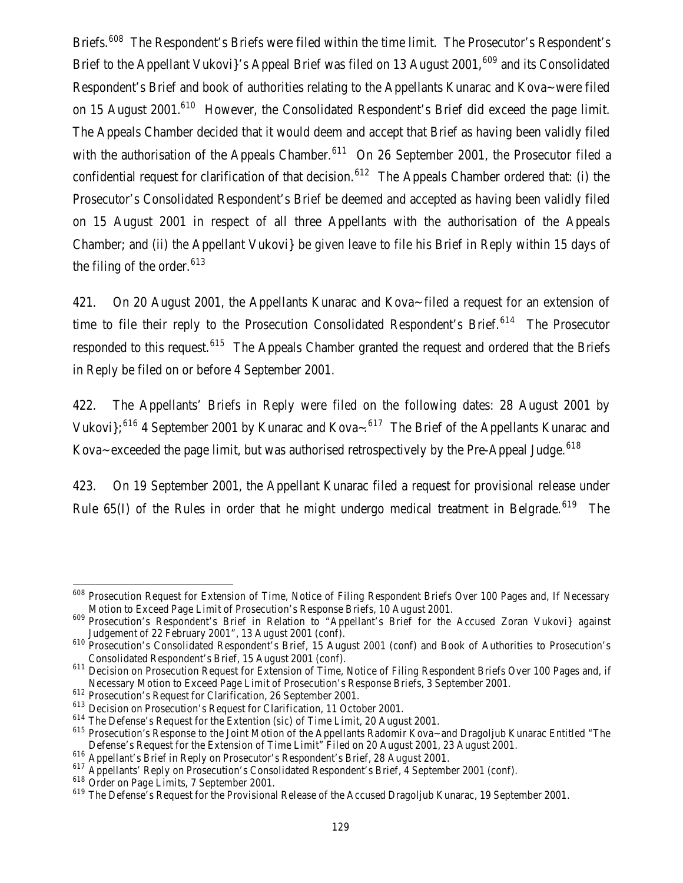Briefs.<sup>608</sup> The Respondent's Briefs were filed within the time limit. The Prosecutor's Respondent's Brief to the Appellant Vukovi}'s Appeal Brief was filed on 13 August 2001,<sup>609</sup> and its Consolidated Respondent's Brief and book of authorities relating to the Appellants Kunarac and Kova~ were filed on 15 August 2001.<sup>610</sup> However, the Consolidated Respondent's Brief did exceed the page limit. The Appeals Chamber decided that it would deem and accept that Brief as having been validly filed with the authorisation of the Appeals Chamber.<sup>611</sup> On 26 September 2001, the Prosecutor filed a confidential request for clarification of that decision.<sup>612</sup> The Appeals Chamber ordered that: (i) the Prosecutor's Consolidated Respondent's Brief be deemed and accepted as having been validly filed on 15 August 2001 in respect of all three Appellants with the authorisation of the Appeals Chamber; and (ii) the Appellant Vukovi} be given leave to file his Brief in Reply within 15 days of the filing of the order.  $613$ 

421. On 20 August 2001, the Appellants Kunarac and Kova~ filed a request for an extension of time to file their reply to the Prosecution Consolidated Respondent's Brief.<sup>614</sup> The Prosecutor responded to this request.<sup>615</sup> The Appeals Chamber granted the request and ordered that the Briefs in Reply be filed on or before 4 September 2001.

422. The Appellants' Briefs in Reply were filed on the following dates: 28 August 2001 by Vukovi $3^{616}$  4 September 2001 by Kunarac and Kova $\sim$ .<sup>617</sup> The Brief of the Appellants Kunarac and Kova- exceeded the page limit, but was authorised retrospectively by the Pre-Appeal Judge.<sup>618</sup>

423. On 19 September 2001, the Appellant Kunarac filed a request for provisional release under Rule  $65(1)$  of the Rules in order that he might undergo medical treatment in Belgrade.<sup>619</sup> The

 $\overline{1}$ <sup>608</sup> Prosecution Request for Extension of Time, Notice of Filing Respondent Briefs Over 100 Pages and, If Necessary Motion to Exceed Page Limit of Prosecution's Response Briefs, 10 August 2001.

<sup>609</sup> Prosecution's Respondent's Brief in Relation to "Appellant's Brief for the Accused Zoran Vukovi} against Judgement of 22 February 2001", 13 August 2001 (conf).

<sup>610</sup> Prosecution's Consolidated Respondent's Brief, 15 August 2001 (conf) and Book of Authorities to Prosecution's Consolidated Respondent's Brief, 15 August 2001 (conf).

<sup>611</sup> Decision on Prosecution Request for Extension of Time, Notice of Filing Respondent Briefs Over 100 Pages and, if Necessary Motion to Exceed Page Limit of Prosecution's Response Briefs, 3 September 2001.

<sup>612</sup> Prosecution's Request for Clarification, 26 September 2001.

<sup>&</sup>lt;sup>613</sup> Decision on Prosecution's Request for Clarification, 11 October 2001.

<sup>614</sup> The Defense's Request for the Extention (*sic*) of Time Limit, 20 August 2001.

<sup>&</sup>lt;sup>615</sup> Prosecution's Response to the Joint Motion of the Appellants Radomir Kova~ and Dragoljub Kunarac Entitled "The Defense's Request for the Extension of Time Limit" Filed on 20 August 2001, 23 August 2001.

<sup>616</sup> Appellant's Brief in Reply on Prosecutor's Respondent's Brief, 28 August 2001.

<sup>&</sup>lt;sup>617</sup> Appellants' Reply on Prosecution's Consolidated Respondent's Brief, 4 September 2001 (conf).

<sup>618</sup> Order on Page Limits, 7 September 2001.

<sup>619</sup> The Defense's Request for the Provisional Release of the Accused Dragoljub Kunarac, 19 September 2001.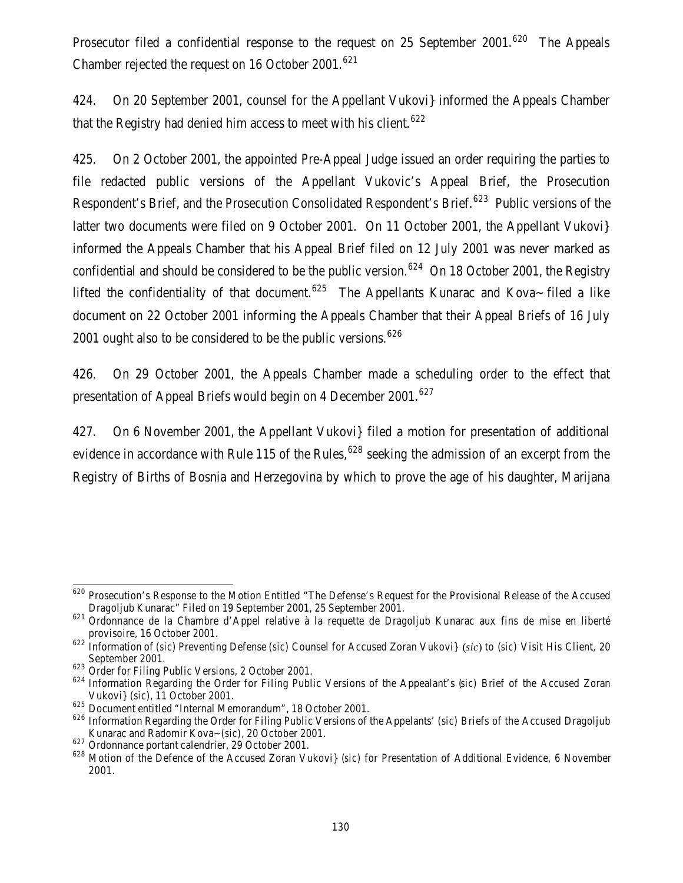Prosecutor filed a confidential response to the request on 25 September 2001.<sup>620</sup> The Appeals Chamber rejected the request on 16 October 2001.<sup>621</sup>

424. On 20 September 2001, counsel for the Appellant Vukovi} informed the Appeals Chamber that the Registry had denied him access to meet with his client.<sup>622</sup>

425. On 2 October 2001, the appointed Pre-Appeal Judge issued an order requiring the parties to file redacted public versions of the Appellant Vukovic's Appeal Brief, the Prosecution Respondent's Brief, and the Prosecution Consolidated Respondent's Brief.<sup>623</sup> Public versions of the latter two documents were filed on 9 October 2001. On 11 October 2001, the Appellant Vukovi} informed the Appeals Chamber that his Appeal Brief filed on 12 July 2001 was never marked as confidential and should be considered to be the public version.<sup>624</sup> On 18 October 2001, the Registry lifted the confidentiality of that document.<sup>625</sup> The Appellants Kunarac and Kova- filed a like document on 22 October 2001 informing the Appeals Chamber that their Appeal Briefs of 16 July 2001 ought also to be considered to be the public versions.  $626$ 

426. On 29 October 2001, the Appeals Chamber made a scheduling order to the effect that presentation of Appeal Briefs would begin on 4 December 2001.<sup>627</sup>

427. On 6 November 2001, the Appellant Vukovi} filed a motion for presentation of additional evidence in accordance with Rule 115 of the Rules, <sup>628</sup> seeking the admission of an excerpt from the Registry of Births of Bosnia and Herzegovina by which to prove the age of his daughter, Marijana

 $\overline{\phantom{a}}$ <sup>620</sup> Prosecution's Response to the Motion Entitled "The Defense's Request for the Provisional Release of the Accused Dragoljub Kunarac" Filed on 19 September 2001, 25 September 2001.

<sup>&</sup>lt;sup>621</sup> Ordonnance de la Chambre d'Appel relative à la requette de Dragoljub Kunarac aux fins de mise en liberté provisoire, 16 October 2001.

<sup>622</sup> Information of (*sic*) Preventing Defense (*sic*) Counsel for Accused Zoran Vukovi} (*sic*) to (*sic*) Visit His Client, 20 September 2001.

<sup>623</sup> Order for Filing Public Versions, 2 October 2001.

<sup>624</sup> Information Regarding the Order for Filing Public Versions of the Appealant's (*sic*) Brief of the Accused Zoran Vukovi} (*sic*), 11 October 2001.

<sup>625</sup> Document entitled "Internal Memorandum", 18 October 2001.

<sup>626</sup> Information Regarding the Order for Filing Public Versions of the Appelants' (*sic*) Briefs of the Accused Dragoljub Kunarac and Radomir Kova~ (*sic*), 20 October 2001.

<sup>627</sup> Ordonnance portant calendrier, 29 October 2001.

<sup>628</sup> Motion of the Defence of the Accused Zoran Vukovi} (*sic*) for Presentation of Additional Evidence, 6 November 2001.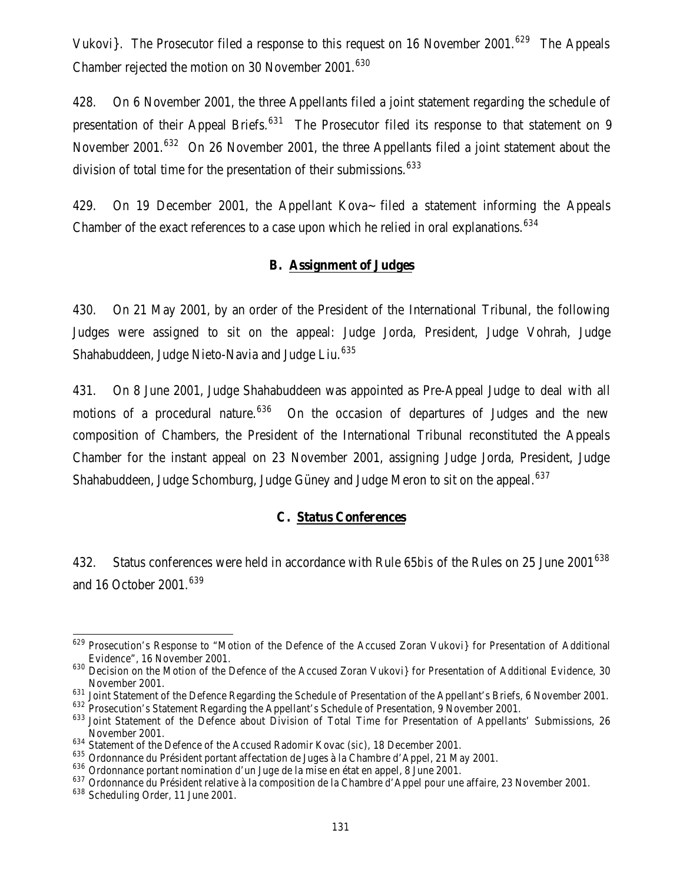Vukovi}. The Prosecutor filed a response to this request on 16 November 2001.<sup>629</sup> The Appeals Chamber rejected the motion on 30 November 2001.<sup>630</sup>

428. On 6 November 2001, the three Appellants filed a joint statement regarding the schedule of presentation of their Appeal Briefs.<sup>631</sup> The Prosecutor filed its response to that statement on 9 November 2001.<sup>632</sup> On 26 November 2001, the three Appellants filed a joint statement about the division of total time for the presentation of their submissions.<sup>633</sup>

429. On 19 December 2001, the Appellant Kova~ filed a statement informing the Appeals Chamber of the exact references to a case upon which he relied in oral explanations.  $634$ 

#### **B. Assignment of Judges**

430. On 21 May 2001, by an order of the President of the International Tribunal, the following Judges were assigned to sit on the appeal: Judge Jorda, President, Judge Vohrah, Judge Shahabuddeen, Judge Nieto-Navia and Judge Liu.<sup>635</sup>

431. On 8 June 2001, Judge Shahabuddeen was appointed as Pre-Appeal Judge to deal with all motions of a procedural nature. $636$  On the occasion of departures of Judges and the new composition of Chambers, the President of the International Tribunal reconstituted the Appeals Chamber for the instant appeal on 23 November 2001, assigning Judge Jorda, President, Judge Shahabuddeen, Judge Schomburg, Judge Güney and Judge Meron to sit on the appeal.<sup>637</sup>

#### **C. Status Conferences**

432. Status conferences were held in accordance with Rule 65*bis* of the Rules on 25 June 2001<sup>638</sup> and 16 October 2001.<sup>639</sup>

<sup>637</sup> Ordonnance du Président relative à la composition de la Chambre d'Appel pour une affaire, 23 November 2001.

 $\overline{1}$ <sup>629</sup> Prosecution's Response to "Motion of the Defence of the Accused Zoran Vukovi} for Presentation of Additional Evidence", 16 November 2001.

<sup>630</sup> Decision on the Motion of the Defence of the Accused Zoran Vukovi} for Presentation of Additional Evidence, 30 November 2001.

<sup>631</sup> Joint Statement of the Defence Regarding the Schedule of Presentation of the Appellant's Briefs, 6 November 2001.

<sup>&</sup>lt;sup>632</sup> Prosecution's Statement Regarding the Appellant's Schedule of Presentation, 9 November 2001.

<sup>&</sup>lt;sup>633</sup> Joint Statement of the Defence about Division of Total Time for Presentation of Appellants' Submissions, 26 November 2001.

<sup>634</sup> Statement of the Defence of the Accused Radomir Kovac (*sic*), 18 December 2001.

<sup>635</sup> Ordonnance du Président portant affectation de Juges à la Chambre d'Appel, 21 May 2001.

<sup>&</sup>lt;sup>636</sup> Ordonnance portant nomination d'un Juge de la mise en état en appel, 8 June 2001.

<sup>638</sup> Scheduling Order, 11 June 2001.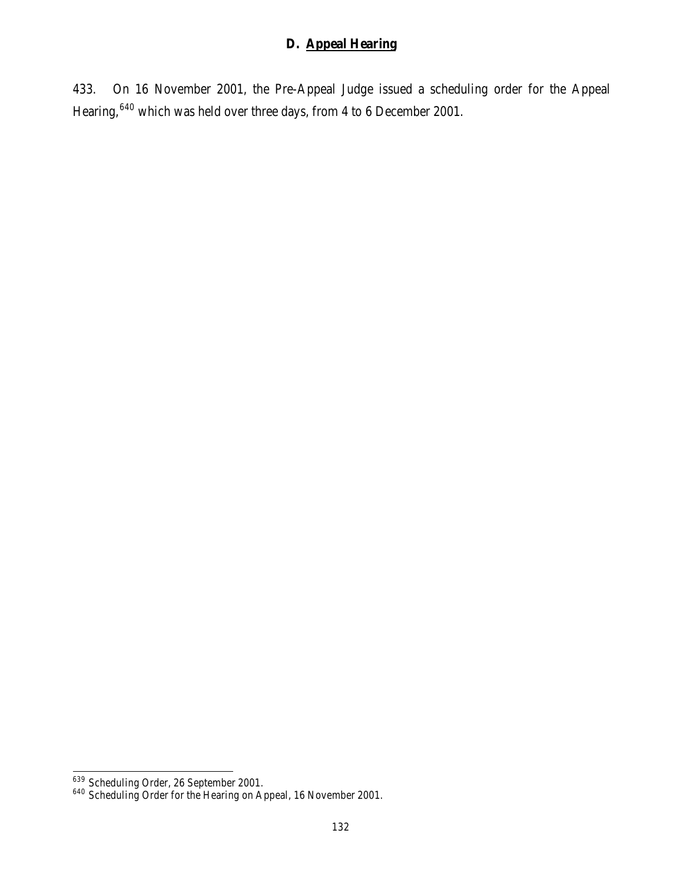#### **D. Appeal Hearing**

433. On 16 November 2001, the Pre-Appeal Judge issued a scheduling order for the Appeal Hearing, <sup>640</sup> which was held over three days, from 4 to 6 December 2001.

 $\overline{1}$ 

<sup>&</sup>lt;sup>639</sup> Scheduling Order, 26 September 2001.

<sup>&</sup>lt;sup>640</sup> Scheduling Order for the Hearing on Appeal, 16 November 2001.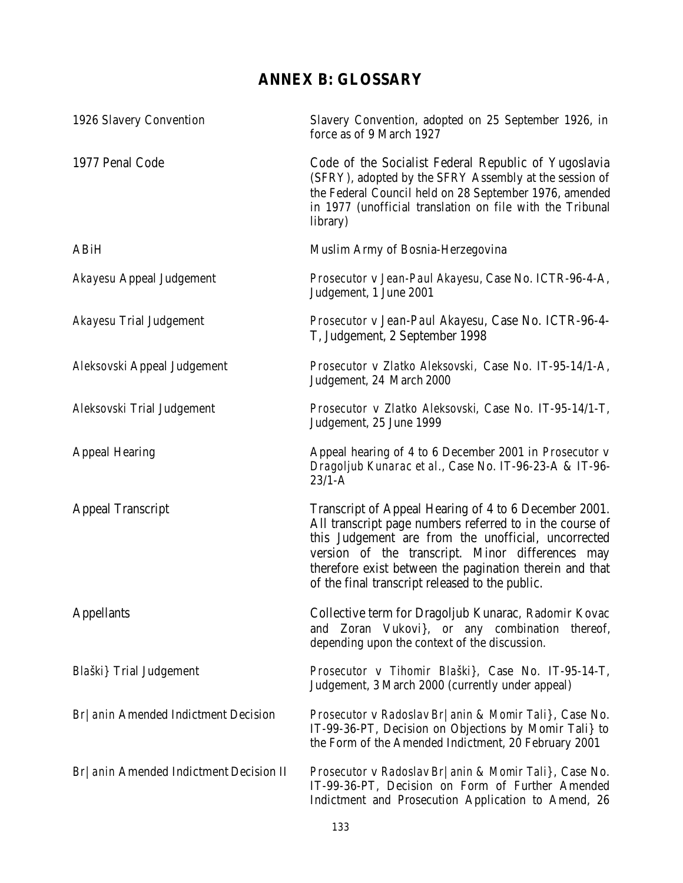# **ANNEX B: GLOSSARY**

| 1926 Slavery Convention                  | Slavery Convention, adopted on 25 September 1926, in<br>force as of 9 March 1927                                                                                                                                                                                                                                                           |
|------------------------------------------|--------------------------------------------------------------------------------------------------------------------------------------------------------------------------------------------------------------------------------------------------------------------------------------------------------------------------------------------|
| 1977 Penal Code                          | Code of the Socialist Federal Republic of Yugoslavia<br>(SFRY), adopted by the SFRY Assembly at the session of<br>the Federal Council held on 28 September 1976, amended<br>in 1977 (unofficial translation on file with the Tribunal<br>library)                                                                                          |
| ABiH                                     | Muslim Army of Bosnia-Herzegovina                                                                                                                                                                                                                                                                                                          |
| Akayesu Appeal Judgement                 | Prosecutor v Jean-Paul Akayesu, Case No. ICTR-96-4-A,<br>Judgement, 1 June 2001                                                                                                                                                                                                                                                            |
| Akayesu Trial Judgement                  | Prosecutor v Jean-Paul Akayesu, Case No. ICTR-96-4-<br>T, Judgement, 2 September 1998                                                                                                                                                                                                                                                      |
| Aleksovski Appeal Judgement              | Prosecutor v Zlatko Aleksovski, Case No. IT-95-14/1-A,<br>Judgement, 24 March 2000                                                                                                                                                                                                                                                         |
| Aleksovski Trial Judgement               | Prosecutor v Zlatko Aleksovski, Case No. IT-95-14/1-T,<br>Judgement, 25 June 1999                                                                                                                                                                                                                                                          |
| <b>Appeal Hearing</b>                    | Appeal hearing of 4 to 6 December 2001 in Prosecutor v<br>Dragoljub Kunarac et al., Case No. IT-96-23-A & IT-96-<br>$23/1 - A$                                                                                                                                                                                                             |
| <b>Appeal Transcript</b>                 | Transcript of Appeal Hearing of 4 to 6 December 2001.<br>All transcript page numbers referred to in the course of<br>this Judgement are from the unofficial, uncorrected<br>version of the transcript. Minor differences may<br>therefore exist between the pagination therein and that<br>of the final transcript released to the public. |
| Appellants                               | Collective term for Dragoljub Kunarac, Radomir Kovac<br>Zoran Vukovi}, or any combination thereof,<br>and<br>depending upon the context of the discussion.                                                                                                                                                                                 |
| Blaški} Trial Judgement                  | Prosecutor v Tihomir Blaški}, Case No. IT-95-14-T,<br>Judgement, 3 March 2000 (currently under appeal)                                                                                                                                                                                                                                     |
| Br   anin Amended Indictment Decision    | Prosecutor v Radoslav Br   anin & Momir Tali}, Case No.<br>IT-99-36-PT, Decision on Objections by Momir Tali} to<br>the Form of the Amended Indictment, 20 February 2001                                                                                                                                                                   |
| Br   anin Amended Indictment Decision II | Prosecutor v Radoslav Br   anin & Momir Tali}, Case No.<br>IT-99-36-PT, Decision on Form of Further Amended<br>Indictment and Prosecution Application to Amend, 26                                                                                                                                                                         |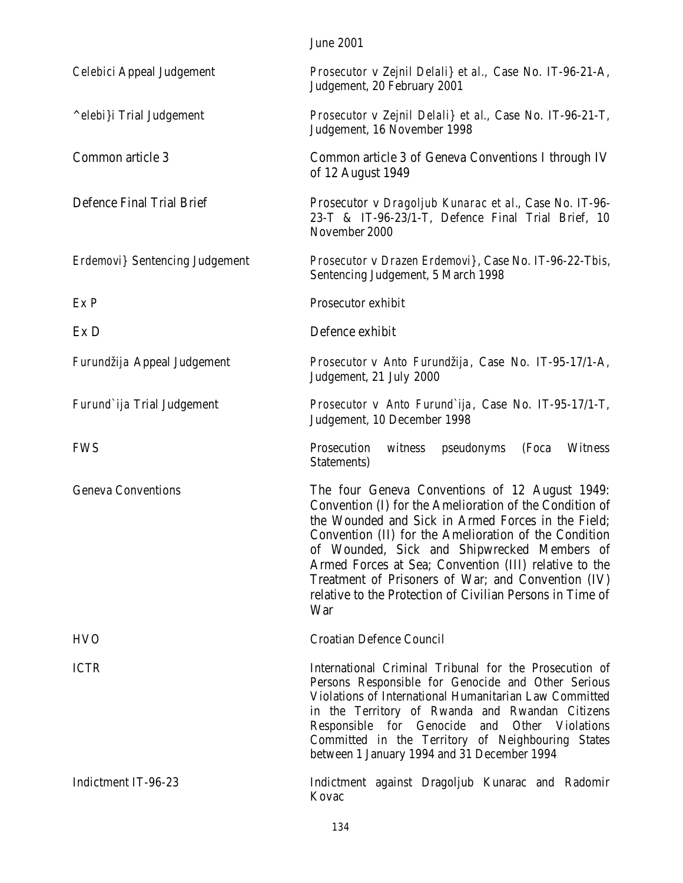June 2001 *Celebici* Appeal Judgement *Prosecutor* v *Zejnil Delali} et al.,* Case No. IT-96-21-A, Judgement, 20 February 2001 *^elebi}i* Trial Judgement *Prosecutor* v *Zejnil Delali} et al*., Case No. IT-96-21-T, Judgement, 16 November 1998 Common article 3 Common article 3 of Geneva Conventions I through IV of 12 August 1949 Defence Final Trial Brief *Prosecutor* v *Dragoljub Kunarac et al.*, Case No. IT-96- 23-T & IT-96-23/1-T, Defence Final Trial Brief, 10 November 2000 *Erdemovi}* Sentencing Judgement *Prosecutor* v *Drazen Erdemovi}*, Case No. IT-96-22-T*bis*, Sentencing Judgement, 5 March 1998 Ex P Prosecutor exhibit Ex D Defence exhibit *Furundžija* Appeal Judgement *Prosecutor* v *Anto Furundžija*, Case No. IT-95-17/1-A, Judgement, 21 July 2000 *Furund`ija* Trial Judgement *Prosecutor* v *Anto Furund`ija*, Case No. IT-95-17/1-T, Judgement, 10 December 1998 FWS Prosecution witness pseudonyms (Foca Witness Statements) Geneva Conventions **The four Geneva Conventions of 12 August 1949:** Convention (I) for the Amelioration of the Condition of the Wounded and Sick in Armed Forces in the Field; Convention (II) for the Amelioration of the Condition of Wounded, Sick and Shipwrecked Members of Armed Forces at Sea; Convention (III) relative to the Treatment of Prisoners of War; and Convention (IV) relative to the Protection of Civilian Persons in Time of War HVO Croatian Defence Council ICTR International Criminal Tribunal for the Prosecution of Persons Responsible for Genocide and Other Serious Violations of International Humanitarian Law Committed in the Territory of Rwanda and Rwandan Citizens Responsible for Genocide and Other Violations Committed in the Territory of Neighbouring States between 1 January 1994 and 31 December 1994 Indictment IT-96-23 Indictment against Dragoljub Kunarac and Radomir Kovac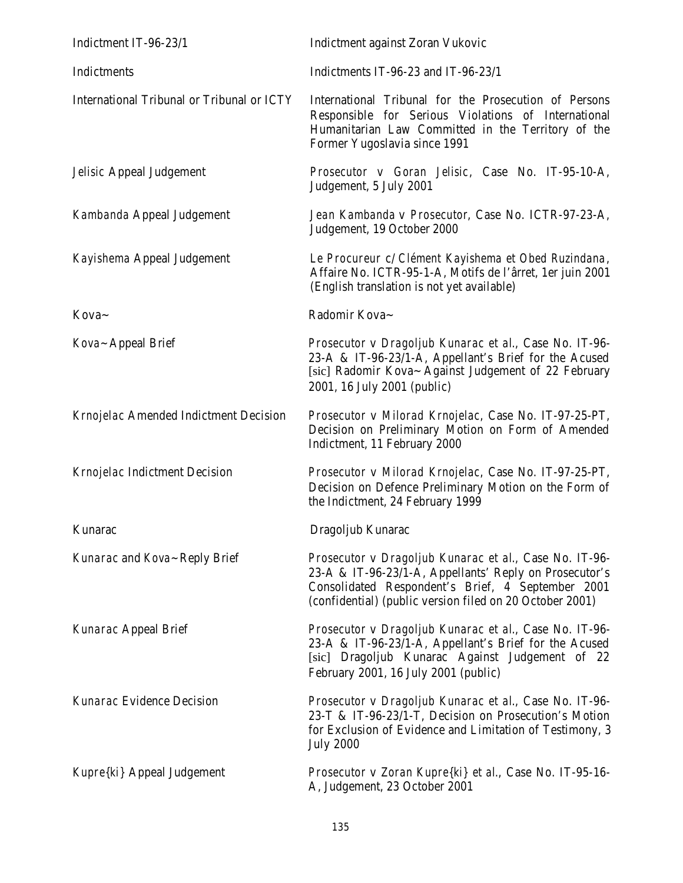| Indictment IT-96-23/1                      | Indictment against Zoran Vukovic                                                                                                                                                                                                  |
|--------------------------------------------|-----------------------------------------------------------------------------------------------------------------------------------------------------------------------------------------------------------------------------------|
| Indictments                                | Indictments IT-96-23 and IT-96-23/1                                                                                                                                                                                               |
| International Tribunal or Tribunal or ICTY | International Tribunal for the Prosecution of Persons<br>Responsible for Serious Violations of International<br>Humanitarian Law Committed in the Territory of the<br>Former Yugoslavia since 1991                                |
| Jelisic Appeal Judgement                   | Prosecutor v Goran Jelisic, Case No. IT-95-10-A,<br>Judgement, 5 July 2001                                                                                                                                                        |
| Kambanda Appeal Judgement                  | Jean Kambanda v Prosecutor, Case No. ICTR-97-23-A,<br>Judgement, 19 October 2000                                                                                                                                                  |
| Kayishema Appeal Judgement                 | Le Procureur cl Clément Kayishema et Obed Ruzindana,<br>Affaire No. ICTR-95-1-A, Motifs de l'ârret, 1er juin 2001<br>(English translation is not yet available)                                                                   |
| Kova~                                      | Radomir Kova~                                                                                                                                                                                                                     |
| Kova~ Appeal Brief                         | Prosecutor v Dragoljub Kunarac et al., Case No. IT-96-<br>23-A & IT-96-23/1-A, Appellant's Brief for the Acused<br>[sic] Radomir Kova~ Against Judgement of 22 February<br>2001, 16 July 2001 (public)                            |
| Krnojelac Amended Indictment Decision      | Prosecutor v Milorad Krnojelac, Case No. IT-97-25-PT,<br>Decision on Preliminary Motion on Form of Amended<br>Indictment, 11 February 2000                                                                                        |
| Krnojelac Indictment Decision              | Prosecutor v Milorad Krnojelac, Case No. IT-97-25-PT,<br>Decision on Defence Preliminary Motion on the Form of<br>the Indictment, 24 February 1999                                                                                |
| Kunarac                                    | Dragoljub Kunarac                                                                                                                                                                                                                 |
| Kunarac and Kova~ Reply Brief              | Prosecutor v Dragoljub Kunarac et al., Case No. IT-96-<br>23-A & IT-96-23/1-A, Appellants' Reply on Prosecutor's<br>Consolidated Respondent's Brief, 4 September 2001<br>(confidential) (public version filed on 20 October 2001) |
| Kunarac Appeal Brief                       | Prosecutor v Dragoljub Kunarac et al., Case No. IT-96-<br>23-A & IT-96-23/1-A, Appellant's Brief for the Acused<br>[sic] Dragoljub Kunarac Against Judgement of 22<br>February 2001, 16 July 2001 (public)                        |
| Kunarac Evidence Decision                  | Prosecutor v Dragoljub Kunarac et al., Case No. IT-96-<br>23-T & IT-96-23/1-T, Decision on Prosecution's Motion<br>for Exclusion of Evidence and Limitation of Testimony, 3<br><b>July 2000</b>                                   |
| Kupre{ki} Appeal Judgement                 | Prosecutor v Zoran Kupre{ki} et al., Case No. IT-95-16-<br>A, Judgement, 23 October 2001                                                                                                                                          |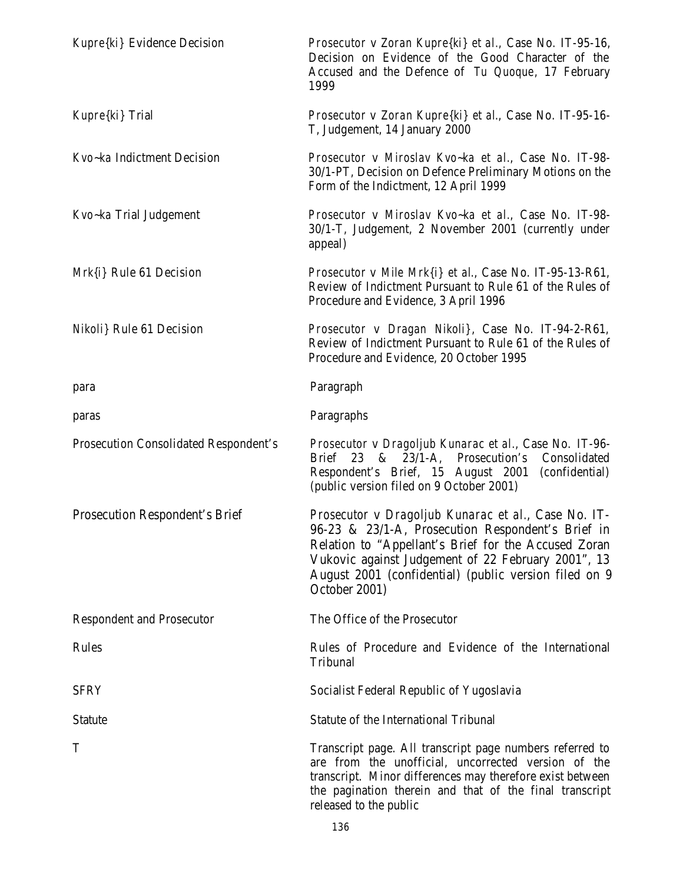| Kupre{ki} Evidence Decision           | Prosecutor v Zoran Kupre{ki} et al., Case No. IT-95-16,<br>Decision on Evidence of the Good Character of the<br>Accused and the Defence of Tu Quoque, 17 February<br>1999                                                                                                                        |
|---------------------------------------|--------------------------------------------------------------------------------------------------------------------------------------------------------------------------------------------------------------------------------------------------------------------------------------------------|
| Kupre{ki} Trial                       | Prosecutor v Zoran Kupre{ki} et al., Case No. IT-95-16-<br>T, Judgement, 14 January 2000                                                                                                                                                                                                         |
| Kvo-ka Indictment Decision            | Prosecutor v Miroslav Kvo-ka et al., Case No. IT-98-<br>30/1-PT, Decision on Defence Preliminary Motions on the<br>Form of the Indictment, 12 April 1999                                                                                                                                         |
| Kvo~ka Trial Judgement                | Prosecutor v Miroslav Kvo-ka et al., Case No. IT-98-<br>30/1-T, Judgement, 2 November 2001 (currently under<br>appeal)                                                                                                                                                                           |
| Mrk{i} Rule 61 Decision               | Prosecutor v Mile Mrk{i} et al., Case No. IT-95-13-R61,<br>Review of Indictment Pursuant to Rule 61 of the Rules of<br>Procedure and Evidence, 3 April 1996                                                                                                                                      |
| Nikoli} Rule 61 Decision              | Prosecutor v Dragan Nikoli}, Case No. IT-94-2-R61,<br>Review of Indictment Pursuant to Rule 61 of the Rules of<br>Procedure and Evidence, 20 October 1995                                                                                                                                        |
| para                                  | Paragraph                                                                                                                                                                                                                                                                                        |
| paras                                 | Paragraphs                                                                                                                                                                                                                                                                                       |
| Prosecution Consolidated Respondent's | Prosecutor v Dragoljub Kunarac et al., Case No. IT-96-<br>Brief<br>23 & 23/1-A, Prosecution's<br>Consolidated<br>Respondent's Brief, 15 August 2001 (confidential)<br>(public version filed on 9 October 2001)                                                                                   |
| Prosecution Respondent's Brief        | Prosecutor v Dragoljub Kunarac et al., Case No. IT-<br>96-23 & 23/1-A, Prosecution Respondent's Brief in<br>Relation to "Appellant's Brief for the Accused Zoran<br>Vukovic against Judgement of 22 February 2001", 13<br>August 2001 (confidential) (public version filed on 9<br>October 2001) |
| Respondent and Prosecutor             | The Office of the Prosecutor                                                                                                                                                                                                                                                                     |
| Rules                                 | Rules of Procedure and Evidence of the International<br>Tribunal                                                                                                                                                                                                                                 |
| <b>SFRY</b>                           | Socialist Federal Republic of Yugoslavia                                                                                                                                                                                                                                                         |
| Statute                               | Statute of the International Tribunal                                                                                                                                                                                                                                                            |
| Τ                                     | Transcript page. All transcript page numbers referred to<br>are from the unofficial, uncorrected version of the<br>transcript. Minor differences may therefore exist between<br>the pagination therein and that of the final transcript<br>released to the public                                |
|                                       | 136                                                                                                                                                                                                                                                                                              |